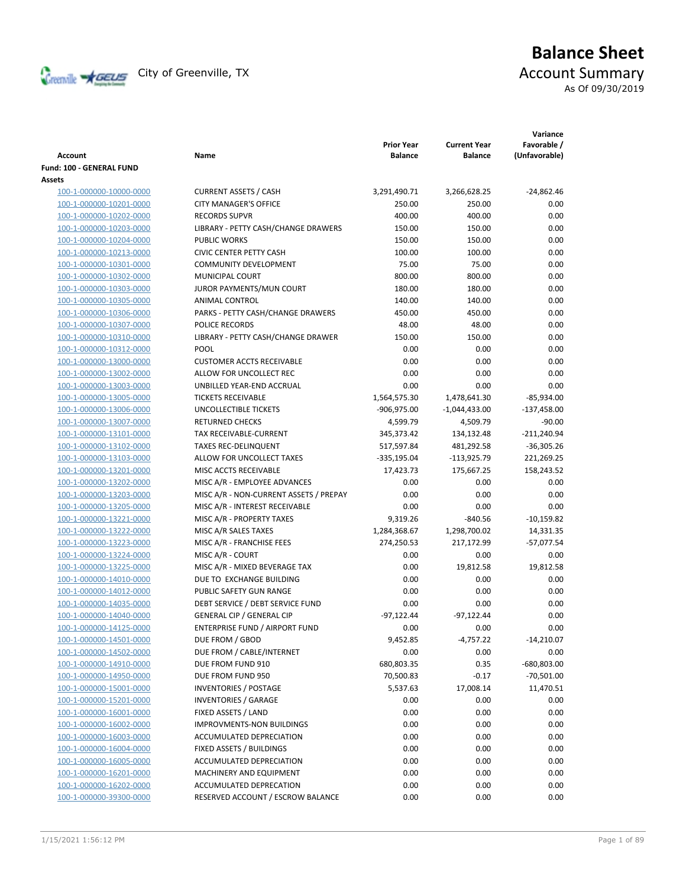

# **Balance Sheet** Creenville Strategy City of Greenville, TX Account Summary

As Of 09/30/2019

| <b>Account</b>           | Name                                   | <b>Prior Year</b><br><b>Balance</b> | <b>Current Year</b><br><b>Balance</b> | Variance<br>Favorable /<br>(Unfavorable) |
|--------------------------|----------------------------------------|-------------------------------------|---------------------------------------|------------------------------------------|
| Fund: 100 - GENERAL FUND |                                        |                                     |                                       |                                          |
| Assets                   |                                        |                                     |                                       |                                          |
| 100-1-000000-10000-0000  | <b>CURRENT ASSETS / CASH</b>           | 3,291,490.71                        | 3,266,628.25                          | $-24,862.46$                             |
| 100-1-000000-10201-0000  | <b>CITY MANAGER'S OFFICE</b>           | 250.00                              | 250.00                                | 0.00                                     |
| 100-1-000000-10202-0000  | <b>RECORDS SUPVR</b>                   | 400.00                              | 400.00                                | 0.00                                     |
| 100-1-000000-10203-0000  | LIBRARY - PETTY CASH/CHANGE DRAWERS    | 150.00                              | 150.00                                | 0.00                                     |
| 100-1-000000-10204-0000  | <b>PUBLIC WORKS</b>                    | 150.00                              | 150.00                                | 0.00                                     |
| 100-1-000000-10213-0000  | <b>CIVIC CENTER PETTY CASH</b>         | 100.00                              | 100.00                                | 0.00                                     |
| 100-1-000000-10301-0000  | <b>COMMUNITY DEVELOPMENT</b>           | 75.00                               | 75.00                                 | 0.00                                     |
| 100-1-000000-10302-0000  | MUNICIPAL COURT                        | 800.00                              | 800.00                                | 0.00                                     |
| 100-1-000000-10303-0000  | JUROR PAYMENTS/MUN COURT               | 180.00                              | 180.00                                | 0.00                                     |
| 100-1-000000-10305-0000  | ANIMAL CONTROL                         | 140.00                              | 140.00                                | 0.00                                     |
| 100-1-000000-10306-0000  | PARKS - PETTY CASH/CHANGE DRAWERS      | 450.00                              | 450.00                                | 0.00                                     |
| 100-1-000000-10307-0000  | POLICE RECORDS                         | 48.00                               | 48.00                                 | 0.00                                     |
| 100-1-000000-10310-0000  | LIBRARY - PETTY CASH/CHANGE DRAWER     | 150.00                              | 150.00                                | 0.00                                     |
| 100-1-000000-10312-0000  | <b>POOL</b>                            | 0.00                                | 0.00                                  | 0.00                                     |
| 100-1-000000-13000-0000  | <b>CUSTOMER ACCTS RECEIVABLE</b>       | 0.00                                | 0.00                                  | 0.00                                     |
| 100-1-000000-13002-0000  | ALLOW FOR UNCOLLECT REC                | 0.00                                | 0.00                                  | 0.00                                     |
| 100-1-000000-13003-0000  | UNBILLED YEAR-END ACCRUAL              | 0.00                                | 0.00                                  | 0.00                                     |
| 100-1-000000-13005-0000  | <b>TICKETS RECEIVABLE</b>              | 1,564,575.30                        | 1,478,641.30                          | $-85,934.00$                             |
| 100-1-000000-13006-0000  | <b>UNCOLLECTIBLE TICKETS</b>           | -906,975.00                         | $-1,044,433.00$                       | $-137,458.00$                            |
| 100-1-000000-13007-0000  | <b>RETURNED CHECKS</b>                 | 4,599.79                            | 4,509.79                              | $-90.00$                                 |
| 100-1-000000-13101-0000  | TAX RECEIVABLE-CURRENT                 | 345,373.42                          | 134,132.48                            | $-211,240.94$                            |
| 100-1-000000-13102-0000  | <b>TAXES REC-DELINQUENT</b>            | 517,597.84                          | 481,292.58                            | $-36,305.26$                             |
| 100-1-000000-13103-0000  | ALLOW FOR UNCOLLECT TAXES              | -335,195.04                         | $-113,925.79$                         | 221,269.25                               |
| 100-1-000000-13201-0000  | MISC ACCTS RECEIVABLE                  | 17,423.73                           | 175,667.25                            | 158,243.52                               |
| 100-1-000000-13202-0000  | MISC A/R - EMPLOYEE ADVANCES           | 0.00                                | 0.00                                  | 0.00                                     |
| 100-1-000000-13203-0000  | MISC A/R - NON-CURRENT ASSETS / PREPAY | 0.00                                | 0.00                                  | 0.00                                     |
| 100-1-000000-13205-0000  | MISC A/R - INTEREST RECEIVABLE         | 0.00                                | 0.00                                  | 0.00                                     |
| 100-1-000000-13221-0000  | MISC A/R - PROPERTY TAXES              | 9,319.26                            | $-840.56$                             | $-10,159.82$                             |
| 100-1-000000-13222-0000  | MISC A/R SALES TAXES                   | 1,284,368.67                        | 1,298,700.02                          | 14,331.35                                |
| 100-1-000000-13223-0000  | MISC A/R - FRANCHISE FEES              | 274,250.53                          | 217,172.99                            | $-57,077.54$                             |
| 100-1-000000-13224-0000  | MISC A/R - COURT                       | 0.00                                | 0.00                                  | 0.00                                     |
| 100-1-000000-13225-0000  | MISC A/R - MIXED BEVERAGE TAX          | 0.00                                | 19,812.58                             | 19,812.58                                |
| 100-1-000000-14010-0000  | DUE TO EXCHANGE BUILDING               | 0.00                                | 0.00                                  | 0.00                                     |
| 100-1-000000-14012-0000  | PUBLIC SAFETY GUN RANGE                | 0.00                                | 0.00                                  | 0.00                                     |
| 100-1-000000-14035-0000  | DEBT SERVICE / DEBT SERVICE FUND       | 0.00                                | 0.00                                  | 0.00                                     |
| 100-1-000000-14040-0000  | <b>GENERAL CIP / GENERAL CIP</b>       | $-97,122.44$                        | $-97,122.44$                          | 0.00                                     |
| 100-1-000000-14125-0000  | ENTERPRISE FUND / AIRPORT FUND         | 0.00                                | 0.00                                  | 0.00                                     |
| 100-1-000000-14501-0000  | DUE FROM / GBOD                        | 9,452.85                            | $-4,757.22$                           | $-14,210.07$                             |
| 100-1-000000-14502-0000  | DUE FROM / CABLE/INTERNET              | 0.00                                | 0.00                                  | 0.00                                     |
| 100-1-000000-14910-0000  | DUE FROM FUND 910                      | 680,803.35                          | 0.35                                  | -680,803.00                              |
| 100-1-000000-14950-0000  | DUE FROM FUND 950                      | 70,500.83                           | $-0.17$                               | $-70,501.00$                             |
| 100-1-000000-15001-0000  | <b>INVENTORIES / POSTAGE</b>           | 5,537.63                            | 17,008.14                             | 11,470.51                                |
| 100-1-000000-15201-0000  | <b>INVENTORIES / GARAGE</b>            | 0.00                                | 0.00                                  | 0.00                                     |
| 100-1-000000-16001-0000  | FIXED ASSETS / LAND                    | 0.00                                | 0.00                                  | 0.00                                     |
| 100-1-000000-16002-0000  | <b>IMPROVMENTS-NON BUILDINGS</b>       | 0.00                                | 0.00                                  | 0.00                                     |
| 100-1-000000-16003-0000  | ACCUMULATED DEPRECIATION               | 0.00                                | 0.00                                  | 0.00                                     |
| 100-1-000000-16004-0000  | FIXED ASSETS / BUILDINGS               | 0.00                                | 0.00                                  | 0.00                                     |
| 100-1-000000-16005-0000  | ACCUMULATED DEPRECIATION               | 0.00                                | 0.00                                  | 0.00                                     |
| 100-1-000000-16201-0000  | MACHINERY AND EQUIPMENT                | 0.00                                | 0.00                                  | 0.00                                     |
| 100-1-000000-16202-0000  | ACCUMULATED DEPRECATION                | 0.00                                | 0.00                                  | 0.00                                     |
| 100-1-000000-39300-0000  | RESERVED ACCOUNT / ESCROW BALANCE      | 0.00                                | 0.00                                  | 0.00                                     |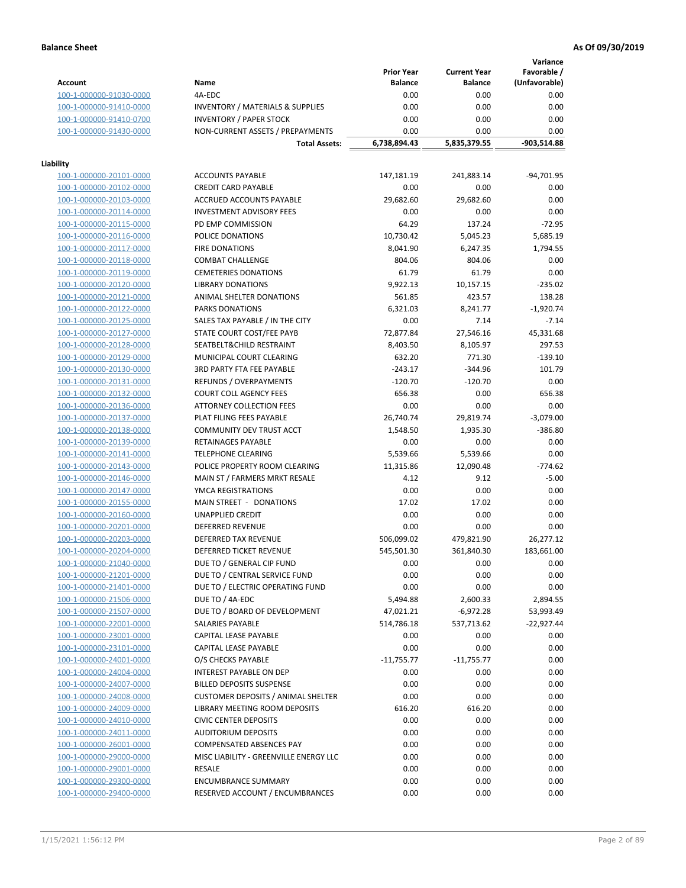**Variance**

|                                                    |                                             | <b>Prior Year</b>  | <b>Current Year</b> | Favorable /          |
|----------------------------------------------------|---------------------------------------------|--------------------|---------------------|----------------------|
| <b>Account</b>                                     | Name                                        | <b>Balance</b>     | <b>Balance</b>      | (Unfavorable)        |
| 100-1-000000-91030-0000                            | 4A-EDC                                      | 0.00               | 0.00                | 0.00                 |
| 100-1-000000-91410-0000                            | <b>INVENTORY / MATERIALS &amp; SUPPLIES</b> | 0.00               | 0.00                | 0.00                 |
| 100-1-000000-91410-0700                            | <b>INVENTORY / PAPER STOCK</b>              | 0.00               | 0.00                | 0.00                 |
| 100-1-000000-91430-0000                            | NON-CURRENT ASSETS / PREPAYMENTS            | 0.00               | 0.00                | 0.00                 |
|                                                    | <b>Total Assets:</b>                        | 6,738,894.43       | 5,835,379.55        | $-903,514.88$        |
|                                                    |                                             |                    |                     |                      |
| Liability                                          | <b>ACCOUNTS PAYABLE</b>                     | 147,181.19         |                     |                      |
| 100-1-000000-20101-0000<br>100-1-000000-20102-0000 | <b>CREDIT CARD PAYABLE</b>                  | 0.00               | 241,883.14<br>0.00  | $-94,701.95$<br>0.00 |
|                                                    | <b>ACCRUED ACCOUNTS PAYABLE</b>             | 29,682.60          | 29,682.60           | 0.00                 |
| 100-1-000000-20103-0000<br>100-1-000000-20114-0000 | <b>INVESTMENT ADVISORY FEES</b>             | 0.00               | 0.00                | 0.00                 |
| 100-1-000000-20115-0000                            | PD EMP COMMISSION                           |                    | 137.24              | $-72.95$             |
|                                                    | POLICE DONATIONS                            | 64.29<br>10,730.42 |                     |                      |
| 100-1-000000-20116-0000<br>100-1-000000-20117-0000 | <b>FIRE DONATIONS</b>                       | 8,041.90           | 5,045.23            | 5,685.19<br>1,794.55 |
|                                                    | <b>COMBAT CHALLENGE</b>                     | 804.06             | 6,247.35<br>804.06  | 0.00                 |
| 100-1-000000-20118-0000<br>100-1-000000-20119-0000 | <b>CEMETERIES DONATIONS</b>                 | 61.79              | 61.79               | 0.00                 |
| 100-1-000000-20120-0000                            | <b>LIBRARY DONATIONS</b>                    | 9,922.13           | 10,157.15           | $-235.02$            |
| 100-1-000000-20121-0000                            | ANIMAL SHELTER DONATIONS                    | 561.85             | 423.57              | 138.28               |
| 100-1-000000-20122-0000                            | <b>PARKS DONATIONS</b>                      | 6,321.03           | 8,241.77            | $-1,920.74$          |
| 100-1-000000-20125-0000                            | SALES TAX PAYABLE / IN THE CITY             | 0.00               | 7.14                | $-7.14$              |
| 100-1-000000-20127-0000                            | STATE COURT COST/FEE PAYB                   | 72,877.84          | 27,546.16           | 45,331.68            |
| 100-1-000000-20128-0000                            | SEATBELT&CHILD RESTRAINT                    | 8,403.50           | 8,105.97            | 297.53               |
| 100-1-000000-20129-0000                            | MUNICIPAL COURT CLEARING                    | 632.20             | 771.30              | $-139.10$            |
| 100-1-000000-20130-0000                            | 3RD PARTY FTA FEE PAYABLE                   | $-243.17$          | $-344.96$           | 101.79               |
| 100-1-000000-20131-0000                            | REFUNDS / OVERPAYMENTS                      | $-120.70$          | $-120.70$           | 0.00                 |
| 100-1-000000-20132-0000                            | <b>COURT COLL AGENCY FEES</b>               | 656.38             | 0.00                | 656.38               |
| 100-1-000000-20136-0000                            | <b>ATTORNEY COLLECTION FEES</b>             | 0.00               | 0.00                | 0.00                 |
| 100-1-000000-20137-0000                            | PLAT FILING FEES PAYABLE                    | 26,740.74          | 29,819.74           | $-3,079.00$          |
| 100-1-000000-20138-0000                            | COMMUNITY DEV TRUST ACCT                    | 1,548.50           | 1,935.30            | $-386.80$            |
| 100-1-000000-20139-0000                            | RETAINAGES PAYABLE                          | 0.00               | 0.00                | 0.00                 |
| 100-1-000000-20141-0000                            | <b>TELEPHONE CLEARING</b>                   | 5,539.66           | 5,539.66            | 0.00                 |
| 100-1-000000-20143-0000                            | POLICE PROPERTY ROOM CLEARING               | 11,315.86          | 12,090.48           | $-774.62$            |
| 100-1-000000-20146-0000                            | MAIN ST / FARMERS MRKT RESALE               | 4.12               | 9.12                | $-5.00$              |
| 100-1-000000-20147-0000                            | YMCA REGISTRATIONS                          | 0.00               | 0.00                | 0.00                 |
| 100-1-000000-20155-0000                            | MAIN STREET - DONATIONS                     | 17.02              | 17.02               | 0.00                 |
| 100-1-000000-20160-0000                            | <b>UNAPPLIED CREDIT</b>                     | 0.00               | 0.00                | 0.00                 |
| 100-1-000000-20201-0000                            | <b>DEFERRED REVENUE</b>                     | 0.00               | 0.00                | 0.00                 |
| 100-1-000000-20203-0000                            | DEFERRED TAX REVENUE                        | 506,099.02         | 479,821.90          | 26,277.12            |
| 100-1-000000-20204-0000                            | DEFERRED TICKET REVENUE                     | 545,501.30         | 361,840.30          | 183,661.00           |
| 100-1-000000-21040-0000                            | DUE TO / GENERAL CIP FUND                   | 0.00               | 0.00                | 0.00                 |
| 100-1-000000-21201-0000                            | DUE TO / CENTRAL SERVICE FUND               | 0.00               | 0.00                | 0.00                 |
| 100-1-000000-21401-0000                            | DUE TO / ELECTRIC OPERATING FUND            | 0.00               | 0.00                | 0.00                 |
| 100-1-000000-21506-0000                            | DUE TO / 4A-EDC                             | 5,494.88           | 2,600.33            | 2,894.55             |
| 100-1-000000-21507-0000                            | DUE TO / BOARD OF DEVELOPMENT               | 47,021.21          | -6,972.28           | 53,993.49            |
| 100-1-000000-22001-0000                            | SALARIES PAYABLE                            | 514,786.18         | 537,713.62          | $-22,927.44$         |
| 100-1-000000-23001-0000                            | CAPITAL LEASE PAYABLE                       | 0.00               | 0.00                | 0.00                 |
| 100-1-000000-23101-0000                            | CAPITAL LEASE PAYABLE                       | 0.00               | 0.00                | 0.00                 |
| 100-1-000000-24001-0000                            | O/S CHECKS PAYABLE                          | $-11,755.77$       | $-11,755.77$        | 0.00                 |
| 100-1-000000-24004-0000                            | INTEREST PAYABLE ON DEP                     | 0.00               | 0.00                | 0.00                 |
| 100-1-000000-24007-0000                            | <b>BILLED DEPOSITS SUSPENSE</b>             | 0.00               | 0.00                | 0.00                 |
| 100-1-000000-24008-0000                            | <b>CUSTOMER DEPOSITS / ANIMAL SHELTER</b>   | 0.00               | 0.00                | 0.00                 |
| 100-1-000000-24009-0000                            | LIBRARY MEETING ROOM DEPOSITS               | 616.20             | 616.20              | 0.00                 |
| 100-1-000000-24010-0000                            | <b>CIVIC CENTER DEPOSITS</b>                | 0.00               | 0.00                | 0.00                 |
| 100-1-000000-24011-0000                            | <b>AUDITORIUM DEPOSITS</b>                  | 0.00               | 0.00                | 0.00                 |
| 100-1-000000-26001-0000                            | <b>COMPENSATED ABSENCES PAY</b>             | 0.00               | 0.00                | 0.00                 |
| 100-1-000000-29000-0000                            | MISC LIABILITY - GREENVILLE ENERGY LLC      | 0.00               | 0.00                | 0.00                 |
| 100-1-000000-29001-0000                            | <b>RESALE</b>                               | 0.00               | 0.00                | 0.00                 |
| 100-1-000000-29300-0000                            | <b>ENCUMBRANCE SUMMARY</b>                  | 0.00               | 0.00                | 0.00                 |
| 100-1-000000-29400-0000                            | RESERVED ACCOUNT / ENCUMBRANCES             | 0.00               | 0.00                | 0.00                 |
|                                                    |                                             |                    |                     |                      |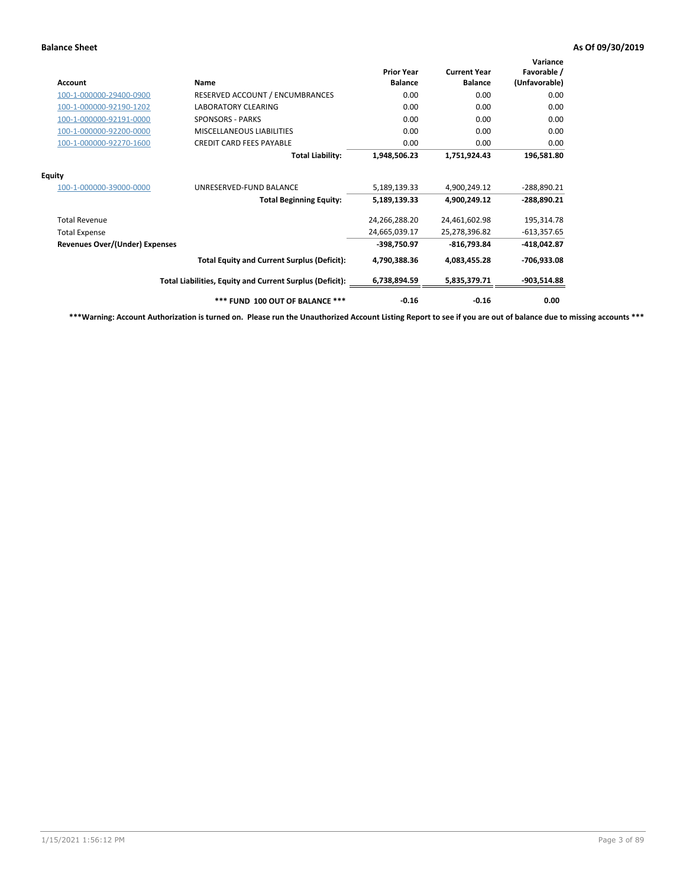| Account                               | Name                                                     | <b>Prior Year</b><br><b>Balance</b> | <b>Current Year</b><br><b>Balance</b> | Variance<br>Favorable /<br>(Unfavorable) |
|---------------------------------------|----------------------------------------------------------|-------------------------------------|---------------------------------------|------------------------------------------|
| 100-1-000000-29400-0900               | RESERVED ACCOUNT / ENCUMBRANCES                          | 0.00                                | 0.00                                  | 0.00                                     |
| 100-1-000000-92190-1202               | <b>LABORATORY CLEARING</b>                               | 0.00                                | 0.00                                  | 0.00                                     |
| 100-1-000000-92191-0000               | <b>SPONSORS - PARKS</b>                                  | 0.00                                | 0.00                                  | 0.00                                     |
| 100-1-000000-92200-0000               | <b>MISCELLANEOUS LIABILITIES</b>                         | 0.00                                | 0.00                                  | 0.00                                     |
| 100-1-000000-92270-1600               | <b>CREDIT CARD FEES PAYABLE</b>                          | 0.00                                | 0.00                                  | 0.00                                     |
|                                       | <b>Total Liability:</b>                                  | 1,948,506.23                        | 1,751,924.43                          | 196,581.80                               |
| <b>Equity</b>                         |                                                          |                                     |                                       |                                          |
| 100-1-000000-39000-0000               | UNRESERVED-FUND BALANCE                                  | 5,189,139.33                        | 4,900,249.12                          | -288,890.21                              |
|                                       | <b>Total Beginning Equity:</b>                           | 5,189,139.33                        | 4,900,249.12                          | -288,890.21                              |
| <b>Total Revenue</b>                  |                                                          | 24,266,288.20                       | 24,461,602.98                         | 195,314.78                               |
| <b>Total Expense</b>                  |                                                          | 24,665,039.17                       | 25,278,396.82                         | $-613,357.65$                            |
| <b>Revenues Over/(Under) Expenses</b> |                                                          | -398,750.97                         | $-816,793.84$                         | $-418,042.87$                            |
|                                       | <b>Total Equity and Current Surplus (Deficit):</b>       | 4,790,388.36                        | 4,083,455.28                          | $-706,933.08$                            |
|                                       | Total Liabilities, Equity and Current Surplus (Deficit): | 6,738,894.59                        | 5,835,379.71                          | $-903,514.88$                            |
|                                       | *** FUND 100 OUT OF BALANCE ***                          | $-0.16$                             | $-0.16$                               | 0.00                                     |

**\*\*\*Warning: Account Authorization is turned on. Please run the Unauthorized Account Listing Report to see if you are out of balance due to missing accounts \*\*\***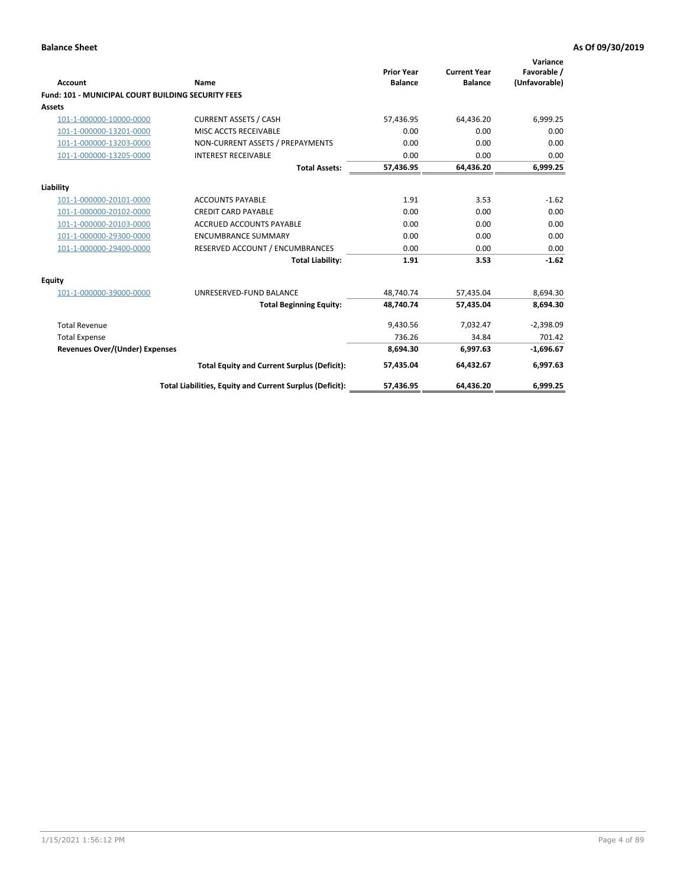| <b>Account</b>                                            | Name                                                     | <b>Prior Year</b><br><b>Balance</b> | <b>Current Year</b><br><b>Balance</b> | Variance<br>Favorable /<br>(Unfavorable) |
|-----------------------------------------------------------|----------------------------------------------------------|-------------------------------------|---------------------------------------|------------------------------------------|
| <b>Fund: 101 - MUNICIPAL COURT BUILDING SECURITY FEES</b> |                                                          |                                     |                                       |                                          |
| Assets                                                    |                                                          |                                     |                                       |                                          |
| 101-1-000000-10000-0000                                   | <b>CURRENT ASSETS / CASH</b>                             | 57,436.95                           | 64,436.20                             | 6,999.25                                 |
| 101-1-000000-13201-0000                                   | MISC ACCTS RECEIVABLE                                    | 0.00                                | 0.00                                  | 0.00                                     |
| 101-1-000000-13203-0000                                   | NON-CURRENT ASSETS / PREPAYMENTS                         | 0.00                                | 0.00                                  | 0.00                                     |
| 101-1-000000-13205-0000                                   | <b>INTEREST RECEIVABLE</b>                               | 0.00                                | 0.00                                  | 0.00                                     |
|                                                           | <b>Total Assets:</b>                                     | 57,436.95                           | 64,436.20                             | 6,999.25                                 |
| Liability                                                 |                                                          |                                     |                                       |                                          |
| 101-1-000000-20101-0000                                   | <b>ACCOUNTS PAYABLE</b>                                  | 1.91                                | 3.53                                  | $-1.62$                                  |
| 101-1-000000-20102-0000                                   | <b>CREDIT CARD PAYABLE</b>                               | 0.00                                | 0.00                                  | 0.00                                     |
| 101-1-000000-20103-0000                                   | <b>ACCRUED ACCOUNTS PAYABLE</b>                          | 0.00                                | 0.00                                  | 0.00                                     |
| 101-1-000000-29300-0000                                   | <b>ENCUMBRANCE SUMMARY</b>                               | 0.00                                | 0.00                                  | 0.00                                     |
| 101-1-000000-29400-0000                                   | RESERVED ACCOUNT / ENCUMBRANCES                          | 0.00                                | 0.00                                  | 0.00                                     |
|                                                           | <b>Total Liability:</b>                                  | 1.91                                | 3.53                                  | $-1.62$                                  |
| <b>Equity</b>                                             |                                                          |                                     |                                       |                                          |
| 101-1-000000-39000-0000                                   | UNRESERVED-FUND BALANCE                                  | 48.740.74                           | 57,435.04                             | 8,694.30                                 |
|                                                           | <b>Total Beginning Equity:</b>                           | 48.740.74                           | 57.435.04                             | 8.694.30                                 |
| <b>Total Revenue</b>                                      |                                                          | 9,430.56                            | 7,032.47                              | $-2,398.09$                              |
| <b>Total Expense</b>                                      |                                                          | 736.26                              | 34.84                                 | 701.42                                   |
| <b>Revenues Over/(Under) Expenses</b>                     |                                                          | 8,694.30                            | 6,997.63                              | $-1,696.67$                              |
|                                                           | <b>Total Equity and Current Surplus (Deficit):</b>       | 57,435.04                           | 64,432.67                             | 6,997.63                                 |
|                                                           | Total Liabilities, Equity and Current Surplus (Deficit): | 57,436.95                           | 64,436.20                             | 6,999.25                                 |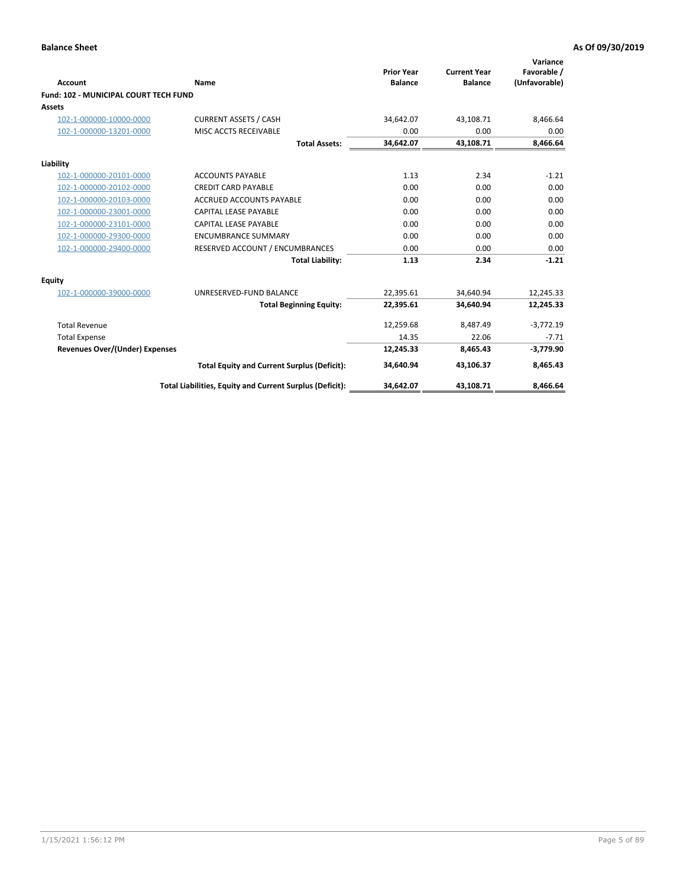|                                              |                                                          |                                     |                                       | Variance                     |
|----------------------------------------------|----------------------------------------------------------|-------------------------------------|---------------------------------------|------------------------------|
| <b>Account</b>                               | <b>Name</b>                                              | <b>Prior Year</b><br><b>Balance</b> | <b>Current Year</b><br><b>Balance</b> | Favorable /<br>(Unfavorable) |
| <b>Fund: 102 - MUNICIPAL COURT TECH FUND</b> |                                                          |                                     |                                       |                              |
| <b>Assets</b>                                |                                                          |                                     |                                       |                              |
| 102-1-000000-10000-0000                      | <b>CURRENT ASSETS / CASH</b>                             | 34,642.07                           | 43,108.71                             | 8,466.64                     |
| 102-1-000000-13201-0000                      | MISC ACCTS RECEIVABLE                                    | 0.00                                | 0.00                                  | 0.00                         |
|                                              | <b>Total Assets:</b>                                     | 34,642.07                           | 43,108.71                             | 8,466.64                     |
| Liability                                    |                                                          |                                     |                                       |                              |
| 102-1-000000-20101-0000                      | <b>ACCOUNTS PAYABLE</b>                                  | 1.13                                | 2.34                                  | $-1.21$                      |
| 102-1-000000-20102-0000                      | <b>CREDIT CARD PAYABLE</b>                               | 0.00                                | 0.00                                  | 0.00                         |
| 102-1-000000-20103-0000                      | <b>ACCRUED ACCOUNTS PAYABLE</b>                          | 0.00                                | 0.00                                  | 0.00                         |
| 102-1-000000-23001-0000                      | <b>CAPITAL LEASE PAYABLE</b>                             | 0.00                                | 0.00                                  | 0.00                         |
| 102-1-000000-23101-0000                      | CAPITAL LEASE PAYABLE                                    | 0.00                                | 0.00                                  | 0.00                         |
| 102-1-000000-29300-0000                      | <b>ENCUMBRANCE SUMMARY</b>                               | 0.00                                | 0.00                                  | 0.00                         |
| 102-1-000000-29400-0000                      | RESERVED ACCOUNT / ENCUMBRANCES                          | 0.00                                | 0.00                                  | 0.00                         |
|                                              | <b>Total Liability:</b>                                  | 1.13                                | 2.34                                  | $-1.21$                      |
| Equity                                       |                                                          |                                     |                                       |                              |
| 102-1-000000-39000-0000                      | UNRESERVED-FUND BALANCE                                  | 22,395.61                           | 34,640.94                             | 12,245.33                    |
|                                              | <b>Total Beginning Equity:</b>                           | 22,395.61                           | 34,640.94                             | 12,245.33                    |
| <b>Total Revenue</b>                         |                                                          | 12,259.68                           | 8,487.49                              | $-3,772.19$                  |
| <b>Total Expense</b>                         |                                                          | 14.35                               | 22.06                                 | $-7.71$                      |
| Revenues Over/(Under) Expenses               |                                                          | 12,245.33                           | 8,465.43                              | $-3,779.90$                  |
|                                              | <b>Total Equity and Current Surplus (Deficit):</b>       | 34,640.94                           | 43,106.37                             | 8,465.43                     |
|                                              | Total Liabilities, Equity and Current Surplus (Deficit): | 34,642.07                           | 43,108.71                             | 8,466.64                     |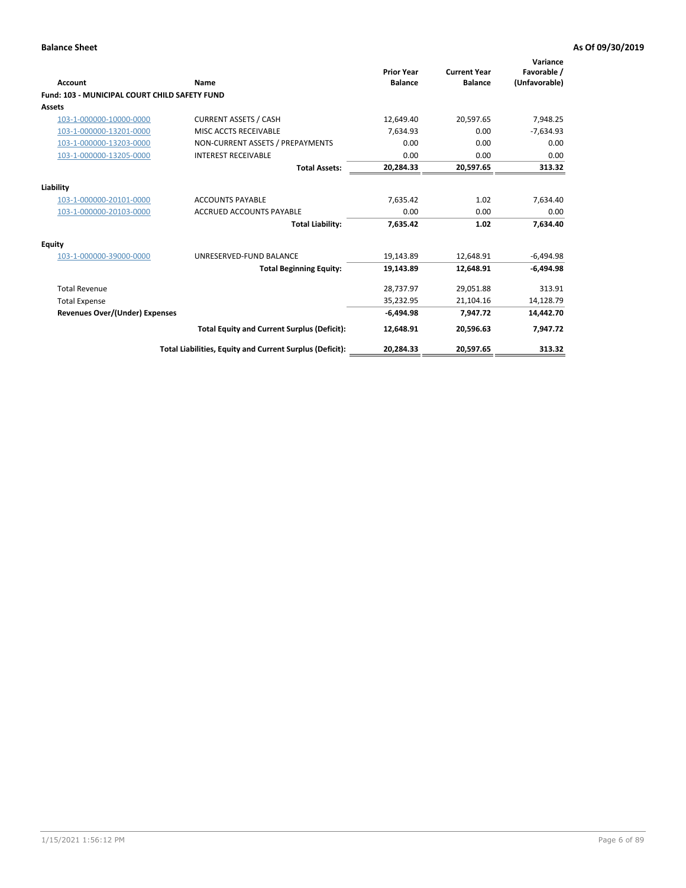| <b>Account</b>                                       | Name                                                     | <b>Prior Year</b><br><b>Balance</b> | <b>Current Year</b><br><b>Balance</b> | Variance<br>Favorable /<br>(Unfavorable) |
|------------------------------------------------------|----------------------------------------------------------|-------------------------------------|---------------------------------------|------------------------------------------|
| <b>Fund: 103 - MUNICIPAL COURT CHILD SAFETY FUND</b> |                                                          |                                     |                                       |                                          |
| <b>Assets</b>                                        |                                                          |                                     |                                       |                                          |
| 103-1-000000-10000-0000                              | <b>CURRENT ASSETS / CASH</b>                             | 12,649.40                           | 20,597.65                             | 7,948.25                                 |
| 103-1-000000-13201-0000                              | MISC ACCTS RECEIVABLE                                    | 7,634.93                            | 0.00                                  | $-7,634.93$                              |
| 103-1-000000-13203-0000                              | NON-CURRENT ASSETS / PREPAYMENTS                         | 0.00                                | 0.00                                  | 0.00                                     |
| 103-1-000000-13205-0000                              | <b>INTEREST RECEIVABLE</b>                               | 0.00                                | 0.00                                  | 0.00                                     |
|                                                      | <b>Total Assets:</b>                                     | 20,284.33                           | 20,597.65                             | 313.32                                   |
| Liability                                            |                                                          |                                     |                                       |                                          |
| 103-1-000000-20101-0000                              | <b>ACCOUNTS PAYABLE</b>                                  | 7,635.42                            | 1.02                                  | 7,634.40                                 |
| 103-1-000000-20103-0000                              | <b>ACCRUED ACCOUNTS PAYABLE</b>                          | 0.00                                | 0.00                                  | 0.00                                     |
|                                                      | <b>Total Liability:</b>                                  | 7,635.42                            | 1.02                                  | 7,634.40                                 |
| Equity                                               |                                                          |                                     |                                       |                                          |
| 103-1-000000-39000-0000                              | UNRESERVED-FUND BALANCE                                  | 19,143.89                           | 12,648.91                             | $-6,494.98$                              |
|                                                      | <b>Total Beginning Equity:</b>                           | 19,143.89                           | 12.648.91                             | $-6.494.98$                              |
| <b>Total Revenue</b>                                 |                                                          | 28,737.97                           | 29,051.88                             | 313.91                                   |
| <b>Total Expense</b>                                 |                                                          | 35,232.95                           | 21,104.16                             | 14,128.79                                |
| <b>Revenues Over/(Under) Expenses</b>                |                                                          | $-6,494.98$                         | 7.947.72                              | 14,442.70                                |
|                                                      | <b>Total Equity and Current Surplus (Deficit):</b>       | 12,648.91                           | 20,596.63                             | 7,947.72                                 |
|                                                      | Total Liabilities, Equity and Current Surplus (Deficit): | 20,284.33                           | 20,597.65                             | 313.32                                   |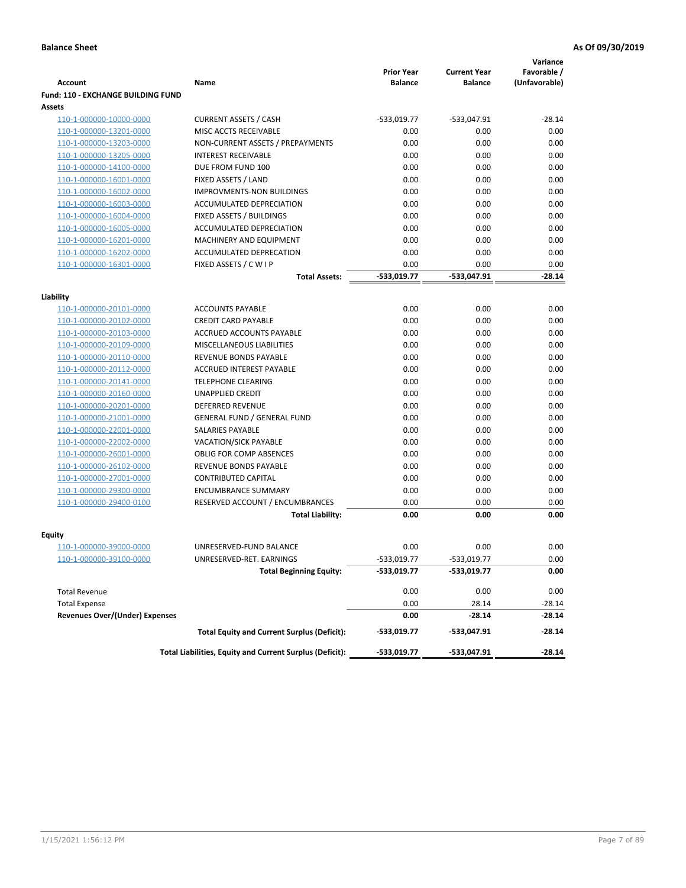|                                           |                                                          |                                     |                                       | Variance                     |
|-------------------------------------------|----------------------------------------------------------|-------------------------------------|---------------------------------------|------------------------------|
| <b>Account</b>                            | Name                                                     | <b>Prior Year</b><br><b>Balance</b> | <b>Current Year</b><br><b>Balance</b> | Favorable /<br>(Unfavorable) |
| <b>Fund: 110 - EXCHANGE BUILDING FUND</b> |                                                          |                                     |                                       |                              |
| Assets                                    |                                                          |                                     |                                       |                              |
| 110-1-000000-10000-0000                   | <b>CURRENT ASSETS / CASH</b>                             | -533,019.77                         | -533,047.91                           | $-28.14$                     |
| 110-1-000000-13201-0000                   | MISC ACCTS RECEIVABLE                                    | 0.00                                | 0.00                                  | 0.00                         |
| 110-1-000000-13203-0000                   | NON-CURRENT ASSETS / PREPAYMENTS                         | 0.00                                | 0.00                                  | 0.00                         |
| 110-1-000000-13205-0000                   | <b>INTEREST RECEIVABLE</b>                               | 0.00                                | 0.00                                  | 0.00                         |
| 110-1-000000-14100-0000                   | DUE FROM FUND 100                                        | 0.00                                | 0.00                                  | 0.00                         |
| 110-1-000000-16001-0000                   | FIXED ASSETS / LAND                                      | 0.00                                | 0.00                                  | 0.00                         |
| 110-1-000000-16002-0000                   | <b>IMPROVMENTS-NON BUILDINGS</b>                         | 0.00                                | 0.00                                  | 0.00                         |
| 110-1-000000-16003-0000                   | ACCUMULATED DEPRECIATION                                 | 0.00                                | 0.00                                  | 0.00                         |
| 110-1-000000-16004-0000                   | FIXED ASSETS / BUILDINGS                                 | 0.00                                | 0.00                                  | 0.00                         |
| 110-1-000000-16005-0000                   | ACCUMULATED DEPRECIATION                                 | 0.00                                | 0.00                                  | 0.00                         |
| 110-1-000000-16201-0000                   | <b>MACHINERY AND EQUIPMENT</b>                           | 0.00                                | 0.00                                  | 0.00                         |
| 110-1-000000-16202-0000                   | ACCUMULATED DEPRECATION                                  | 0.00                                | 0.00                                  | 0.00                         |
| 110-1-000000-16301-0000                   | FIXED ASSETS / C W I P                                   | 0.00                                | 0.00                                  | 0.00                         |
|                                           | <b>Total Assets:</b>                                     | $-533,019.77$                       | -533,047.91                           | $-28.14$                     |
| Liability                                 |                                                          |                                     |                                       |                              |
| 110-1-000000-20101-0000                   | <b>ACCOUNTS PAYABLE</b>                                  | 0.00                                | 0.00                                  | 0.00                         |
| 110-1-000000-20102-0000                   | <b>CREDIT CARD PAYABLE</b>                               | 0.00                                | 0.00                                  | 0.00                         |
| 110-1-000000-20103-0000                   | ACCRUED ACCOUNTS PAYABLE                                 | 0.00                                | 0.00                                  | 0.00                         |
| 110-1-000000-20109-0000                   | MISCELLANEOUS LIABILITIES                                | 0.00                                | 0.00                                  | 0.00                         |
| 110-1-000000-20110-0000                   | REVENUE BONDS PAYABLE                                    | 0.00                                | 0.00                                  | 0.00                         |
| 110-1-000000-20112-0000                   | <b>ACCRUED INTEREST PAYABLE</b>                          | 0.00                                | 0.00                                  | 0.00                         |
| 110-1-000000-20141-0000                   | <b>TELEPHONE CLEARING</b>                                | 0.00                                | 0.00                                  | 0.00                         |
| 110-1-000000-20160-0000                   | <b>UNAPPLIED CREDIT</b>                                  | 0.00                                | 0.00                                  | 0.00                         |
| 110-1-000000-20201-0000                   | <b>DEFERRED REVENUE</b>                                  | 0.00                                | 0.00                                  | 0.00                         |
| 110-1-000000-21001-0000                   | <b>GENERAL FUND / GENERAL FUND</b>                       | 0.00                                | 0.00                                  | 0.00                         |
| 110-1-000000-22001-0000                   | SALARIES PAYABLE                                         | 0.00                                | 0.00                                  | 0.00                         |
| 110-1-000000-22002-0000                   | <b>VACATION/SICK PAYABLE</b>                             | 0.00                                | 0.00                                  | 0.00                         |
| 110-1-000000-26001-0000                   | <b>OBLIG FOR COMP ABSENCES</b>                           | 0.00                                | 0.00                                  | 0.00                         |
| 110-1-000000-26102-0000                   | REVENUE BONDS PAYABLE                                    | 0.00                                | 0.00                                  | 0.00                         |
| 110-1-000000-27001-0000                   | <b>CONTRIBUTED CAPITAL</b>                               | 0.00                                | 0.00                                  | 0.00                         |
| 110-1-000000-29300-0000                   | <b>ENCUMBRANCE SUMMARY</b>                               | 0.00                                | 0.00                                  | 0.00                         |
| 110-1-000000-29400-0100                   | RESERVED ACCOUNT / ENCUMBRANCES                          | 0.00                                | 0.00                                  | 0.00                         |
|                                           | <b>Total Liability:</b>                                  | 0.00                                | 0.00                                  | 0.00                         |
|                                           |                                                          |                                     |                                       |                              |
| <b>Equity</b>                             |                                                          |                                     |                                       |                              |
| 110-1-000000-39000-0000                   | UNRESERVED-FUND BALANCE                                  | 0.00                                | 0.00                                  | 0.00                         |
| <u>110-1-000000-39100-0000</u>            | UNRESERVED-RET. EARNINGS                                 | -533,019.77                         | -533,019.77                           | 0.00                         |
|                                           | <b>Total Beginning Equity:</b>                           | -533,019.77                         | -533,019.77                           | 0.00                         |
| <b>Total Revenue</b>                      |                                                          | 0.00                                | 0.00                                  | 0.00                         |
| <b>Total Expense</b>                      |                                                          | 0.00                                | 28.14                                 | $-28.14$                     |
| <b>Revenues Over/(Under) Expenses</b>     |                                                          | 0.00                                | $-28.14$                              | $-28.14$                     |
|                                           | <b>Total Equity and Current Surplus (Deficit):</b>       | -533,019.77                         | -533,047.91                           | $-28.14$                     |
|                                           | Total Liabilities, Equity and Current Surplus (Deficit): | -533,019.77                         | -533,047.91                           | $-28.14$                     |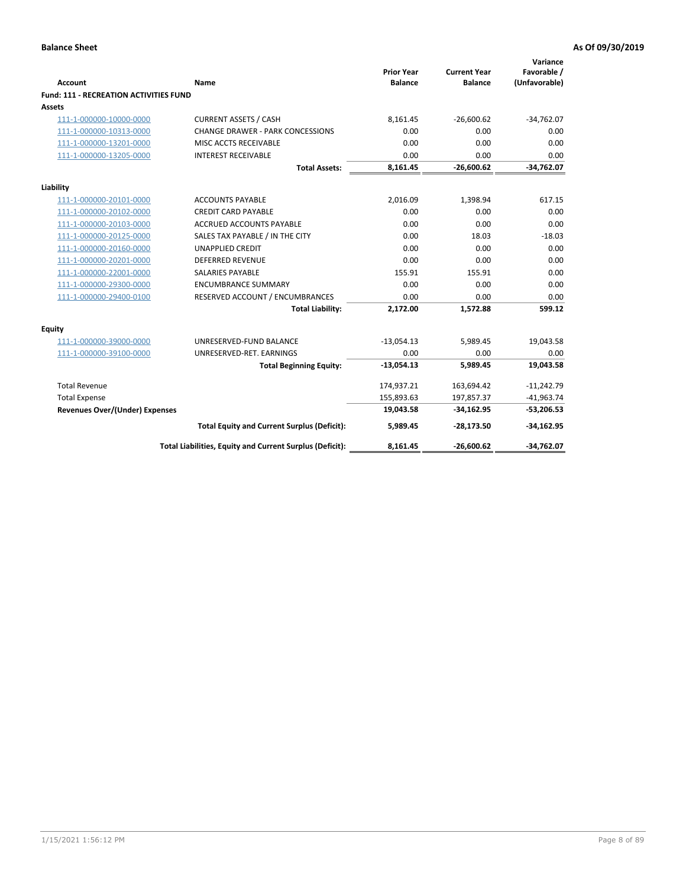| Account                                       | Name                                                     | <b>Prior Year</b><br><b>Balance</b> | <b>Current Year</b><br><b>Balance</b> | Variance<br>Favorable /<br>(Unfavorable) |
|-----------------------------------------------|----------------------------------------------------------|-------------------------------------|---------------------------------------|------------------------------------------|
| <b>Fund: 111 - RECREATION ACTIVITIES FUND</b> |                                                          |                                     |                                       |                                          |
| Assets                                        |                                                          |                                     |                                       |                                          |
| 111-1-000000-10000-0000                       | <b>CURRENT ASSETS / CASH</b>                             | 8,161.45                            | $-26,600.62$                          | $-34,762.07$                             |
| 111-1-000000-10313-0000                       | <b>CHANGE DRAWER - PARK CONCESSIONS</b>                  | 0.00                                | 0.00                                  | 0.00                                     |
| 111-1-000000-13201-0000                       | MISC ACCTS RECEIVABLE                                    | 0.00                                | 0.00                                  | 0.00                                     |
| 111-1-000000-13205-0000                       | <b>INTEREST RECEIVABLE</b>                               | 0.00                                | 0.00                                  | 0.00                                     |
|                                               | <b>Total Assets:</b>                                     | 8,161.45                            | $-26,600.62$                          | $-34,762.07$                             |
| Liability                                     |                                                          |                                     |                                       |                                          |
| 111-1-000000-20101-0000                       | <b>ACCOUNTS PAYABLE</b>                                  | 2,016.09                            | 1,398.94                              | 617.15                                   |
| 111-1-000000-20102-0000                       | <b>CREDIT CARD PAYABLE</b>                               | 0.00                                | 0.00                                  | 0.00                                     |
| 111-1-000000-20103-0000                       | <b>ACCRUED ACCOUNTS PAYABLE</b>                          | 0.00                                | 0.00                                  | 0.00                                     |
| 111-1-000000-20125-0000                       | SALES TAX PAYABLE / IN THE CITY                          | 0.00                                | 18.03                                 | $-18.03$                                 |
| 111-1-000000-20160-0000                       | <b>UNAPPLIED CREDIT</b>                                  | 0.00                                | 0.00                                  | 0.00                                     |
| 111-1-000000-20201-0000                       | <b>DEFERRED REVENUE</b>                                  | 0.00                                | 0.00                                  | 0.00                                     |
| 111-1-000000-22001-0000                       | <b>SALARIES PAYABLE</b>                                  | 155.91                              | 155.91                                | 0.00                                     |
| 111-1-000000-29300-0000                       | <b>ENCUMBRANCE SUMMARY</b>                               | 0.00                                | 0.00                                  | 0.00                                     |
| 111-1-000000-29400-0100                       | RESERVED ACCOUNT / ENCUMBRANCES                          | 0.00                                | 0.00                                  | 0.00                                     |
|                                               | <b>Total Liability:</b>                                  | 2,172.00                            | 1,572.88                              | 599.12                                   |
| <b>Equity</b>                                 |                                                          |                                     |                                       |                                          |
| 111-1-000000-39000-0000                       | UNRESERVED-FUND BALANCE                                  | $-13,054.13$                        | 5,989.45                              | 19,043.58                                |
| 111-1-000000-39100-0000                       | UNRESERVED-RET. EARNINGS                                 | 0.00                                | 0.00                                  | 0.00                                     |
|                                               | <b>Total Beginning Equity:</b>                           | $-13,054.13$                        | 5,989.45                              | 19,043.58                                |
| <b>Total Revenue</b>                          |                                                          | 174,937.21                          | 163,694.42                            | $-11,242.79$                             |
| <b>Total Expense</b>                          |                                                          | 155,893.63                          | 197,857.37                            | $-41,963.74$                             |
| <b>Revenues Over/(Under) Expenses</b>         |                                                          | 19,043.58                           | $-34,162.95$                          | $-53,206.53$                             |
|                                               | <b>Total Equity and Current Surplus (Deficit):</b>       | 5,989.45                            | $-28,173.50$                          | $-34,162.95$                             |
|                                               | Total Liabilities, Equity and Current Surplus (Deficit): | 8,161.45                            | $-26,600.62$                          | $-34,762.07$                             |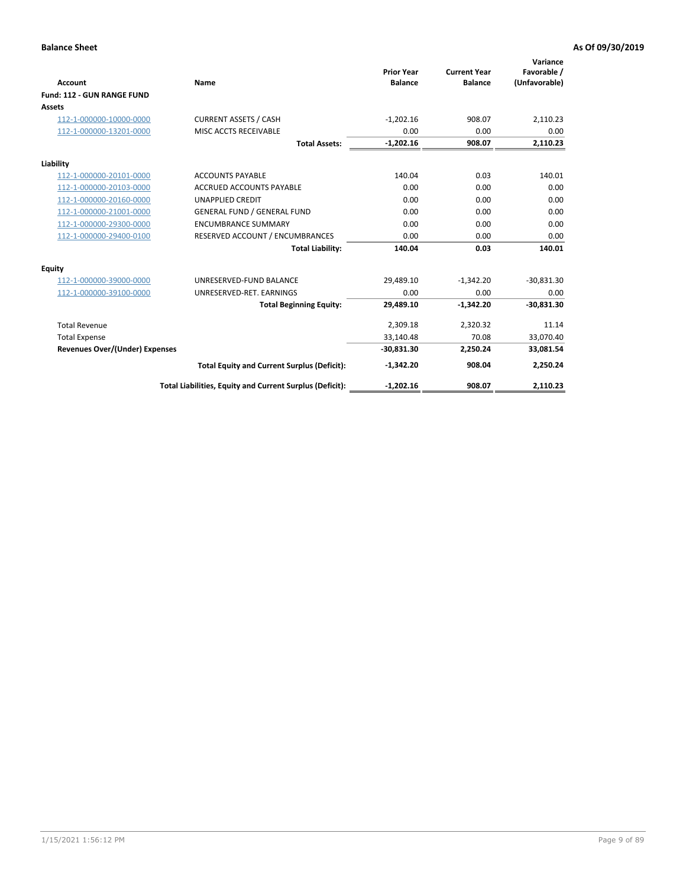|                                       |                                                          |                                     |                                       | Variance                     |
|---------------------------------------|----------------------------------------------------------|-------------------------------------|---------------------------------------|------------------------------|
| <b>Account</b>                        | Name                                                     | <b>Prior Year</b><br><b>Balance</b> | <b>Current Year</b><br><b>Balance</b> | Favorable /<br>(Unfavorable) |
| Fund: 112 - GUN RANGE FUND            |                                                          |                                     |                                       |                              |
| <b>Assets</b>                         |                                                          |                                     |                                       |                              |
| 112-1-000000-10000-0000               | <b>CURRENT ASSETS / CASH</b>                             | $-1,202.16$                         | 908.07                                | 2,110.23                     |
| 112-1-000000-13201-0000               | MISC ACCTS RECEIVABLE                                    | 0.00                                | 0.00                                  | 0.00                         |
|                                       | <b>Total Assets:</b>                                     | $-1,202.16$                         | 908.07                                | 2,110.23                     |
| Liability                             |                                                          |                                     |                                       |                              |
| 112-1-000000-20101-0000               | <b>ACCOUNTS PAYABLE</b>                                  | 140.04                              | 0.03                                  | 140.01                       |
| 112-1-000000-20103-0000               | <b>ACCRUED ACCOUNTS PAYABLE</b>                          | 0.00                                | 0.00                                  | 0.00                         |
| 112-1-000000-20160-0000               | <b>UNAPPLIED CREDIT</b>                                  | 0.00                                | 0.00                                  | 0.00                         |
| 112-1-000000-21001-0000               | <b>GENERAL FUND / GENERAL FUND</b>                       | 0.00                                | 0.00                                  | 0.00                         |
| 112-1-000000-29300-0000               | <b>ENCUMBRANCE SUMMARY</b>                               | 0.00                                | 0.00                                  | 0.00                         |
| 112-1-000000-29400-0100               | RESERVED ACCOUNT / ENCUMBRANCES                          | 0.00                                | 0.00                                  | 0.00                         |
|                                       | <b>Total Liability:</b>                                  | 140.04                              | 0.03                                  | 140.01                       |
| Equity                                |                                                          |                                     |                                       |                              |
| 112-1-000000-39000-0000               | UNRESERVED-FUND BALANCE                                  | 29,489.10                           | $-1,342.20$                           | $-30,831.30$                 |
| 112-1-000000-39100-0000               | UNRESERVED-RET. EARNINGS                                 | 0.00                                | 0.00                                  | 0.00                         |
|                                       | <b>Total Beginning Equity:</b>                           | 29,489.10                           | $-1,342.20$                           | $-30,831.30$                 |
| <b>Total Revenue</b>                  |                                                          | 2,309.18                            | 2,320.32                              | 11.14                        |
| <b>Total Expense</b>                  |                                                          | 33,140.48                           | 70.08                                 | 33,070.40                    |
| <b>Revenues Over/(Under) Expenses</b> |                                                          | $-30,831.30$                        | 2,250.24                              | 33,081.54                    |
|                                       | <b>Total Equity and Current Surplus (Deficit):</b>       | $-1,342.20$                         | 908.04                                | 2,250.24                     |
|                                       | Total Liabilities, Equity and Current Surplus (Deficit): | $-1,202.16$                         | 908.07                                | 2,110.23                     |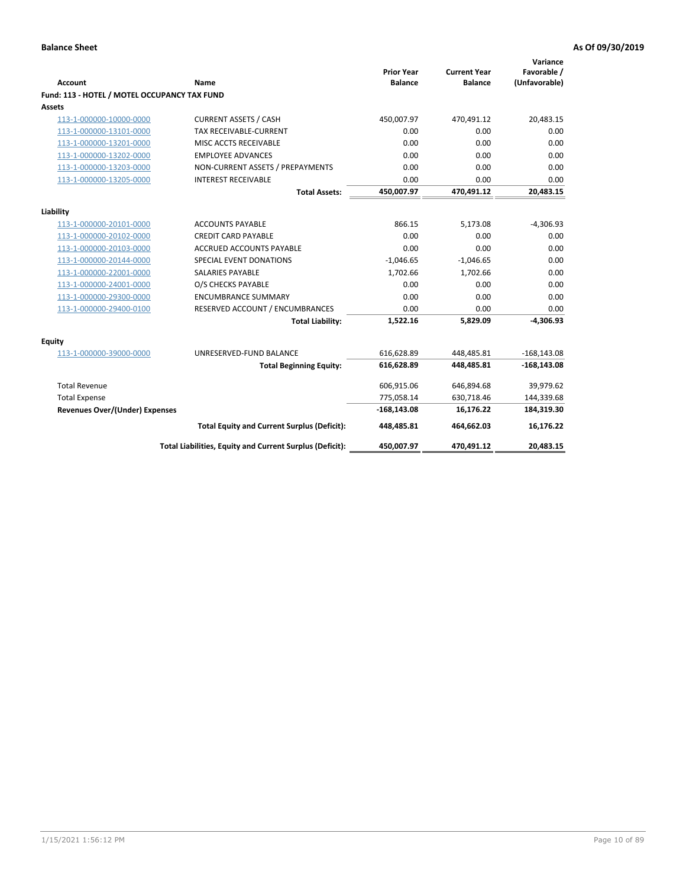| <b>Account</b>                               | <b>Name</b>                                              | <b>Prior Year</b><br><b>Balance</b> | <b>Current Year</b><br><b>Balance</b> | Variance<br>Favorable /<br>(Unfavorable) |
|----------------------------------------------|----------------------------------------------------------|-------------------------------------|---------------------------------------|------------------------------------------|
| Fund: 113 - HOTEL / MOTEL OCCUPANCY TAX FUND |                                                          |                                     |                                       |                                          |
| Assets                                       |                                                          |                                     |                                       |                                          |
| 113-1-000000-10000-0000                      | <b>CURRENT ASSETS / CASH</b>                             | 450,007.97                          | 470,491.12                            | 20,483.15                                |
| 113-1-000000-13101-0000                      | TAX RECEIVABLE-CURRENT                                   | 0.00                                | 0.00                                  | 0.00                                     |
| 113-1-000000-13201-0000                      | MISC ACCTS RECEIVABLE                                    | 0.00                                | 0.00                                  | 0.00                                     |
| 113-1-000000-13202-0000                      | <b>EMPLOYEE ADVANCES</b>                                 | 0.00                                | 0.00                                  | 0.00                                     |
| 113-1-000000-13203-0000                      | NON-CURRENT ASSETS / PREPAYMENTS                         | 0.00                                | 0.00                                  | 0.00                                     |
| 113-1-000000-13205-0000                      | <b>INTEREST RECEIVABLE</b>                               | 0.00                                | 0.00                                  | 0.00                                     |
|                                              | <b>Total Assets:</b>                                     | 450,007.97                          | 470,491.12                            | 20,483.15                                |
|                                              |                                                          |                                     |                                       |                                          |
| Liability                                    |                                                          |                                     |                                       |                                          |
| 113-1-000000-20101-0000                      | <b>ACCOUNTS PAYABLE</b>                                  | 866.15                              | 5,173.08                              | $-4,306.93$                              |
| 113-1-000000-20102-0000                      | <b>CREDIT CARD PAYABLE</b>                               | 0.00<br>0.00                        | 0.00                                  | 0.00<br>0.00                             |
| 113-1-000000-20103-0000                      | ACCRUED ACCOUNTS PAYABLE                                 |                                     | 0.00                                  |                                          |
| 113-1-000000-20144-0000                      | SPECIAL EVENT DONATIONS                                  | $-1,046.65$                         | $-1,046.65$                           | 0.00                                     |
| 113-1-000000-22001-0000                      | <b>SALARIES PAYABLE</b>                                  | 1,702.66                            | 1,702.66                              | 0.00                                     |
| 113-1-000000-24001-0000                      | O/S CHECKS PAYABLE                                       | 0.00                                | 0.00                                  | 0.00                                     |
| 113-1-000000-29300-0000                      | <b>ENCUMBRANCE SUMMARY</b>                               | 0.00                                | 0.00                                  | 0.00                                     |
| 113-1-000000-29400-0100                      | RESERVED ACCOUNT / ENCUMBRANCES                          | 0.00                                | 0.00                                  | 0.00                                     |
|                                              | <b>Total Liability:</b>                                  | 1,522.16                            | 5,829.09                              | $-4,306.93$                              |
| Equity                                       |                                                          |                                     |                                       |                                          |
| 113-1-000000-39000-0000                      | UNRESERVED-FUND BALANCE                                  | 616,628.89                          | 448,485.81                            | $-168, 143.08$                           |
|                                              | <b>Total Beginning Equity:</b>                           | 616,628.89                          | 448,485.81                            | $-168, 143.08$                           |
| <b>Total Revenue</b>                         |                                                          | 606,915.06                          | 646,894.68                            | 39,979.62                                |
| <b>Total Expense</b>                         |                                                          | 775,058.14                          | 630,718.46                            | 144,339.68                               |
| <b>Revenues Over/(Under) Expenses</b>        |                                                          | $-168, 143.08$                      | 16,176.22                             | 184,319.30                               |
|                                              | <b>Total Equity and Current Surplus (Deficit):</b>       | 448,485.81                          | 464,662.03                            | 16,176.22                                |
|                                              | Total Liabilities, Equity and Current Surplus (Deficit): | 450,007.97                          | 470,491.12                            | 20,483.15                                |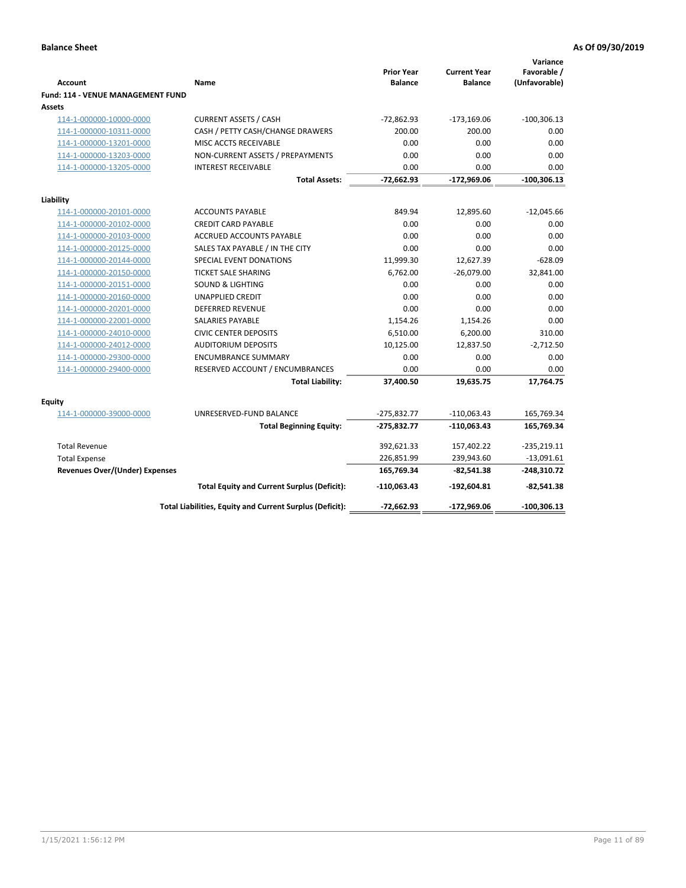| <b>Account</b><br>Fund: 114 - VENUE MANAGEMENT FUND | <b>Name</b>                                              | <b>Prior Year</b><br><b>Balance</b> | <b>Current Year</b><br><b>Balance</b> | Variance<br>Favorable /<br>(Unfavorable) |
|-----------------------------------------------------|----------------------------------------------------------|-------------------------------------|---------------------------------------|------------------------------------------|
| Assets                                              |                                                          |                                     |                                       |                                          |
| 114-1-000000-10000-0000                             | <b>CURRENT ASSETS / CASH</b>                             | $-72,862.93$                        | $-173,169.06$                         | $-100,306.13$                            |
| 114-1-000000-10311-0000                             | CASH / PETTY CASH/CHANGE DRAWERS                         | 200.00                              | 200.00                                | 0.00                                     |
| 114-1-000000-13201-0000                             | MISC ACCTS RECEIVABLE                                    | 0.00                                | 0.00                                  | 0.00                                     |
| 114-1-000000-13203-0000                             | NON-CURRENT ASSETS / PREPAYMENTS                         | 0.00                                | 0.00                                  | 0.00                                     |
| 114-1-000000-13205-0000                             | <b>INTEREST RECEIVABLE</b>                               | 0.00                                | 0.00                                  | 0.00                                     |
|                                                     | <b>Total Assets:</b>                                     | -72,662.93                          | $-172,969.06$                         | $-100,306.13$                            |
| Liability                                           |                                                          |                                     |                                       |                                          |
| 114-1-000000-20101-0000                             | <b>ACCOUNTS PAYABLE</b>                                  | 849.94                              | 12,895.60                             | $-12,045.66$                             |
| 114-1-000000-20102-0000                             | <b>CREDIT CARD PAYABLE</b>                               | 0.00                                | 0.00                                  | 0.00                                     |
| 114-1-000000-20103-0000                             | <b>ACCRUED ACCOUNTS PAYABLE</b>                          | 0.00                                | 0.00                                  | 0.00                                     |
| 114-1-000000-20125-0000                             | SALES TAX PAYABLE / IN THE CITY                          | 0.00                                | 0.00                                  | 0.00                                     |
| 114-1-000000-20144-0000                             | SPECIAL EVENT DONATIONS                                  | 11,999.30                           | 12,627.39                             | $-628.09$                                |
| 114-1-000000-20150-0000                             | <b>TICKET SALE SHARING</b>                               | 6,762.00                            | $-26,079.00$                          | 32,841.00                                |
| 114-1-000000-20151-0000                             | <b>SOUND &amp; LIGHTING</b>                              | 0.00                                | 0.00                                  | 0.00                                     |
| 114-1-000000-20160-0000                             | <b>UNAPPLIED CREDIT</b>                                  | 0.00                                | 0.00                                  | 0.00                                     |
| 114-1-000000-20201-0000                             | <b>DEFERRED REVENUE</b>                                  | 0.00                                | 0.00                                  | 0.00                                     |
| 114-1-000000-22001-0000                             | SALARIES PAYABLE                                         | 1,154.26                            | 1,154.26                              | 0.00                                     |
| 114-1-000000-24010-0000                             | <b>CIVIC CENTER DEPOSITS</b>                             | 6,510.00                            | 6,200.00                              | 310.00                                   |
| 114-1-000000-24012-0000                             | <b>AUDITORIUM DEPOSITS</b>                               | 10,125.00                           | 12,837.50                             | $-2,712.50$                              |
| 114-1-000000-29300-0000                             | <b>ENCUMBRANCE SUMMARY</b>                               | 0.00                                | 0.00                                  | 0.00                                     |
| 114-1-000000-29400-0000                             | RESERVED ACCOUNT / ENCUMBRANCES                          | 0.00                                | 0.00                                  | 0.00                                     |
|                                                     | <b>Total Liability:</b>                                  | 37,400.50                           | 19,635.75                             | 17,764.75                                |
| Equity                                              |                                                          |                                     |                                       |                                          |
| 114-1-000000-39000-0000                             | UNRESERVED-FUND BALANCE                                  | $-275,832.77$                       | $-110,063.43$                         | 165,769.34                               |
|                                                     | <b>Total Beginning Equity:</b>                           | $-275,832.77$                       | $-110,063.43$                         | 165,769.34                               |
| <b>Total Revenue</b>                                |                                                          | 392,621.33                          | 157,402.22                            | $-235,219.11$                            |
| <b>Total Expense</b>                                |                                                          | 226,851.99                          | 239,943.60                            | $-13,091.61$                             |
| <b>Revenues Over/(Under) Expenses</b>               |                                                          | 165,769.34                          | $-82,541.38$                          | $-248,310.72$                            |
|                                                     | <b>Total Equity and Current Surplus (Deficit):</b>       | $-110,063.43$                       | -192,604.81                           | $-82,541.38$                             |
|                                                     | Total Liabilities, Equity and Current Surplus (Deficit): | $-72,662.93$                        | $-172,969.06$                         | $-100,306.13$                            |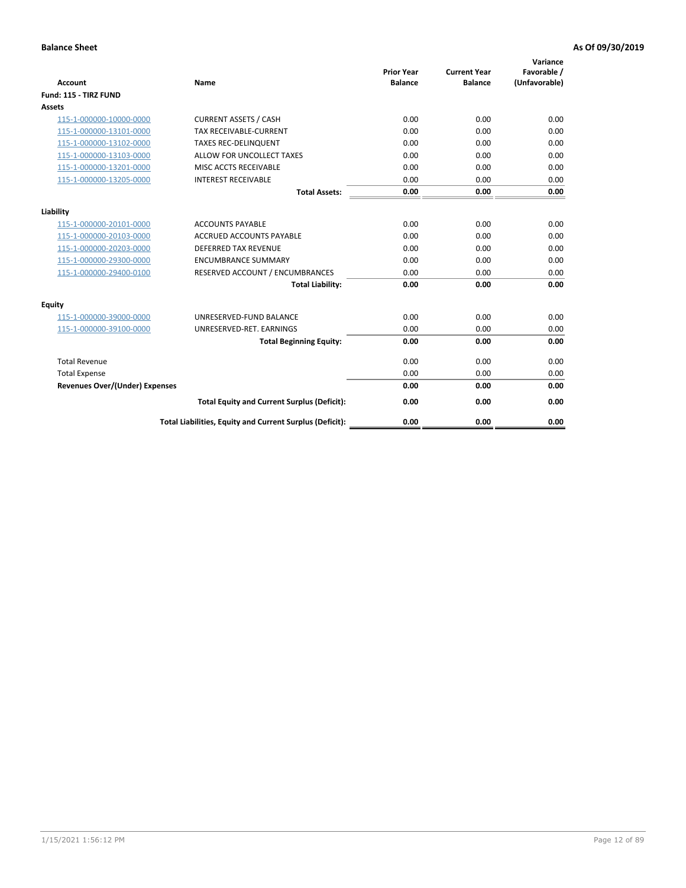| <b>Account</b>                        | <b>Name</b>                                              | <b>Prior Year</b><br><b>Balance</b> | <b>Current Year</b><br><b>Balance</b> | Variance<br>Favorable /<br>(Unfavorable) |
|---------------------------------------|----------------------------------------------------------|-------------------------------------|---------------------------------------|------------------------------------------|
| Fund: 115 - TIRZ FUND                 |                                                          |                                     |                                       |                                          |
| <b>Assets</b>                         |                                                          |                                     |                                       |                                          |
| 115-1-000000-10000-0000               | <b>CURRENT ASSETS / CASH</b>                             | 0.00                                | 0.00                                  | 0.00                                     |
| 115-1-000000-13101-0000               | TAX RECEIVABLE-CURRENT                                   | 0.00                                | 0.00                                  | 0.00                                     |
| 115-1-000000-13102-0000               | <b>TAXES REC-DELINQUENT</b>                              | 0.00                                | 0.00                                  | 0.00                                     |
| 115-1-000000-13103-0000               | ALLOW FOR UNCOLLECT TAXES                                | 0.00                                | 0.00                                  | 0.00                                     |
| 115-1-000000-13201-0000               | MISC ACCTS RECEIVABLE                                    | 0.00                                | 0.00                                  | 0.00                                     |
| 115-1-000000-13205-0000               | <b>INTEREST RECEIVABLE</b>                               | 0.00                                | 0.00                                  | 0.00                                     |
|                                       | <b>Total Assets:</b>                                     | 0.00                                | 0.00                                  | 0.00                                     |
| Liability                             |                                                          |                                     |                                       |                                          |
| 115-1-000000-20101-0000               | <b>ACCOUNTS PAYABLE</b>                                  | 0.00                                | 0.00                                  | 0.00                                     |
| 115-1-000000-20103-0000               | <b>ACCRUED ACCOUNTS PAYABLE</b>                          | 0.00                                | 0.00                                  | 0.00                                     |
| 115-1-000000-20203-0000               | <b>DEFERRED TAX REVENUE</b>                              | 0.00                                | 0.00                                  | 0.00                                     |
| 115-1-000000-29300-0000               | <b>ENCUMBRANCE SUMMARY</b>                               | 0.00                                | 0.00                                  | 0.00                                     |
| 115-1-000000-29400-0100               | RESERVED ACCOUNT / ENCUMBRANCES                          | 0.00                                | 0.00                                  | 0.00                                     |
|                                       | <b>Total Liability:</b>                                  | 0.00                                | 0.00                                  | 0.00                                     |
| <b>Equity</b>                         |                                                          |                                     |                                       |                                          |
| 115-1-000000-39000-0000               | UNRESERVED-FUND BALANCE                                  | 0.00                                | 0.00                                  | 0.00                                     |
| 115-1-000000-39100-0000               | UNRESERVED-RET. EARNINGS                                 | 0.00                                | 0.00                                  | 0.00                                     |
|                                       | <b>Total Beginning Equity:</b>                           | 0.00                                | 0.00                                  | 0.00                                     |
| <b>Total Revenue</b>                  |                                                          | 0.00                                | 0.00                                  | 0.00                                     |
| <b>Total Expense</b>                  |                                                          | 0.00                                | 0.00                                  | 0.00                                     |
| <b>Revenues Over/(Under) Expenses</b> |                                                          | 0.00                                | 0.00                                  | 0.00                                     |
|                                       | <b>Total Equity and Current Surplus (Deficit):</b>       | 0.00                                | 0.00                                  | 0.00                                     |
|                                       | Total Liabilities, Equity and Current Surplus (Deficit): | 0.00                                | 0.00                                  | 0.00                                     |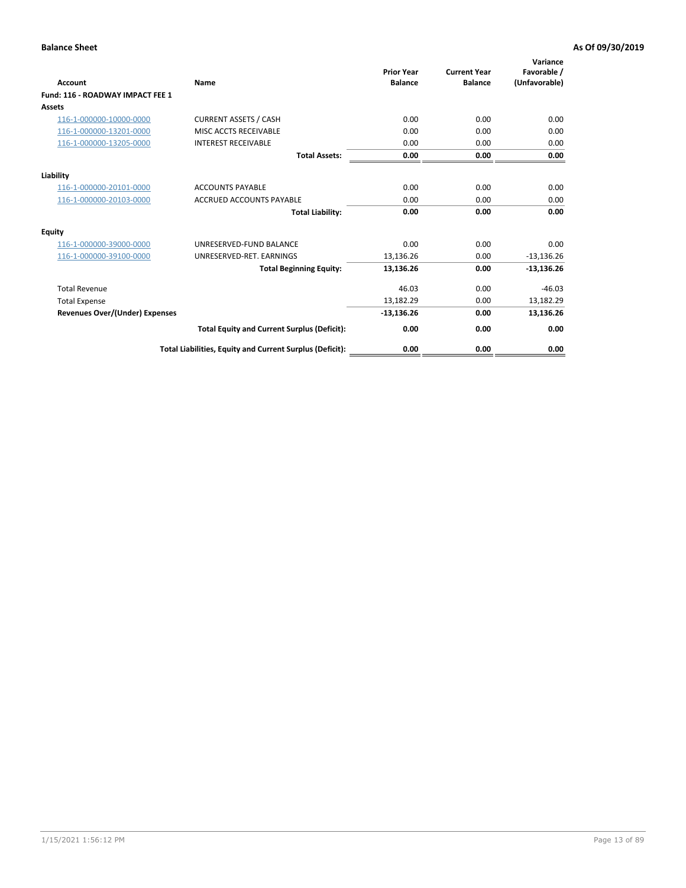| <b>Account</b>                        | Name                                                     | <b>Prior Year</b><br><b>Balance</b> | <b>Current Year</b><br><b>Balance</b> | Variance<br>Favorable /<br>(Unfavorable) |
|---------------------------------------|----------------------------------------------------------|-------------------------------------|---------------------------------------|------------------------------------------|
| Fund: 116 - ROADWAY IMPACT FEE 1      |                                                          |                                     |                                       |                                          |
| Assets                                |                                                          |                                     |                                       |                                          |
| 116-1-000000-10000-0000               | <b>CURRENT ASSETS / CASH</b>                             | 0.00                                | 0.00                                  | 0.00                                     |
| 116-1-000000-13201-0000               | <b>MISC ACCTS RECEIVABLE</b>                             | 0.00                                | 0.00                                  | 0.00                                     |
| 116-1-000000-13205-0000               | <b>INTEREST RECEIVABLE</b>                               | 0.00                                | 0.00                                  | 0.00                                     |
|                                       | <b>Total Assets:</b>                                     | 0.00                                | 0.00                                  | 0.00                                     |
| Liability                             |                                                          |                                     |                                       |                                          |
| 116-1-000000-20101-0000               | <b>ACCOUNTS PAYABLE</b>                                  | 0.00                                | 0.00                                  | 0.00                                     |
| 116-1-000000-20103-0000               | <b>ACCRUED ACCOUNTS PAYABLE</b>                          | 0.00                                | 0.00                                  | 0.00                                     |
|                                       | <b>Total Liability:</b>                                  | 0.00                                | 0.00                                  | 0.00                                     |
| Equity                                |                                                          |                                     |                                       |                                          |
| 116-1-000000-39000-0000               | UNRESERVED-FUND BALANCE                                  | 0.00                                | 0.00                                  | 0.00                                     |
| 116-1-000000-39100-0000               | UNRESERVED-RET. EARNINGS                                 | 13,136.26                           | 0.00                                  | $-13,136.26$                             |
|                                       | <b>Total Beginning Equity:</b>                           | 13,136.26                           | 0.00                                  | $-13,136.26$                             |
| <b>Total Revenue</b>                  |                                                          | 46.03                               | 0.00                                  | $-46.03$                                 |
| <b>Total Expense</b>                  |                                                          | 13,182.29                           | 0.00                                  | 13,182.29                                |
| <b>Revenues Over/(Under) Expenses</b> |                                                          | $-13,136.26$                        | 0.00                                  | 13,136.26                                |
|                                       | <b>Total Equity and Current Surplus (Deficit):</b>       | 0.00                                | 0.00                                  | 0.00                                     |
|                                       | Total Liabilities, Equity and Current Surplus (Deficit): | 0.00                                | 0.00                                  | 0.00                                     |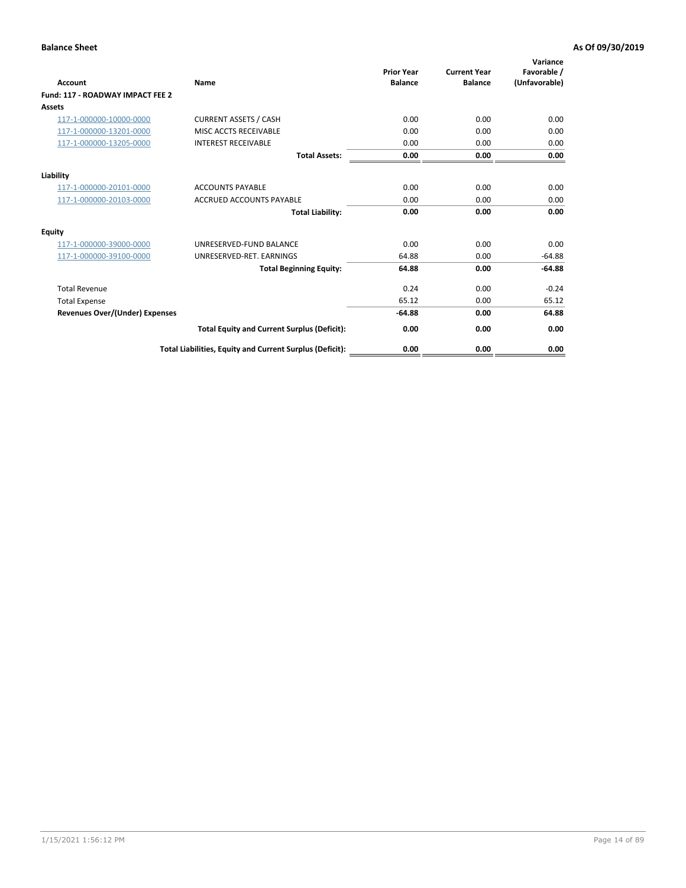| Account                               | <b>Name</b>                                              | <b>Prior Year</b><br><b>Balance</b> | <b>Current Year</b><br><b>Balance</b> | Variance<br>Favorable /<br>(Unfavorable) |
|---------------------------------------|----------------------------------------------------------|-------------------------------------|---------------------------------------|------------------------------------------|
| Fund: 117 - ROADWAY IMPACT FEE 2      |                                                          |                                     |                                       |                                          |
| Assets                                |                                                          |                                     |                                       |                                          |
| 117-1-000000-10000-0000               | <b>CURRENT ASSETS / CASH</b>                             | 0.00                                | 0.00                                  | 0.00                                     |
| 117-1-000000-13201-0000               | <b>MISC ACCTS RECEIVABLE</b>                             | 0.00                                | 0.00                                  | 0.00                                     |
| 117-1-000000-13205-0000               | <b>INTEREST RECEIVABLE</b>                               | 0.00                                | 0.00                                  | 0.00                                     |
|                                       | <b>Total Assets:</b>                                     | 0.00                                | 0.00                                  | 0.00                                     |
| Liability                             |                                                          |                                     |                                       |                                          |
| 117-1-000000-20101-0000               | <b>ACCOUNTS PAYABLE</b>                                  | 0.00                                | 0.00                                  | 0.00                                     |
| 117-1-000000-20103-0000               | <b>ACCRUED ACCOUNTS PAYABLE</b>                          | 0.00                                | 0.00                                  | 0.00                                     |
|                                       | <b>Total Liability:</b>                                  | 0.00                                | 0.00                                  | 0.00                                     |
| Equity                                |                                                          |                                     |                                       |                                          |
| 117-1-000000-39000-0000               | UNRESERVED-FUND BALANCE                                  | 0.00                                | 0.00                                  | 0.00                                     |
| 117-1-000000-39100-0000               | UNRESERVED-RET. EARNINGS                                 | 64.88                               | 0.00                                  | $-64.88$                                 |
|                                       | <b>Total Beginning Equity:</b>                           | 64.88                               | 0.00                                  | $-64.88$                                 |
| <b>Total Revenue</b>                  |                                                          | 0.24                                | 0.00                                  | $-0.24$                                  |
| <b>Total Expense</b>                  |                                                          | 65.12                               | 0.00                                  | 65.12                                    |
| <b>Revenues Over/(Under) Expenses</b> |                                                          | $-64.88$                            | 0.00                                  | 64.88                                    |
|                                       | <b>Total Equity and Current Surplus (Deficit):</b>       | 0.00                                | 0.00                                  | 0.00                                     |
|                                       | Total Liabilities, Equity and Current Surplus (Deficit): | 0.00                                | 0.00                                  | 0.00                                     |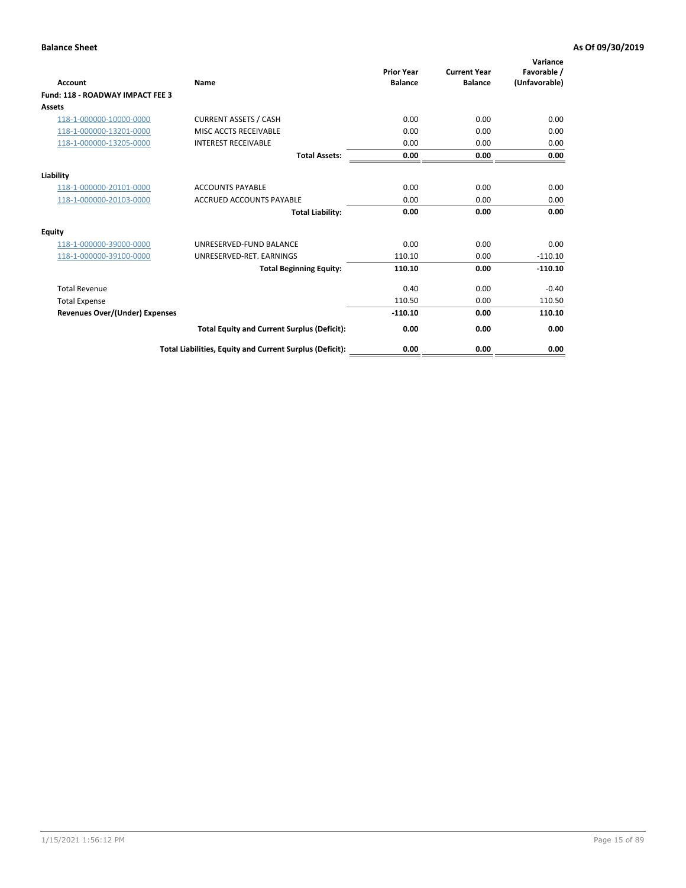| Account                                 | <b>Name</b>                                              | <b>Prior Year</b><br><b>Balance</b> | <b>Current Year</b><br><b>Balance</b> | Variance<br>Favorable /<br>(Unfavorable) |
|-----------------------------------------|----------------------------------------------------------|-------------------------------------|---------------------------------------|------------------------------------------|
| <b>Fund: 118 - ROADWAY IMPACT FEE 3</b> |                                                          |                                     |                                       |                                          |
| Assets                                  |                                                          |                                     |                                       |                                          |
| 118-1-000000-10000-0000                 | <b>CURRENT ASSETS / CASH</b>                             | 0.00                                | 0.00                                  | 0.00                                     |
| 118-1-000000-13201-0000                 | MISC ACCTS RECEIVABLE                                    | 0.00                                | 0.00                                  | 0.00                                     |
| 118-1-000000-13205-0000                 | <b>INTEREST RECEIVABLE</b>                               | 0.00                                | 0.00                                  | 0.00                                     |
|                                         | <b>Total Assets:</b>                                     | 0.00                                | 0.00                                  | 0.00                                     |
| Liability                               |                                                          |                                     |                                       |                                          |
| 118-1-000000-20101-0000                 | <b>ACCOUNTS PAYABLE</b>                                  | 0.00                                | 0.00                                  | 0.00                                     |
| 118-1-000000-20103-0000                 | <b>ACCRUED ACCOUNTS PAYABLE</b>                          | 0.00                                | 0.00                                  | 0.00                                     |
|                                         | <b>Total Liability:</b>                                  | 0.00                                | 0.00                                  | 0.00                                     |
| Equity                                  |                                                          |                                     |                                       |                                          |
| 118-1-000000-39000-0000                 | UNRESERVED-FUND BALANCE                                  | 0.00                                | 0.00                                  | 0.00                                     |
| 118-1-000000-39100-0000                 | UNRESERVED-RET. EARNINGS                                 | 110.10                              | 0.00                                  | $-110.10$                                |
|                                         | <b>Total Beginning Equity:</b>                           | 110.10                              | 0.00                                  | $-110.10$                                |
| <b>Total Revenue</b>                    |                                                          | 0.40                                | 0.00                                  | $-0.40$                                  |
| <b>Total Expense</b>                    |                                                          | 110.50                              | 0.00                                  | 110.50                                   |
| <b>Revenues Over/(Under) Expenses</b>   |                                                          | $-110.10$                           | 0.00                                  | 110.10                                   |
|                                         | <b>Total Equity and Current Surplus (Deficit):</b>       | 0.00                                | 0.00                                  | 0.00                                     |
|                                         | Total Liabilities, Equity and Current Surplus (Deficit): | 0.00                                | 0.00                                  | 0.00                                     |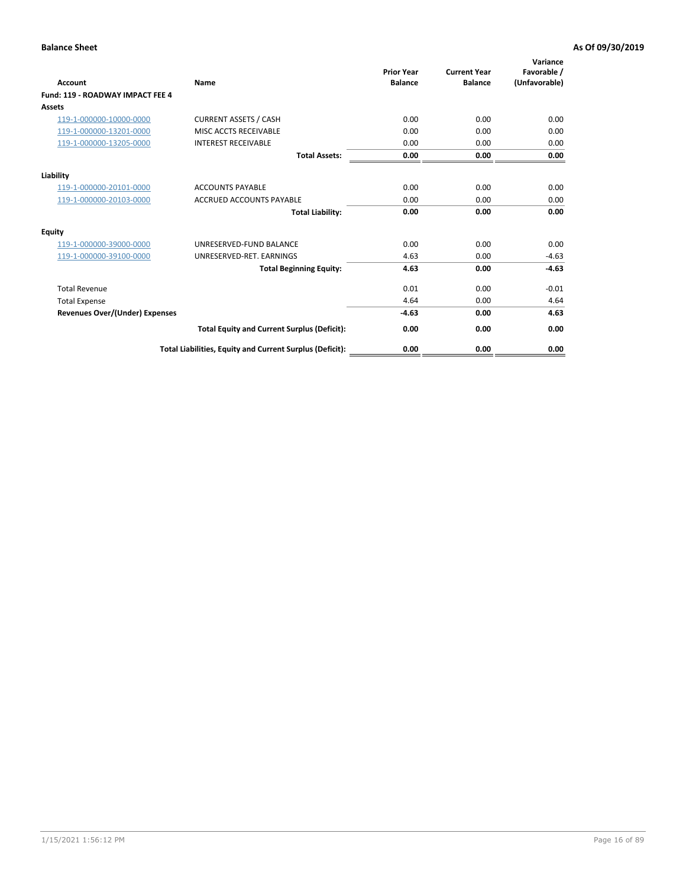| Account                                 | <b>Name</b>                                              | <b>Prior Year</b><br><b>Balance</b> | <b>Current Year</b><br><b>Balance</b> | Variance<br>Favorable /<br>(Unfavorable) |
|-----------------------------------------|----------------------------------------------------------|-------------------------------------|---------------------------------------|------------------------------------------|
| <b>Fund: 119 - ROADWAY IMPACT FEE 4</b> |                                                          |                                     |                                       |                                          |
| Assets                                  |                                                          |                                     |                                       |                                          |
| 119-1-000000-10000-0000                 | <b>CURRENT ASSETS / CASH</b>                             | 0.00                                | 0.00                                  | 0.00                                     |
| 119-1-000000-13201-0000                 | <b>MISC ACCTS RECEIVABLE</b>                             | 0.00                                | 0.00                                  | 0.00                                     |
| 119-1-000000-13205-0000                 | <b>INTEREST RECEIVABLE</b>                               | 0.00                                | 0.00                                  | 0.00                                     |
|                                         | <b>Total Assets:</b>                                     | 0.00                                | 0.00                                  | 0.00                                     |
| Liability                               |                                                          |                                     |                                       |                                          |
| 119-1-000000-20101-0000                 | <b>ACCOUNTS PAYABLE</b>                                  | 0.00                                | 0.00                                  | 0.00                                     |
| 119-1-000000-20103-0000                 | <b>ACCRUED ACCOUNTS PAYABLE</b>                          | 0.00                                | 0.00                                  | 0.00                                     |
|                                         | <b>Total Liability:</b>                                  | 0.00                                | 0.00                                  | 0.00                                     |
| Equity                                  |                                                          |                                     |                                       |                                          |
| 119-1-000000-39000-0000                 | UNRESERVED-FUND BALANCE                                  | 0.00                                | 0.00                                  | 0.00                                     |
| 119-1-000000-39100-0000                 | UNRESERVED-RET. EARNINGS                                 | 4.63                                | 0.00                                  | $-4.63$                                  |
|                                         | <b>Total Beginning Equity:</b>                           | 4.63                                | 0.00                                  | $-4.63$                                  |
| <b>Total Revenue</b>                    |                                                          | 0.01                                | 0.00                                  | $-0.01$                                  |
| <b>Total Expense</b>                    |                                                          | 4.64                                | 0.00                                  | 4.64                                     |
| <b>Revenues Over/(Under) Expenses</b>   |                                                          | $-4.63$                             | 0.00                                  | 4.63                                     |
|                                         | <b>Total Equity and Current Surplus (Deficit):</b>       | 0.00                                | 0.00                                  | 0.00                                     |
|                                         | Total Liabilities, Equity and Current Surplus (Deficit): | 0.00                                | 0.00                                  | 0.00                                     |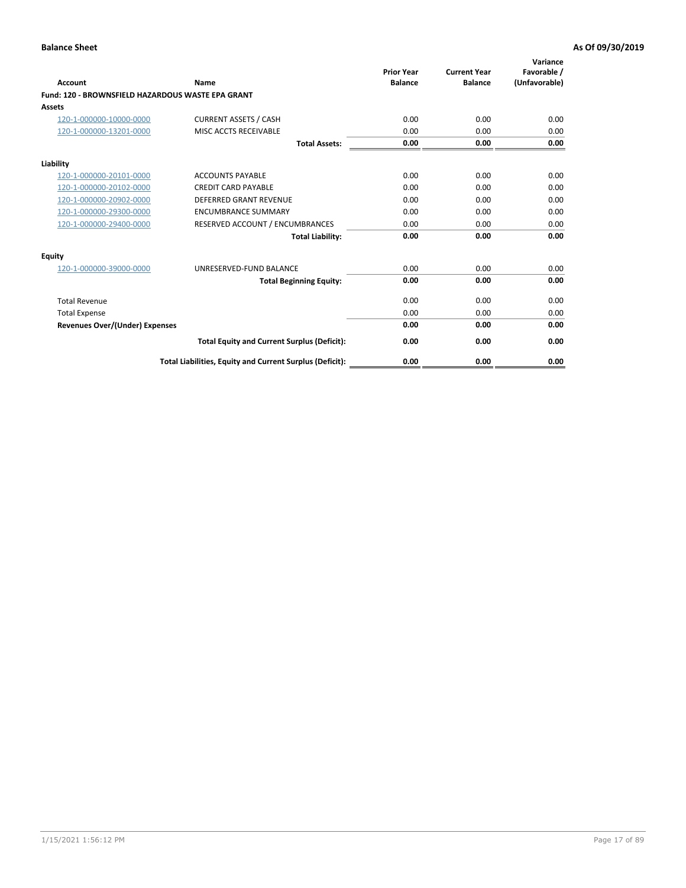|                                                   |                                                          | <b>Prior Year</b> | <b>Current Year</b> | Variance<br>Favorable / |
|---------------------------------------------------|----------------------------------------------------------|-------------------|---------------------|-------------------------|
| <b>Account</b>                                    | Name                                                     | <b>Balance</b>    | <b>Balance</b>      | (Unfavorable)           |
| Fund: 120 - BROWNSFIELD HAZARDOUS WASTE EPA GRANT |                                                          |                   |                     |                         |
| <b>Assets</b>                                     |                                                          |                   |                     |                         |
| 120-1-000000-10000-0000                           | <b>CURRENT ASSETS / CASH</b>                             | 0.00              | 0.00                | 0.00                    |
| 120-1-000000-13201-0000                           | MISC ACCTS RECEIVABLE                                    | 0.00              | 0.00                | 0.00                    |
|                                                   | <b>Total Assets:</b>                                     | 0.00              | 0.00                | 0.00                    |
| Liability                                         |                                                          |                   |                     |                         |
| 120-1-000000-20101-0000                           | <b>ACCOUNTS PAYABLE</b>                                  | 0.00              | 0.00                | 0.00                    |
| 120-1-000000-20102-0000                           | <b>CREDIT CARD PAYABLE</b>                               | 0.00              | 0.00                | 0.00                    |
| 120-1-000000-20902-0000                           | DEFERRED GRANT REVENUE                                   | 0.00              | 0.00                | 0.00                    |
| 120-1-000000-29300-0000                           | <b>ENCUMBRANCE SUMMARY</b>                               | 0.00              | 0.00                | 0.00                    |
| 120-1-000000-29400-0000                           | RESERVED ACCOUNT / ENCUMBRANCES                          | 0.00              | 0.00                | 0.00                    |
|                                                   | <b>Total Liability:</b>                                  | 0.00              | 0.00                | 0.00                    |
| Equity                                            |                                                          |                   |                     |                         |
| 120-1-000000-39000-0000                           | UNRESERVED-FUND BALANCE                                  | 0.00              | 0.00                | 0.00                    |
|                                                   | <b>Total Beginning Equity:</b>                           | 0.00              | 0.00                | 0.00                    |
| <b>Total Revenue</b>                              |                                                          | 0.00              | 0.00                | 0.00                    |
| <b>Total Expense</b>                              |                                                          | 0.00              | 0.00                | 0.00                    |
| Revenues Over/(Under) Expenses                    |                                                          | 0.00              | 0.00                | 0.00                    |
|                                                   | <b>Total Equity and Current Surplus (Deficit):</b>       | 0.00              | 0.00                | 0.00                    |
|                                                   | Total Liabilities, Equity and Current Surplus (Deficit): | 0.00              | 0.00                | 0.00                    |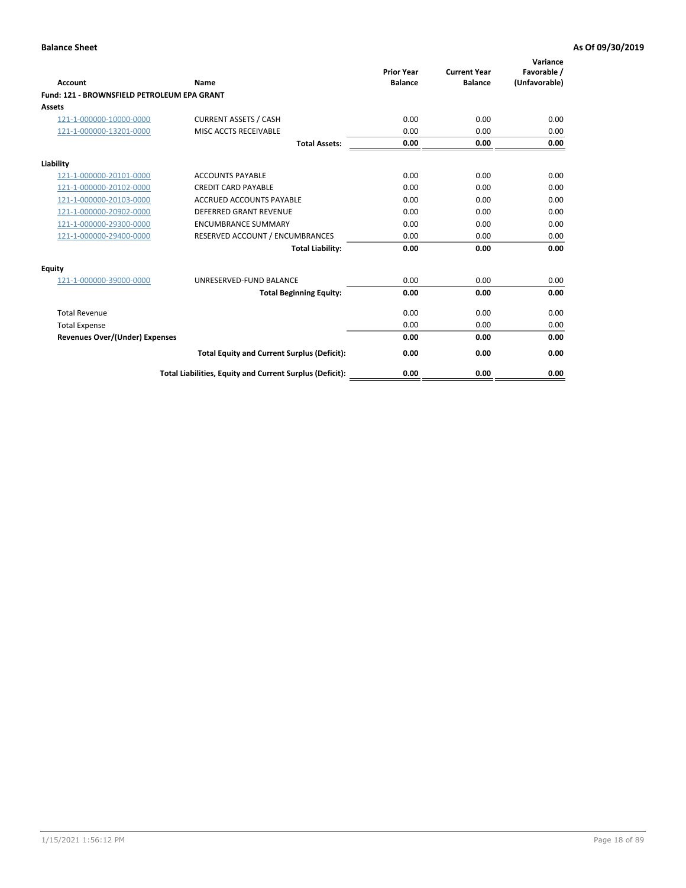| Account                                     | Name                                                     | <b>Prior Year</b><br><b>Balance</b> | <b>Current Year</b><br><b>Balance</b> | Variance<br>Favorable /<br>(Unfavorable) |
|---------------------------------------------|----------------------------------------------------------|-------------------------------------|---------------------------------------|------------------------------------------|
| Fund: 121 - BROWNSFIELD PETROLEUM EPA GRANT |                                                          |                                     |                                       |                                          |
| <b>Assets</b>                               |                                                          |                                     |                                       |                                          |
| 121-1-000000-10000-0000                     | <b>CURRENT ASSETS / CASH</b>                             | 0.00                                | 0.00                                  | 0.00                                     |
| 121-1-000000-13201-0000                     | <b>MISC ACCTS RECEIVABLE</b>                             | 0.00                                | 0.00                                  | 0.00                                     |
|                                             | <b>Total Assets:</b>                                     | 0.00                                | 0.00                                  | 0.00                                     |
| Liability                                   |                                                          |                                     |                                       |                                          |
| 121-1-000000-20101-0000                     | <b>ACCOUNTS PAYABLE</b>                                  | 0.00                                | 0.00                                  | 0.00                                     |
| 121-1-000000-20102-0000                     | <b>CREDIT CARD PAYABLE</b>                               | 0.00                                | 0.00                                  | 0.00                                     |
| 121-1-000000-20103-0000                     | <b>ACCRUED ACCOUNTS PAYABLE</b>                          | 0.00                                | 0.00                                  | 0.00                                     |
| 121-1-000000-20902-0000                     | <b>DEFERRED GRANT REVENUE</b>                            | 0.00                                | 0.00                                  | 0.00                                     |
| 121-1-000000-29300-0000                     | <b>ENCUMBRANCE SUMMARY</b>                               | 0.00                                | 0.00                                  | 0.00                                     |
| 121-1-000000-29400-0000                     | RESERVED ACCOUNT / ENCUMBRANCES                          | 0.00                                | 0.00                                  | 0.00                                     |
|                                             | <b>Total Liability:</b>                                  | 0.00                                | 0.00                                  | 0.00                                     |
| <b>Equity</b>                               |                                                          |                                     |                                       |                                          |
| 121-1-000000-39000-0000                     | UNRESERVED-FUND BALANCE                                  | 0.00                                | 0.00                                  | 0.00                                     |
|                                             | <b>Total Beginning Equity:</b>                           | 0.00                                | 0.00                                  | 0.00                                     |
| <b>Total Revenue</b>                        |                                                          | 0.00                                | 0.00                                  | 0.00                                     |
| <b>Total Expense</b>                        |                                                          | 0.00                                | 0.00                                  | 0.00                                     |
| <b>Revenues Over/(Under) Expenses</b>       |                                                          | 0.00                                | 0.00                                  | 0.00                                     |
|                                             | <b>Total Equity and Current Surplus (Deficit):</b>       | 0.00                                | 0.00                                  | 0.00                                     |
|                                             | Total Liabilities, Equity and Current Surplus (Deficit): | 0.00                                | 0.00                                  | 0.00                                     |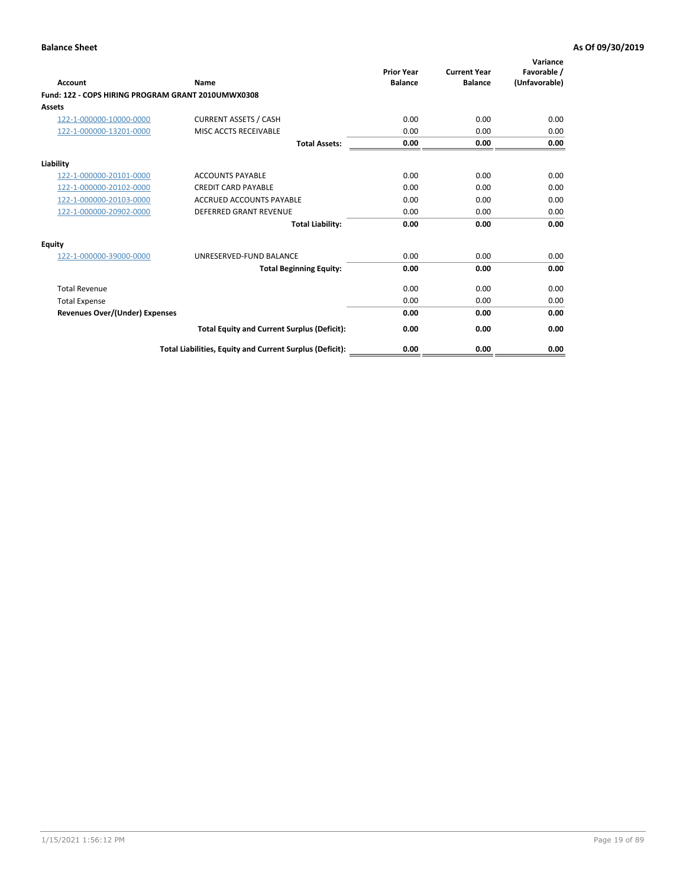| <b>Account</b>                                     | Name                                                     | <b>Prior Year</b><br><b>Balance</b> | <b>Current Year</b><br><b>Balance</b> | Variance<br>Favorable /<br>(Unfavorable) |
|----------------------------------------------------|----------------------------------------------------------|-------------------------------------|---------------------------------------|------------------------------------------|
| Fund: 122 - COPS HIRING PROGRAM GRANT 2010UMWX0308 |                                                          |                                     |                                       |                                          |
| Assets                                             |                                                          |                                     |                                       |                                          |
| 122-1-000000-10000-0000                            | <b>CURRENT ASSETS / CASH</b>                             | 0.00                                | 0.00                                  | 0.00                                     |
| 122-1-000000-13201-0000                            | MISC ACCTS RECEIVABLE                                    | 0.00                                | 0.00                                  | 0.00                                     |
|                                                    | <b>Total Assets:</b>                                     | 0.00                                | 0.00                                  | 0.00                                     |
| Liability                                          |                                                          |                                     |                                       |                                          |
| 122-1-000000-20101-0000                            | <b>ACCOUNTS PAYABLE</b>                                  | 0.00                                | 0.00                                  | 0.00                                     |
| 122-1-000000-20102-0000                            | <b>CREDIT CARD PAYABLE</b>                               | 0.00                                | 0.00                                  | 0.00                                     |
| 122-1-000000-20103-0000                            | <b>ACCRUED ACCOUNTS PAYABLE</b>                          | 0.00                                | 0.00                                  | 0.00                                     |
| 122-1-000000-20902-0000                            | <b>DEFERRED GRANT REVENUE</b>                            | 0.00                                | 0.00                                  | 0.00                                     |
|                                                    | <b>Total Liability:</b>                                  | 0.00                                | 0.00                                  | 0.00                                     |
| Equity                                             |                                                          |                                     |                                       |                                          |
| 122-1-000000-39000-0000                            | UNRESERVED-FUND BALANCE                                  | 0.00                                | 0.00                                  | 0.00                                     |
|                                                    | <b>Total Beginning Equity:</b>                           | 0.00                                | 0.00                                  | 0.00                                     |
| <b>Total Revenue</b>                               |                                                          | 0.00                                | 0.00                                  | 0.00                                     |
| <b>Total Expense</b>                               |                                                          | 0.00                                | 0.00                                  | 0.00                                     |
| <b>Revenues Over/(Under) Expenses</b>              |                                                          | 0.00                                | 0.00                                  | 0.00                                     |
|                                                    | <b>Total Equity and Current Surplus (Deficit):</b>       | 0.00                                | 0.00                                  | 0.00                                     |
|                                                    | Total Liabilities, Equity and Current Surplus (Deficit): | 0.00                                | 0.00                                  | 0.00                                     |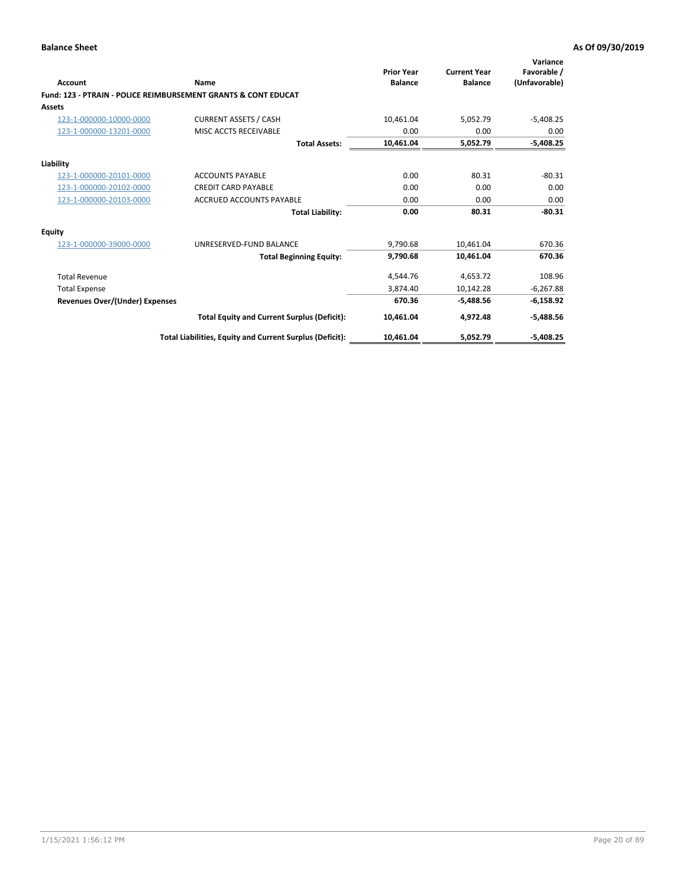| Account                        | Name                                                           | <b>Prior Year</b><br><b>Balance</b> | <b>Current Year</b><br><b>Balance</b> | Variance<br>Favorable /<br>(Unfavorable) |
|--------------------------------|----------------------------------------------------------------|-------------------------------------|---------------------------------------|------------------------------------------|
|                                | Fund: 123 - PTRAIN - POLICE REIMBURSEMENT GRANTS & CONT EDUCAT |                                     |                                       |                                          |
| Assets                         |                                                                |                                     |                                       |                                          |
| 123-1-000000-10000-0000        | <b>CURRENT ASSETS / CASH</b>                                   | 10,461.04                           | 5,052.79                              | $-5,408.25$                              |
| 123-1-000000-13201-0000        | MISC ACCTS RECEIVABLE                                          | 0.00                                | 0.00                                  | 0.00                                     |
|                                | <b>Total Assets:</b>                                           | 10,461.04                           | 5,052.79                              | $-5,408.25$                              |
| Liability                      |                                                                |                                     |                                       |                                          |
| 123-1-000000-20101-0000        | <b>ACCOUNTS PAYABLE</b>                                        | 0.00                                | 80.31                                 | $-80.31$                                 |
| 123-1-000000-20102-0000        | <b>CREDIT CARD PAYABLE</b>                                     | 0.00                                | 0.00                                  | 0.00                                     |
| 123-1-000000-20103-0000        | <b>ACCRUED ACCOUNTS PAYABLE</b>                                | 0.00                                | 0.00                                  | 0.00                                     |
|                                | <b>Total Liability:</b>                                        | 0.00                                | 80.31                                 | $-80.31$                                 |
| Equity                         |                                                                |                                     |                                       |                                          |
| 123-1-000000-39000-0000        | UNRESERVED-FUND BALANCE                                        | 9,790.68                            | 10,461.04                             | 670.36                                   |
|                                | <b>Total Beginning Equity:</b>                                 | 9,790.68                            | 10,461.04                             | 670.36                                   |
| <b>Total Revenue</b>           |                                                                | 4,544.76                            | 4,653.72                              | 108.96                                   |
| <b>Total Expense</b>           |                                                                | 3.874.40                            | 10,142.28                             | $-6,267.88$                              |
| Revenues Over/(Under) Expenses |                                                                | 670.36                              | $-5,488.56$                           | $-6,158.92$                              |
|                                | <b>Total Equity and Current Surplus (Deficit):</b>             | 10,461.04                           | 4,972.48                              | $-5,488.56$                              |
|                                | Total Liabilities, Equity and Current Surplus (Deficit):       | 10,461.04                           | 5,052.79                              | $-5.408.25$                              |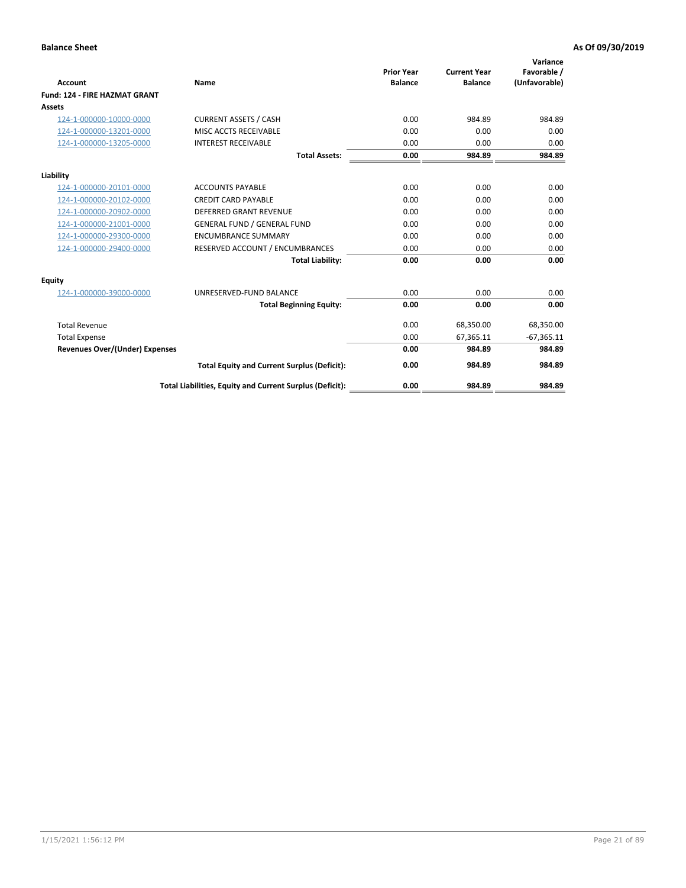|                                       |                                                          | <b>Prior Year</b> | <b>Current Year</b> | Variance<br>Favorable / |
|---------------------------------------|----------------------------------------------------------|-------------------|---------------------|-------------------------|
| <b>Account</b>                        | Name                                                     | <b>Balance</b>    | <b>Balance</b>      | (Unfavorable)           |
| <b>Fund: 124 - FIRE HAZMAT GRANT</b>  |                                                          |                   |                     |                         |
| <b>Assets</b>                         |                                                          |                   |                     |                         |
| 124-1-000000-10000-0000               | <b>CURRENT ASSETS / CASH</b>                             | 0.00              | 984.89              | 984.89                  |
| 124-1-000000-13201-0000               | MISC ACCTS RECEIVABLE                                    | 0.00              | 0.00                | 0.00                    |
| 124-1-000000-13205-0000               | <b>INTEREST RECEIVABLE</b>                               | 0.00              | 0.00                | 0.00                    |
|                                       | <b>Total Assets:</b>                                     | 0.00              | 984.89              | 984.89                  |
| Liability                             |                                                          |                   |                     |                         |
| 124-1-000000-20101-0000               | <b>ACCOUNTS PAYABLE</b>                                  | 0.00              | 0.00                | 0.00                    |
| 124-1-000000-20102-0000               | <b>CREDIT CARD PAYABLE</b>                               | 0.00              | 0.00                | 0.00                    |
| 124-1-000000-20902-0000               | <b>DEFERRED GRANT REVENUE</b>                            | 0.00              | 0.00                | 0.00                    |
| 124-1-000000-21001-0000               | <b>GENERAL FUND / GENERAL FUND</b>                       | 0.00              | 0.00                | 0.00                    |
| 124-1-000000-29300-0000               | <b>ENCUMBRANCE SUMMARY</b>                               | 0.00              | 0.00                | 0.00                    |
| 124-1-000000-29400-0000               | RESERVED ACCOUNT / ENCUMBRANCES                          | 0.00              | 0.00                | 0.00                    |
|                                       | <b>Total Liability:</b>                                  | 0.00              | 0.00                | 0.00                    |
| Equity                                |                                                          |                   |                     |                         |
| 124-1-000000-39000-0000               | UNRESERVED-FUND BALANCE                                  | 0.00              | 0.00                | 0.00                    |
|                                       | <b>Total Beginning Equity:</b>                           | 0.00              | 0.00                | 0.00                    |
| <b>Total Revenue</b>                  |                                                          | 0.00              | 68,350.00           | 68,350.00               |
| <b>Total Expense</b>                  |                                                          | 0.00              | 67,365.11           | $-67,365.11$            |
| <b>Revenues Over/(Under) Expenses</b> |                                                          | 0.00              | 984.89              | 984.89                  |
|                                       | <b>Total Equity and Current Surplus (Deficit):</b>       | 0.00              | 984.89              | 984.89                  |
|                                       | Total Liabilities, Equity and Current Surplus (Deficit): | 0.00              | 984.89              | 984.89                  |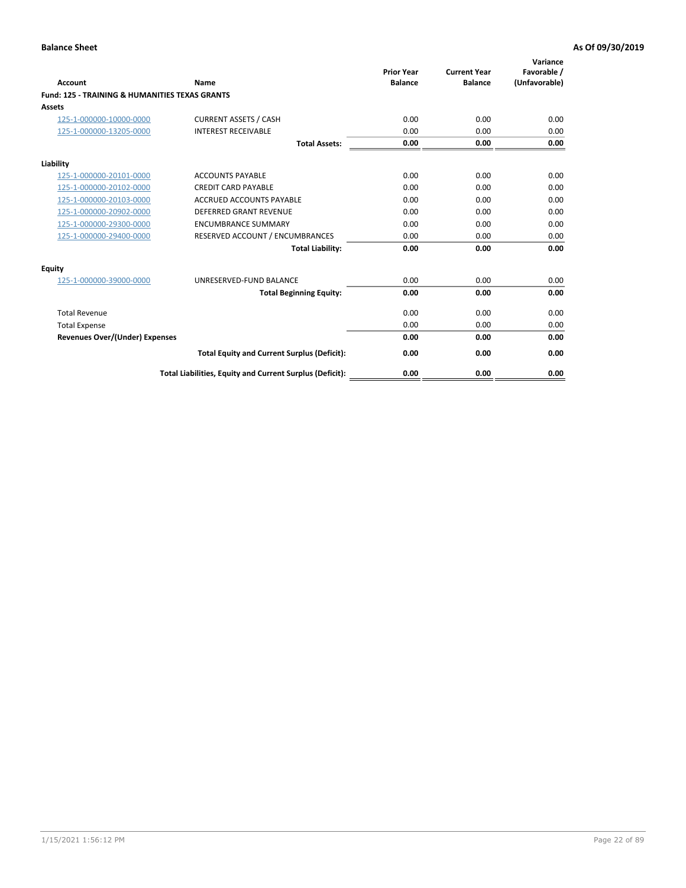| Account                                                   | Name                                                     | <b>Prior Year</b><br><b>Balance</b> | <b>Current Year</b><br><b>Balance</b> | Variance<br>Favorable /<br>(Unfavorable) |
|-----------------------------------------------------------|----------------------------------------------------------|-------------------------------------|---------------------------------------|------------------------------------------|
| <b>Fund: 125 - TRAINING &amp; HUMANITIES TEXAS GRANTS</b> |                                                          |                                     |                                       |                                          |
| <b>Assets</b>                                             |                                                          |                                     |                                       |                                          |
| 125-1-000000-10000-0000                                   | <b>CURRENT ASSETS / CASH</b>                             | 0.00                                | 0.00                                  | 0.00                                     |
| 125-1-000000-13205-0000                                   | <b>INTEREST RECEIVABLE</b>                               | 0.00                                | 0.00                                  | 0.00                                     |
|                                                           | <b>Total Assets:</b>                                     | 0.00                                | 0.00                                  | 0.00                                     |
| Liability                                                 |                                                          |                                     |                                       |                                          |
| 125-1-000000-20101-0000                                   | <b>ACCOUNTS PAYABLE</b>                                  | 0.00                                | 0.00                                  | 0.00                                     |
| 125-1-000000-20102-0000                                   | <b>CREDIT CARD PAYABLE</b>                               | 0.00                                | 0.00                                  | 0.00                                     |
| 125-1-000000-20103-0000                                   | <b>ACCRUED ACCOUNTS PAYABLE</b>                          | 0.00                                | 0.00                                  | 0.00                                     |
| 125-1-000000-20902-0000                                   | <b>DEFERRED GRANT REVENUE</b>                            | 0.00                                | 0.00                                  | 0.00                                     |
| 125-1-000000-29300-0000                                   | <b>ENCUMBRANCE SUMMARY</b>                               | 0.00                                | 0.00                                  | 0.00                                     |
| 125-1-000000-29400-0000                                   | RESERVED ACCOUNT / ENCUMBRANCES                          | 0.00                                | 0.00                                  | 0.00                                     |
|                                                           | <b>Total Liability:</b>                                  | 0.00                                | 0.00                                  | 0.00                                     |
| <b>Equity</b>                                             |                                                          |                                     |                                       |                                          |
| 125-1-000000-39000-0000                                   | UNRESERVED-FUND BALANCE                                  | 0.00                                | 0.00                                  | 0.00                                     |
|                                                           | <b>Total Beginning Equity:</b>                           | 0.00                                | 0.00                                  | 0.00                                     |
| <b>Total Revenue</b>                                      |                                                          | 0.00                                | 0.00                                  | 0.00                                     |
| <b>Total Expense</b>                                      |                                                          | 0.00                                | 0.00                                  | 0.00                                     |
| <b>Revenues Over/(Under) Expenses</b>                     |                                                          | 0.00                                | 0.00                                  | 0.00                                     |
|                                                           | <b>Total Equity and Current Surplus (Deficit):</b>       | 0.00                                | 0.00                                  | 0.00                                     |
|                                                           | Total Liabilities, Equity and Current Surplus (Deficit): | 0.00                                | 0.00                                  | 0.00                                     |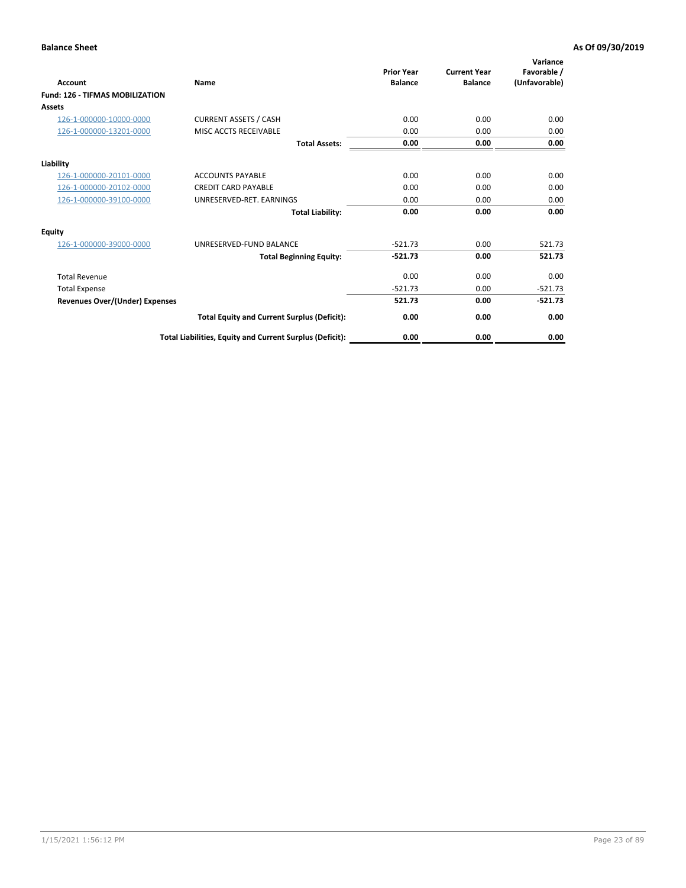| Account                                | Name                                                     | <b>Prior Year</b><br><b>Balance</b> | <b>Current Year</b><br><b>Balance</b> | Variance<br>Favorable /<br>(Unfavorable) |
|----------------------------------------|----------------------------------------------------------|-------------------------------------|---------------------------------------|------------------------------------------|
| <b>Fund: 126 - TIFMAS MOBILIZATION</b> |                                                          |                                     |                                       |                                          |
| Assets                                 |                                                          |                                     |                                       |                                          |
| 126-1-000000-10000-0000                | <b>CURRENT ASSETS / CASH</b>                             | 0.00                                | 0.00                                  | 0.00                                     |
| 126-1-000000-13201-0000                | MISC ACCTS RECEIVABLE                                    | 0.00                                | 0.00                                  | 0.00                                     |
|                                        | <b>Total Assets:</b>                                     | 0.00                                | 0.00                                  | 0.00                                     |
| Liability                              |                                                          |                                     |                                       |                                          |
| 126-1-000000-20101-0000                | <b>ACCOUNTS PAYABLE</b>                                  | 0.00                                | 0.00                                  | 0.00                                     |
| 126-1-000000-20102-0000                | <b>CREDIT CARD PAYABLE</b>                               | 0.00                                | 0.00                                  | 0.00                                     |
| 126-1-000000-39100-0000                | UNRESERVED-RET. EARNINGS                                 | 0.00                                | 0.00                                  | 0.00                                     |
|                                        | <b>Total Liability:</b>                                  | 0.00                                | 0.00                                  | 0.00                                     |
| Equity                                 |                                                          |                                     |                                       |                                          |
| 126-1-000000-39000-0000                | UNRESERVED-FUND BALANCE                                  | $-521.73$                           | 0.00                                  | 521.73                                   |
|                                        | <b>Total Beginning Equity:</b>                           | $-521.73$                           | 0.00                                  | 521.73                                   |
| <b>Total Revenue</b>                   |                                                          | 0.00                                | 0.00                                  | 0.00                                     |
| <b>Total Expense</b>                   |                                                          | $-521.73$                           | 0.00                                  | $-521.73$                                |
| Revenues Over/(Under) Expenses         |                                                          | 521.73                              | 0.00                                  | $-521.73$                                |
|                                        | <b>Total Equity and Current Surplus (Deficit):</b>       | 0.00                                | 0.00                                  | 0.00                                     |
|                                        | Total Liabilities, Equity and Current Surplus (Deficit): | 0.00                                | 0.00                                  | 0.00                                     |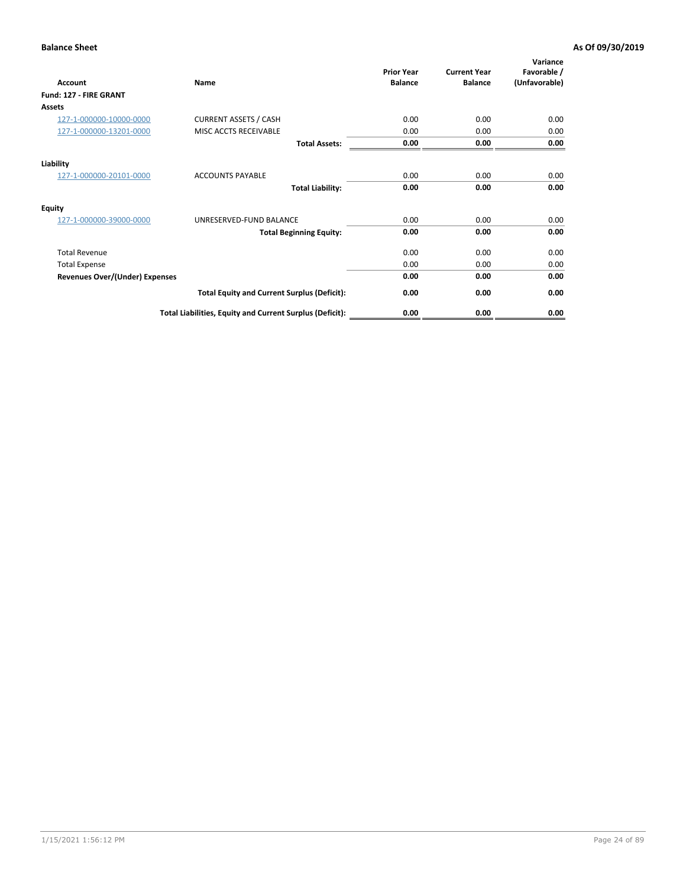| <b>Account</b>                        | Name                                                     | <b>Prior Year</b><br><b>Balance</b> | <b>Current Year</b><br><b>Balance</b> | Variance<br>Favorable /<br>(Unfavorable) |
|---------------------------------------|----------------------------------------------------------|-------------------------------------|---------------------------------------|------------------------------------------|
| Fund: 127 - FIRE GRANT                |                                                          |                                     |                                       |                                          |
| Assets                                |                                                          |                                     |                                       |                                          |
| 127-1-000000-10000-0000               | <b>CURRENT ASSETS / CASH</b>                             | 0.00                                | 0.00                                  | 0.00                                     |
| 127-1-000000-13201-0000               | MISC ACCTS RECEIVABLE                                    | 0.00                                | 0.00                                  | 0.00                                     |
|                                       | <b>Total Assets:</b>                                     | 0.00                                | 0.00                                  | 0.00                                     |
| Liability                             |                                                          |                                     |                                       |                                          |
| 127-1-000000-20101-0000               | <b>ACCOUNTS PAYABLE</b>                                  | 0.00                                | 0.00                                  | 0.00                                     |
|                                       | <b>Total Liability:</b>                                  | 0.00                                | 0.00                                  | 0.00                                     |
| <b>Equity</b>                         |                                                          |                                     |                                       |                                          |
| 127-1-000000-39000-0000               | UNRESERVED-FUND BALANCE                                  | 0.00                                | 0.00                                  | 0.00                                     |
|                                       | <b>Total Beginning Equity:</b>                           | 0.00                                | 0.00                                  | 0.00                                     |
| <b>Total Revenue</b>                  |                                                          | 0.00                                | 0.00                                  | 0.00                                     |
| <b>Total Expense</b>                  |                                                          | 0.00                                | 0.00                                  | 0.00                                     |
| <b>Revenues Over/(Under) Expenses</b> |                                                          | 0.00                                | 0.00                                  | 0.00                                     |
|                                       | <b>Total Equity and Current Surplus (Deficit):</b>       | 0.00                                | 0.00                                  | 0.00                                     |
|                                       | Total Liabilities, Equity and Current Surplus (Deficit): | 0.00                                | 0.00                                  | 0.00                                     |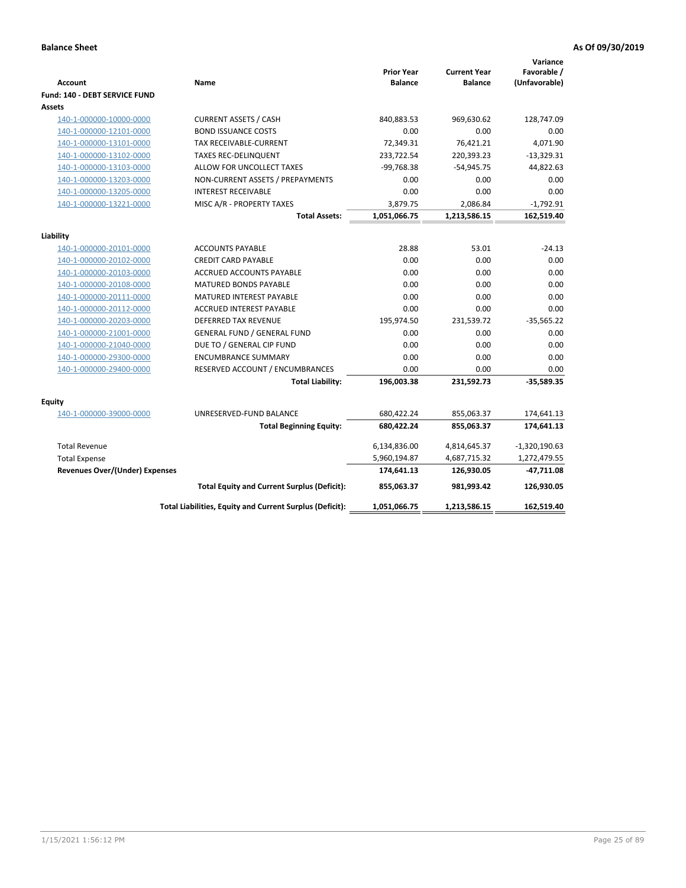| <b>Account</b>                          | <b>Name</b>                                              | <b>Prior Year</b><br><b>Balance</b> | <b>Current Year</b><br><b>Balance</b> | Variance<br>Favorable /<br>(Unfavorable) |
|-----------------------------------------|----------------------------------------------------------|-------------------------------------|---------------------------------------|------------------------------------------|
| Fund: 140 - DEBT SERVICE FUND<br>Assets |                                                          |                                     |                                       |                                          |
| 140-1-000000-10000-0000                 | <b>CURRENT ASSETS / CASH</b>                             | 840,883.53                          | 969,630.62                            | 128,747.09                               |
| 140-1-000000-12101-0000                 | <b>BOND ISSUANCE COSTS</b>                               | 0.00                                | 0.00                                  | 0.00                                     |
| 140-1-000000-13101-0000                 | <b>TAX RECEIVABLE-CURRENT</b>                            | 72,349.31                           | 76,421.21                             | 4.071.90                                 |
| 140-1-000000-13102-0000                 | <b>TAXES REC-DELINQUENT</b>                              | 233,722.54                          | 220,393.23                            | $-13,329.31$                             |
| 140-1-000000-13103-0000                 | ALLOW FOR UNCOLLECT TAXES                                | $-99,768.38$                        | $-54,945.75$                          | 44,822.63                                |
| 140-1-000000-13203-0000                 | NON-CURRENT ASSETS / PREPAYMENTS                         | 0.00                                | 0.00                                  | 0.00                                     |
| 140-1-000000-13205-0000                 | <b>INTEREST RECEIVABLE</b>                               | 0.00                                | 0.00                                  | 0.00                                     |
| 140-1-000000-13221-0000                 | MISC A/R - PROPERTY TAXES                                | 3,879.75                            | 2,086.84                              | $-1,792.91$                              |
|                                         | <b>Total Assets:</b>                                     | 1,051,066.75                        | 1,213,586.15                          | 162,519.40                               |
|                                         |                                                          |                                     |                                       |                                          |
| Liability                               |                                                          |                                     |                                       |                                          |
| 140-1-000000-20101-0000                 | <b>ACCOUNTS PAYABLE</b>                                  | 28.88                               | 53.01                                 | $-24.13$                                 |
| 140-1-000000-20102-0000                 | <b>CREDIT CARD PAYABLE</b>                               | 0.00                                | 0.00                                  | 0.00                                     |
| 140-1-000000-20103-0000                 | <b>ACCRUED ACCOUNTS PAYABLE</b>                          | 0.00                                | 0.00                                  | 0.00                                     |
| 140-1-000000-20108-0000                 | <b>MATURED BONDS PAYABLE</b>                             | 0.00                                | 0.00                                  | 0.00                                     |
| 140-1-000000-20111-0000                 | MATURED INTEREST PAYABLE                                 | 0.00                                | 0.00                                  | 0.00                                     |
| 140-1-000000-20112-0000                 | <b>ACCRUED INTEREST PAYABLE</b>                          | 0.00                                | 0.00                                  | 0.00                                     |
| 140-1-000000-20203-0000                 | <b>DEFERRED TAX REVENUE</b>                              | 195,974.50                          | 231,539.72                            | $-35,565.22$                             |
| 140-1-000000-21001-0000                 | <b>GENERAL FUND / GENERAL FUND</b>                       | 0.00                                | 0.00                                  | 0.00                                     |
| 140-1-000000-21040-0000                 | DUE TO / GENERAL CIP FUND                                | 0.00                                | 0.00                                  | 0.00                                     |
| 140-1-000000-29300-0000                 | <b>ENCUMBRANCE SUMMARY</b>                               | 0.00                                | 0.00                                  | 0.00                                     |
| 140-1-000000-29400-0000                 | RESERVED ACCOUNT / ENCUMBRANCES                          | 0.00                                | 0.00                                  | 0.00                                     |
|                                         | <b>Total Liability:</b>                                  | 196,003.38                          | 231,592.73                            | $-35,589.35$                             |
|                                         |                                                          |                                     |                                       |                                          |
| Equity                                  |                                                          |                                     |                                       |                                          |
| 140-1-000000-39000-0000                 | UNRESERVED-FUND BALANCE                                  | 680,422.24                          | 855,063.37                            | 174,641.13                               |
|                                         | <b>Total Beginning Equity:</b>                           | 680,422.24                          | 855,063.37                            | 174,641.13                               |
| <b>Total Revenue</b>                    |                                                          | 6,134,836.00                        | 4,814,645.37                          | $-1,320,190.63$                          |
| <b>Total Expense</b>                    |                                                          | 5,960,194.87                        | 4,687,715.32                          | 1,272,479.55                             |
| <b>Revenues Over/(Under) Expenses</b>   |                                                          | 174,641.13                          | 126,930.05                            | $-47,711.08$                             |
|                                         | <b>Total Equity and Current Surplus (Deficit):</b>       | 855,063.37                          | 981,993.42                            | 126,930.05                               |
|                                         | Total Liabilities, Equity and Current Surplus (Deficit): | 1,051,066.75                        | 1,213,586.15                          | 162,519.40                               |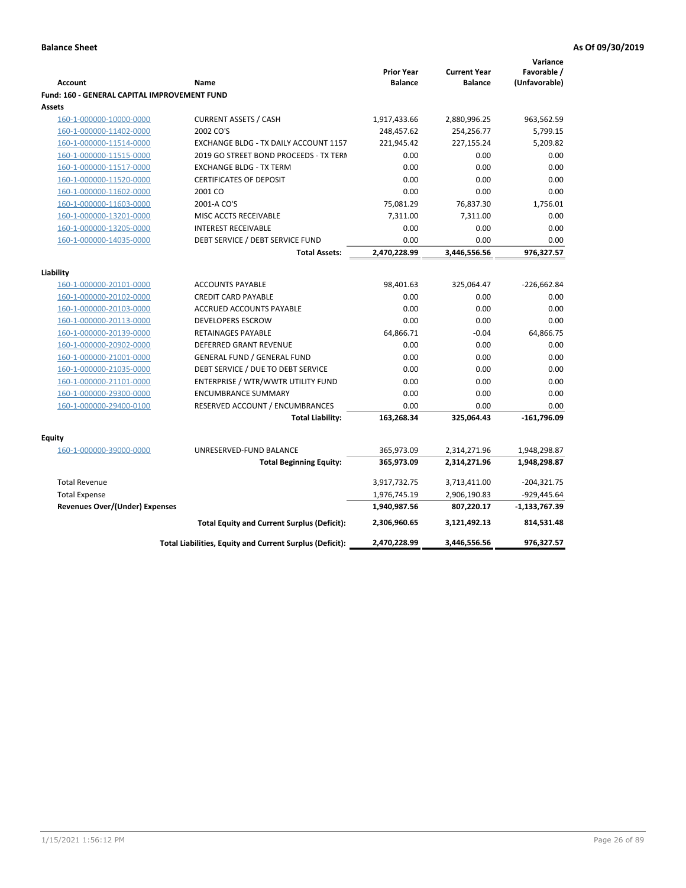|                                              |                                                          |                                     |                                       | Variance                     |
|----------------------------------------------|----------------------------------------------------------|-------------------------------------|---------------------------------------|------------------------------|
| <b>Account</b>                               | Name                                                     | <b>Prior Year</b><br><b>Balance</b> | <b>Current Year</b><br><b>Balance</b> | Favorable /<br>(Unfavorable) |
| Fund: 160 - GENERAL CAPITAL IMPROVEMENT FUND |                                                          |                                     |                                       |                              |
| <b>Assets</b>                                |                                                          |                                     |                                       |                              |
| 160-1-000000-10000-0000                      | <b>CURRENT ASSETS / CASH</b>                             | 1,917,433.66                        | 2,880,996.25                          | 963,562.59                   |
| 160-1-000000-11402-0000                      | 2002 CO'S                                                | 248,457.62                          | 254,256.77                            | 5,799.15                     |
| 160-1-000000-11514-0000                      | EXCHANGE BLDG - TX DAILY ACCOUNT 1157                    | 221,945.42                          | 227,155.24                            | 5,209.82                     |
| 160-1-000000-11515-0000                      | 2019 GO STREET BOND PROCEEDS - TX TERN                   | 0.00                                | 0.00                                  | 0.00                         |
| 160-1-000000-11517-0000                      | <b>EXCHANGE BLDG - TX TERM</b>                           | 0.00                                | 0.00                                  | 0.00                         |
| 160-1-000000-11520-0000                      | <b>CERTIFICATES OF DEPOSIT</b>                           | 0.00                                | 0.00                                  | 0.00                         |
| 160-1-000000-11602-0000                      | 2001 CO                                                  | 0.00                                | 0.00                                  | 0.00                         |
| 160-1-000000-11603-0000                      | 2001-A CO'S                                              | 75,081.29                           | 76,837.30                             | 1,756.01                     |
| 160-1-000000-13201-0000                      | MISC ACCTS RECEIVABLE                                    | 7,311.00                            | 7,311.00                              | 0.00                         |
| 160-1-000000-13205-0000                      | <b>INTEREST RECEIVABLE</b>                               | 0.00                                | 0.00                                  | 0.00                         |
| 160-1-000000-14035-0000                      | DEBT SERVICE / DEBT SERVICE FUND                         | 0.00                                | 0.00                                  | 0.00                         |
|                                              | <b>Total Assets:</b>                                     | 2,470,228.99                        | 3,446,556.56                          | 976,327.57                   |
|                                              |                                                          |                                     |                                       |                              |
| Liability                                    |                                                          |                                     |                                       |                              |
| 160-1-000000-20101-0000                      | <b>ACCOUNTS PAYABLE</b>                                  | 98,401.63                           | 325,064.47                            | $-226,662.84$                |
| 160-1-000000-20102-0000                      | <b>CREDIT CARD PAYABLE</b>                               | 0.00                                | 0.00                                  | 0.00                         |
| 160-1-000000-20103-0000                      | ACCRUED ACCOUNTS PAYABLE                                 | 0.00                                | 0.00                                  | 0.00                         |
| 160-1-000000-20113-0000                      | <b>DEVELOPERS ESCROW</b>                                 | 0.00                                | 0.00                                  | 0.00                         |
| 160-1-000000-20139-0000                      | <b>RETAINAGES PAYABLE</b>                                | 64,866.71                           | $-0.04$                               | 64,866.75                    |
| 160-1-000000-20902-0000                      | <b>DEFERRED GRANT REVENUE</b>                            | 0.00                                | 0.00                                  | 0.00                         |
| 160-1-000000-21001-0000                      | <b>GENERAL FUND / GENERAL FUND</b>                       | 0.00                                | 0.00                                  | 0.00                         |
| 160-1-000000-21035-0000                      | DEBT SERVICE / DUE TO DEBT SERVICE                       | 0.00                                | 0.00                                  | 0.00                         |
| 160-1-000000-21101-0000                      | ENTERPRISE / WTR/WWTR UTILITY FUND                       | 0.00                                | 0.00                                  | 0.00                         |
| 160-1-000000-29300-0000                      | <b>ENCUMBRANCE SUMMARY</b>                               | 0.00                                | 0.00                                  | 0.00                         |
| 160-1-000000-29400-0100                      | RESERVED ACCOUNT / ENCUMBRANCES                          | 0.00                                | 0.00                                  | 0.00                         |
|                                              | <b>Total Liability:</b>                                  | 163,268.34                          | 325,064.43                            | $-161,796.09$                |
| <b>Equity</b>                                |                                                          |                                     |                                       |                              |
| 160-1-000000-39000-0000                      | UNRESERVED-FUND BALANCE                                  | 365,973.09                          | 2,314,271.96                          | 1,948,298.87                 |
|                                              | <b>Total Beginning Equity:</b>                           | 365,973.09                          | 2,314,271.96                          | 1,948,298.87                 |
| <b>Total Revenue</b>                         |                                                          | 3,917,732.75                        | 3,713,411.00                          | $-204,321.75$                |
| <b>Total Expense</b>                         |                                                          | 1,976,745.19                        | 2,906,190.83                          | $-929,445.64$                |
| <b>Revenues Over/(Under) Expenses</b>        |                                                          | 1,940,987.56                        | 807,220.17                            | -1,133,767.39                |
|                                              | Total Equity and Current Surplus (Deficit):              | 2,306,960.65                        | 3,121,492.13                          | 814,531.48                   |
|                                              | Total Liabilities, Equity and Current Surplus (Deficit): | 2,470,228.99                        | 3,446,556.56                          | 976,327.57                   |
|                                              |                                                          |                                     |                                       |                              |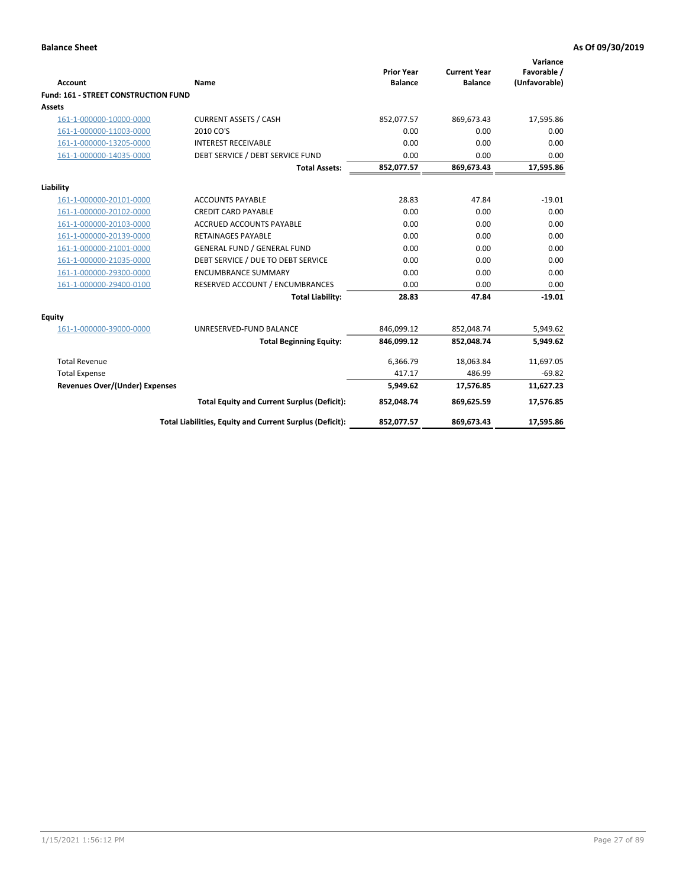| <b>Account</b>                        | Name                                                     | <b>Prior Year</b><br><b>Balance</b> | <b>Current Year</b><br><b>Balance</b> | Variance<br>Favorable /<br>(Unfavorable) |
|---------------------------------------|----------------------------------------------------------|-------------------------------------|---------------------------------------|------------------------------------------|
| Fund: 161 - STREET CONSTRUCTION FUND  |                                                          |                                     |                                       |                                          |
| Assets                                |                                                          |                                     |                                       |                                          |
| 161-1-000000-10000-0000               | <b>CURRENT ASSETS / CASH</b>                             | 852,077.57                          | 869,673.43                            | 17,595.86                                |
| 161-1-000000-11003-0000               | 2010 CO'S                                                | 0.00                                | 0.00                                  | 0.00                                     |
| 161-1-000000-13205-0000               | <b>INTEREST RECEIVABLE</b>                               | 0.00                                | 0.00                                  | 0.00                                     |
| 161-1-000000-14035-0000               | DEBT SERVICE / DEBT SERVICE FUND                         | 0.00                                | 0.00                                  | 0.00                                     |
|                                       | <b>Total Assets:</b>                                     | 852,077.57                          | 869,673.43                            | 17,595.86                                |
| Liability                             |                                                          |                                     |                                       |                                          |
| 161-1-000000-20101-0000               | <b>ACCOUNTS PAYABLE</b>                                  | 28.83                               | 47.84                                 | $-19.01$                                 |
| 161-1-000000-20102-0000               | <b>CREDIT CARD PAYABLE</b>                               | 0.00                                | 0.00                                  | 0.00                                     |
| 161-1-000000-20103-0000               | <b>ACCRUED ACCOUNTS PAYABLE</b>                          | 0.00                                | 0.00                                  | 0.00                                     |
| 161-1-000000-20139-0000               | <b>RETAINAGES PAYABLE</b>                                | 0.00                                | 0.00                                  | 0.00                                     |
| 161-1-000000-21001-0000               | <b>GENERAL FUND / GENERAL FUND</b>                       | 0.00                                | 0.00                                  | 0.00                                     |
| 161-1-000000-21035-0000               | DEBT SERVICE / DUE TO DEBT SERVICE                       | 0.00                                | 0.00                                  | 0.00                                     |
| 161-1-000000-29300-0000               | <b>ENCUMBRANCE SUMMARY</b>                               | 0.00                                | 0.00                                  | 0.00                                     |
| 161-1-000000-29400-0100               | RESERVED ACCOUNT / ENCUMBRANCES                          | 0.00                                | 0.00                                  | 0.00                                     |
|                                       | <b>Total Liability:</b>                                  | 28.83                               | 47.84                                 | $-19.01$                                 |
| <b>Equity</b>                         |                                                          |                                     |                                       |                                          |
| 161-1-000000-39000-0000               | UNRESERVED-FUND BALANCE                                  | 846,099.12                          | 852,048.74                            | 5,949.62                                 |
|                                       | <b>Total Beginning Equity:</b>                           | 846,099.12                          | 852,048.74                            | 5,949.62                                 |
| <b>Total Revenue</b>                  |                                                          | 6,366.79                            | 18.063.84                             | 11,697.05                                |
| <b>Total Expense</b>                  |                                                          | 417.17                              | 486.99                                | $-69.82$                                 |
| <b>Revenues Over/(Under) Expenses</b> |                                                          | 5,949.62                            | 17,576.85                             | 11,627.23                                |
|                                       | <b>Total Equity and Current Surplus (Deficit):</b>       | 852,048.74                          | 869,625.59                            | 17,576.85                                |
|                                       | Total Liabilities, Equity and Current Surplus (Deficit): | 852,077.57                          | 869,673.43                            | 17,595.86                                |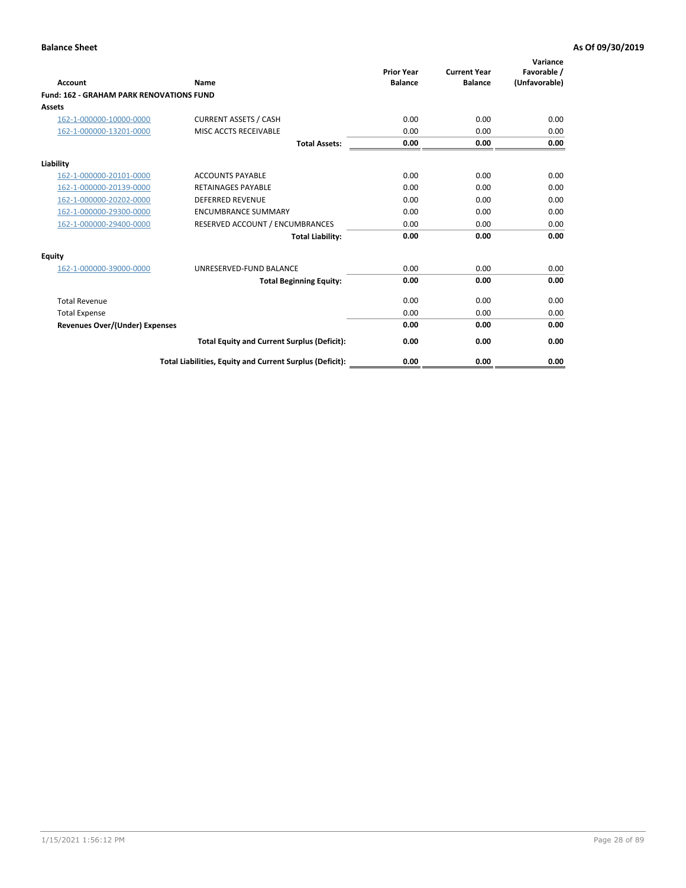| Account                                         | Name                                                     | <b>Prior Year</b><br><b>Balance</b> | <b>Current Year</b><br><b>Balance</b> | Variance<br>Favorable /<br>(Unfavorable) |
|-------------------------------------------------|----------------------------------------------------------|-------------------------------------|---------------------------------------|------------------------------------------|
| <b>Fund: 162 - GRAHAM PARK RENOVATIONS FUND</b> |                                                          |                                     |                                       |                                          |
| <b>Assets</b>                                   |                                                          |                                     |                                       |                                          |
| 162-1-000000-10000-0000                         | <b>CURRENT ASSETS / CASH</b>                             | 0.00                                | 0.00                                  | 0.00                                     |
| 162-1-000000-13201-0000                         | MISC ACCTS RECEIVABLE                                    | 0.00                                | 0.00                                  | 0.00                                     |
|                                                 | <b>Total Assets:</b>                                     | 0.00                                | 0.00                                  | 0.00                                     |
| Liability                                       |                                                          |                                     |                                       |                                          |
| 162-1-000000-20101-0000                         | <b>ACCOUNTS PAYABLE</b>                                  | 0.00                                | 0.00                                  | 0.00                                     |
| 162-1-000000-20139-0000                         | <b>RETAINAGES PAYABLE</b>                                | 0.00                                | 0.00                                  | 0.00                                     |
| 162-1-000000-20202-0000                         | <b>DEFERRED REVENUE</b>                                  | 0.00                                | 0.00                                  | 0.00                                     |
| 162-1-000000-29300-0000                         | <b>ENCUMBRANCE SUMMARY</b>                               | 0.00                                | 0.00                                  | 0.00                                     |
| 162-1-000000-29400-0000                         | RESERVED ACCOUNT / ENCUMBRANCES                          | 0.00                                | 0.00                                  | 0.00                                     |
|                                                 | <b>Total Liability:</b>                                  | 0.00                                | 0.00                                  | 0.00                                     |
| Equity                                          |                                                          |                                     |                                       |                                          |
| 162-1-000000-39000-0000                         | UNRESERVED-FUND BALANCE                                  | 0.00                                | 0.00                                  | 0.00                                     |
|                                                 | <b>Total Beginning Equity:</b>                           | 0.00                                | 0.00                                  | 0.00                                     |
| <b>Total Revenue</b>                            |                                                          | 0.00                                | 0.00                                  | 0.00                                     |
| <b>Total Expense</b>                            |                                                          | 0.00                                | 0.00                                  | 0.00                                     |
| <b>Revenues Over/(Under) Expenses</b>           |                                                          | 0.00                                | 0.00                                  | 0.00                                     |
|                                                 | <b>Total Equity and Current Surplus (Deficit):</b>       | 0.00                                | 0.00                                  | 0.00                                     |
|                                                 | Total Liabilities, Equity and Current Surplus (Deficit): | 0.00                                | 0.00                                  | 0.00                                     |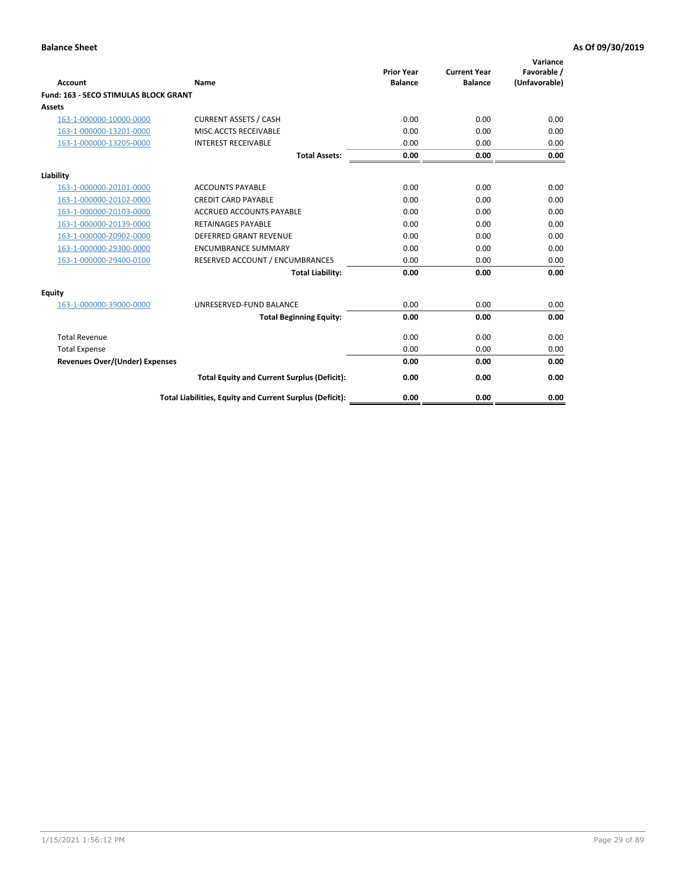| Account                               | Name                                                     | <b>Prior Year</b><br><b>Balance</b> | <b>Current Year</b><br><b>Balance</b> | Variance<br>Favorable /<br>(Unfavorable) |
|---------------------------------------|----------------------------------------------------------|-------------------------------------|---------------------------------------|------------------------------------------|
| Fund: 163 - SECO STIMULAS BLOCK GRANT |                                                          |                                     |                                       |                                          |
| <b>Assets</b>                         |                                                          |                                     |                                       |                                          |
| 163-1-000000-10000-0000               | <b>CURRENT ASSETS / CASH</b>                             | 0.00                                | 0.00                                  | 0.00                                     |
| 163-1-000000-13201-0000               | MISC ACCTS RECEIVABLE                                    | 0.00                                | 0.00                                  | 0.00                                     |
| 163-1-000000-13205-0000               | <b>INTEREST RECEIVABLE</b>                               | 0.00                                | 0.00                                  | 0.00                                     |
|                                       | <b>Total Assets:</b>                                     | 0.00                                | 0.00                                  | 0.00                                     |
| Liability                             |                                                          |                                     |                                       |                                          |
| 163-1-000000-20101-0000               | <b>ACCOUNTS PAYABLE</b>                                  | 0.00                                | 0.00                                  | 0.00                                     |
| 163-1-000000-20102-0000               | <b>CREDIT CARD PAYABLE</b>                               | 0.00                                | 0.00                                  | 0.00                                     |
| 163-1-000000-20103-0000               | <b>ACCRUED ACCOUNTS PAYABLE</b>                          | 0.00                                | 0.00                                  | 0.00                                     |
| 163-1-000000-20139-0000               | <b>RETAINAGES PAYABLE</b>                                | 0.00                                | 0.00                                  | 0.00                                     |
| 163-1-000000-20902-0000               | DEFERRED GRANT REVENUE                                   | 0.00                                | 0.00                                  | 0.00                                     |
| 163-1-000000-29300-0000               | <b>ENCUMBRANCE SUMMARY</b>                               | 0.00                                | 0.00                                  | 0.00                                     |
| 163-1-000000-29400-0100               | RESERVED ACCOUNT / ENCUMBRANCES                          | 0.00                                | 0.00                                  | 0.00                                     |
|                                       | <b>Total Liability:</b>                                  | 0.00                                | 0.00                                  | 0.00                                     |
| <b>Equity</b>                         |                                                          |                                     |                                       |                                          |
| 163-1-000000-39000-0000               | UNRESERVED-FUND BALANCE                                  | 0.00                                | 0.00                                  | 0.00                                     |
|                                       | <b>Total Beginning Equity:</b>                           | 0.00                                | 0.00                                  | 0.00                                     |
| <b>Total Revenue</b>                  |                                                          | 0.00                                | 0.00                                  | 0.00                                     |
| <b>Total Expense</b>                  |                                                          | 0.00                                | 0.00                                  | 0.00                                     |
| <b>Revenues Over/(Under) Expenses</b> |                                                          | 0.00                                | 0.00                                  | 0.00                                     |
|                                       | <b>Total Equity and Current Surplus (Deficit):</b>       | 0.00                                | 0.00                                  | 0.00                                     |
|                                       | Total Liabilities, Equity and Current Surplus (Deficit): | 0.00                                | 0.00                                  | 0.00                                     |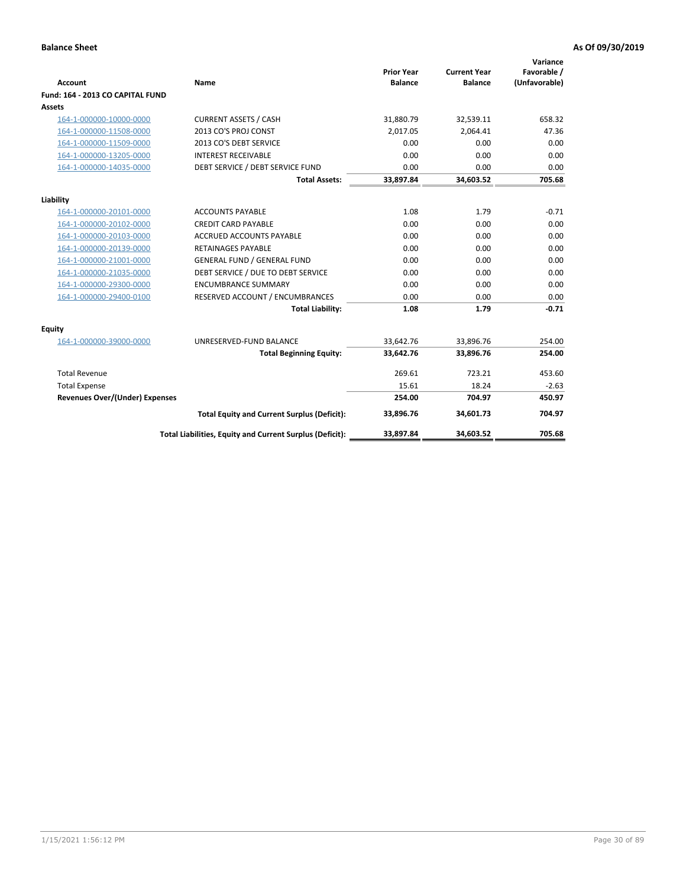| <b>Account</b>                        | <b>Name</b>                                              | <b>Prior Year</b><br><b>Balance</b> | <b>Current Year</b><br><b>Balance</b> | Variance<br>Favorable /<br>(Unfavorable) |
|---------------------------------------|----------------------------------------------------------|-------------------------------------|---------------------------------------|------------------------------------------|
| Fund: 164 - 2013 CO CAPITAL FUND      |                                                          |                                     |                                       |                                          |
| Assets                                |                                                          |                                     |                                       |                                          |
| 164-1-000000-10000-0000               | <b>CURRENT ASSETS / CASH</b>                             | 31,880.79                           | 32,539.11                             | 658.32                                   |
| 164-1-000000-11508-0000               | 2013 CO'S PROJ CONST                                     | 2,017.05                            | 2,064.41                              | 47.36                                    |
| 164-1-000000-11509-0000               | 2013 CO'S DEBT SERVICE                                   | 0.00                                | 0.00                                  | 0.00                                     |
| 164-1-000000-13205-0000               | <b>INTEREST RECEIVABLE</b>                               | 0.00                                | 0.00                                  | 0.00                                     |
| 164-1-000000-14035-0000               | DEBT SERVICE / DEBT SERVICE FUND                         | 0.00                                | 0.00                                  | 0.00                                     |
|                                       | <b>Total Assets:</b>                                     | 33,897.84                           | 34,603.52                             | 705.68                                   |
| Liability                             |                                                          |                                     |                                       |                                          |
| 164-1-000000-20101-0000               | <b>ACCOUNTS PAYABLE</b>                                  | 1.08                                | 1.79                                  | $-0.71$                                  |
| 164-1-000000-20102-0000               | <b>CREDIT CARD PAYABLE</b>                               | 0.00                                | 0.00                                  | 0.00                                     |
| 164-1-000000-20103-0000               | <b>ACCRUED ACCOUNTS PAYABLE</b>                          | 0.00                                | 0.00                                  | 0.00                                     |
| 164-1-000000-20139-0000               | <b>RETAINAGES PAYABLE</b>                                | 0.00                                | 0.00                                  | 0.00                                     |
| 164-1-000000-21001-0000               | <b>GENERAL FUND / GENERAL FUND</b>                       | 0.00                                | 0.00                                  | 0.00                                     |
| 164-1-000000-21035-0000               | DEBT SERVICE / DUE TO DEBT SERVICE                       | 0.00                                | 0.00                                  | 0.00                                     |
| 164-1-000000-29300-0000               | <b>ENCUMBRANCE SUMMARY</b>                               | 0.00                                | 0.00                                  | 0.00                                     |
| 164-1-000000-29400-0100               | RESERVED ACCOUNT / ENCUMBRANCES                          | 0.00                                | 0.00                                  | 0.00                                     |
|                                       | <b>Total Liability:</b>                                  | 1.08                                | 1.79                                  | $-0.71$                                  |
| Equity                                |                                                          |                                     |                                       |                                          |
| 164-1-000000-39000-0000               | UNRESERVED-FUND BALANCE                                  | 33,642.76                           | 33,896.76                             | 254.00                                   |
|                                       | <b>Total Beginning Equity:</b>                           | 33,642.76                           | 33,896.76                             | 254.00                                   |
| <b>Total Revenue</b>                  |                                                          | 269.61                              | 723.21                                | 453.60                                   |
| <b>Total Expense</b>                  |                                                          | 15.61                               | 18.24                                 | $-2.63$                                  |
| <b>Revenues Over/(Under) Expenses</b> |                                                          | 254.00                              | 704.97                                | 450.97                                   |
|                                       | <b>Total Equity and Current Surplus (Deficit):</b>       | 33,896.76                           | 34,601.73                             | 704.97                                   |
|                                       | Total Liabilities, Equity and Current Surplus (Deficit): | 33,897.84                           | 34,603.52                             | 705.68                                   |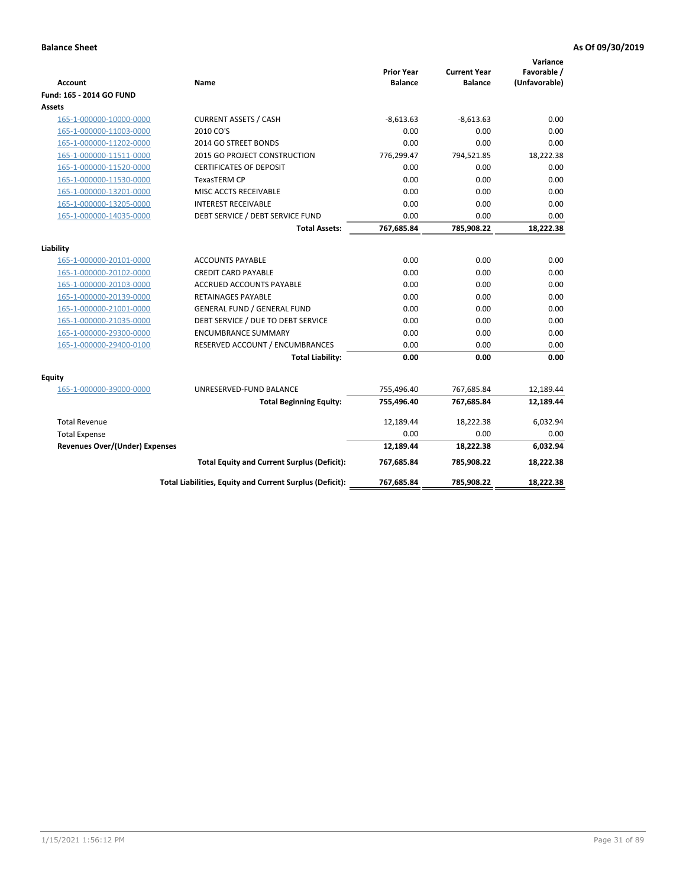| <b>Account</b>                        | Name                                                     | <b>Prior Year</b><br><b>Balance</b> | <b>Current Year</b><br><b>Balance</b> | Variance<br>Favorable /<br>(Unfavorable) |
|---------------------------------------|----------------------------------------------------------|-------------------------------------|---------------------------------------|------------------------------------------|
| Fund: 165 - 2014 GO FUND              |                                                          |                                     |                                       |                                          |
| Assets                                |                                                          |                                     |                                       |                                          |
| 165-1-000000-10000-0000               | <b>CURRENT ASSETS / CASH</b>                             | $-8,613.63$                         | $-8,613.63$                           | 0.00                                     |
| 165-1-000000-11003-0000               | 2010 CO'S                                                | 0.00                                | 0.00                                  | 0.00                                     |
| 165-1-000000-11202-0000               | 2014 GO STREET BONDS                                     | 0.00                                | 0.00                                  | 0.00                                     |
| 165-1-000000-11511-0000               | 2015 GO PROJECT CONSTRUCTION                             | 776,299.47                          | 794,521.85                            | 18,222.38                                |
| 165-1-000000-11520-0000               | <b>CERTIFICATES OF DEPOSIT</b>                           | 0.00                                | 0.00                                  | 0.00                                     |
| 165-1-000000-11530-0000               | <b>TexasTERM CP</b>                                      | 0.00                                | 0.00                                  | 0.00                                     |
| 165-1-000000-13201-0000               | MISC ACCTS RECEIVABLE                                    | 0.00                                | 0.00                                  | 0.00                                     |
| 165-1-000000-13205-0000               | <b>INTEREST RECEIVABLE</b>                               | 0.00                                | 0.00                                  | 0.00                                     |
| 165-1-000000-14035-0000               | DEBT SERVICE / DEBT SERVICE FUND                         | 0.00                                | 0.00                                  | 0.00                                     |
|                                       | <b>Total Assets:</b>                                     | 767,685.84                          | 785,908.22                            | 18,222.38                                |
| Liability                             |                                                          |                                     |                                       |                                          |
| 165-1-000000-20101-0000               | <b>ACCOUNTS PAYABLE</b>                                  | 0.00                                | 0.00                                  | 0.00                                     |
| 165-1-000000-20102-0000               | <b>CREDIT CARD PAYABLE</b>                               | 0.00                                | 0.00                                  | 0.00                                     |
| 165-1-000000-20103-0000               | ACCRUED ACCOUNTS PAYABLE                                 | 0.00                                | 0.00                                  | 0.00                                     |
| 165-1-000000-20139-0000               | <b>RETAINAGES PAYABLE</b>                                | 0.00                                | 0.00                                  | 0.00                                     |
| 165-1-000000-21001-0000               | <b>GENERAL FUND / GENERAL FUND</b>                       | 0.00                                | 0.00                                  | 0.00                                     |
| 165-1-000000-21035-0000               | DEBT SERVICE / DUE TO DEBT SERVICE                       | 0.00                                | 0.00                                  | 0.00                                     |
| 165-1-000000-29300-0000               | <b>ENCUMBRANCE SUMMARY</b>                               | 0.00                                | 0.00                                  | 0.00                                     |
| 165-1-000000-29400-0100               | RESERVED ACCOUNT / ENCUMBRANCES                          | 0.00                                | 0.00                                  | 0.00                                     |
|                                       | <b>Total Liability:</b>                                  | 0.00                                | 0.00                                  | 0.00                                     |
| <b>Equity</b>                         |                                                          |                                     |                                       |                                          |
| 165-1-000000-39000-0000               | UNRESERVED-FUND BALANCE                                  | 755,496.40                          | 767,685.84                            | 12,189.44                                |
|                                       | <b>Total Beginning Equity:</b>                           | 755,496.40                          | 767,685.84                            | 12,189.44                                |
| <b>Total Revenue</b>                  |                                                          | 12,189.44                           | 18,222.38                             | 6,032.94                                 |
| <b>Total Expense</b>                  |                                                          | 0.00                                | 0.00                                  | 0.00                                     |
| <b>Revenues Over/(Under) Expenses</b> |                                                          | 12,189.44                           | 18,222.38                             | 6,032.94                                 |
|                                       | <b>Total Equity and Current Surplus (Deficit):</b>       | 767,685.84                          | 785,908.22                            | 18,222.38                                |
|                                       | Total Liabilities, Equity and Current Surplus (Deficit): | 767,685.84                          | 785,908.22                            | 18.222.38                                |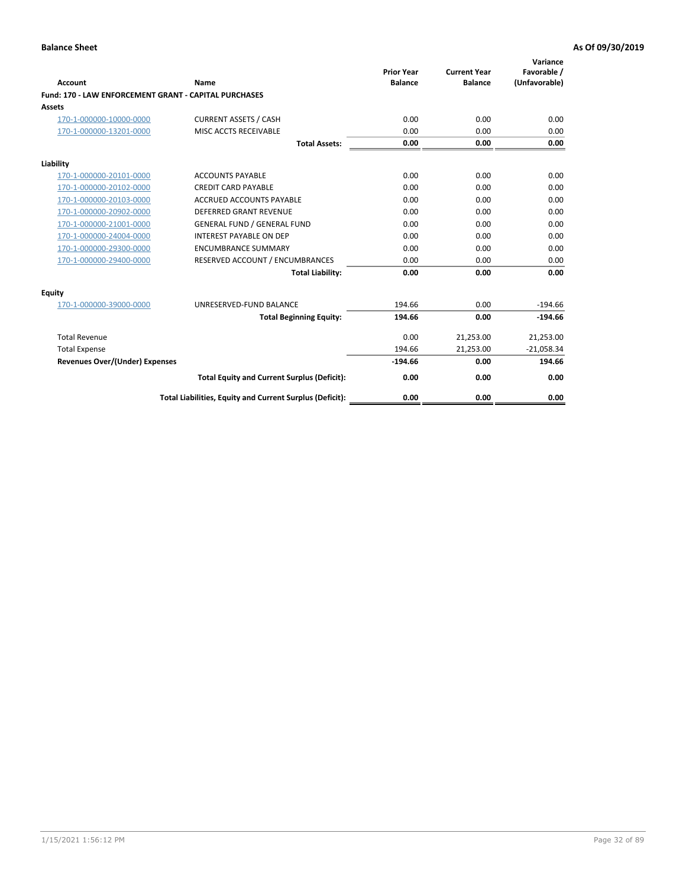|                                                       |                                                          | <b>Prior Year</b> | <b>Current Year</b> | Variance<br>Favorable / |
|-------------------------------------------------------|----------------------------------------------------------|-------------------|---------------------|-------------------------|
| Account                                               | Name                                                     | <b>Balance</b>    | <b>Balance</b>      | (Unfavorable)           |
| Fund: 170 - LAW ENFORCEMENT GRANT - CAPITAL PURCHASES |                                                          |                   |                     |                         |
| Assets                                                |                                                          |                   |                     |                         |
| 170-1-000000-10000-0000                               | <b>CURRENT ASSETS / CASH</b>                             | 0.00              | 0.00                | 0.00                    |
| 170-1-000000-13201-0000                               | MISC ACCTS RECEIVABLE                                    | 0.00              | 0.00                | 0.00                    |
|                                                       | <b>Total Assets:</b>                                     | 0.00              | 0.00                | 0.00                    |
| Liability                                             |                                                          |                   |                     |                         |
| 170-1-000000-20101-0000                               | <b>ACCOUNTS PAYABLE</b>                                  | 0.00              | 0.00                | 0.00                    |
| 170-1-000000-20102-0000                               | <b>CREDIT CARD PAYABLE</b>                               | 0.00              | 0.00                | 0.00                    |
| 170-1-000000-20103-0000                               | <b>ACCRUED ACCOUNTS PAYABLE</b>                          | 0.00              | 0.00                | 0.00                    |
| 170-1-000000-20902-0000                               | DEFERRED GRANT REVENUE                                   | 0.00              | 0.00                | 0.00                    |
| 170-1-000000-21001-0000                               | <b>GENERAL FUND / GENERAL FUND</b>                       | 0.00              | 0.00                | 0.00                    |
| 170-1-000000-24004-0000                               | <b>INTEREST PAYABLE ON DEP</b>                           | 0.00              | 0.00                | 0.00                    |
| 170-1-000000-29300-0000                               | <b>ENCUMBRANCE SUMMARY</b>                               | 0.00              | 0.00                | 0.00                    |
| 170-1-000000-29400-0000                               | RESERVED ACCOUNT / ENCUMBRANCES                          | 0.00              | 0.00                | 0.00                    |
|                                                       | <b>Total Liability:</b>                                  | 0.00              | 0.00                | 0.00                    |
| Equity                                                |                                                          |                   |                     |                         |
| 170-1-000000-39000-0000                               | UNRESERVED-FUND BALANCE                                  | 194.66            | 0.00                | $-194.66$               |
|                                                       | <b>Total Beginning Equity:</b>                           | 194.66            | 0.00                | $-194.66$               |
| <b>Total Revenue</b>                                  |                                                          | 0.00              | 21,253.00           | 21,253.00               |
| <b>Total Expense</b>                                  |                                                          | 194.66            | 21,253.00           | $-21,058.34$            |
| <b>Revenues Over/(Under) Expenses</b>                 |                                                          | $-194.66$         | 0.00                | 194.66                  |
|                                                       | <b>Total Equity and Current Surplus (Deficit):</b>       | 0.00              | 0.00                | 0.00                    |
|                                                       | Total Liabilities, Equity and Current Surplus (Deficit): | 0.00              | 0.00                | 0.00                    |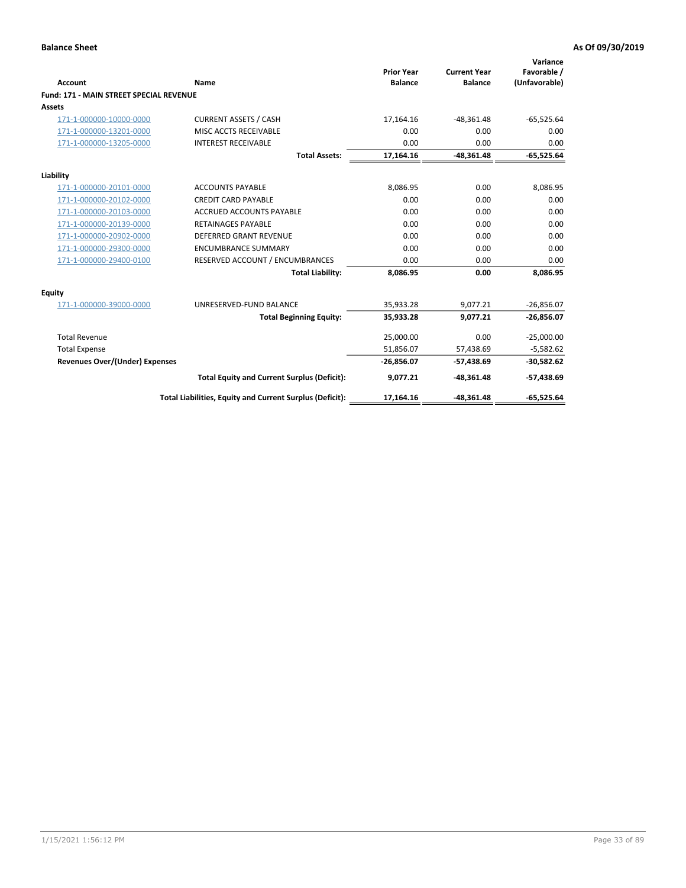| Account                                        | Name                                                     | <b>Prior Year</b><br><b>Balance</b> | <b>Current Year</b><br><b>Balance</b> | Variance<br>Favorable /<br>(Unfavorable) |
|------------------------------------------------|----------------------------------------------------------|-------------------------------------|---------------------------------------|------------------------------------------|
| <b>Fund: 171 - MAIN STREET SPECIAL REVENUE</b> |                                                          |                                     |                                       |                                          |
| Assets                                         |                                                          |                                     |                                       |                                          |
| 171-1-000000-10000-0000                        | <b>CURRENT ASSETS / CASH</b>                             | 17,164.16                           | $-48,361.48$                          | $-65,525.64$                             |
| 171-1-000000-13201-0000                        | MISC ACCTS RECEIVABLE                                    | 0.00                                | 0.00                                  | 0.00                                     |
| 171-1-000000-13205-0000                        | <b>INTEREST RECEIVABLE</b>                               | 0.00                                | 0.00                                  | 0.00                                     |
|                                                | <b>Total Assets:</b>                                     | 17,164.16                           | $-48,361.48$                          | $-65,525.64$                             |
| Liability                                      |                                                          |                                     |                                       |                                          |
| 171-1-000000-20101-0000                        | <b>ACCOUNTS PAYABLE</b>                                  | 8,086.95                            | 0.00                                  | 8,086.95                                 |
| 171-1-000000-20102-0000                        | <b>CREDIT CARD PAYABLE</b>                               | 0.00                                | 0.00                                  | 0.00                                     |
| 171-1-000000-20103-0000                        | <b>ACCRUED ACCOUNTS PAYABLE</b>                          | 0.00                                | 0.00                                  | 0.00                                     |
| 171-1-000000-20139-0000                        | <b>RETAINAGES PAYABLE</b>                                | 0.00                                | 0.00                                  | 0.00                                     |
| 171-1-000000-20902-0000                        | <b>DEFERRED GRANT REVENUE</b>                            | 0.00                                | 0.00                                  | 0.00                                     |
| 171-1-000000-29300-0000                        | <b>ENCUMBRANCE SUMMARY</b>                               | 0.00                                | 0.00                                  | 0.00                                     |
| 171-1-000000-29400-0100                        | RESERVED ACCOUNT / ENCUMBRANCES                          | 0.00                                | 0.00                                  | 0.00                                     |
|                                                | <b>Total Liability:</b>                                  | 8,086.95                            | 0.00                                  | 8,086.95                                 |
| <b>Equity</b>                                  |                                                          |                                     |                                       |                                          |
| 171-1-000000-39000-0000                        | UNRESERVED-FUND BALANCE                                  | 35,933.28                           | 9,077.21                              | $-26,856.07$                             |
|                                                | <b>Total Beginning Equity:</b>                           | 35,933.28                           | 9,077.21                              | $-26,856.07$                             |
| <b>Total Revenue</b>                           |                                                          | 25,000.00                           | 0.00                                  | $-25,000.00$                             |
| <b>Total Expense</b>                           |                                                          | 51,856.07                           | 57,438.69                             | $-5,582.62$                              |
| Revenues Over/(Under) Expenses                 |                                                          | $-26,856.07$                        | $-57,438.69$                          | $-30,582.62$                             |
|                                                | <b>Total Equity and Current Surplus (Deficit):</b>       | 9,077.21                            | $-48,361.48$                          | $-57,438.69$                             |
|                                                | Total Liabilities, Equity and Current Surplus (Deficit): | 17.164.16                           | $-48.361.48$                          | $-65.525.64$                             |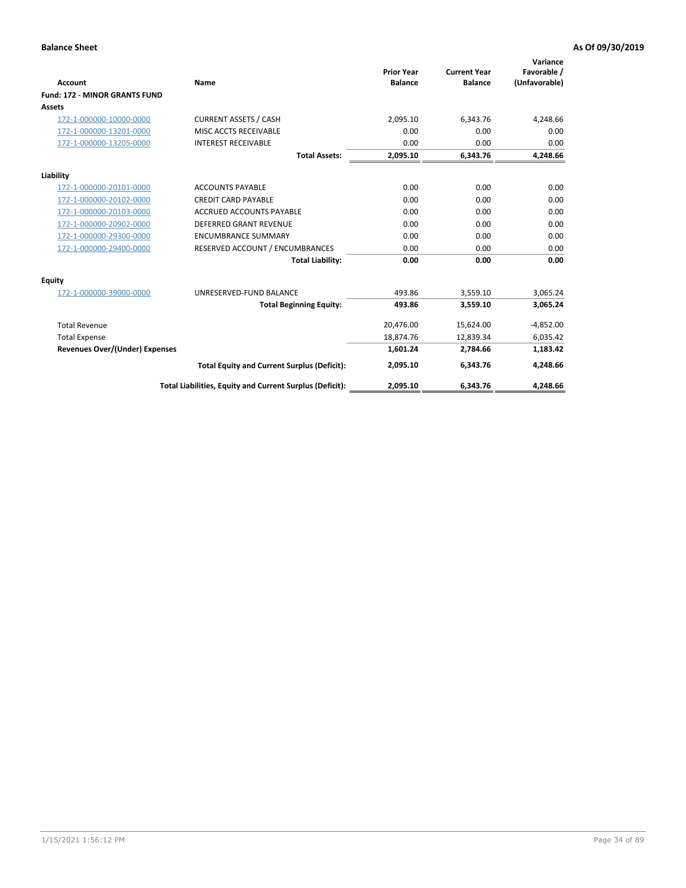|                                       |                                                          |                                     |                                       | Variance                     |
|---------------------------------------|----------------------------------------------------------|-------------------------------------|---------------------------------------|------------------------------|
| <b>Account</b>                        | Name                                                     | <b>Prior Year</b><br><b>Balance</b> | <b>Current Year</b><br><b>Balance</b> | Favorable /<br>(Unfavorable) |
| <b>Fund: 172 - MINOR GRANTS FUND</b>  |                                                          |                                     |                                       |                              |
| <b>Assets</b>                         |                                                          |                                     |                                       |                              |
| 172-1-000000-10000-0000               | <b>CURRENT ASSETS / CASH</b>                             | 2,095.10                            | 6,343.76                              | 4,248.66                     |
| 172-1-000000-13201-0000               | MISC ACCTS RECEIVABLE                                    | 0.00                                | 0.00                                  | 0.00                         |
| 172-1-000000-13205-0000               | <b>INTEREST RECEIVABLE</b>                               | 0.00                                | 0.00                                  | 0.00                         |
|                                       | <b>Total Assets:</b>                                     | 2,095.10                            | 6,343.76                              | 4,248.66                     |
| Liability                             |                                                          |                                     |                                       |                              |
| 172-1-000000-20101-0000               | <b>ACCOUNTS PAYABLE</b>                                  | 0.00                                | 0.00                                  | 0.00                         |
| 172-1-000000-20102-0000               | <b>CREDIT CARD PAYABLE</b>                               | 0.00                                | 0.00                                  | 0.00                         |
| 172-1-000000-20103-0000               | <b>ACCRUED ACCOUNTS PAYABLE</b>                          | 0.00                                | 0.00                                  | 0.00                         |
| 172-1-000000-20902-0000               | <b>DEFERRED GRANT REVENUE</b>                            | 0.00                                | 0.00                                  | 0.00                         |
| 172-1-000000-29300-0000               | <b>ENCUMBRANCE SUMMARY</b>                               | 0.00                                | 0.00                                  | 0.00                         |
| 172-1-000000-29400-0000               | RESERVED ACCOUNT / ENCUMBRANCES                          | 0.00                                | 0.00                                  | 0.00                         |
|                                       | <b>Total Liability:</b>                                  | 0.00                                | 0.00                                  | 0.00                         |
| Equity                                |                                                          |                                     |                                       |                              |
| 172-1-000000-39000-0000               | UNRESERVED-FUND BALANCE                                  | 493.86                              | 3,559.10                              | 3,065.24                     |
|                                       | <b>Total Beginning Equity:</b>                           | 493.86                              | 3,559.10                              | 3,065.24                     |
| <b>Total Revenue</b>                  |                                                          | 20,476.00                           | 15,624.00                             | $-4,852.00$                  |
| <b>Total Expense</b>                  |                                                          | 18,874.76                           | 12,839.34                             | 6,035.42                     |
| <b>Revenues Over/(Under) Expenses</b> |                                                          | 1,601.24                            | 2,784.66                              | 1,183.42                     |
|                                       | <b>Total Equity and Current Surplus (Deficit):</b>       | 2,095.10                            | 6.343.76                              | 4.248.66                     |
|                                       | Total Liabilities, Equity and Current Surplus (Deficit): | 2,095.10                            | 6,343.76                              | 4,248.66                     |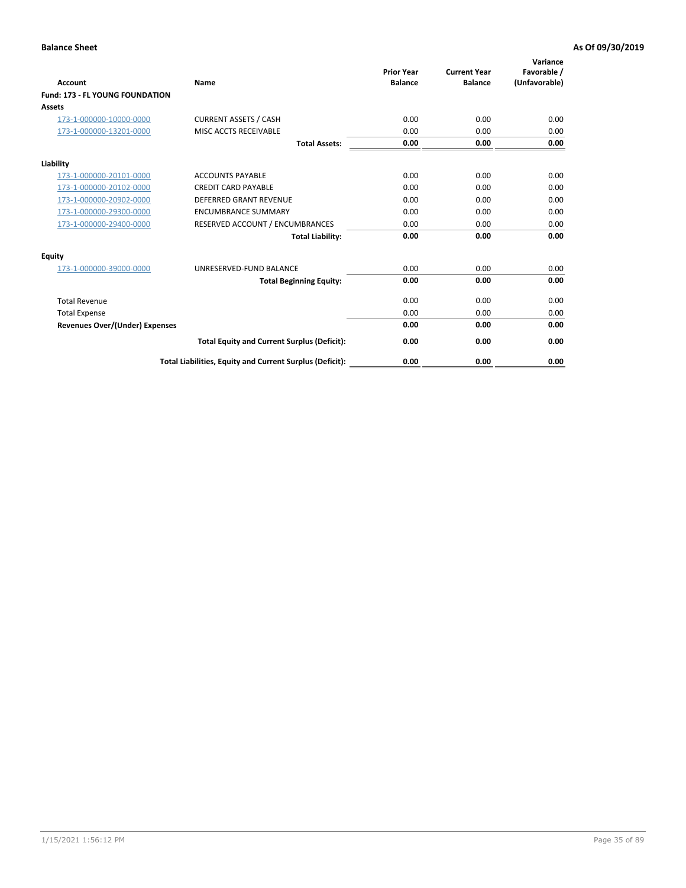| <b>Account</b>                         | <b>Name</b>                                              | <b>Prior Year</b><br><b>Balance</b> | <b>Current Year</b><br><b>Balance</b> | Variance<br>Favorable /<br>(Unfavorable) |
|----------------------------------------|----------------------------------------------------------|-------------------------------------|---------------------------------------|------------------------------------------|
| <b>Fund: 173 - FL YOUNG FOUNDATION</b> |                                                          |                                     |                                       |                                          |
| Assets                                 |                                                          |                                     |                                       |                                          |
| 173-1-000000-10000-0000                | <b>CURRENT ASSETS / CASH</b>                             | 0.00                                | 0.00                                  | 0.00                                     |
| 173-1-000000-13201-0000                | MISC ACCTS RECEIVABLE                                    | 0.00                                | 0.00                                  | 0.00                                     |
|                                        | <b>Total Assets:</b>                                     | 0.00                                | 0.00                                  | 0.00                                     |
| Liability                              |                                                          |                                     |                                       |                                          |
| 173-1-000000-20101-0000                | <b>ACCOUNTS PAYABLE</b>                                  | 0.00                                | 0.00                                  | 0.00                                     |
| 173-1-000000-20102-0000                | <b>CREDIT CARD PAYABLE</b>                               | 0.00                                | 0.00                                  | 0.00                                     |
| 173-1-000000-20902-0000                | <b>DEFERRED GRANT REVENUE</b>                            | 0.00                                | 0.00                                  | 0.00                                     |
| 173-1-000000-29300-0000                | <b>ENCUMBRANCE SUMMARY</b>                               | 0.00                                | 0.00                                  | 0.00                                     |
| 173-1-000000-29400-0000                | RESERVED ACCOUNT / ENCUMBRANCES                          | 0.00                                | 0.00                                  | 0.00                                     |
|                                        | <b>Total Liability:</b>                                  | 0.00                                | 0.00                                  | 0.00                                     |
| Equity                                 |                                                          |                                     |                                       |                                          |
| 173-1-000000-39000-0000                | UNRESERVED-FUND BALANCE                                  | 0.00                                | 0.00                                  | 0.00                                     |
|                                        | <b>Total Beginning Equity:</b>                           | 0.00                                | 0.00                                  | 0.00                                     |
| <b>Total Revenue</b>                   |                                                          | 0.00                                | 0.00                                  | 0.00                                     |
| <b>Total Expense</b>                   |                                                          | 0.00                                | 0.00                                  | 0.00                                     |
| <b>Revenues Over/(Under) Expenses</b>  |                                                          | 0.00                                | 0.00                                  | 0.00                                     |
|                                        | <b>Total Equity and Current Surplus (Deficit):</b>       | 0.00                                | 0.00                                  | 0.00                                     |
|                                        | Total Liabilities, Equity and Current Surplus (Deficit): | 0.00                                | 0.00                                  | 0.00                                     |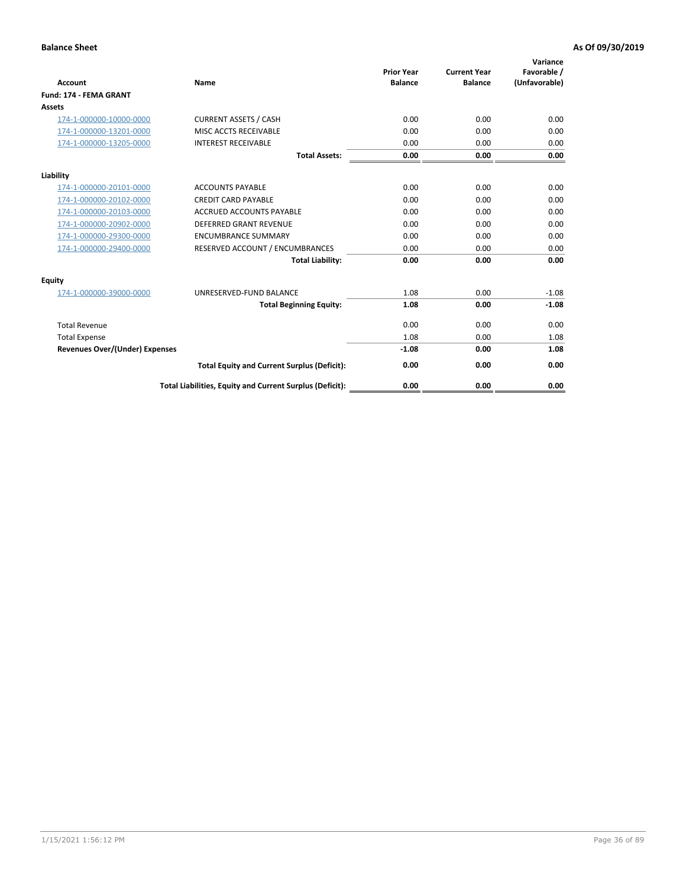| <b>Account</b>                        | Name                                                     | <b>Prior Year</b><br><b>Balance</b> | <b>Current Year</b><br><b>Balance</b> | Variance<br>Favorable /<br>(Unfavorable) |
|---------------------------------------|----------------------------------------------------------|-------------------------------------|---------------------------------------|------------------------------------------|
| <b>Fund: 174 - FEMA GRANT</b>         |                                                          |                                     |                                       |                                          |
| Assets                                |                                                          |                                     |                                       |                                          |
| 174-1-000000-10000-0000               | <b>CURRENT ASSETS / CASH</b>                             | 0.00                                | 0.00                                  | 0.00                                     |
| 174-1-000000-13201-0000               | MISC ACCTS RECEIVABLE                                    | 0.00                                | 0.00                                  | 0.00                                     |
| 174-1-000000-13205-0000               | <b>INTEREST RECEIVABLE</b>                               | 0.00                                | 0.00                                  | 0.00                                     |
|                                       | <b>Total Assets:</b>                                     | 0.00                                | 0.00                                  | 0.00                                     |
| Liability                             |                                                          |                                     |                                       |                                          |
| 174-1-000000-20101-0000               | <b>ACCOUNTS PAYABLE</b>                                  | 0.00                                | 0.00                                  | 0.00                                     |
| 174-1-000000-20102-0000               | <b>CREDIT CARD PAYABLE</b>                               | 0.00                                | 0.00                                  | 0.00                                     |
| 174-1-000000-20103-0000               | <b>ACCRUED ACCOUNTS PAYABLE</b>                          | 0.00                                | 0.00                                  | 0.00                                     |
| 174-1-000000-20902-0000               | <b>DEFERRED GRANT REVENUE</b>                            | 0.00                                | 0.00                                  | 0.00                                     |
| 174-1-000000-29300-0000               | <b>ENCUMBRANCE SUMMARY</b>                               | 0.00                                | 0.00                                  | 0.00                                     |
| 174-1-000000-29400-0000               | RESERVED ACCOUNT / ENCUMBRANCES                          | 0.00                                | 0.00                                  | 0.00                                     |
|                                       | <b>Total Liability:</b>                                  | 0.00                                | 0.00                                  | 0.00                                     |
| <b>Equity</b>                         |                                                          |                                     |                                       |                                          |
| 174-1-000000-39000-0000               | UNRESERVED-FUND BALANCE                                  | 1.08                                | 0.00                                  | $-1.08$                                  |
|                                       | <b>Total Beginning Equity:</b>                           | 1.08                                | 0.00                                  | $-1.08$                                  |
| <b>Total Revenue</b>                  |                                                          | 0.00                                | 0.00                                  | 0.00                                     |
| <b>Total Expense</b>                  |                                                          | 1.08                                | 0.00                                  | 1.08                                     |
| <b>Revenues Over/(Under) Expenses</b> |                                                          | $-1.08$                             | 0.00                                  | 1.08                                     |
|                                       | <b>Total Equity and Current Surplus (Deficit):</b>       | 0.00                                | 0.00                                  | 0.00                                     |
|                                       | Total Liabilities, Equity and Current Surplus (Deficit): | 0.00                                | 0.00                                  | 0.00                                     |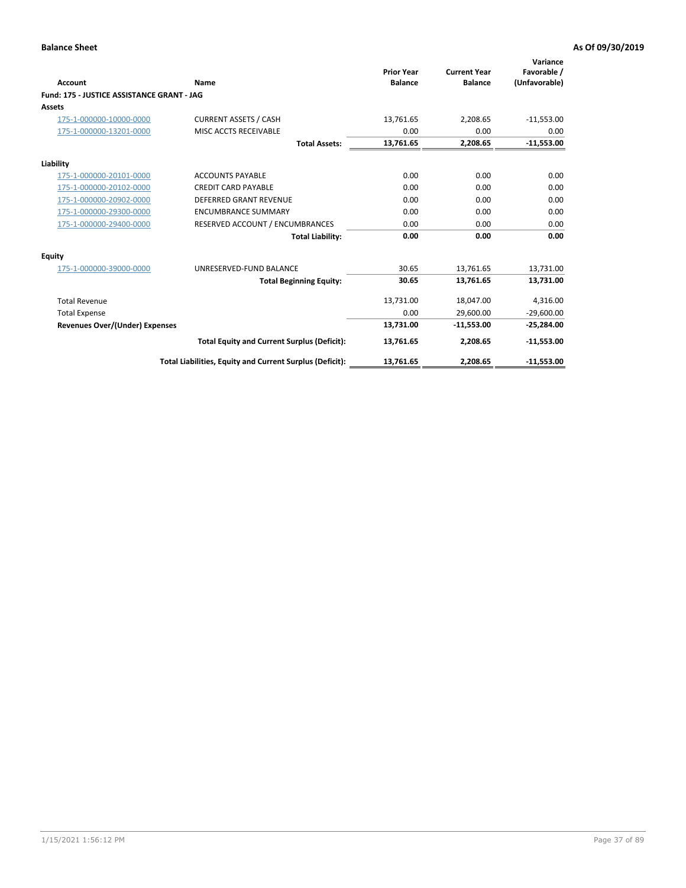| <b>Account</b>                             | Name                                                     | <b>Prior Year</b><br><b>Balance</b> | <b>Current Year</b><br><b>Balance</b> | Variance<br>Favorable /<br>(Unfavorable) |
|--------------------------------------------|----------------------------------------------------------|-------------------------------------|---------------------------------------|------------------------------------------|
| Fund: 175 - JUSTICE ASSISTANCE GRANT - JAG |                                                          |                                     |                                       |                                          |
| <b>Assets</b>                              |                                                          |                                     |                                       |                                          |
| 175-1-000000-10000-0000                    | <b>CURRENT ASSETS / CASH</b>                             | 13,761.65                           | 2,208.65                              | $-11,553.00$                             |
| 175-1-000000-13201-0000                    | MISC ACCTS RECEIVABLE                                    | 0.00                                | 0.00                                  | 0.00                                     |
|                                            | <b>Total Assets:</b>                                     | 13,761.65                           | 2,208.65                              | $-11,553.00$                             |
| Liability                                  |                                                          |                                     |                                       |                                          |
| 175-1-000000-20101-0000                    | <b>ACCOUNTS PAYABLE</b>                                  | 0.00                                | 0.00                                  | 0.00                                     |
| 175-1-000000-20102-0000                    | <b>CREDIT CARD PAYABLE</b>                               | 0.00                                | 0.00                                  | 0.00                                     |
| 175-1-000000-20902-0000                    | <b>DEFERRED GRANT REVENUE</b>                            | 0.00                                | 0.00                                  | 0.00                                     |
| 175-1-000000-29300-0000                    | <b>ENCUMBRANCE SUMMARY</b>                               | 0.00                                | 0.00                                  | 0.00                                     |
| 175-1-000000-29400-0000                    | RESERVED ACCOUNT / ENCUMBRANCES                          | 0.00                                | 0.00                                  | 0.00                                     |
|                                            | <b>Total Liability:</b>                                  | 0.00                                | 0.00                                  | 0.00                                     |
| Equity                                     |                                                          |                                     |                                       |                                          |
| 175-1-000000-39000-0000                    | UNRESERVED-FUND BALANCE                                  | 30.65                               | 13,761.65                             | 13,731.00                                |
|                                            | <b>Total Beginning Equity:</b>                           | 30.65                               | 13,761.65                             | 13,731.00                                |
| <b>Total Revenue</b>                       |                                                          | 13,731.00                           | 18,047.00                             | 4,316.00                                 |
| <b>Total Expense</b>                       |                                                          | 0.00                                | 29,600.00                             | $-29,600.00$                             |
| <b>Revenues Over/(Under) Expenses</b>      |                                                          | 13,731.00                           | $-11,553.00$                          | $-25,284.00$                             |
|                                            | <b>Total Equity and Current Surplus (Deficit):</b>       | 13,761.65                           | 2,208.65                              | $-11,553.00$                             |
|                                            | Total Liabilities, Equity and Current Surplus (Deficit): | 13,761.65                           | 2,208.65                              | $-11,553.00$                             |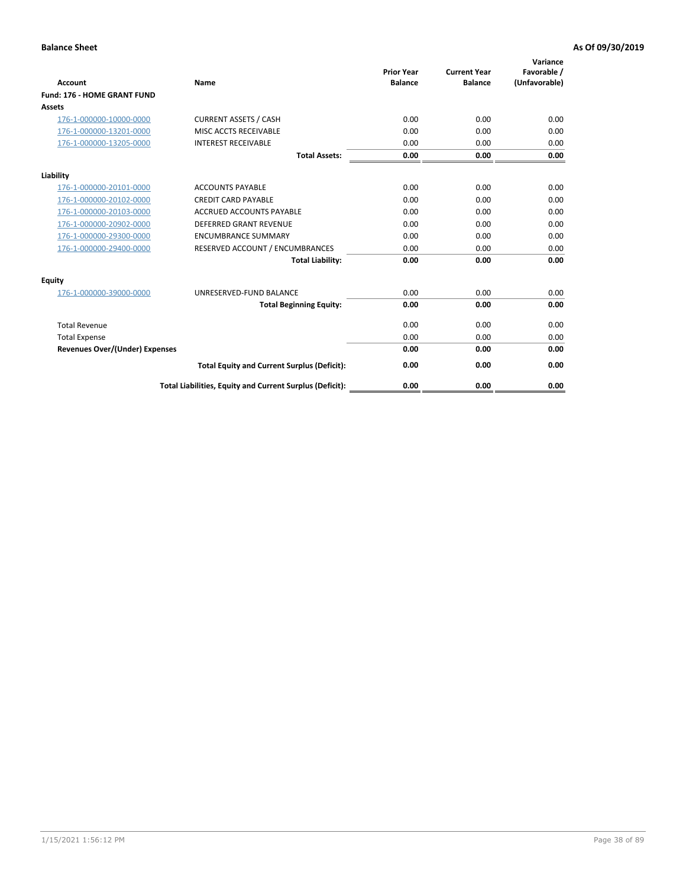| <b>Account</b>                        | Name                                                     | <b>Prior Year</b><br><b>Balance</b> | <b>Current Year</b><br><b>Balance</b> | Variance<br>Favorable /<br>(Unfavorable) |
|---------------------------------------|----------------------------------------------------------|-------------------------------------|---------------------------------------|------------------------------------------|
| Fund: 176 - HOME GRANT FUND           |                                                          |                                     |                                       |                                          |
| Assets                                |                                                          |                                     |                                       |                                          |
| 176-1-000000-10000-0000               | <b>CURRENT ASSETS / CASH</b>                             | 0.00                                | 0.00                                  | 0.00                                     |
| 176-1-000000-13201-0000               | MISC ACCTS RECEIVABLE                                    | 0.00                                | 0.00                                  | 0.00                                     |
| 176-1-000000-13205-0000               | <b>INTEREST RECEIVABLE</b>                               | 0.00                                | 0.00                                  | 0.00                                     |
|                                       | <b>Total Assets:</b>                                     | 0.00                                | 0.00                                  | 0.00                                     |
| Liability                             |                                                          |                                     |                                       |                                          |
| 176-1-000000-20101-0000               | <b>ACCOUNTS PAYABLE</b>                                  | 0.00                                | 0.00                                  | 0.00                                     |
| 176-1-000000-20102-0000               | <b>CREDIT CARD PAYABLE</b>                               | 0.00                                | 0.00                                  | 0.00                                     |
| 176-1-000000-20103-0000               | <b>ACCRUED ACCOUNTS PAYABLE</b>                          | 0.00                                | 0.00                                  | 0.00                                     |
| 176-1-000000-20902-0000               | <b>DEFERRED GRANT REVENUE</b>                            | 0.00                                | 0.00                                  | 0.00                                     |
| 176-1-000000-29300-0000               | <b>ENCUMBRANCE SUMMARY</b>                               | 0.00                                | 0.00                                  | 0.00                                     |
| 176-1-000000-29400-0000               | RESERVED ACCOUNT / ENCUMBRANCES                          | 0.00                                | 0.00                                  | 0.00                                     |
|                                       | <b>Total Liability:</b>                                  | 0.00                                | 0.00                                  | 0.00                                     |
| <b>Equity</b>                         |                                                          |                                     |                                       |                                          |
| 176-1-000000-39000-0000               | UNRESERVED-FUND BALANCE                                  | 0.00                                | 0.00                                  | 0.00                                     |
|                                       | <b>Total Beginning Equity:</b>                           | 0.00                                | 0.00                                  | 0.00                                     |
| <b>Total Revenue</b>                  |                                                          | 0.00                                | 0.00                                  | 0.00                                     |
| <b>Total Expense</b>                  |                                                          | 0.00                                | 0.00                                  | 0.00                                     |
| <b>Revenues Over/(Under) Expenses</b> |                                                          | 0.00                                | 0.00                                  | 0.00                                     |
|                                       | <b>Total Equity and Current Surplus (Deficit):</b>       | 0.00                                | 0.00                                  | 0.00                                     |
|                                       | Total Liabilities, Equity and Current Surplus (Deficit): | 0.00                                | 0.00                                  | 0.00                                     |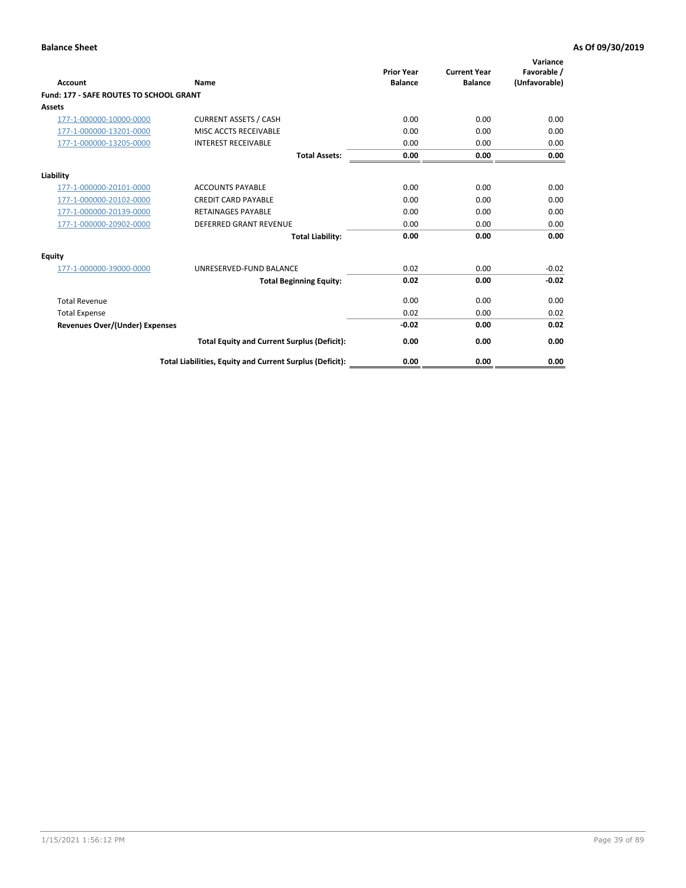| Account                                        | Name                                                     | <b>Prior Year</b><br><b>Balance</b> | <b>Current Year</b><br><b>Balance</b> | Variance<br>Favorable /<br>(Unfavorable) |
|------------------------------------------------|----------------------------------------------------------|-------------------------------------|---------------------------------------|------------------------------------------|
| <b>Fund: 177 - SAFE ROUTES TO SCHOOL GRANT</b> |                                                          |                                     |                                       |                                          |
| <b>Assets</b>                                  |                                                          |                                     |                                       |                                          |
| 177-1-000000-10000-0000                        | <b>CURRENT ASSETS / CASH</b>                             | 0.00                                | 0.00                                  | 0.00                                     |
| 177-1-000000-13201-0000                        | MISC ACCTS RECEIVABLE                                    | 0.00                                | 0.00                                  | 0.00                                     |
| 177-1-000000-13205-0000                        | <b>INTEREST RECEIVABLE</b>                               | 0.00                                | 0.00                                  | 0.00                                     |
|                                                | <b>Total Assets:</b>                                     | 0.00                                | 0.00                                  | 0.00                                     |
| Liability                                      |                                                          |                                     |                                       |                                          |
| 177-1-000000-20101-0000                        | <b>ACCOUNTS PAYABLE</b>                                  | 0.00                                | 0.00                                  | 0.00                                     |
| 177-1-000000-20102-0000                        | <b>CREDIT CARD PAYABLE</b>                               | 0.00                                | 0.00                                  | 0.00                                     |
| 177-1-000000-20139-0000                        | <b>RETAINAGES PAYABLE</b>                                | 0.00                                | 0.00                                  | 0.00                                     |
| 177-1-000000-20902-0000                        | <b>DEFERRED GRANT REVENUE</b>                            | 0.00                                | 0.00                                  | 0.00                                     |
|                                                | <b>Total Liability:</b>                                  | 0.00                                | 0.00                                  | 0.00                                     |
| Equity                                         |                                                          |                                     |                                       |                                          |
| 177-1-000000-39000-0000                        | UNRESERVED-FUND BALANCE                                  | 0.02                                | 0.00                                  | $-0.02$                                  |
|                                                | <b>Total Beginning Equity:</b>                           | 0.02                                | 0.00                                  | $-0.02$                                  |
| <b>Total Revenue</b>                           |                                                          | 0.00                                | 0.00                                  | 0.00                                     |
| <b>Total Expense</b>                           |                                                          | 0.02                                | 0.00                                  | 0.02                                     |
| <b>Revenues Over/(Under) Expenses</b>          |                                                          | $-0.02$                             | 0.00                                  | 0.02                                     |
|                                                | <b>Total Equity and Current Surplus (Deficit):</b>       | 0.00                                | 0.00                                  | 0.00                                     |
|                                                | Total Liabilities, Equity and Current Surplus (Deficit): | 0.00                                | 0.00                                  | 0.00                                     |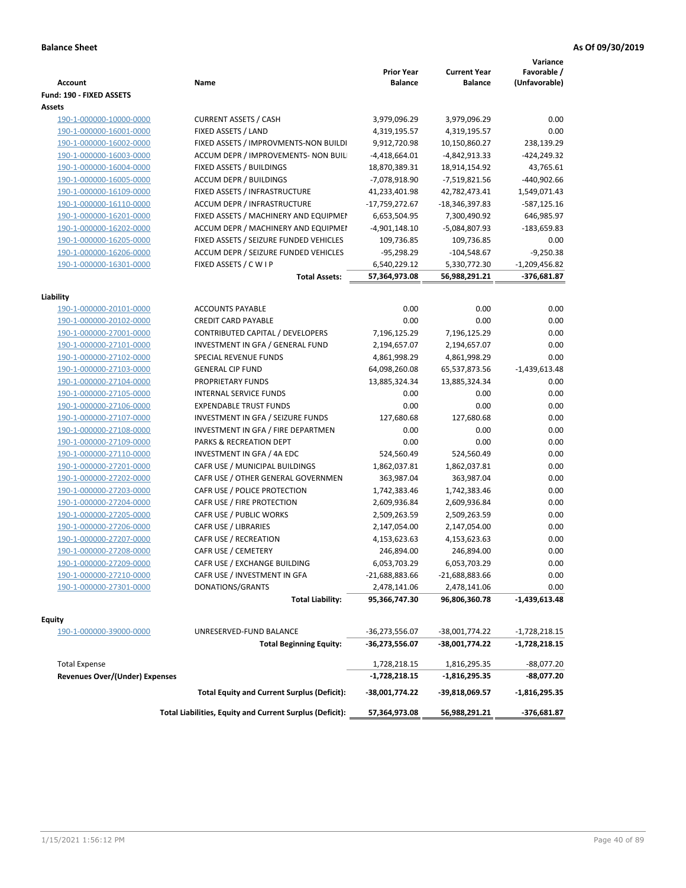| <b>Account</b>                     | Name                                                     | <b>Prior Year</b><br><b>Balance</b> | <b>Current Year</b><br><b>Balance</b> | Variance<br>Favorable /<br>(Unfavorable) |
|------------------------------------|----------------------------------------------------------|-------------------------------------|---------------------------------------|------------------------------------------|
| Fund: 190 - FIXED ASSETS<br>Assets |                                                          |                                     |                                       |                                          |
| 190-1-000000-10000-0000            | <b>CURRENT ASSETS / CASH</b>                             | 3,979,096.29                        | 3,979,096.29                          | 0.00                                     |
| 190-1-000000-16001-0000            | FIXED ASSETS / LAND                                      | 4,319,195.57                        | 4,319,195.57                          | 0.00                                     |
| 190-1-000000-16002-0000            | FIXED ASSETS / IMPROVMENTS-NON BUILDI                    | 9,912,720.98                        | 10,150,860.27                         | 238,139.29                               |
| 190-1-000000-16003-0000            | ACCUM DEPR / IMPROVEMENTS- NON BUIL                      | $-4,418,664.01$                     | -4,842,913.33                         | $-424,249.32$                            |
| 190-1-000000-16004-0000            | FIXED ASSETS / BUILDINGS                                 | 18,870,389.31                       | 18,914,154.92                         | 43,765.61                                |
| 190-1-000000-16005-0000            | <b>ACCUM DEPR / BUILDINGS</b>                            | -7,078,918.90                       | -7,519,821.56                         | -440,902.66                              |
| 190-1-000000-16109-0000            | FIXED ASSETS / INFRASTRUCTURE                            | 41,233,401.98                       | 42,782,473.41                         | 1,549,071.43                             |
| 190-1-000000-16110-0000            | ACCUM DEPR / INFRASTRUCTURE                              | -17,759,272.67                      | -18,346,397.83                        | -587,125.16                              |
| 190-1-000000-16201-0000            | FIXED ASSETS / MACHINERY AND EQUIPMEN                    | 6,653,504.95                        | 7,300,490.92                          | 646,985.97                               |
| 190-1-000000-16202-0000            | ACCUM DEPR / MACHINERY AND EQUIPMEI                      | $-4,901,148.10$                     | -5,084,807.93                         | -183,659.83                              |
| 190-1-000000-16205-0000            | FIXED ASSETS / SEIZURE FUNDED VEHICLES                   | 109,736.85                          | 109,736.85                            | 0.00                                     |
| 190-1-000000-16206-0000            | ACCUM DEPR / SEIZURE FUNDED VEHICLES                     | $-95,298.29$                        | $-104,548.67$                         | $-9,250.38$                              |
| 190-1-000000-16301-0000            | FIXED ASSETS / C W I P                                   | 6,540,229.12                        | 5,330,772.30                          | $-1,209,456.82$                          |
|                                    | <b>Total Assets:</b>                                     | 57,364,973.08                       | 56,988,291.21                         | -376,681.87                              |
|                                    |                                                          |                                     |                                       |                                          |
| Liability                          |                                                          |                                     |                                       |                                          |
| 190-1-000000-20101-0000            | <b>ACCOUNTS PAYABLE</b>                                  | 0.00                                | 0.00                                  | 0.00                                     |
| 190-1-000000-20102-0000            | <b>CREDIT CARD PAYABLE</b>                               | 0.00                                | 0.00                                  | 0.00                                     |
| 190-1-000000-27001-0000            | CONTRIBUTED CAPITAL / DEVELOPERS                         | 7,196,125.29                        | 7,196,125.29                          | 0.00                                     |
| 190-1-000000-27101-0000            | INVESTMENT IN GFA / GENERAL FUND                         | 2,194,657.07                        | 2,194,657.07                          | 0.00                                     |
| 190-1-000000-27102-0000            | SPECIAL REVENUE FUNDS                                    | 4,861,998.29                        | 4,861,998.29                          | 0.00                                     |
| 190-1-000000-27103-0000            | <b>GENERAL CIP FUND</b>                                  | 64,098,260.08                       | 65,537,873.56                         | $-1,439,613.48$                          |
| 190-1-000000-27104-0000            | PROPRIETARY FUNDS                                        | 13,885,324.34                       | 13,885,324.34                         | 0.00                                     |
| 190-1-000000-27105-0000            | <b>INTERNAL SERVICE FUNDS</b>                            | 0.00                                | 0.00                                  | 0.00                                     |
| 190-1-000000-27106-0000            | <b>EXPENDABLE TRUST FUNDS</b>                            | 0.00                                | 0.00                                  | 0.00                                     |
| 190-1-000000-27107-0000            | INVESTMENT IN GFA / SEIZURE FUNDS                        | 127,680.68                          | 127,680.68                            | 0.00                                     |
| 190-1-000000-27108-0000            | INVESTMENT IN GFA / FIRE DEPARTMEN                       | 0.00                                | 0.00                                  | 0.00                                     |
| 190-1-000000-27109-0000            | PARKS & RECREATION DEPT                                  | 0.00                                | 0.00                                  | 0.00                                     |
| 190-1-000000-27110-0000            | INVESTMENT IN GFA / 4A EDC                               | 524,560.49                          | 524,560.49                            | 0.00                                     |
| 190-1-000000-27201-0000            | CAFR USE / MUNICIPAL BUILDINGS                           | 1,862,037.81                        | 1,862,037.81                          | 0.00                                     |
| 190-1-000000-27202-0000            | CAFR USE / OTHER GENERAL GOVERNMEN                       | 363,987.04                          | 363,987.04                            | 0.00                                     |
| 190-1-000000-27203-0000            | CAFR USE / POLICE PROTECTION                             | 1,742,383.46                        | 1,742,383.46                          | 0.00                                     |
| 190-1-000000-27204-0000            | CAFR USE / FIRE PROTECTION                               | 2,609,936.84                        | 2,609,936.84                          | 0.00                                     |
| 190-1-000000-27205-0000            | CAFR USE / PUBLIC WORKS                                  | 2,509,263.59                        | 2,509,263.59                          | 0.00                                     |
| 190-1-000000-27206-0000            | CAFR USE / LIBRARIES                                     | 2,147,054.00                        | 2,147,054.00                          | 0.00                                     |
| 190-1-000000-27207-0000            | CAFR USE / RECREATION                                    | 4,153,623.63                        | 4,153,623.63                          | 0.00                                     |
| 190-1-000000-27208-0000            | CAFR USE / CEMETERY                                      | 246,894.00                          | 246,894.00                            | 0.00                                     |
| 190-1-000000-27209-0000            | CAFR USE / EXCHANGE BUILDING                             | 6,053,703.29                        | 6,053,703.29                          | 0.00                                     |
| 190-1-000000-27210-0000            | CAFR USE / INVESTMENT IN GFA                             | -21,688,883.66                      | $-21,688,883.66$                      | 0.00                                     |
| 190-1-000000-27301-0000            | DONATIONS/GRANTS                                         | 2,478,141.06                        | 2,478,141.06                          | 0.00                                     |
|                                    | <b>Total Liability:</b>                                  | 95,366,747.30                       | 96,806,360.78                         | -1,439,613.48                            |
| <b>Equity</b>                      |                                                          |                                     |                                       |                                          |
| 190-1-000000-39000-0000            | UNRESERVED-FUND BALANCE                                  | -36,273,556.07                      | -38,001,774.22                        | $-1,728,218.15$                          |
|                                    | <b>Total Beginning Equity:</b>                           | -36,273,556.07                      | -38,001,774.22                        | -1,728,218.15                            |
|                                    |                                                          |                                     |                                       |                                          |
| <b>Total Expense</b>               |                                                          | 1,728,218.15                        | 1,816,295.35                          | $-88,077.20$                             |
| Revenues Over/(Under) Expenses     | <b>Total Equity and Current Surplus (Deficit):</b>       | $-1,728,218.15$<br>-38,001,774.22   | -1,816,295.35<br>-39,818,069.57       | -88,077.20<br>$-1,816,295.35$            |
|                                    |                                                          |                                     |                                       |                                          |
|                                    | Total Liabilities, Equity and Current Surplus (Deficit): | 57,364,973.08                       | 56,988,291.21                         | -376,681.87                              |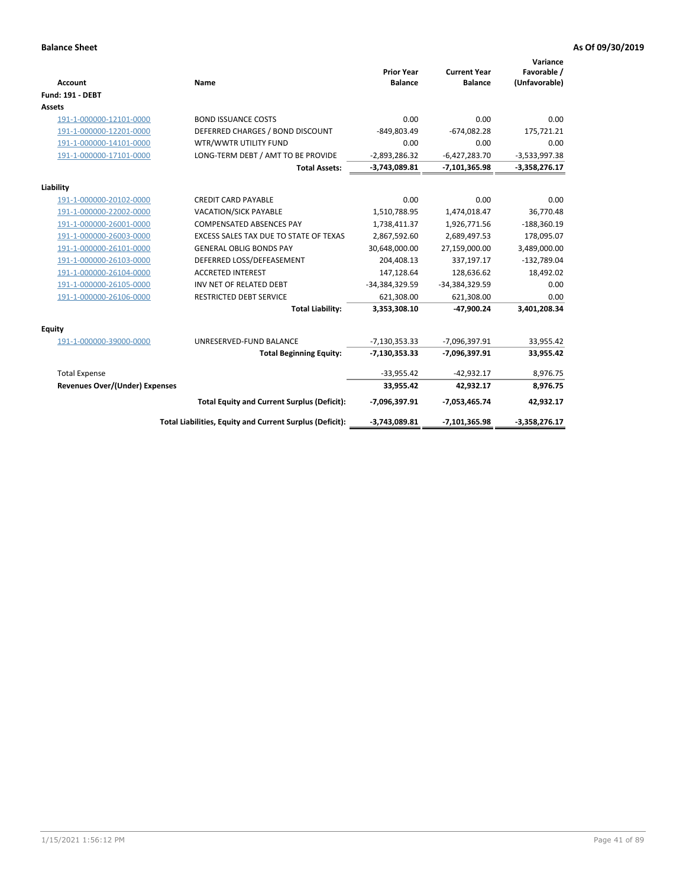| <b>Account</b>                 | Name                                                     | <b>Prior Year</b><br><b>Balance</b> | <b>Current Year</b><br><b>Balance</b> | Variance<br>Favorable /<br>(Unfavorable) |
|--------------------------------|----------------------------------------------------------|-------------------------------------|---------------------------------------|------------------------------------------|
| <b>Fund: 191 - DEBT</b>        |                                                          |                                     |                                       |                                          |
| <b>Assets</b>                  |                                                          |                                     |                                       |                                          |
| 191-1-000000-12101-0000        | <b>BOND ISSUANCE COSTS</b>                               | 0.00                                | 0.00                                  | 0.00                                     |
| 191-1-000000-12201-0000        | DEFERRED CHARGES / BOND DISCOUNT                         | -849,803.49                         | $-674,082.28$                         | 175,721.21                               |
| 191-1-000000-14101-0000        | WTR/WWTR UTILITY FUND                                    | 0.00                                | 0.00                                  | 0.00                                     |
| 191-1-000000-17101-0000        | LONG-TERM DEBT / AMT TO BE PROVIDE                       | $-2,893,286.32$                     | $-6,427,283.70$                       | $-3,533,997.38$                          |
|                                | <b>Total Assets:</b>                                     | $-3,743,089.81$                     | $-7,101,365.98$                       | $-3,358,276.17$                          |
| Liability                      |                                                          |                                     |                                       |                                          |
| 191-1-000000-20102-0000        | <b>CREDIT CARD PAYABLE</b>                               | 0.00                                | 0.00                                  | 0.00                                     |
| 191-1-000000-22002-0000        | VACATION/SICK PAYABLE                                    | 1,510,788.95                        | 1,474,018.47                          | 36,770.48                                |
| 191-1-000000-26001-0000        | <b>COMPENSATED ABSENCES PAY</b>                          | 1,738,411.37                        | 1,926,771.56                          | $-188,360.19$                            |
| 191-1-000000-26003-0000        | EXCESS SALES TAX DUE TO STATE OF TEXAS                   | 2,867,592.60                        | 2,689,497.53                          | 178,095.07                               |
| 191-1-000000-26101-0000        | <b>GENERAL OBLIG BONDS PAY</b>                           | 30,648,000.00                       | 27,159,000.00                         | 3,489,000.00                             |
| 191-1-000000-26103-0000        | DEFERRED LOSS/DEFEASEMENT                                | 204,408.13                          | 337,197.17                            | $-132,789.04$                            |
| 191-1-000000-26104-0000        | <b>ACCRETED INTEREST</b>                                 | 147,128.64                          | 128,636.62                            | 18,492.02                                |
| 191-1-000000-26105-0000        | INV NET OF RELATED DEBT                                  | -34,384,329.59                      | -34,384,329.59                        | 0.00                                     |
| 191-1-000000-26106-0000        | <b>RESTRICTED DEBT SERVICE</b>                           | 621,308.00                          | 621,308.00                            | 0.00                                     |
|                                | <b>Total Liability:</b>                                  | 3,353,308.10                        | -47,900.24                            | 3,401,208.34                             |
| Equity                         |                                                          |                                     |                                       |                                          |
| 191-1-000000-39000-0000        | UNRESERVED-FUND BALANCE                                  | $-7,130,353.33$                     | -7,096,397.91                         | 33,955.42                                |
|                                | <b>Total Beginning Equity:</b>                           | $-7,130,353.33$                     | -7,096,397.91                         | 33,955.42                                |
| <b>Total Expense</b>           |                                                          | $-33,955.42$                        | $-42,932.17$                          | 8,976.75                                 |
| Revenues Over/(Under) Expenses |                                                          | 33,955.42                           | 42,932.17                             | 8,976.75                                 |
|                                | <b>Total Equity and Current Surplus (Deficit):</b>       | -7,096,397.91                       | $-7,053,465.74$                       | 42,932.17                                |
|                                | Total Liabilities, Equity and Current Surplus (Deficit): | $-3,743,089.81$                     | $-7,101,365.98$                       | $-3,358,276.17$                          |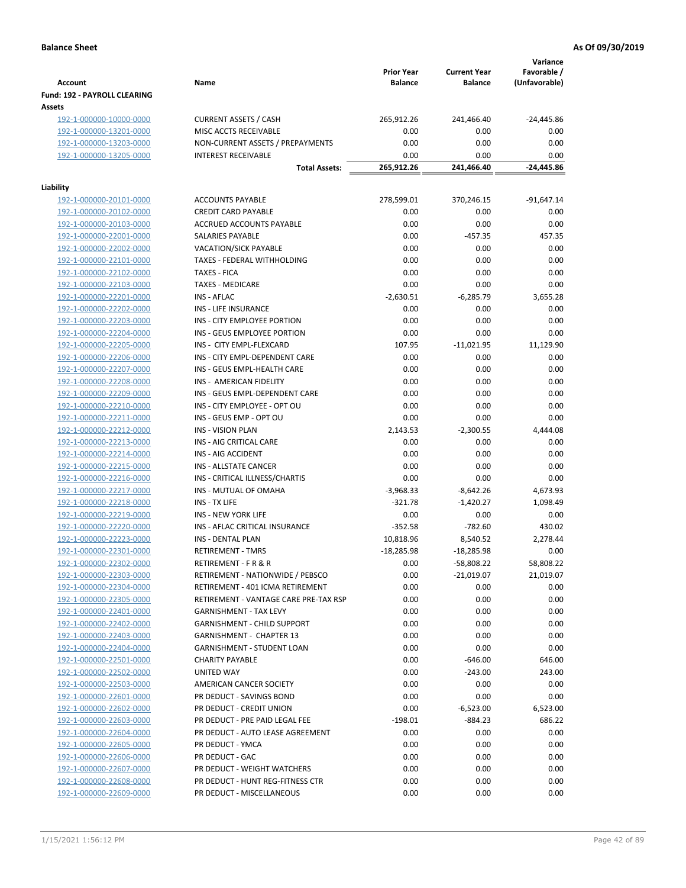| <b>Account</b>                                | Name                                  | <b>Prior Year</b><br><b>Balance</b> | <b>Current Year</b><br><b>Balance</b> | Variance<br>Favorable /<br>(Unfavorable) |
|-----------------------------------------------|---------------------------------------|-------------------------------------|---------------------------------------|------------------------------------------|
| <b>Fund: 192 - PAYROLL CLEARING</b><br>Assets |                                       |                                     |                                       |                                          |
| 192-1-000000-10000-0000                       | <b>CURRENT ASSETS / CASH</b>          | 265,912.26                          | 241,466.40                            | $-24,445.86$                             |
| 192-1-000000-13201-0000                       | MISC ACCTS RECEIVABLE                 | 0.00                                | 0.00                                  | 0.00                                     |
| 192-1-000000-13203-0000                       | NON-CURRENT ASSETS / PREPAYMENTS      | 0.00                                | 0.00                                  | 0.00                                     |
| 192-1-000000-13205-0000                       | <b>INTEREST RECEIVABLE</b>            | 0.00                                | 0.00                                  | 0.00                                     |
|                                               | <b>Total Assets:</b>                  | 265,912.26                          | 241,466.40                            | $-24,445.86$                             |
| Liability                                     |                                       |                                     |                                       |                                          |
| 192-1-000000-20101-0000                       | <b>ACCOUNTS PAYABLE</b>               | 278,599.01                          | 370,246.15                            | $-91,647.14$                             |
| 192-1-000000-20102-0000                       | <b>CREDIT CARD PAYABLE</b>            | 0.00                                | 0.00                                  | 0.00                                     |
| 192-1-000000-20103-0000                       | ACCRUED ACCOUNTS PAYABLE              | 0.00                                | 0.00                                  | 0.00                                     |
| 192-1-000000-22001-0000                       | SALARIES PAYABLE                      | 0.00                                | $-457.35$                             | 457.35                                   |
| 192-1-000000-22002-0000                       | <b>VACATION/SICK PAYABLE</b>          | 0.00                                | 0.00                                  | 0.00                                     |
| 192-1-000000-22101-0000                       | TAXES - FEDERAL WITHHOLDING           | 0.00                                | 0.00                                  | 0.00                                     |
| 192-1-000000-22102-0000                       | <b>TAXES - FICA</b>                   | 0.00                                | 0.00                                  | 0.00                                     |
| 192-1-000000-22103-0000                       | <b>TAXES - MEDICARE</b>               | 0.00                                | 0.00                                  | 0.00                                     |
| 192-1-000000-22201-0000                       | <b>INS - AFLAC</b>                    | $-2,630.51$                         | $-6,285.79$                           | 3,655.28                                 |
| 192-1-000000-22202-0000                       | <b>INS - LIFE INSURANCE</b>           | 0.00                                | 0.00                                  | 0.00                                     |
| 192-1-000000-22203-0000                       | INS - CITY EMPLOYEE PORTION           | 0.00                                | 0.00                                  | 0.00                                     |
| 192-1-000000-22204-0000                       | INS - GEUS EMPLOYEE PORTION           | 0.00                                | 0.00                                  | 0.00                                     |
| 192-1-000000-22205-0000                       | INS - CITY EMPL-FLEXCARD              | 107.95                              | $-11,021.95$                          | 11,129.90                                |
| 192-1-000000-22206-0000                       | INS - CITY EMPL-DEPENDENT CARE        | 0.00                                | 0.00                                  | 0.00                                     |
| 192-1-000000-22207-0000                       | INS - GEUS EMPL-HEALTH CARE           | 0.00                                | 0.00                                  | 0.00                                     |
| 192-1-000000-22208-0000                       | INS - AMERICAN FIDELITY               | 0.00                                | 0.00                                  | 0.00                                     |
| 192-1-000000-22209-0000                       | INS - GEUS EMPL-DEPENDENT CARE        | 0.00                                | 0.00                                  | 0.00                                     |
| 192-1-000000-22210-0000                       | INS - CITY EMPLOYEE - OPT OU          | 0.00                                | 0.00                                  | 0.00                                     |
| 192-1-000000-22211-0000                       | INS - GEUS EMP - OPT OU               | 0.00                                | 0.00                                  | 0.00                                     |
| 192-1-000000-22212-0000                       | <b>INS - VISION PLAN</b>              | 2,143.53                            | $-2,300.55$                           | 4,444.08                                 |
| 192-1-000000-22213-0000                       | INS - AIG CRITICAL CARE               | 0.00                                | 0.00                                  | 0.00                                     |
| 192-1-000000-22214-0000                       | INS - AIG ACCIDENT                    | 0.00                                | 0.00                                  | 0.00                                     |
| 192-1-000000-22215-0000                       | INS - ALLSTATE CANCER                 | 0.00                                | 0.00                                  | 0.00                                     |
| 192-1-000000-22216-0000                       | INS - CRITICAL ILLNESS/CHARTIS        | 0.00                                | 0.00                                  | 0.00                                     |
| 192-1-000000-22217-0000                       | INS - MUTUAL OF OMAHA                 | $-3,968.33$                         | $-8,642.26$                           | 4,673.93                                 |
| 192-1-000000-22218-0000                       | INS - TX LIFE                         | $-321.78$                           | $-1,420.27$                           | 1,098.49                                 |
| 192-1-000000-22219-0000                       | <b>INS - NEW YORK LIFE</b>            | 0.00                                | 0.00                                  | 0.00                                     |
| 192-1-000000-22220-0000                       | INS - AFLAC CRITICAL INSURANCE        | $-352.58$                           | $-782.60$                             | 430.02                                   |
| 192-1-000000-22223-0000                       | INS - DENTAL PLAN                     | 10,818.96                           | 8,540.52                              | 2,278.44                                 |
| 192-1-000000-22301-0000                       | <b>RETIREMENT - TMRS</b>              | $-18,285.98$                        | $-18,285.98$                          | 0.00                                     |
| 192-1-000000-22302-0000                       | RETIREMENT - F R & R                  | 0.00                                | -58,808.22                            | 58,808.22                                |
| 192-1-000000-22303-0000                       | RETIREMENT - NATIONWIDE / PEBSCO      | 0.00                                | $-21,019.07$                          | 21,019.07                                |
| 192-1-000000-22304-0000                       | RETIREMENT - 401 ICMA RETIREMENT      | 0.00                                | 0.00                                  | 0.00                                     |
| 192-1-000000-22305-0000                       | RETIREMENT - VANTAGE CARE PRE-TAX RSP | 0.00                                | 0.00                                  | 0.00                                     |
| 192-1-000000-22401-0000                       | <b>GARNISHMENT - TAX LEVY</b>         | 0.00                                | 0.00                                  | 0.00                                     |
| 192-1-000000-22402-0000                       | GARNISHMENT - CHILD SUPPORT           | 0.00                                | 0.00                                  | 0.00                                     |
| 192-1-000000-22403-0000                       | <b>GARNISHMENT - CHAPTER 13</b>       | 0.00                                | 0.00                                  | 0.00                                     |
| 192-1-000000-22404-0000                       | <b>GARNISHMENT - STUDENT LOAN</b>     | 0.00                                | 0.00                                  | 0.00                                     |
| 192-1-000000-22501-0000                       | <b>CHARITY PAYABLE</b>                | 0.00                                | $-646.00$                             | 646.00                                   |
| 192-1-000000-22502-0000                       | UNITED WAY                            | 0.00                                | $-243.00$                             | 243.00                                   |
| 192-1-000000-22503-0000                       | AMERICAN CANCER SOCIETY               | 0.00                                | 0.00                                  | 0.00                                     |
| 192-1-000000-22601-0000                       | PR DEDUCT - SAVINGS BOND              | 0.00                                | 0.00                                  | 0.00                                     |
| 192-1-000000-22602-0000                       | PR DEDUCT - CREDIT UNION              | 0.00                                | $-6,523.00$                           | 6,523.00                                 |
| 192-1-000000-22603-0000                       | PR DEDUCT - PRE PAID LEGAL FEE        | $-198.01$                           | $-884.23$                             | 686.22                                   |
| 192-1-000000-22604-0000                       | PR DEDUCT - AUTO LEASE AGREEMENT      | 0.00                                | 0.00                                  | 0.00                                     |
| 192-1-000000-22605-0000                       | PR DEDUCT - YMCA                      | 0.00                                | 0.00                                  | 0.00                                     |
| 192-1-000000-22606-0000                       | PR DEDUCT - GAC                       | 0.00                                | 0.00                                  | 0.00                                     |
| 192-1-000000-22607-0000                       | PR DEDUCT - WEIGHT WATCHERS           | 0.00                                | 0.00                                  | 0.00                                     |
| 192-1-000000-22608-0000                       | PR DEDUCT - HUNT REG-FITNESS CTR      | 0.00                                | 0.00                                  | 0.00                                     |
| 192-1-000000-22609-0000                       | PR DEDUCT - MISCELLANEOUS             | 0.00                                | 0.00                                  | 0.00                                     |
|                                               |                                       |                                     |                                       |                                          |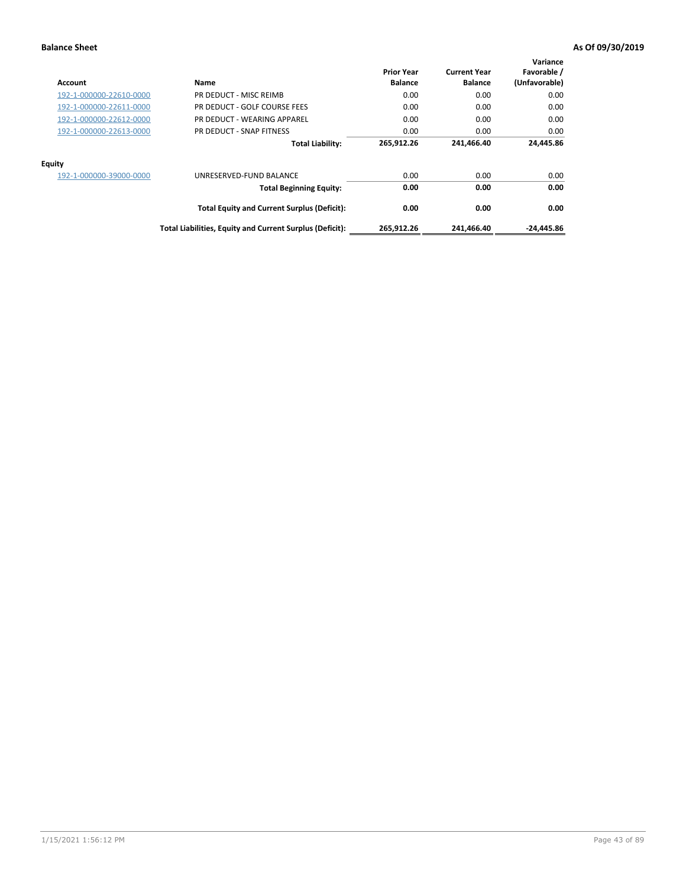| Account                 | Name                                                     | <b>Prior Year</b><br><b>Balance</b> | <b>Current Year</b><br><b>Balance</b> | Variance<br>Favorable /<br>(Unfavorable) |
|-------------------------|----------------------------------------------------------|-------------------------------------|---------------------------------------|------------------------------------------|
| 192-1-000000-22610-0000 | PR DEDUCT - MISC REIMB                                   | 0.00                                | 0.00                                  | 0.00                                     |
| 192-1-000000-22611-0000 | PR DEDUCT - GOLF COURSE FEES                             | 0.00                                | 0.00                                  | 0.00                                     |
| 192-1-000000-22612-0000 | PR DEDUCT - WEARING APPAREL                              | 0.00                                | 0.00                                  | 0.00                                     |
| 192-1-000000-22613-0000 | PR DEDUCT - SNAP FITNESS                                 | 0.00                                | 0.00                                  | 0.00                                     |
|                         | <b>Total Liability:</b>                                  | 265,912.26                          | 241,466.40                            | 24.445.86                                |
| Equity                  |                                                          |                                     |                                       |                                          |
| 192-1-000000-39000-0000 | UNRESERVED-FUND BALANCE                                  | 0.00                                | 0.00                                  | 0.00                                     |
|                         | <b>Total Beginning Equity:</b>                           | 0.00                                | 0.00                                  | 0.00                                     |
|                         | <b>Total Equity and Current Surplus (Deficit):</b>       | 0.00                                | 0.00                                  | 0.00                                     |
|                         | Total Liabilities, Equity and Current Surplus (Deficit): | 265,912.26                          | 241,466.40                            | -24,445.86                               |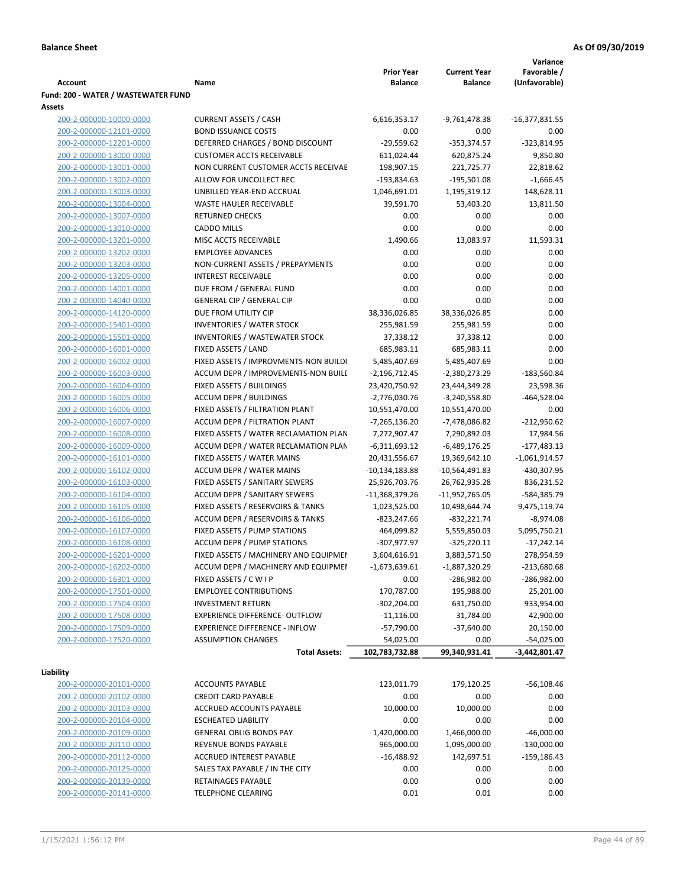|                                     |                                       |                   |                     | Variance         |
|-------------------------------------|---------------------------------------|-------------------|---------------------|------------------|
|                                     |                                       | <b>Prior Year</b> | <b>Current Year</b> | Favorable /      |
| <b>Account</b>                      | Name                                  | <b>Balance</b>    | <b>Balance</b>      | (Unfavorable)    |
| Fund: 200 - WATER / WASTEWATER FUND |                                       |                   |                     |                  |
| Assets                              |                                       |                   |                     |                  |
| 200-2-000000-10000-0000             | <b>CURRENT ASSETS / CASH</b>          | 6,616,353.17      | -9,761,478.38       | $-16,377,831.55$ |
| 200-2-000000-12101-0000             | <b>BOND ISSUANCE COSTS</b>            | 0.00              | 0.00                | 0.00             |
| 200-2-000000-12201-0000             | DEFERRED CHARGES / BOND DISCOUNT      | $-29,559.62$      | $-353,374.57$       | $-323,814.95$    |
| 200-2-000000-13000-0000             | <b>CUSTOMER ACCTS RECEIVABLE</b>      | 611,024.44        | 620,875.24          | 9,850.80         |
| 200-2-000000-13001-0000             | NON CURRENT CUSTOMER ACCTS RECEIVAE   | 198,907.15        | 221,725.77          | 22,818.62        |
| 200-2-000000-13002-0000             | ALLOW FOR UNCOLLECT REC               | -193,834.63       | $-195,501.08$       | $-1,666.45$      |
| 200-2-000000-13003-0000             | UNBILLED YEAR-END ACCRUAL             | 1,046,691.01      | 1,195,319.12        | 148,628.11       |
| 200-2-000000-13004-0000             | <b>WASTE HAULER RECEIVABLE</b>        | 39,591.70         | 53,403.20           | 13,811.50        |
| 200-2-000000-13007-0000             | <b>RETURNED CHECKS</b>                | 0.00              | 0.00                | 0.00             |
| 200-2-000000-13010-0000             | <b>CADDO MILLS</b>                    | 0.00              | 0.00                | 0.00             |
| 200-2-000000-13201-0000             | MISC ACCTS RECEIVABLE                 | 1,490.66          | 13,083.97           | 11,593.31        |
| 200-2-000000-13202-0000             | <b>EMPLOYEE ADVANCES</b>              | 0.00              | 0.00                | 0.00             |
| 200-2-000000-13203-0000             | NON-CURRENT ASSETS / PREPAYMENTS      | 0.00              | 0.00                | 0.00             |
| 200-2-000000-13205-0000             | <b>INTEREST RECEIVABLE</b>            | 0.00              | 0.00                | 0.00             |
| 200-2-000000-14001-0000             | DUE FROM / GENERAL FUND               | 0.00              | 0.00                | 0.00             |
| 200-2-000000-14040-0000             | <b>GENERAL CIP / GENERAL CIP</b>      | 0.00              | 0.00                | 0.00             |
| 200-2-000000-14120-0000             | DUE FROM UTILITY CIP                  | 38,336,026.85     | 38,336,026.85       | 0.00             |
| 200-2-000000-15401-0000             | <b>INVENTORIES / WATER STOCK</b>      | 255,981.59        | 255,981.59          | 0.00             |
| 200-2-000000-15501-0000             | <b>INVENTORIES / WASTEWATER STOCK</b> | 37,338.12         | 37,338.12           | 0.00             |
| 200-2-000000-16001-0000             | FIXED ASSETS / LAND                   | 685,983.11        | 685,983.11          | 0.00             |
| 200-2-000000-16002-0000             | FIXED ASSETS / IMPROVMENTS-NON BUILDI | 5,485,407.69      | 5,485,407.69        | 0.00             |
| 200-2-000000-16003-0000             | ACCUM DEPR / IMPROVEMENTS-NON BUILL   | $-2,196,712.45$   | -2,380,273.29       | $-183,560.84$    |
| 200-2-000000-16004-0000             | FIXED ASSETS / BUILDINGS              | 23,420,750.92     | 23,444,349.28       | 23,598.36        |
| 200-2-000000-16005-0000             | <b>ACCUM DEPR / BUILDINGS</b>         | $-2,776,030.76$   | $-3,240,558.80$     | $-464,528.04$    |
| 200-2-000000-16006-0000             | FIXED ASSETS / FILTRATION PLANT       | 10,551,470.00     | 10,551,470.00       | 0.00             |
| 200-2-000000-16007-0000             | ACCUM DEPR / FILTRATION PLANT         | -7,265,136.20     | -7,478,086.82       | $-212,950.62$    |
| 200-2-000000-16008-0000             | FIXED ASSETS / WATER RECLAMATION PLAN | 7,272,907.47      | 7,290,892.03        | 17,984.56        |
| 200-2-000000-16009-0000             | ACCUM DEPR / WATER RECLAMATION PLAN   | $-6,311,693.12$   | $-6,489,176.25$     | $-177,483.13$    |
| 200-2-000000-16101-0000             | FIXED ASSETS / WATER MAINS            | 20,431,556.67     | 19,369,642.10       | $-1,061,914.57$  |
| 200-2-000000-16102-0000             | <b>ACCUM DEPR / WATER MAINS</b>       | -10,134,183.88    | -10,564,491.83      | -430,307.95      |
| 200-2-000000-16103-0000             | FIXED ASSETS / SANITARY SEWERS        | 25,926,703.76     | 26,762,935.28       | 836,231.52       |
| 200-2-000000-16104-0000             | ACCUM DEPR / SANITARY SEWERS          | $-11,368,379.26$  | -11,952,765.05      | -584,385.79      |
| 200-2-000000-16105-0000             | FIXED ASSETS / RESERVOIRS & TANKS     | 1,023,525.00      | 10,498,644.74       | 9,475,119.74     |
| 200-2-000000-16106-0000             | ACCUM DEPR / RESERVOIRS & TANKS       | -823,247.66       | $-832,221.74$       | $-8,974.08$      |
| 200-2-000000-16107-0000             | FIXED ASSETS / PUMP STATIONS          | 464,099.82        | 5,559,850.03        | 5,095,750.21     |
| 200-2-000000-16108-0000             | <b>ACCUM DEPR / PUMP STATIONS</b>     | -307,977.97       | $-325,220.11$       | $-17,242.14$     |
| 200-2-000000-16201-0000             | FIXED ASSETS / MACHINERY AND EQUIPMEN | 3,604,616.91      | 3,883,571.50        | 278,954.59       |
| 200-2-000000-16202-0000             | ACCUM DEPR / MACHINERY AND EQUIPMEI   | $-1,673,639.61$   | $-1,887,320.29$     | $-213,680.68$    |
| 200-2-000000-16301-0000             | FIXED ASSETS / C W I P                | 0.00              | -286,982.00         | $-286,982.00$    |
| 200-2-000000-17501-0000             | <b>EMPLOYEE CONTRIBUTIONS</b>         | 170,787.00        | 195,988.00          | 25,201.00        |
| 200-2-000000-17504-0000             | <b>INVESTMENT RETURN</b>              | $-302,204.00$     | 631,750.00          | 933,954.00       |
| 200-2-000000-17508-0000             | EXPERIENCE DIFFERENCE- OUTFLOW        | $-11,116.00$      | 31,784.00           | 42,900.00        |
| 200-2-000000-17509-0000             | <b>EXPERIENCE DIFFERENCE - INFLOW</b> | $-57,790.00$      | $-37,640.00$        | 20,150.00        |
| 200-2-000000-17520-0000             | <b>ASSUMPTION CHANGES</b>             | 54,025.00         | 0.00                | $-54,025.00$     |
|                                     |                                       | 102,783,732.88    | 99,340,931.41       | -3,442,801.47    |
|                                     | <b>Total Assets:</b>                  |                   |                     |                  |
| Liability                           |                                       |                   |                     |                  |
| 200-2-000000-20101-0000             | <b>ACCOUNTS PAYABLE</b>               | 123,011.79        | 179,120.25          | $-56,108.46$     |
| 200-2-000000-20102-0000             | <b>CREDIT CARD PAYABLE</b>            | 0.00              | 0.00                | 0.00             |
| 200-2-000000-20103-0000             | ACCRUED ACCOUNTS PAYABLE              | 10,000.00         | 10,000.00           | 0.00             |
| 200-2-000000-20104-0000             | <b>ESCHEATED LIABILITY</b>            | 0.00              | 0.00                | 0.00             |
| 200-2-000000-20109-0000             | <b>GENERAL OBLIG BONDS PAY</b>        | 1,420,000.00      | 1,466,000.00        | $-46,000.00$     |
| 200-2-000000-20110-0000             | REVENUE BONDS PAYABLE                 | 965,000.00        | 1,095,000.00        | $-130,000.00$    |
| 200-2-000000-20112-0000             | ACCRUED INTEREST PAYABLE              | $-16,488.92$      | 142,697.51          | $-159,186.43$    |
| 200-2-000000-20125-0000             | SALES TAX PAYABLE / IN THE CITY       | 0.00              | 0.00                | 0.00             |
| 200-2-000000-20139-0000             | RETAINAGES PAYABLE                    | 0.00              | 0.00                | 0.00             |
| 200-2-000000-20141-0000             | <b>TELEPHONE CLEARING</b>             | 0.01              | 0.01                | 0.00             |
|                                     |                                       |                   |                     |                  |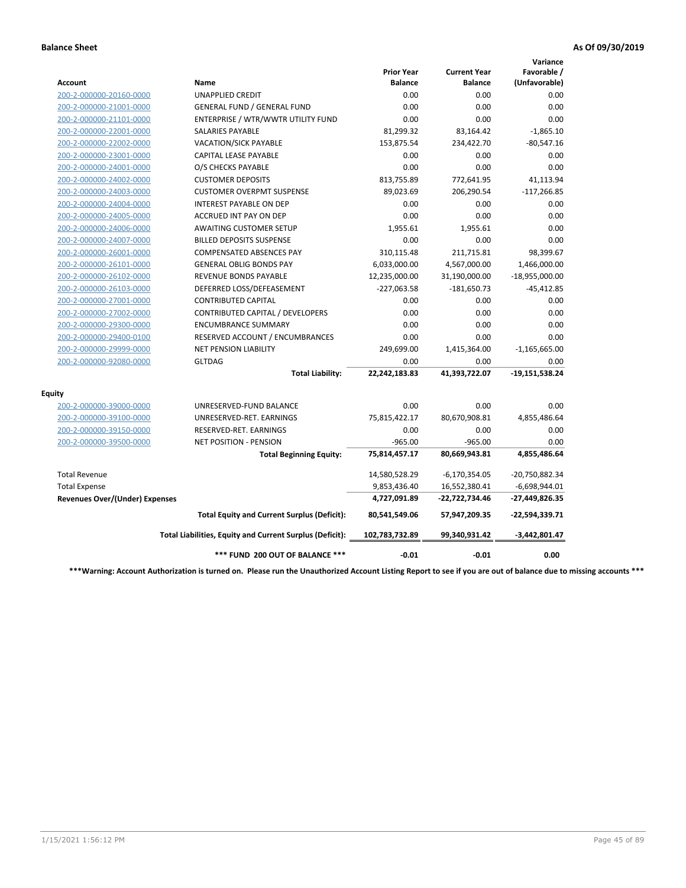|                                       |                                                          |                                     |                                       | Variance                     |
|---------------------------------------|----------------------------------------------------------|-------------------------------------|---------------------------------------|------------------------------|
| Account                               | Name                                                     | <b>Prior Year</b><br><b>Balance</b> | <b>Current Year</b><br><b>Balance</b> | Favorable /<br>(Unfavorable) |
| 200-2-000000-20160-0000               | <b>UNAPPLIED CREDIT</b>                                  | 0.00                                | 0.00                                  | 0.00                         |
| 200-2-000000-21001-0000               | <b>GENERAL FUND / GENERAL FUND</b>                       | 0.00                                | 0.00                                  | 0.00                         |
| 200-2-000000-21101-0000               | ENTERPRISE / WTR/WWTR UTILITY FUND                       | 0.00                                | 0.00                                  | 0.00                         |
| 200-2-000000-22001-0000               | <b>SALARIES PAYABLE</b>                                  | 81,299.32                           | 83,164.42                             | $-1,865.10$                  |
| 200-2-000000-22002-0000               | <b>VACATION/SICK PAYABLE</b>                             | 153,875.54                          | 234,422.70                            | $-80,547.16$                 |
| 200-2-000000-23001-0000               | CAPITAL LEASE PAYABLE                                    | 0.00                                | 0.00                                  | 0.00                         |
| 200-2-000000-24001-0000               | O/S CHECKS PAYABLE                                       | 0.00                                | 0.00                                  | 0.00                         |
| 200-2-000000-24002-0000               | <b>CUSTOMER DEPOSITS</b>                                 | 813,755.89                          | 772,641.95                            | 41,113.94                    |
| 200-2-000000-24003-0000               | <b>CUSTOMER OVERPMT SUSPENSE</b>                         | 89,023.69                           | 206,290.54                            | $-117,266.85$                |
| 200-2-000000-24004-0000               | <b>INTEREST PAYABLE ON DEP</b>                           | 0.00                                | 0.00                                  | 0.00                         |
| 200-2-000000-24005-0000               | <b>ACCRUED INT PAY ON DEP</b>                            | 0.00                                | 0.00                                  | 0.00                         |
| 200-2-000000-24006-0000               | <b>AWAITING CUSTOMER SETUP</b>                           | 1.955.61                            | 1,955.61                              | 0.00                         |
| 200-2-000000-24007-0000               | <b>BILLED DEPOSITS SUSPENSE</b>                          | 0.00                                | 0.00                                  | 0.00                         |
| 200-2-000000-26001-0000               | <b>COMPENSATED ABSENCES PAY</b>                          | 310,115.48                          | 211,715.81                            | 98,399.67                    |
| 200-2-000000-26101-0000               | <b>GENERAL OBLIG BONDS PAY</b>                           | 6,033,000.00                        | 4,567,000.00                          | 1,466,000.00                 |
| 200-2-000000-26102-0000               | <b>REVENUE BONDS PAYABLE</b>                             | 12,235,000.00                       | 31,190,000.00                         | $-18,955,000.00$             |
| 200-2-000000-26103-0000               | DEFERRED LOSS/DEFEASEMENT                                | $-227,063.58$                       | $-181,650.73$                         | $-45,412.85$                 |
| 200-2-000000-27001-0000               | <b>CONTRIBUTED CAPITAL</b>                               | 0.00                                | 0.00                                  | 0.00                         |
| 200-2-000000-27002-0000               | CONTRIBUTED CAPITAL / DEVELOPERS                         | 0.00                                | 0.00                                  | 0.00                         |
| 200-2-000000-29300-0000               | <b>ENCUMBRANCE SUMMARY</b>                               | 0.00                                | 0.00                                  | 0.00                         |
| 200-2-000000-29400-0100               | RESERVED ACCOUNT / ENCUMBRANCES                          | 0.00                                | 0.00                                  | 0.00                         |
| 200-2-000000-29999-0000               | <b>NET PENSION LIABILITY</b>                             | 249,699.00                          | 1,415,364.00                          | $-1,165,665.00$              |
| 200-2-000000-92080-0000               | <b>GLTDAG</b>                                            | 0.00                                | 0.00                                  | 0.00                         |
|                                       | <b>Total Liability:</b>                                  | 22,242,183.83                       | 41,393,722.07                         | $-19,151,538.24$             |
| <b>Equity</b>                         |                                                          |                                     |                                       |                              |
| 200-2-000000-39000-0000               | UNRESERVED-FUND BALANCE                                  | 0.00                                | 0.00                                  | 0.00                         |
| 200-2-000000-39100-0000               | UNRESERVED-RET. EARNINGS                                 | 75,815,422.17                       | 80,670,908.81                         | 4,855,486.64                 |
| 200-2-000000-39150-0000               | RESERVED-RET. EARNINGS                                   | 0.00                                | 0.00                                  | 0.00                         |
| 200-2-000000-39500-0000               | NET POSITION - PENSION                                   | $-965.00$                           | $-965.00$                             | 0.00                         |
|                                       | <b>Total Beginning Equity:</b>                           | 75,814,457.17                       | 80,669,943.81                         | 4,855,486.64                 |
| <b>Total Revenue</b>                  |                                                          | 14,580,528.29                       | $-6,170,354.05$                       | -20,750,882.34               |
| <b>Total Expense</b>                  |                                                          | 9,853,436.40                        | 16,552,380.41                         | $-6,698,944.01$              |
| <b>Revenues Over/(Under) Expenses</b> |                                                          | 4,727,091.89                        | -22,722,734.46                        | -27,449,826.35               |
|                                       | <b>Total Equity and Current Surplus (Deficit):</b>       | 80,541,549.06                       | 57,947,209.35                         | $-22,594,339.71$             |
|                                       | Total Liabilities, Equity and Current Surplus (Deficit): | 102,783,732.89                      | 99,340,931.42                         | $-3,442,801.47$              |
|                                       | *** FUND 200 OUT OF BALANCE ***                          | $-0.01$                             | $-0.01$                               | 0.00                         |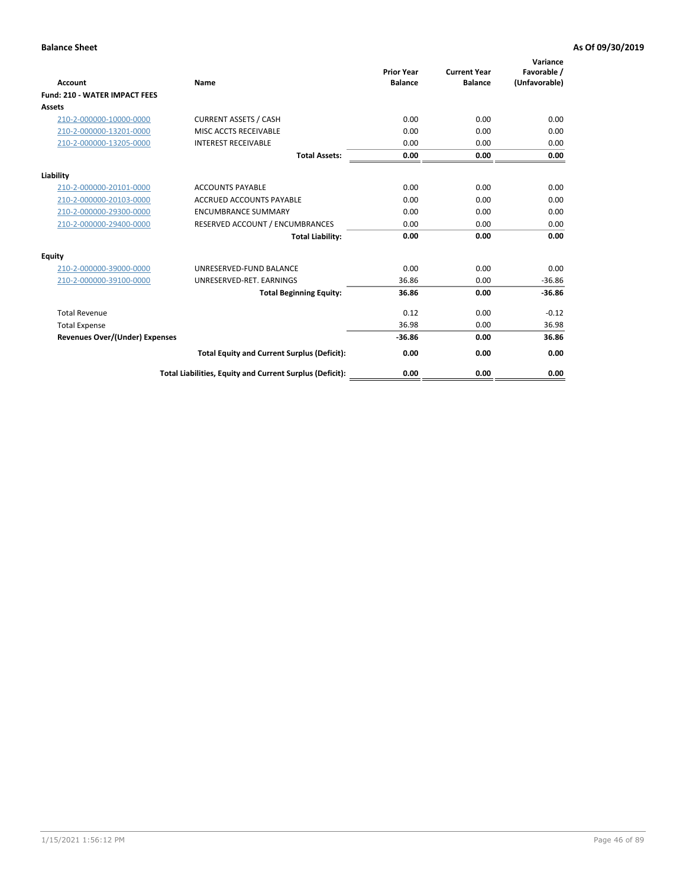| <b>Account</b>                        | Name                                                     | <b>Prior Year</b><br><b>Balance</b> | <b>Current Year</b><br><b>Balance</b> | Variance<br>Favorable /<br>(Unfavorable) |
|---------------------------------------|----------------------------------------------------------|-------------------------------------|---------------------------------------|------------------------------------------|
| <b>Fund: 210 - WATER IMPACT FEES</b>  |                                                          |                                     |                                       |                                          |
| <b>Assets</b>                         |                                                          |                                     |                                       |                                          |
| 210-2-000000-10000-0000               | <b>CURRENT ASSETS / CASH</b>                             | 0.00                                | 0.00                                  | 0.00                                     |
| 210-2-000000-13201-0000               | MISC ACCTS RECEIVABLE                                    | 0.00                                | 0.00                                  | 0.00                                     |
| 210-2-000000-13205-0000               | <b>INTEREST RECEIVABLE</b>                               | 0.00                                | 0.00                                  | 0.00                                     |
|                                       | <b>Total Assets:</b>                                     | 0.00                                | 0.00                                  | 0.00                                     |
| Liability                             |                                                          |                                     |                                       |                                          |
| 210-2-000000-20101-0000               | <b>ACCOUNTS PAYABLE</b>                                  | 0.00                                | 0.00                                  | 0.00                                     |
| 210-2-000000-20103-0000               | <b>ACCRUED ACCOUNTS PAYABLE</b>                          | 0.00                                | 0.00                                  | 0.00                                     |
| 210-2-000000-29300-0000               | <b>ENCUMBRANCE SUMMARY</b>                               | 0.00                                | 0.00                                  | 0.00                                     |
| 210-2-000000-29400-0000               | RESERVED ACCOUNT / ENCUMBRANCES                          | 0.00                                | 0.00                                  | 0.00                                     |
|                                       | <b>Total Liability:</b>                                  | 0.00                                | 0.00                                  | 0.00                                     |
| Equity                                |                                                          |                                     |                                       |                                          |
| 210-2-000000-39000-0000               | UNRESERVED-FUND BALANCE                                  | 0.00                                | 0.00                                  | 0.00                                     |
| 210-2-000000-39100-0000               | UNRESERVED-RET. EARNINGS                                 | 36.86                               | 0.00                                  | $-36.86$                                 |
|                                       | <b>Total Beginning Equity:</b>                           | 36.86                               | 0.00                                  | $-36.86$                                 |
| <b>Total Revenue</b>                  |                                                          | 0.12                                | 0.00                                  | $-0.12$                                  |
| <b>Total Expense</b>                  |                                                          | 36.98                               | 0.00                                  | 36.98                                    |
| <b>Revenues Over/(Under) Expenses</b> |                                                          | $-36.86$                            | 0.00                                  | 36.86                                    |
|                                       | <b>Total Equity and Current Surplus (Deficit):</b>       | 0.00                                | 0.00                                  | 0.00                                     |
|                                       | Total Liabilities, Equity and Current Surplus (Deficit): | 0.00                                | 0.00                                  | 0.00                                     |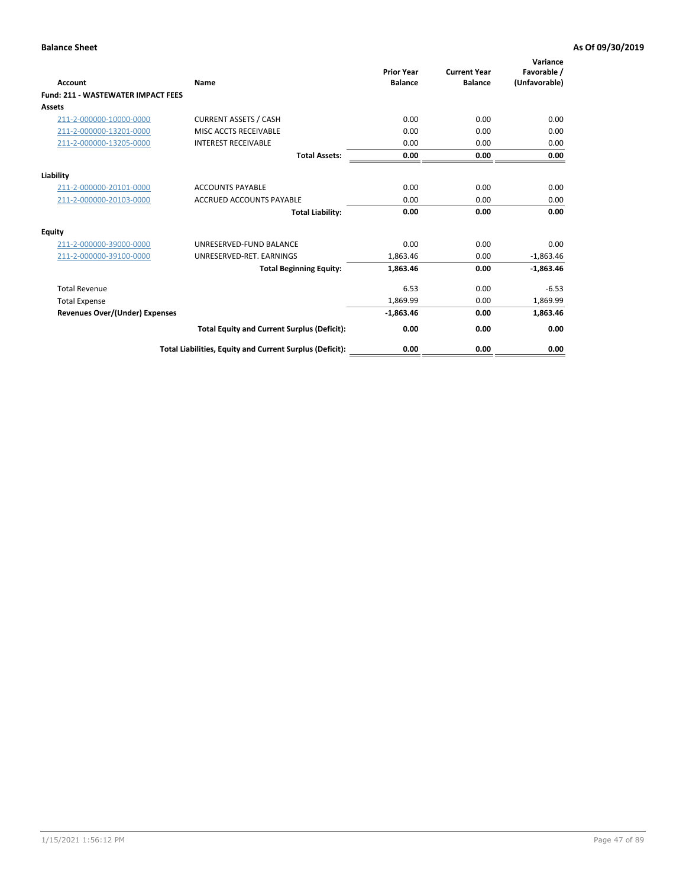| <b>Account</b>                            | Name                                                     | <b>Prior Year</b><br><b>Balance</b> | <b>Current Year</b><br><b>Balance</b> | Variance<br>Favorable /<br>(Unfavorable) |
|-------------------------------------------|----------------------------------------------------------|-------------------------------------|---------------------------------------|------------------------------------------|
| <b>Fund: 211 - WASTEWATER IMPACT FEES</b> |                                                          |                                     |                                       |                                          |
| <b>Assets</b>                             |                                                          |                                     |                                       |                                          |
| 211-2-000000-10000-0000                   | <b>CURRENT ASSETS / CASH</b>                             | 0.00                                | 0.00                                  | 0.00                                     |
| 211-2-000000-13201-0000                   | MISC ACCTS RECEIVABLE                                    | 0.00                                | 0.00                                  | 0.00                                     |
| 211-2-000000-13205-0000                   | <b>INTEREST RECEIVABLE</b>                               | 0.00                                | 0.00                                  | 0.00                                     |
|                                           | <b>Total Assets:</b>                                     | 0.00                                | 0.00                                  | 0.00                                     |
| Liability                                 |                                                          |                                     |                                       |                                          |
| 211-2-000000-20101-0000                   | <b>ACCOUNTS PAYABLE</b>                                  | 0.00                                | 0.00                                  | 0.00                                     |
| 211-2-000000-20103-0000                   | <b>ACCRUED ACCOUNTS PAYABLE</b>                          | 0.00                                | 0.00                                  | 0.00                                     |
|                                           | <b>Total Liability:</b>                                  | 0.00                                | 0.00                                  | 0.00                                     |
| <b>Equity</b>                             |                                                          |                                     |                                       |                                          |
| 211-2-000000-39000-0000                   | UNRESERVED-FUND BALANCE                                  | 0.00                                | 0.00                                  | 0.00                                     |
| 211-2-000000-39100-0000                   | UNRESERVED-RET. EARNINGS                                 | 1,863.46                            | 0.00                                  | $-1,863.46$                              |
|                                           | <b>Total Beginning Equity:</b>                           | 1,863.46                            | 0.00                                  | $-1,863.46$                              |
| <b>Total Revenue</b>                      |                                                          | 6.53                                | 0.00                                  | $-6.53$                                  |
| <b>Total Expense</b>                      |                                                          | 1,869.99                            | 0.00                                  | 1,869.99                                 |
| <b>Revenues Over/(Under) Expenses</b>     |                                                          | $-1,863.46$                         | 0.00                                  | 1,863.46                                 |
|                                           | <b>Total Equity and Current Surplus (Deficit):</b>       | 0.00                                | 0.00                                  | 0.00                                     |
|                                           | Total Liabilities, Equity and Current Surplus (Deficit): | 0.00                                | 0.00                                  | 0.00                                     |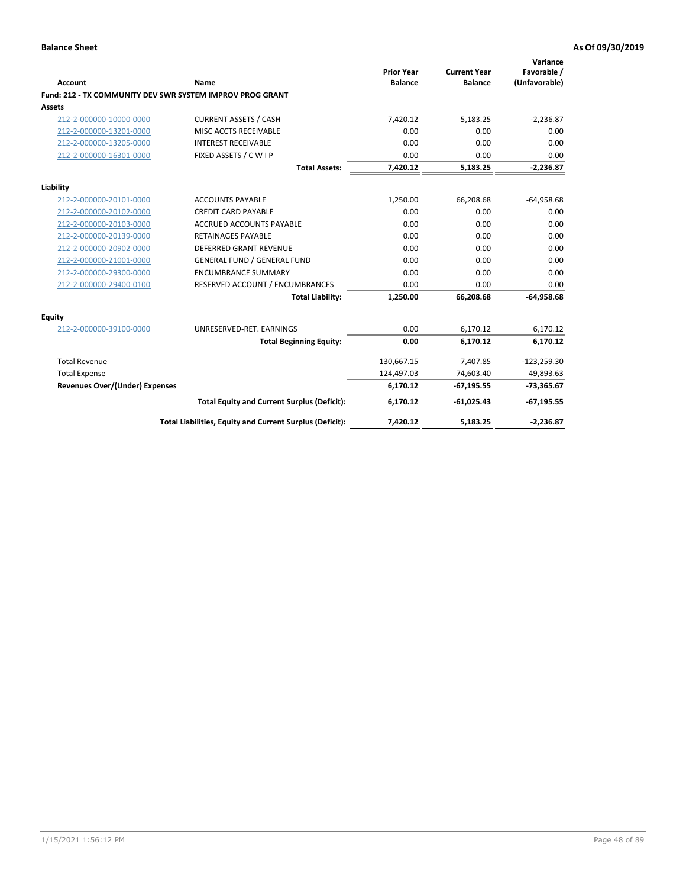| <b>Account</b>                        | <b>Name</b>                                               | <b>Prior Year</b><br><b>Balance</b> | <b>Current Year</b><br><b>Balance</b> | Variance<br>Favorable /<br>(Unfavorable) |
|---------------------------------------|-----------------------------------------------------------|-------------------------------------|---------------------------------------|------------------------------------------|
|                                       | Fund: 212 - TX COMMUNITY DEV SWR SYSTEM IMPROV PROG GRANT |                                     |                                       |                                          |
| <b>Assets</b>                         |                                                           |                                     |                                       |                                          |
| 212-2-000000-10000-0000               | <b>CURRENT ASSETS / CASH</b>                              | 7,420.12                            | 5.183.25                              | $-2,236.87$                              |
| 212-2-000000-13201-0000               | MISC ACCTS RECEIVABLE                                     | 0.00                                | 0.00                                  | 0.00                                     |
| 212-2-000000-13205-0000               | <b>INTEREST RECEIVABLE</b>                                | 0.00                                | 0.00                                  | 0.00                                     |
| 212-2-000000-16301-0000               | FIXED ASSETS / C W I P                                    | 0.00                                | 0.00                                  | 0.00                                     |
|                                       | <b>Total Assets:</b>                                      | 7,420.12                            | 5,183.25                              | $-2,236.87$                              |
| Liability                             |                                                           |                                     |                                       |                                          |
| 212-2-000000-20101-0000               | <b>ACCOUNTS PAYABLE</b>                                   | 1,250.00                            | 66,208.68                             | $-64,958.68$                             |
| 212-2-000000-20102-0000               | <b>CREDIT CARD PAYABLE</b>                                | 0.00                                | 0.00                                  | 0.00                                     |
| 212-2-000000-20103-0000               | <b>ACCRUED ACCOUNTS PAYABLE</b>                           | 0.00                                | 0.00                                  | 0.00                                     |
| 212-2-000000-20139-0000               | <b>RETAINAGES PAYABLE</b>                                 | 0.00                                | 0.00                                  | 0.00                                     |
| 212-2-000000-20902-0000               | <b>DEFERRED GRANT REVENUE</b>                             | 0.00                                | 0.00                                  | 0.00                                     |
| 212-2-000000-21001-0000               | <b>GENERAL FUND / GENERAL FUND</b>                        | 0.00                                | 0.00                                  | 0.00                                     |
| 212-2-000000-29300-0000               | <b>ENCUMBRANCE SUMMARY</b>                                | 0.00                                | 0.00                                  | 0.00                                     |
| 212-2-000000-29400-0100               | RESERVED ACCOUNT / ENCUMBRANCES                           | 0.00                                | 0.00                                  | 0.00                                     |
|                                       | <b>Total Liability:</b>                                   | 1,250.00                            | 66,208.68                             | $-64,958.68$                             |
| Equity                                |                                                           |                                     |                                       |                                          |
| 212-2-000000-39100-0000               | UNRESERVED-RET. EARNINGS                                  | 0.00                                | 6.170.12                              | 6,170.12                                 |
|                                       | <b>Total Beginning Equity:</b>                            | 0.00                                | 6,170.12                              | 6,170.12                                 |
| <b>Total Revenue</b>                  |                                                           | 130,667.15                          | 7,407.85                              | $-123,259.30$                            |
| <b>Total Expense</b>                  |                                                           | 124,497.03                          | 74.603.40                             | 49,893.63                                |
| <b>Revenues Over/(Under) Expenses</b> |                                                           | 6,170.12                            | $-67,195.55$                          | $-73,365.67$                             |
|                                       | <b>Total Equity and Current Surplus (Deficit):</b>        | 6,170.12                            | $-61.025.43$                          | $-67,195.55$                             |
|                                       | Total Liabilities, Equity and Current Surplus (Deficit):  | 7.420.12                            | 5.183.25                              | $-2.236.87$                              |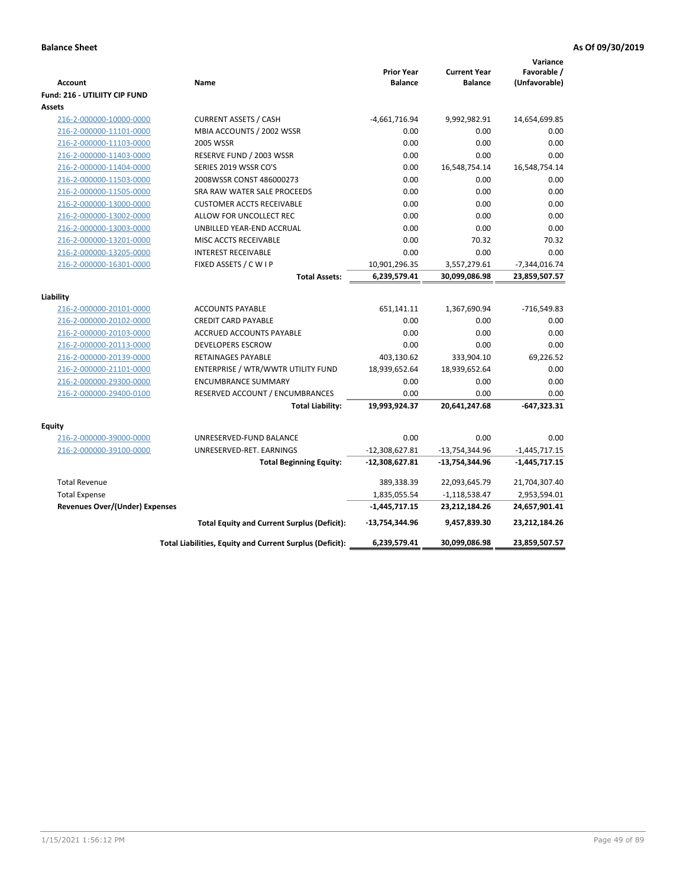| <b>Account</b><br><b>Fund: 216 - UTILIITY CIP FUND</b> | Name                                                     | <b>Prior Year</b><br><b>Balance</b> | <b>Current Year</b><br><b>Balance</b> | Variance<br>Favorable /<br>(Unfavorable) |
|--------------------------------------------------------|----------------------------------------------------------|-------------------------------------|---------------------------------------|------------------------------------------|
| Assets                                                 |                                                          |                                     |                                       |                                          |
| 216-2-000000-10000-0000                                | <b>CURRENT ASSETS / CASH</b>                             | $-4,661,716.94$                     | 9,992,982.91                          | 14,654,699.85                            |
| 216-2-000000-11101-0000                                | MBIA ACCOUNTS / 2002 WSSR                                | 0.00                                | 0.00                                  | 0.00                                     |
| 216-2-000000-11103-0000                                | <b>2005 WSSR</b>                                         | 0.00                                | 0.00                                  | 0.00                                     |
| 216-2-000000-11403-0000                                | RESERVE FUND / 2003 WSSR                                 | 0.00                                | 0.00                                  | 0.00                                     |
| 216-2-000000-11404-0000                                | SERIES 2019 WSSR CO'S                                    | 0.00                                | 16,548,754.14                         | 16,548,754.14                            |
| 216-2-000000-11503-0000                                | 2008WSSR CONST 486000273                                 | 0.00                                | 0.00                                  | 0.00                                     |
| 216-2-000000-11505-0000                                | SRA RAW WATER SALE PROCEEDS                              | 0.00                                | 0.00                                  | 0.00                                     |
| 216-2-000000-13000-0000                                | <b>CUSTOMER ACCTS RECEIVABLE</b>                         | 0.00                                | 0.00                                  | 0.00                                     |
| 216-2-000000-13002-0000                                | ALLOW FOR UNCOLLECT REC                                  | 0.00                                | 0.00                                  | 0.00                                     |
| 216-2-000000-13003-0000                                | UNBILLED YEAR-END ACCRUAL                                | 0.00                                | 0.00                                  | 0.00                                     |
| 216-2-000000-13201-0000                                | MISC ACCTS RECEIVABLE                                    | 0.00                                | 70.32                                 | 70.32                                    |
| 216-2-000000-13205-0000                                | <b>INTEREST RECEIVABLE</b>                               | 0.00                                | 0.00                                  | 0.00                                     |
| 216-2-000000-16301-0000                                | FIXED ASSETS / C W I P                                   | 10,901,296.35                       | 3,557,279.61                          | $-7,344,016.74$                          |
|                                                        | <b>Total Assets:</b>                                     | 6,239,579.41                        | 30,099,086.98                         | 23,859,507.57                            |
|                                                        |                                                          |                                     |                                       |                                          |
| Liability<br>216-2-000000-20101-0000                   | <b>ACCOUNTS PAYABLE</b>                                  | 651,141.11                          | 1,367,690.94                          | $-716,549.83$                            |
| 216-2-000000-20102-0000                                | <b>CREDIT CARD PAYABLE</b>                               | 0.00                                | 0.00                                  | 0.00                                     |
| 216-2-000000-20103-0000                                | ACCRUED ACCOUNTS PAYABLE                                 | 0.00                                | 0.00                                  | 0.00                                     |
| 216-2-000000-20113-0000                                | <b>DEVELOPERS ESCROW</b>                                 | 0.00                                | 0.00                                  | 0.00                                     |
| 216-2-000000-20139-0000                                | <b>RETAINAGES PAYABLE</b>                                | 403,130.62                          | 333,904.10                            | 69,226.52                                |
| 216-2-000000-21101-0000                                | ENTERPRISE / WTR/WWTR UTILITY FUND                       | 18,939,652.64                       | 18,939,652.64                         | 0.00                                     |
| 216-2-000000-29300-0000                                | <b>ENCUMBRANCE SUMMARY</b>                               | 0.00                                | 0.00                                  | 0.00                                     |
| 216-2-000000-29400-0100                                | RESERVED ACCOUNT / ENCUMBRANCES                          | 0.00                                | 0.00                                  | 0.00                                     |
|                                                        | <b>Total Liability:</b>                                  | 19,993,924.37                       | 20,641,247.68                         | $-647,323.31$                            |
|                                                        |                                                          |                                     |                                       |                                          |
| Equity                                                 |                                                          |                                     |                                       |                                          |
| 216-2-000000-39000-0000                                | UNRESERVED-FUND BALANCE                                  | 0.00                                | 0.00                                  | 0.00                                     |
| 216-2-000000-39100-0000                                | UNRESERVED-RET. EARNINGS                                 | $-12,308,627.81$                    | $-13,754,344.96$                      | $-1,445,717.15$                          |
|                                                        | <b>Total Beginning Equity:</b>                           | $-12,308,627.81$                    | $-13,754,344.96$                      | $-1,445,717.15$                          |
| <b>Total Revenue</b>                                   |                                                          | 389,338.39                          | 22,093,645.79                         | 21,704,307.40                            |
| <b>Total Expense</b>                                   |                                                          | 1,835,055.54                        | $-1,118,538.47$                       | 2,953,594.01                             |
| <b>Revenues Over/(Under) Expenses</b>                  |                                                          | $-1,445,717.15$                     | 23,212,184.26                         | 24,657,901.41                            |
|                                                        | <b>Total Equity and Current Surplus (Deficit):</b>       | -13,754,344.96                      | 9,457,839.30                          | 23,212,184.26                            |
|                                                        | Total Liabilities, Equity and Current Surplus (Deficit): | 6,239,579.41                        | 30,099,086.98                         | 23,859,507.57                            |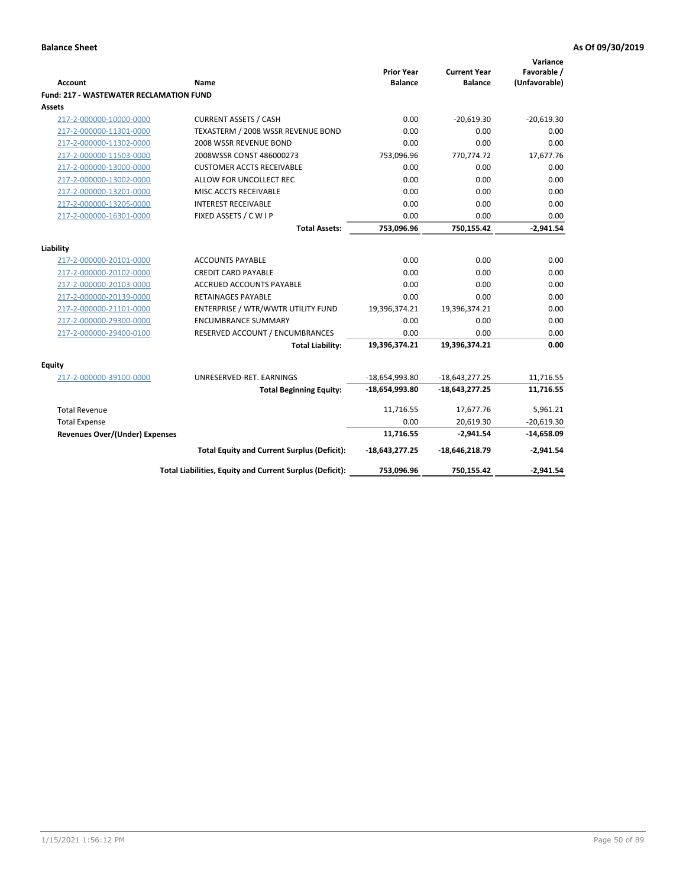| Account                                        | Name                                                     | <b>Prior Year</b><br><b>Balance</b> | <b>Current Year</b><br><b>Balance</b> | Variance<br>Favorable /<br>(Unfavorable) |
|------------------------------------------------|----------------------------------------------------------|-------------------------------------|---------------------------------------|------------------------------------------|
| <b>Fund: 217 - WASTEWATER RECLAMATION FUND</b> |                                                          |                                     |                                       |                                          |
| Assets                                         |                                                          |                                     |                                       |                                          |
| 217-2-000000-10000-0000                        | <b>CURRENT ASSETS / CASH</b>                             | 0.00                                | $-20,619.30$                          | $-20,619.30$                             |
| 217-2-000000-11301-0000                        | TEXASTERM / 2008 WSSR REVENUE BOND                       | 0.00                                | 0.00                                  | 0.00                                     |
| 217-2-000000-11302-0000                        | 2008 WSSR REVENUE BOND                                   | 0.00                                | 0.00                                  | 0.00                                     |
| 217-2-000000-11503-0000                        | 2008WSSR CONST 486000273                                 | 753,096.96                          | 770,774.72                            | 17,677.76                                |
| 217-2-000000-13000-0000                        | <b>CUSTOMER ACCTS RECEIVABLE</b>                         | 0.00                                | 0.00                                  | 0.00                                     |
| 217-2-000000-13002-0000                        | ALLOW FOR UNCOLLECT REC                                  | 0.00                                | 0.00                                  | 0.00                                     |
| 217-2-000000-13201-0000                        | MISC ACCTS RECEIVABLE                                    | 0.00                                | 0.00                                  | 0.00                                     |
| 217-2-000000-13205-0000                        | <b>INTEREST RECEIVABLE</b>                               | 0.00                                | 0.00                                  | 0.00                                     |
| 217-2-000000-16301-0000                        | FIXED ASSETS / C W I P                                   | 0.00                                | 0.00                                  | 0.00                                     |
|                                                | <b>Total Assets:</b>                                     | 753,096.96                          | 750,155.42                            | $-2,941.54$                              |
| Liability                                      |                                                          |                                     |                                       |                                          |
| 217-2-000000-20101-0000                        | <b>ACCOUNTS PAYABLE</b>                                  | 0.00                                | 0.00                                  | 0.00                                     |
| 217-2-000000-20102-0000                        | <b>CREDIT CARD PAYABLE</b>                               | 0.00                                | 0.00                                  | 0.00                                     |
| 217-2-000000-20103-0000                        | ACCRUED ACCOUNTS PAYABLE                                 | 0.00                                | 0.00                                  | 0.00                                     |
| 217-2-000000-20139-0000                        | RETAINAGES PAYABLE                                       | 0.00                                | 0.00                                  | 0.00                                     |
| 217-2-000000-21101-0000                        | ENTERPRISE / WTR/WWTR UTILITY FUND                       | 19,396,374.21                       | 19,396,374.21                         | 0.00                                     |
| 217-2-000000-29300-0000                        | <b>ENCUMBRANCE SUMMARY</b>                               | 0.00                                | 0.00                                  | 0.00                                     |
| 217-2-000000-29400-0100                        | RESERVED ACCOUNT / ENCUMBRANCES                          | 0.00                                | 0.00                                  | 0.00                                     |
|                                                | <b>Total Liability:</b>                                  | 19,396,374.21                       | 19,396,374.21                         | 0.00                                     |
|                                                |                                                          |                                     |                                       |                                          |
| <b>Equity</b>                                  |                                                          |                                     |                                       |                                          |
| 217-2-000000-39100-0000                        | UNRESERVED-RET. EARNINGS                                 | $-18,654,993.80$                    | $-18,643,277.25$                      | 11,716.55                                |
|                                                | <b>Total Beginning Equity:</b>                           | $-18,654,993.80$                    | $-18,643,277.25$                      | 11,716.55                                |
| <b>Total Revenue</b>                           |                                                          | 11,716.55                           | 17,677.76                             | 5,961.21                                 |
| <b>Total Expense</b>                           |                                                          | 0.00                                | 20,619.30                             | $-20,619.30$                             |
| <b>Revenues Over/(Under) Expenses</b>          |                                                          | 11,716.55                           | $-2,941.54$                           | $-14,658.09$                             |
|                                                | <b>Total Equity and Current Surplus (Deficit):</b>       | $-18,643,277.25$                    | $-18,646,218.79$                      | $-2,941.54$                              |
|                                                | Total Liabilities, Equity and Current Surplus (Deficit): | 753,096.96                          | 750,155.42                            | $-2,941.54$                              |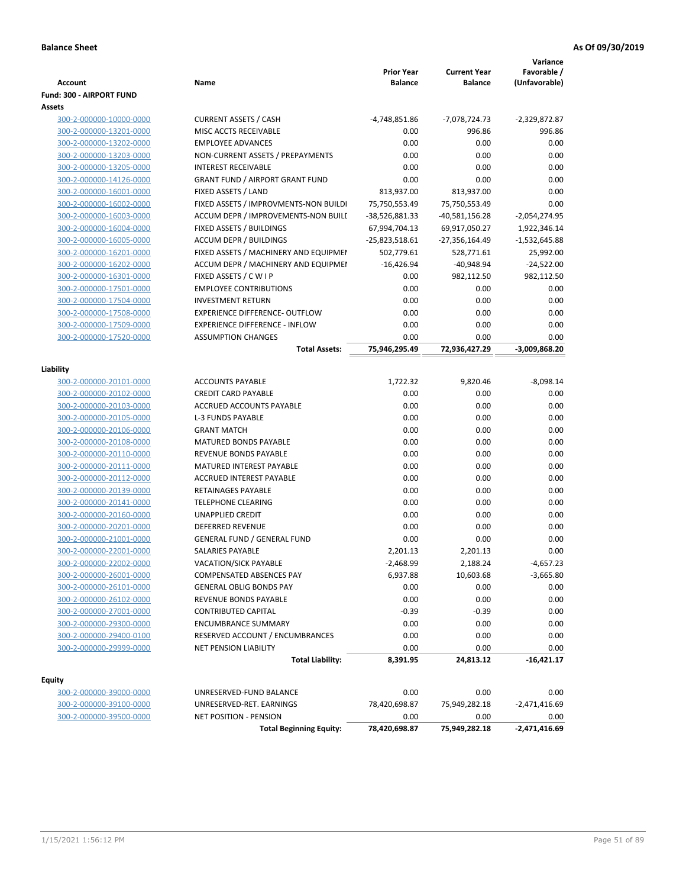|                          |                                        | <b>Prior Year</b> | <b>Current Year</b> | Variance<br>Favorable / |
|--------------------------|----------------------------------------|-------------------|---------------------|-------------------------|
| Account                  | Name                                   | <b>Balance</b>    | <b>Balance</b>      | (Unfavorable)           |
| Fund: 300 - AIRPORT FUND |                                        |                   |                     |                         |
| Assets                   |                                        |                   |                     |                         |
| 300-2-000000-10000-0000  | <b>CURRENT ASSETS / CASH</b>           | $-4,748,851.86$   | -7,078,724.73       | $-2,329,872.87$         |
| 300-2-000000-13201-0000  | MISC ACCTS RECEIVABLE                  | 0.00              | 996.86              | 996.86                  |
| 300-2-000000-13202-0000  | <b>EMPLOYEE ADVANCES</b>               | 0.00              | 0.00                | 0.00                    |
| 300-2-000000-13203-0000  | NON-CURRENT ASSETS / PREPAYMENTS       | 0.00              | 0.00                | 0.00                    |
| 300-2-000000-13205-0000  | <b>INTEREST RECEIVABLE</b>             | 0.00              | 0.00                | 0.00                    |
| 300-2-000000-14126-0000  | <b>GRANT FUND / AIRPORT GRANT FUND</b> | 0.00              | 0.00                | 0.00                    |
| 300-2-000000-16001-0000  | FIXED ASSETS / LAND                    | 813,937.00        | 813,937.00          | 0.00                    |
| 300-2-000000-16002-0000  | FIXED ASSETS / IMPROVMENTS-NON BUILDI  | 75,750,553.49     | 75,750,553.49       | 0.00                    |
| 300-2-000000-16003-0000  | ACCUM DEPR / IMPROVEMENTS-NON BUILL    | -38,526,881.33    | -40,581,156.28      | $-2,054,274.95$         |
| 300-2-000000-16004-0000  | FIXED ASSETS / BUILDINGS               | 67,994,704.13     | 69,917,050.27       | 1,922,346.14            |
| 300-2-000000-16005-0000  | <b>ACCUM DEPR / BUILDINGS</b>          | -25,823,518.61    | -27,356,164.49      | $-1,532,645.88$         |
| 300-2-000000-16201-0000  | FIXED ASSETS / MACHINERY AND EQUIPMEN  | 502,779.61        | 528,771.61          | 25,992.00               |
| 300-2-000000-16202-0000  | ACCUM DEPR / MACHINERY AND EQUIPMEI    | $-16,426.94$      | $-40,948.94$        | $-24,522.00$            |
| 300-2-000000-16301-0000  | FIXED ASSETS / C W I P                 | 0.00              | 982,112.50          | 982,112.50              |
| 300-2-000000-17501-0000  | <b>EMPLOYEE CONTRIBUTIONS</b>          | 0.00              | 0.00                | 0.00                    |
| 300-2-000000-17504-0000  | <b>INVESTMENT RETURN</b>               | 0.00              | 0.00                | 0.00                    |
| 300-2-000000-17508-0000  | EXPERIENCE DIFFERENCE- OUTFLOW         | 0.00              | 0.00                | 0.00                    |
| 300-2-000000-17509-0000  | <b>EXPERIENCE DIFFERENCE - INFLOW</b>  | 0.00              | 0.00                | 0.00                    |
| 300-2-000000-17520-0000  | <b>ASSUMPTION CHANGES</b>              | 0.00              | 0.00                | 0.00                    |
|                          | <b>Total Assets:</b>                   | 75,946,295.49     | 72,936,427.29       | $-3,009,868.20$         |
| Liability                |                                        |                   |                     |                         |
| 300-2-000000-20101-0000  | <b>ACCOUNTS PAYABLE</b>                | 1,722.32          | 9,820.46            | $-8,098.14$             |
| 300-2-000000-20102-0000  | <b>CREDIT CARD PAYABLE</b>             | 0.00              | 0.00                | 0.00                    |
| 300-2-000000-20103-0000  | ACCRUED ACCOUNTS PAYABLE               | 0.00              | 0.00                | 0.00                    |
| 300-2-000000-20105-0000  | <b>L-3 FUNDS PAYABLE</b>               | 0.00              | 0.00                | 0.00                    |
| 300-2-000000-20106-0000  | <b>GRANT MATCH</b>                     | 0.00              | 0.00                | 0.00                    |
| 300-2-000000-20108-0000  | MATURED BONDS PAYABLE                  | 0.00              | 0.00                | 0.00                    |
| 300-2-000000-20110-0000  | REVENUE BONDS PAYABLE                  | 0.00              | 0.00                | 0.00                    |
| 300-2-000000-20111-0000  | MATURED INTEREST PAYABLE               | 0.00              | 0.00                | 0.00                    |
| 300-2-000000-20112-0000  | <b>ACCRUED INTEREST PAYABLE</b>        | 0.00              | 0.00                | 0.00                    |
| 300-2-000000-20139-0000  | RETAINAGES PAYABLE                     | 0.00              | 0.00                | 0.00                    |
| 300-2-000000-20141-0000  | <b>TELEPHONE CLEARING</b>              | 0.00              | 0.00                | 0.00                    |
| 300-2-000000-20160-0000  | <b>UNAPPLIED CREDIT</b>                | 0.00              | 0.00                | 0.00                    |
| 300-2-000000-20201-0000  | <b>DEFERRED REVENUE</b>                | 0.00              | 0.00                | 0.00                    |
| 300-2-000000-21001-0000  | <b>GENERAL FUND / GENERAL FUND</b>     | 0.00              | 0.00                | 0.00                    |
| 300-2-000000-22001-0000  | SALARIES PAYABLE                       | 2,201.13          | 2,201.13            | 0.00                    |
| 300-2-000000-22002-0000  | VACATION/SICK PAYABLE                  | $-2,468.99$       | 2,188.24            | $-4,657.23$             |
| 300-2-000000-26001-0000  | <b>COMPENSATED ABSENCES PAY</b>        | 6,937.88          | 10,603.68           | $-3,665.80$             |
| 300-2-000000-26101-0000  | <b>GENERAL OBLIG BONDS PAY</b>         | 0.00              | 0.00                | 0.00                    |
| 300-2-000000-26102-0000  | REVENUE BONDS PAYABLE                  | 0.00              | 0.00                | 0.00                    |
| 300-2-000000-27001-0000  | <b>CONTRIBUTED CAPITAL</b>             | $-0.39$           | $-0.39$             | 0.00                    |
| 300-2-000000-29300-0000  | <b>ENCUMBRANCE SUMMARY</b>             | 0.00              | 0.00                | 0.00                    |
| 300-2-000000-29400-0100  | RESERVED ACCOUNT / ENCUMBRANCES        | 0.00              | 0.00                | 0.00                    |
| 300-2-000000-29999-0000  | NET PENSION LIABILITY                  | 0.00              | 0.00                | 0.00                    |
|                          | <b>Total Liability:</b>                | 8,391.95          | 24,813.12           | $-16,421.17$            |
|                          |                                        |                   |                     |                         |
| Equity                   |                                        |                   |                     |                         |
| 300-2-000000-39000-0000  | UNRESERVED-FUND BALANCE                | 0.00              | 0.00                | 0.00                    |
| 300-2-000000-39100-0000  | UNRESERVED-RET. EARNINGS               | 78,420,698.87     | 75,949,282.18       | $-2,471,416.69$         |
| 300-2-000000-39500-0000  | NET POSITION - PENSION                 | 0.00              | 0.00                | 0.00                    |
|                          | <b>Total Beginning Equity:</b>         | 78,420,698.87     | 75,949,282.18       | $-2,471,416.69$         |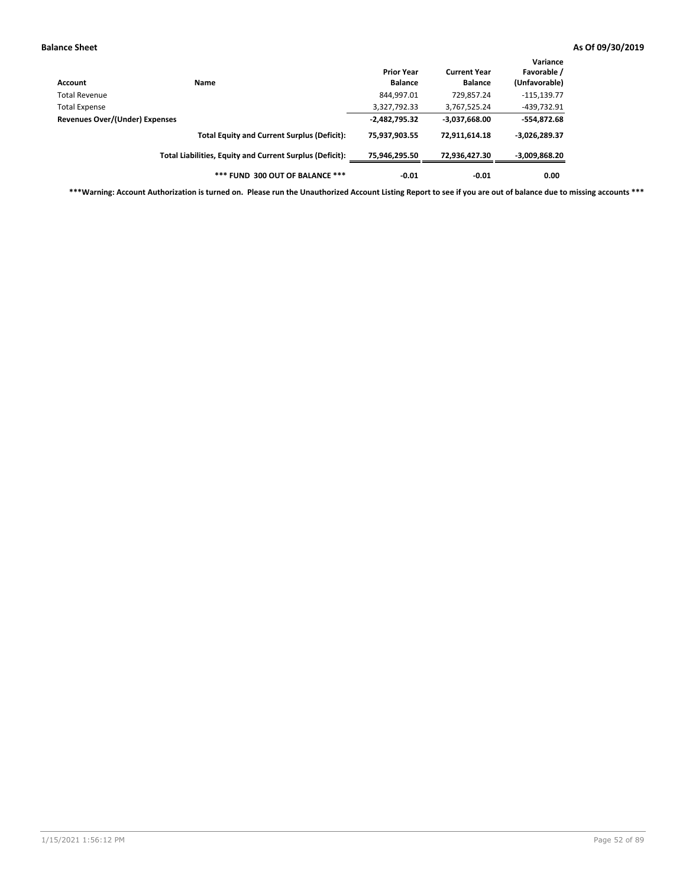| Account                        | Name                                                     | <b>Prior Year</b><br><b>Balance</b> | <b>Current Year</b><br><b>Balance</b> | Variance<br>Favorable /<br>(Unfavorable) |
|--------------------------------|----------------------------------------------------------|-------------------------------------|---------------------------------------|------------------------------------------|
| <b>Total Revenue</b>           |                                                          | 844,997.01                          | 729,857.24                            | $-115, 139.77$                           |
| <b>Total Expense</b>           |                                                          | 3,327,792.33                        | 3,767,525.24                          | -439,732.91                              |
| Revenues Over/(Under) Expenses |                                                          | $-2,482,795.32$                     | $-3,037,668.00$                       | $-554,872.68$                            |
|                                | <b>Total Equity and Current Surplus (Deficit):</b>       | 75,937,903.55                       | 72,911,614.18                         | $-3,026,289.37$                          |
|                                | Total Liabilities, Equity and Current Surplus (Deficit): | 75,946,295.50                       | 72,936,427.30                         | $-3,009,868.20$                          |
|                                | *** FUND 300 OUT OF BALANCE ***                          | $-0.01$                             | $-0.01$                               | 0.00                                     |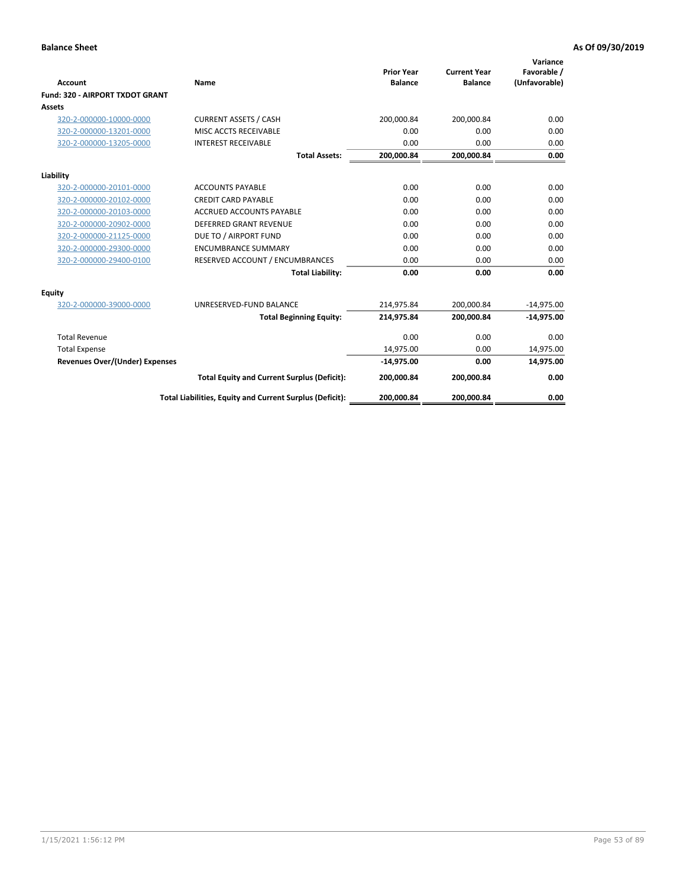|                                       |                                                          | <b>Prior Year</b> | <b>Current Year</b> | Variance<br>Favorable / |
|---------------------------------------|----------------------------------------------------------|-------------------|---------------------|-------------------------|
| <b>Account</b>                        | Name                                                     | <b>Balance</b>    | <b>Balance</b>      | (Unfavorable)           |
| Fund: 320 - AIRPORT TXDOT GRANT       |                                                          |                   |                     |                         |
| Assets                                |                                                          |                   |                     |                         |
| 320-2-000000-10000-0000               | <b>CURRENT ASSETS / CASH</b>                             | 200,000.84        | 200,000.84          | 0.00                    |
| 320-2-000000-13201-0000               | MISC ACCTS RECEIVABLE                                    | 0.00              | 0.00                | 0.00                    |
| 320-2-000000-13205-0000               | <b>INTEREST RECEIVABLE</b>                               | 0.00              | 0.00                | 0.00                    |
|                                       | <b>Total Assets:</b>                                     | 200,000.84        | 200,000.84          | 0.00                    |
| Liability                             |                                                          |                   |                     |                         |
| 320-2-000000-20101-0000               | <b>ACCOUNTS PAYABLE</b>                                  | 0.00              | 0.00                | 0.00                    |
| 320-2-000000-20102-0000               | <b>CREDIT CARD PAYABLE</b>                               | 0.00              | 0.00                | 0.00                    |
| 320-2-000000-20103-0000               | <b>ACCRUED ACCOUNTS PAYABLE</b>                          | 0.00              | 0.00                | 0.00                    |
| 320-2-000000-20902-0000               | <b>DEFERRED GRANT REVENUE</b>                            | 0.00              | 0.00                | 0.00                    |
| 320-2-000000-21125-0000               | DUE TO / AIRPORT FUND                                    | 0.00              | 0.00                | 0.00                    |
| 320-2-000000-29300-0000               | <b>ENCUMBRANCE SUMMARY</b>                               | 0.00              | 0.00                | 0.00                    |
| 320-2-000000-29400-0100               | RESERVED ACCOUNT / ENCUMBRANCES                          | 0.00              | 0.00                | 0.00                    |
|                                       | <b>Total Liability:</b>                                  | 0.00              | 0.00                | 0.00                    |
| <b>Equity</b>                         |                                                          |                   |                     |                         |
| 320-2-000000-39000-0000               | UNRESERVED-FUND BALANCE                                  | 214,975.84        | 200,000.84          | $-14,975.00$            |
|                                       | <b>Total Beginning Equity:</b>                           | 214,975.84        | 200,000.84          | $-14,975.00$            |
| <b>Total Revenue</b>                  |                                                          | 0.00              | 0.00                | 0.00                    |
| <b>Total Expense</b>                  |                                                          | 14,975.00         | 0.00                | 14,975.00               |
| <b>Revenues Over/(Under) Expenses</b> |                                                          | $-14,975.00$      | 0.00                | 14,975.00               |
|                                       | <b>Total Equity and Current Surplus (Deficit):</b>       | 200,000.84        | 200,000.84          | 0.00                    |
|                                       | Total Liabilities, Equity and Current Surplus (Deficit): | 200,000.84        | 200,000.84          | 0.00                    |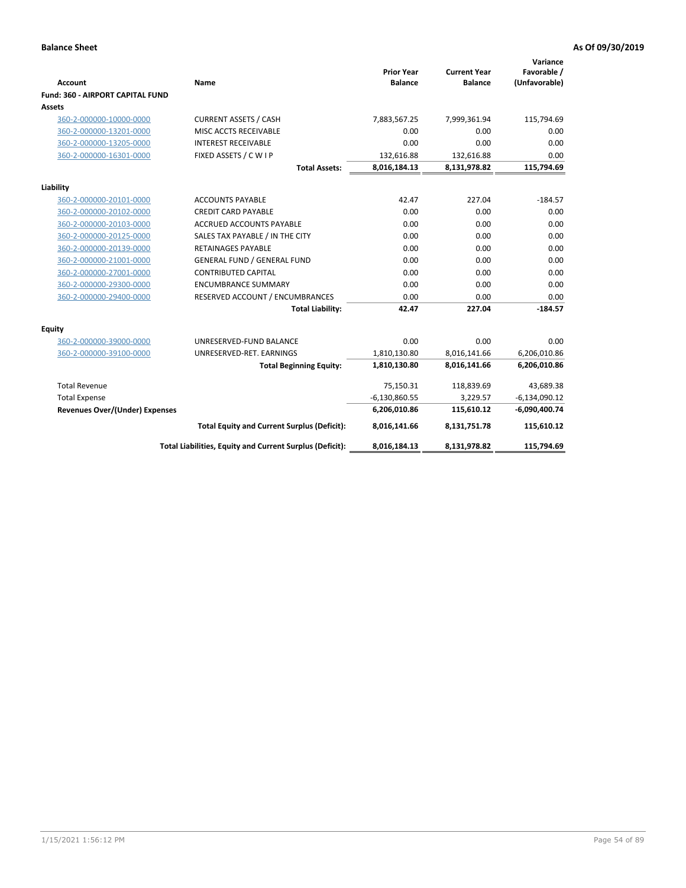| <b>Account</b><br>Fund: 360 - AIRPORT CAPITAL FUND | Name                                                     | <b>Prior Year</b><br><b>Balance</b> | <b>Current Year</b><br><b>Balance</b> | Variance<br>Favorable /<br>(Unfavorable) |
|----------------------------------------------------|----------------------------------------------------------|-------------------------------------|---------------------------------------|------------------------------------------|
| Assets                                             |                                                          |                                     |                                       |                                          |
| 360-2-000000-10000-0000                            | <b>CURRENT ASSETS / CASH</b>                             | 7,883,567.25                        | 7,999,361.94                          | 115,794.69                               |
| 360-2-000000-13201-0000                            | MISC ACCTS RECEIVABLE                                    | 0.00                                | 0.00                                  | 0.00                                     |
| 360-2-000000-13205-0000                            | <b>INTEREST RECEIVABLE</b>                               | 0.00                                | 0.00                                  | 0.00                                     |
| 360-2-000000-16301-0000                            | FIXED ASSETS / C W I P                                   | 132,616.88                          | 132,616.88                            | 0.00                                     |
|                                                    | <b>Total Assets:</b>                                     | 8,016,184.13                        | 8,131,978.82                          | 115,794.69                               |
| Liability                                          |                                                          |                                     |                                       |                                          |
| 360-2-000000-20101-0000                            | <b>ACCOUNTS PAYABLE</b>                                  | 42.47                               | 227.04                                | $-184.57$                                |
| 360-2-000000-20102-0000                            | <b>CREDIT CARD PAYABLE</b>                               | 0.00                                | 0.00                                  | 0.00                                     |
| 360-2-000000-20103-0000                            | ACCRUED ACCOUNTS PAYABLE                                 | 0.00                                | 0.00                                  | 0.00                                     |
| 360-2-000000-20125-0000                            | SALES TAX PAYABLE / IN THE CITY                          | 0.00                                | 0.00                                  | 0.00                                     |
| 360-2-000000-20139-0000                            | <b>RETAINAGES PAYABLE</b>                                | 0.00                                | 0.00                                  | 0.00                                     |
| 360-2-000000-21001-0000                            | <b>GENERAL FUND / GENERAL FUND</b>                       | 0.00                                | 0.00                                  | 0.00                                     |
| 360-2-000000-27001-0000                            | <b>CONTRIBUTED CAPITAL</b>                               | 0.00                                | 0.00                                  | 0.00                                     |
| 360-2-000000-29300-0000                            | <b>ENCUMBRANCE SUMMARY</b>                               | 0.00                                | 0.00                                  | 0.00                                     |
| 360-2-000000-29400-0000                            | RESERVED ACCOUNT / ENCUMBRANCES                          | 0.00                                | 0.00                                  | 0.00                                     |
|                                                    | <b>Total Liability:</b>                                  | 42.47                               | 227.04                                | $-184.57$                                |
| Equity                                             |                                                          |                                     |                                       |                                          |
| 360-2-000000-39000-0000                            | UNRESERVED-FUND BALANCE                                  | 0.00                                | 0.00                                  | 0.00                                     |
| 360-2-000000-39100-0000                            | UNRESERVED-RET. EARNINGS                                 | 1,810,130.80                        | 8,016,141.66                          | 6,206,010.86                             |
|                                                    | <b>Total Beginning Equity:</b>                           | 1,810,130.80                        | 8,016,141.66                          | 6,206,010.86                             |
| <b>Total Revenue</b>                               |                                                          | 75,150.31                           | 118,839.69                            | 43,689.38                                |
| <b>Total Expense</b>                               |                                                          | $-6,130,860.55$                     | 3,229.57                              | $-6,134,090.12$                          |
| <b>Revenues Over/(Under) Expenses</b>              |                                                          | 6,206,010.86                        | 115,610.12                            | $-6,090,400.74$                          |
|                                                    | <b>Total Equity and Current Surplus (Deficit):</b>       | 8,016,141.66                        | 8,131,751.78                          | 115,610.12                               |
|                                                    | Total Liabilities, Equity and Current Surplus (Deficit): | 8,016,184.13                        | 8,131,978.82                          | 115,794.69                               |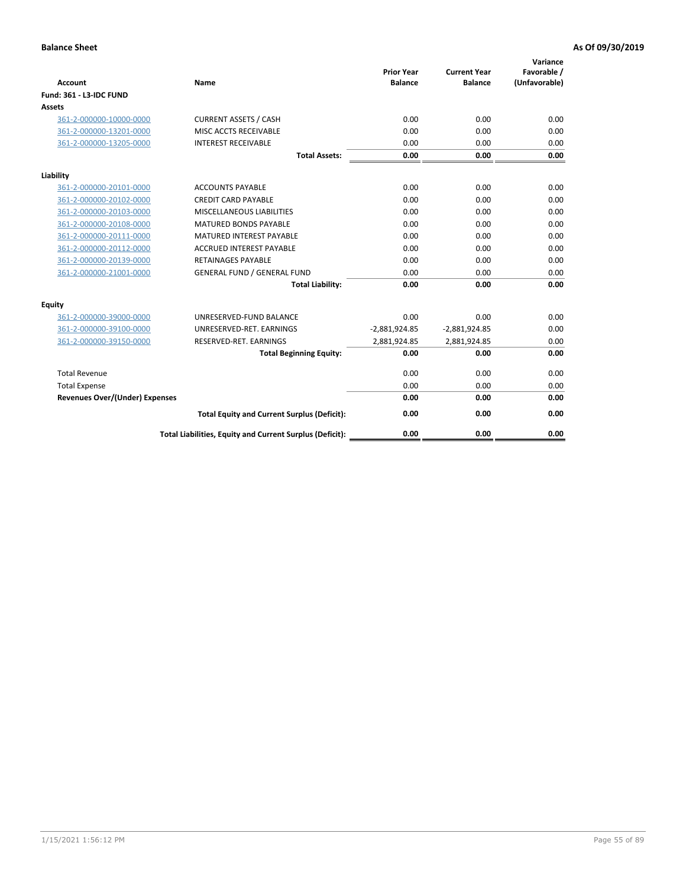| <b>Account</b>                        | <b>Name</b>                                              | <b>Prior Year</b><br><b>Balance</b> | <b>Current Year</b><br><b>Balance</b> | Variance<br>Favorable /<br>(Unfavorable) |
|---------------------------------------|----------------------------------------------------------|-------------------------------------|---------------------------------------|------------------------------------------|
| <b>Fund: 361 - L3-IDC FUND</b>        |                                                          |                                     |                                       |                                          |
| Assets                                |                                                          |                                     |                                       |                                          |
| 361-2-000000-10000-0000               | <b>CURRENT ASSETS / CASH</b>                             | 0.00                                | 0.00                                  | 0.00                                     |
| 361-2-000000-13201-0000               | MISC ACCTS RECEIVABLE                                    | 0.00                                | 0.00                                  | 0.00                                     |
| 361-2-000000-13205-0000               | <b>INTEREST RECEIVABLE</b>                               | 0.00                                | 0.00                                  | 0.00                                     |
|                                       | <b>Total Assets:</b>                                     | 0.00                                | 0.00                                  | 0.00                                     |
| Liability                             |                                                          |                                     |                                       |                                          |
| 361-2-000000-20101-0000               | <b>ACCOUNTS PAYABLE</b>                                  | 0.00                                | 0.00                                  | 0.00                                     |
| 361-2-000000-20102-0000               | <b>CREDIT CARD PAYABLE</b>                               | 0.00                                | 0.00                                  | 0.00                                     |
| 361-2-000000-20103-0000               | MISCELLANEOUS LIABILITIES                                | 0.00                                | 0.00                                  | 0.00                                     |
| 361-2-000000-20108-0000               | <b>MATURED BONDS PAYABLE</b>                             | 0.00                                | 0.00                                  | 0.00                                     |
| 361-2-000000-20111-0000               | <b>MATURED INTEREST PAYABLE</b>                          | 0.00                                | 0.00                                  | 0.00                                     |
| 361-2-000000-20112-0000               | <b>ACCRUED INTEREST PAYABLE</b>                          | 0.00                                | 0.00                                  | 0.00                                     |
| 361-2-000000-20139-0000               | <b>RETAINAGES PAYABLE</b>                                | 0.00                                | 0.00                                  | 0.00                                     |
| 361-2-000000-21001-0000               | <b>GENERAL FUND / GENERAL FUND</b>                       | 0.00                                | 0.00                                  | 0.00                                     |
|                                       | <b>Total Liability:</b>                                  | 0.00                                | 0.00                                  | 0.00                                     |
| Equity                                |                                                          |                                     |                                       |                                          |
| 361-2-000000-39000-0000               | UNRESERVED-FUND BALANCE                                  | 0.00                                | 0.00                                  | 0.00                                     |
| 361-2-000000-39100-0000               | UNRESERVED-RET. EARNINGS                                 | $-2,881,924.85$                     | $-2,881,924.85$                       | 0.00                                     |
| 361-2-000000-39150-0000               | RESERVED-RET. EARNINGS                                   | 2,881,924.85                        | 2,881,924.85                          | 0.00                                     |
|                                       | <b>Total Beginning Equity:</b>                           | 0.00                                | 0.00                                  | 0.00                                     |
| <b>Total Revenue</b>                  |                                                          | 0.00                                | 0.00                                  | 0.00                                     |
| <b>Total Expense</b>                  |                                                          | 0.00                                | 0.00                                  | 0.00                                     |
| <b>Revenues Over/(Under) Expenses</b> |                                                          | 0.00                                | 0.00                                  | 0.00                                     |
|                                       | <b>Total Equity and Current Surplus (Deficit):</b>       | 0.00                                | 0.00                                  | 0.00                                     |
|                                       | Total Liabilities, Equity and Current Surplus (Deficit): | 0.00                                | 0.00                                  | 0.00                                     |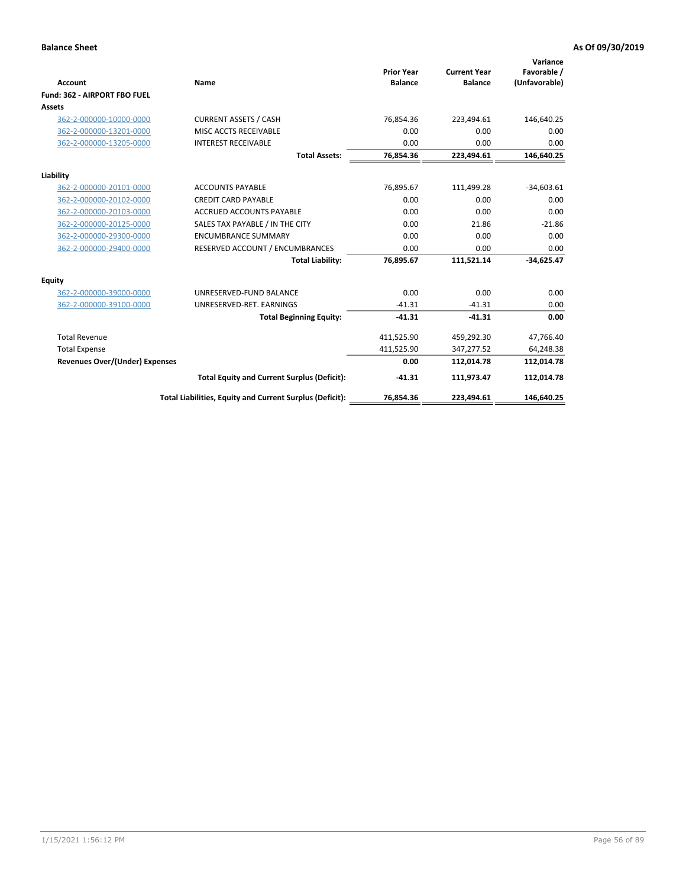|                                       |                                                          |                                     |                                       | Variance                     |
|---------------------------------------|----------------------------------------------------------|-------------------------------------|---------------------------------------|------------------------------|
| <b>Account</b>                        | Name                                                     | <b>Prior Year</b><br><b>Balance</b> | <b>Current Year</b><br><b>Balance</b> | Favorable /<br>(Unfavorable) |
| Fund: 362 - AIRPORT FBO FUEL          |                                                          |                                     |                                       |                              |
| Assets                                |                                                          |                                     |                                       |                              |
| 362-2-000000-10000-0000               | <b>CURRENT ASSETS / CASH</b>                             | 76.854.36                           | 223,494.61                            | 146,640.25                   |
| 362-2-000000-13201-0000               | MISC ACCTS RECEIVABLE                                    | 0.00                                | 0.00                                  | 0.00                         |
| 362-2-000000-13205-0000               | <b>INTEREST RECEIVABLE</b>                               | 0.00                                | 0.00                                  | 0.00                         |
|                                       | <b>Total Assets:</b>                                     | 76,854.36                           | 223,494.61                            | 146,640.25                   |
| Liability                             |                                                          |                                     |                                       |                              |
| 362-2-000000-20101-0000               | <b>ACCOUNTS PAYABLE</b>                                  | 76,895.67                           | 111,499.28                            | $-34,603.61$                 |
| 362-2-000000-20102-0000               | <b>CREDIT CARD PAYABLE</b>                               | 0.00                                | 0.00                                  | 0.00                         |
| 362-2-000000-20103-0000               | <b>ACCRUED ACCOUNTS PAYABLE</b>                          | 0.00                                | 0.00                                  | 0.00                         |
| 362-2-000000-20125-0000               | SALES TAX PAYABLE / IN THE CITY                          | 0.00                                | 21.86                                 | $-21.86$                     |
| 362-2-000000-29300-0000               | <b>ENCUMBRANCE SUMMARY</b>                               | 0.00                                | 0.00                                  | 0.00                         |
| 362-2-000000-29400-0000               | RESERVED ACCOUNT / ENCUMBRANCES                          | 0.00                                | 0.00                                  | 0.00                         |
|                                       | <b>Total Liability:</b>                                  | 76,895.67                           | 111,521.14                            | $-34,625.47$                 |
| <b>Equity</b>                         |                                                          |                                     |                                       |                              |
| 362-2-000000-39000-0000               | UNRESERVED-FUND BALANCE                                  | 0.00                                | 0.00                                  | 0.00                         |
| 362-2-000000-39100-0000               | UNRESERVED-RET. EARNINGS                                 | $-41.31$                            | $-41.31$                              | 0.00                         |
|                                       | <b>Total Beginning Equity:</b>                           | $-41.31$                            | $-41.31$                              | 0.00                         |
| <b>Total Revenue</b>                  |                                                          | 411,525.90                          | 459,292.30                            | 47,766.40                    |
| <b>Total Expense</b>                  |                                                          | 411,525.90                          | 347,277.52                            | 64,248.38                    |
| <b>Revenues Over/(Under) Expenses</b> |                                                          | 0.00                                | 112,014.78                            | 112,014.78                   |
|                                       | <b>Total Equity and Current Surplus (Deficit):</b>       | $-41.31$                            | 111,973.47                            | 112,014.78                   |
|                                       | Total Liabilities, Equity and Current Surplus (Deficit): | 76,854.36                           | 223,494.61                            | 146,640.25                   |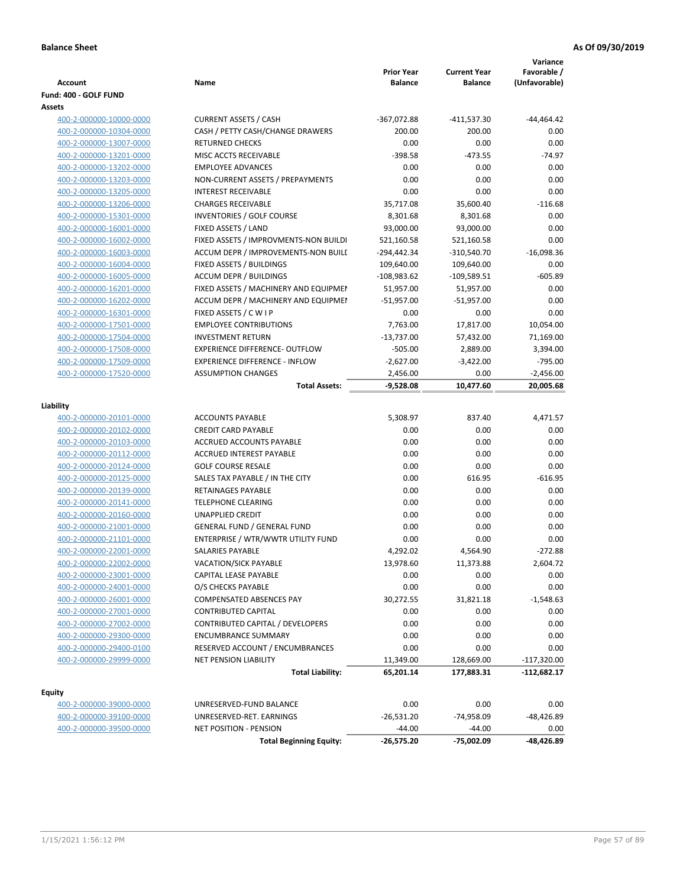| <b>Account</b>                                     | Name                                                  | <b>Prior Year</b><br><b>Balance</b> | <b>Current Year</b><br><b>Balance</b> | Variance<br>Favorable /<br>(Unfavorable) |
|----------------------------------------------------|-------------------------------------------------------|-------------------------------------|---------------------------------------|------------------------------------------|
| Fund: 400 - GOLF FUND                              |                                                       |                                     |                                       |                                          |
| Assets<br>400-2-000000-10000-0000                  | <b>CURRENT ASSETS / CASH</b>                          | $-367,072.88$                       | -411,537.30                           | $-44,464.42$                             |
| 400-2-000000-10304-0000                            | CASH / PETTY CASH/CHANGE DRAWERS                      | 200.00                              | 200.00                                | 0.00                                     |
| 400-2-000000-13007-0000                            | <b>RETURNED CHECKS</b>                                | 0.00                                | 0.00                                  | 0.00                                     |
| 400-2-000000-13201-0000                            | MISC ACCTS RECEIVABLE                                 | $-398.58$                           | $-473.55$                             | $-74.97$                                 |
| 400-2-000000-13202-0000                            | <b>EMPLOYEE ADVANCES</b>                              | 0.00                                | 0.00                                  | 0.00                                     |
| 400-2-000000-13203-0000                            | NON-CURRENT ASSETS / PREPAYMENTS                      | 0.00                                | 0.00                                  | 0.00                                     |
| 400-2-000000-13205-0000                            | <b>INTEREST RECEIVABLE</b>                            | 0.00                                | 0.00                                  | 0.00                                     |
| 400-2-000000-13206-0000                            | <b>CHARGES RECEIVABLE</b>                             | 35,717.08                           | 35,600.40                             | $-116.68$                                |
| 400-2-000000-15301-0000                            | <b>INVENTORIES / GOLF COURSE</b>                      | 8,301.68                            | 8,301.68                              | 0.00                                     |
| 400-2-000000-16001-0000                            | FIXED ASSETS / LAND                                   | 93,000.00                           | 93,000.00                             | 0.00                                     |
| 400-2-000000-16002-0000                            | FIXED ASSETS / IMPROVMENTS-NON BUILDI                 | 521,160.58                          | 521,160.58                            | 0.00                                     |
| 400-2-000000-16003-0000                            | ACCUM DEPR / IMPROVEMENTS-NON BUILI                   | $-294,442.34$                       | $-310,540.70$                         | $-16,098.36$                             |
| 400-2-000000-16004-0000                            | FIXED ASSETS / BUILDINGS                              | 109,640.00                          | 109,640.00                            | 0.00                                     |
| 400-2-000000-16005-0000                            | <b>ACCUM DEPR / BUILDINGS</b>                         | $-108,983.62$                       | $-109,589.51$                         | $-605.89$                                |
| 400-2-000000-16201-0000                            | FIXED ASSETS / MACHINERY AND EQUIPMEN                 | 51,957.00                           | 51,957.00                             | 0.00                                     |
| 400-2-000000-16202-0000                            | ACCUM DEPR / MACHINERY AND EQUIPMEI                   | $-51,957.00$                        | $-51,957.00$                          | 0.00                                     |
| 400-2-000000-16301-0000                            | FIXED ASSETS / C W I P                                | 0.00                                | 0.00                                  | 0.00                                     |
| 400-2-000000-17501-0000                            | <b>EMPLOYEE CONTRIBUTIONS</b>                         | 7,763.00                            | 17,817.00                             | 10,054.00                                |
| 400-2-000000-17504-0000                            | <b>INVESTMENT RETURN</b>                              | $-13,737.00$                        | 57,432.00                             | 71,169.00                                |
| 400-2-000000-17508-0000                            | <b>EXPERIENCE DIFFERENCE- OUTFLOW</b>                 | $-505.00$                           | 2,889.00                              | 3,394.00                                 |
| 400-2-000000-17509-0000                            | <b>EXPERIENCE DIFFERENCE - INFLOW</b>                 | $-2,627.00$                         | $-3,422.00$                           | $-795.00$                                |
| 400-2-000000-17520-0000                            | <b>ASSUMPTION CHANGES</b>                             | 2,456.00                            | 0.00                                  | $-2,456.00$                              |
|                                                    | <b>Total Assets:</b>                                  | $-9,528.08$                         | 10,477.60                             | 20,005.68                                |
|                                                    |                                                       |                                     |                                       |                                          |
| Liability                                          |                                                       |                                     |                                       |                                          |
| 400-2-000000-20101-0000                            | <b>ACCOUNTS PAYABLE</b>                               | 5,308.97                            | 837.40                                | 4,471.57                                 |
| 400-2-000000-20102-0000                            | <b>CREDIT CARD PAYABLE</b>                            | 0.00                                | 0.00                                  | 0.00                                     |
| 400-2-000000-20103-0000                            | ACCRUED ACCOUNTS PAYABLE                              | 0.00                                | 0.00                                  | 0.00                                     |
| 400-2-000000-20112-0000                            | <b>ACCRUED INTEREST PAYABLE</b>                       | 0.00                                | 0.00                                  | 0.00                                     |
| 400-2-000000-20124-0000                            | <b>GOLF COURSE RESALE</b>                             | 0.00                                | 0.00                                  | 0.00                                     |
| 400-2-000000-20125-0000                            | SALES TAX PAYABLE / IN THE CITY                       | 0.00                                | 616.95                                | $-616.95$                                |
| 400-2-000000-20139-0000                            | <b>RETAINAGES PAYABLE</b>                             | 0.00                                | 0.00                                  | 0.00                                     |
| 400-2-000000-20141-0000                            | <b>TELEPHONE CLEARING</b>                             | 0.00                                | 0.00                                  | 0.00                                     |
| 400-2-000000-20160-0000                            | <b>UNAPPLIED CREDIT</b>                               | 0.00                                | 0.00                                  | 0.00                                     |
| 400-2-000000-21001-0000                            | <b>GENERAL FUND / GENERAL FUND</b>                    | 0.00                                | 0.00                                  | 0.00                                     |
| 400-2-000000-21101-0000                            | ENTERPRISE / WTR/WWTR UTILITY FUND                    | 0.00                                | 0.00                                  | 0.00                                     |
| 400-2-000000-22001-0000<br>400-2-000000-22002-0000 | SALARIES PAYABLE                                      | 4,292.02                            | 4,564.90                              | $-272.88$                                |
| 400-2-000000-23001-0000                            | VACATION/SICK PAYABLE                                 | 13,978.60                           | 11,373.88                             | 2,604.72                                 |
|                                                    | CAPITAL LEASE PAYABLE                                 | 0.00                                | 0.00                                  | 0.00                                     |
| 400-2-000000-24001-0000                            | O/S CHECKS PAYABLE<br><b>COMPENSATED ABSENCES PAY</b> | 0.00                                | 0.00                                  | 0.00                                     |
| 400-2-000000-26001-0000<br>400-2-000000-27001-0000 | <b>CONTRIBUTED CAPITAL</b>                            | 30,272.55<br>0.00                   | 31,821.18<br>0.00                     | $-1,548.63$<br>0.00                      |
| 400-2-000000-27002-0000                            | CONTRIBUTED CAPITAL / DEVELOPERS                      | 0.00                                | 0.00                                  | 0.00                                     |
| 400-2-000000-29300-0000                            | <b>ENCUMBRANCE SUMMARY</b>                            | 0.00                                | 0.00                                  | 0.00                                     |
| 400-2-000000-29400-0100                            | RESERVED ACCOUNT / ENCUMBRANCES                       | 0.00                                | 0.00                                  | 0.00                                     |
| 400-2-000000-29999-0000                            | NET PENSION LIABILITY                                 | 11,349.00                           | 128,669.00                            | $-117,320.00$                            |
|                                                    | <b>Total Liability:</b>                               | 65,201.14                           | 177,883.31                            | $-112,682.17$                            |
|                                                    |                                                       |                                     |                                       |                                          |
| <b>Equity</b>                                      |                                                       |                                     |                                       |                                          |
| 400-2-000000-39000-0000                            | UNRESERVED-FUND BALANCE                               | 0.00                                | 0.00                                  | 0.00                                     |
| 400-2-000000-39100-0000                            | UNRESERVED-RET. EARNINGS                              | $-26,531.20$                        | -74,958.09                            | -48,426.89                               |
| 400-2-000000-39500-0000                            | NET POSITION - PENSION                                | $-44.00$                            | $-44.00$                              | 0.00                                     |
|                                                    | <b>Total Beginning Equity:</b>                        | $-26,575.20$                        | -75,002.09                            | -48,426.89                               |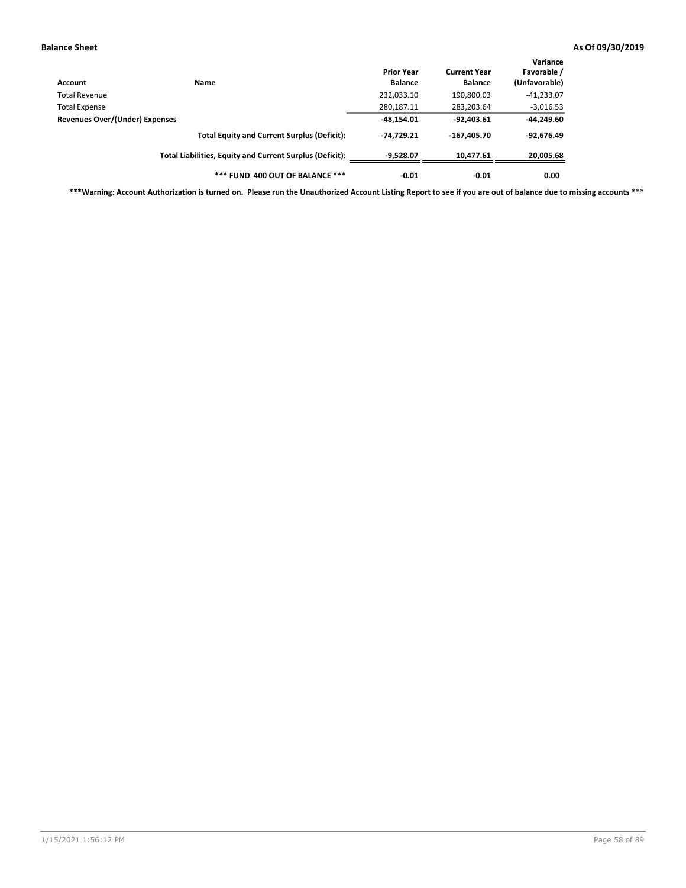| Account                        | <b>Name</b>                                              | <b>Prior Year</b><br><b>Balance</b> | <b>Current Year</b><br><b>Balance</b> | Variance<br>Favorable /<br>(Unfavorable) |
|--------------------------------|----------------------------------------------------------|-------------------------------------|---------------------------------------|------------------------------------------|
| Total Revenue                  |                                                          | 232,033.10                          | 190,800.03                            | $-41,233.07$                             |
| <b>Total Expense</b>           |                                                          | 280,187.11                          | 283,203.64                            | $-3,016.53$                              |
| Revenues Over/(Under) Expenses | $-48.154.01$                                             | $-92,403.61$                        | -44,249.60                            |                                          |
|                                | <b>Total Equity and Current Surplus (Deficit):</b>       | $-74.729.21$                        | $-167,405.70$                         | $-92,676.49$                             |
|                                | Total Liabilities, Equity and Current Surplus (Deficit): | $-9.528.07$                         | 10,477.61                             | 20,005.68                                |
|                                | *** FUND 400 OUT OF BALANCE ***                          | $-0.01$                             | $-0.01$                               | 0.00                                     |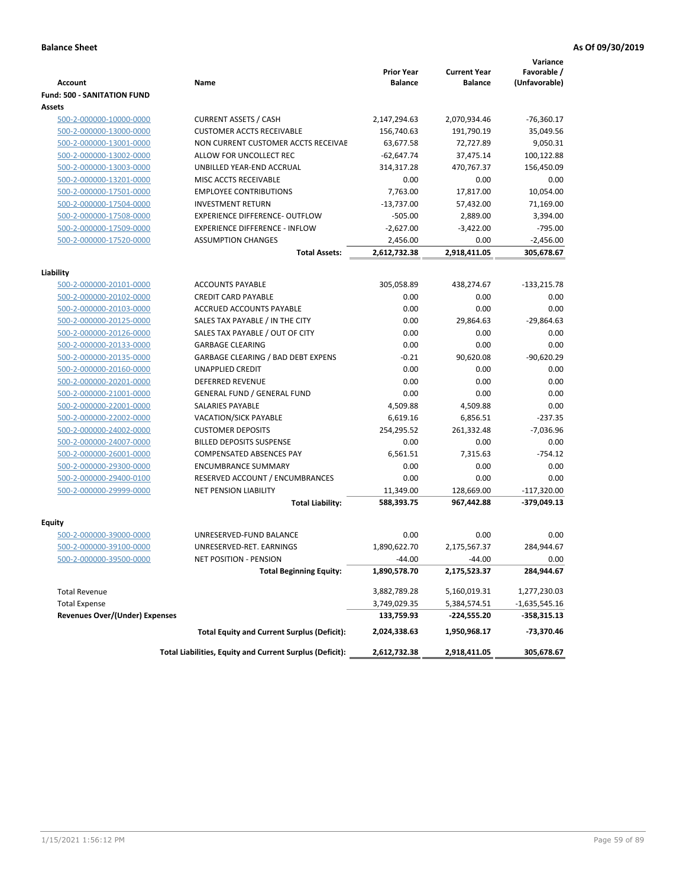|                                                    |                                                                 | <b>Prior Year</b>      | <b>Current Year</b>    | Variance<br>Favorable / |
|----------------------------------------------------|-----------------------------------------------------------------|------------------------|------------------------|-------------------------|
| <b>Account</b>                                     | Name                                                            | <b>Balance</b>         | <b>Balance</b>         | (Unfavorable)           |
| <b>Fund: 500 - SANITATION FUND</b>                 |                                                                 |                        |                        |                         |
| Assets                                             |                                                                 |                        |                        |                         |
| 500-2-000000-10000-0000                            | <b>CURRENT ASSETS / CASH</b>                                    | 2,147,294.63           | 2,070,934.46           | $-76,360.17$            |
| 500-2-000000-13000-0000                            | <b>CUSTOMER ACCTS RECEIVABLE</b>                                | 156,740.63             | 191,790.19             | 35,049.56               |
| 500-2-000000-13001-0000                            | NON CURRENT CUSTOMER ACCTS RECEIVAE                             | 63,677.58              | 72,727.89              | 9,050.31                |
| 500-2-000000-13002-0000                            | ALLOW FOR UNCOLLECT REC                                         | $-62,647.74$           | 37,475.14              | 100,122.88              |
| 500-2-000000-13003-0000                            | UNBILLED YEAR-END ACCRUAL                                       | 314,317.28             | 470,767.37             | 156,450.09              |
| 500-2-000000-13201-0000                            | MISC ACCTS RECEIVABLE                                           | 0.00                   | 0.00                   | 0.00                    |
| 500-2-000000-17501-0000                            | <b>EMPLOYEE CONTRIBUTIONS</b>                                   | 7.763.00               | 17.817.00              | 10,054.00               |
| 500-2-000000-17504-0000                            | <b>INVESTMENT RETURN</b>                                        | $-13,737.00$           | 57,432.00              | 71,169.00               |
| 500-2-000000-17508-0000                            | <b>EXPERIENCE DIFFERENCE- OUTFLOW</b>                           | $-505.00$              | 2,889.00               | 3,394.00                |
| 500-2-000000-17509-0000                            | <b>EXPERIENCE DIFFERENCE - INFLOW</b>                           | $-2,627.00$            | $-3,422.00$            | $-795.00$               |
| 500-2-000000-17520-0000                            | <b>ASSUMPTION CHANGES</b>                                       | 2,456.00               | 0.00                   | $-2,456.00$             |
|                                                    | <b>Total Assets:</b>                                            | 2,612,732.38           | 2,918,411.05           | 305,678.67              |
|                                                    |                                                                 |                        |                        |                         |
| Liability                                          |                                                                 |                        |                        |                         |
| 500-2-000000-20101-0000                            | <b>ACCOUNTS PAYABLE</b>                                         | 305,058.89             | 438,274.67             | $-133,215.78$           |
| 500-2-000000-20102-0000                            | <b>CREDIT CARD PAYABLE</b><br><b>ACCRUED ACCOUNTS PAYABLE</b>   | 0.00                   | 0.00                   | 0.00                    |
| 500-2-000000-20103-0000                            |                                                                 | 0.00                   | 0.00                   | 0.00                    |
| 500-2-000000-20125-0000                            | SALES TAX PAYABLE / IN THE CITY                                 | 0.00                   | 29,864.63              | $-29,864.63$            |
| 500-2-000000-20126-0000                            | SALES TAX PAYABLE / OUT OF CITY                                 | 0.00                   | 0.00                   | 0.00                    |
| 500-2-000000-20133-0000                            | <b>GARBAGE CLEARING</b>                                         | 0.00                   | 0.00                   | 0.00                    |
| 500-2-000000-20135-0000                            | GARBAGE CLEARING / BAD DEBT EXPENS                              | $-0.21$                | 90,620.08              | $-90,620.29$            |
| 500-2-000000-20160-0000                            | UNAPPLIED CREDIT                                                | 0.00                   | 0.00                   | 0.00                    |
| 500-2-000000-20201-0000                            | <b>DEFERRED REVENUE</b>                                         | 0.00                   | 0.00                   | 0.00<br>0.00            |
| 500-2-000000-21001-0000                            | <b>GENERAL FUND / GENERAL FUND</b>                              | 0.00                   | 0.00                   |                         |
| 500-2-000000-22001-0000                            | <b>SALARIES PAYABLE</b><br><b>VACATION/SICK PAYABLE</b>         | 4,509.88               | 4,509.88               | 0.00<br>$-237.35$       |
| 500-2-000000-22002-0000<br>500-2-000000-24002-0000 | <b>CUSTOMER DEPOSITS</b>                                        | 6,619.16<br>254,295.52 | 6,856.51<br>261,332.48 | $-7,036.96$             |
| 500-2-000000-24007-0000                            | <b>BILLED DEPOSITS SUSPENSE</b>                                 | 0.00                   | 0.00                   | 0.00                    |
|                                                    | <b>COMPENSATED ABSENCES PAY</b>                                 |                        |                        | $-754.12$               |
| 500-2-000000-26001-0000                            | <b>ENCUMBRANCE SUMMARY</b>                                      | 6,561.51<br>0.00       | 7,315.63<br>0.00       | 0.00                    |
| 500-2-000000-29300-0000                            |                                                                 | 0.00                   | 0.00                   | 0.00                    |
| 500-2-000000-29400-0100<br>500-2-000000-29999-0000 | RESERVED ACCOUNT / ENCUMBRANCES<br><b>NET PENSION LIABILITY</b> | 11,349.00              | 128,669.00             | $-117,320.00$           |
|                                                    | <b>Total Liability:</b>                                         | 588,393.75             | 967,442.88             | $-379,049.13$           |
|                                                    |                                                                 |                        |                        |                         |
| Equity                                             |                                                                 |                        |                        |                         |
| 500-2-000000-39000-0000                            | UNRESERVED-FUND BALANCE                                         | 0.00                   | 0.00                   | 0.00                    |
| 500-2-000000-39100-0000                            | UNRESERVED-RET. EARNINGS                                        | 1,890,622.70           | 2,175,567.37           | 284,944.67              |
| <u>500-2-000000-39500-0000</u>                     | NET POSITION - PENSION                                          | $-44.00$               | $-44.00$               | 0.00                    |
|                                                    | <b>Total Beginning Equity:</b>                                  | 1,890,578.70           | 2,175,523.37           | 284,944.67              |
| <b>Total Revenue</b>                               |                                                                 | 3,882,789.28           | 5,160,019.31           | 1,277,230.03            |
| <b>Total Expense</b>                               |                                                                 | 3,749,029.35           | 5,384,574.51           | -1,635,545.16           |
| <b>Revenues Over/(Under) Expenses</b>              |                                                                 | 133,759.93             | -224,555.20            | -358,315.13             |
|                                                    | <b>Total Equity and Current Surplus (Deficit):</b>              | 2,024,338.63           | 1,950,968.17           | -73,370.46              |
|                                                    | Total Liabilities, Equity and Current Surplus (Deficit):        | 2,612,732.38           | 2,918,411.05           | 305,678.67              |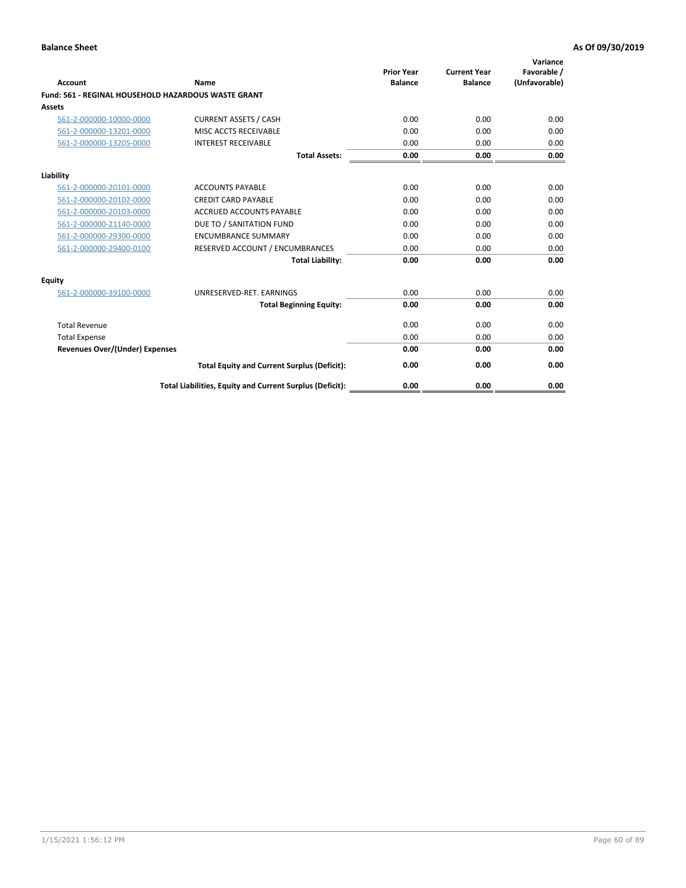| Account                                                    | Name                                                     | <b>Prior Year</b><br><b>Balance</b> | <b>Current Year</b><br><b>Balance</b> | Variance<br>Favorable /<br>(Unfavorable) |
|------------------------------------------------------------|----------------------------------------------------------|-------------------------------------|---------------------------------------|------------------------------------------|
| <b>Fund: 561 - REGINAL HOUSEHOLD HAZARDOUS WASTE GRANT</b> |                                                          |                                     |                                       |                                          |
| <b>Assets</b>                                              |                                                          |                                     |                                       |                                          |
| 561-2-000000-10000-0000                                    | <b>CURRENT ASSETS / CASH</b>                             | 0.00                                | 0.00                                  | 0.00                                     |
| 561-2-000000-13201-0000                                    | MISC ACCTS RECEIVABLE                                    | 0.00                                | 0.00                                  | 0.00                                     |
| 561-2-000000-13205-0000                                    | <b>INTEREST RECEIVABLE</b>                               | 0.00                                | 0.00                                  | 0.00                                     |
|                                                            | <b>Total Assets:</b>                                     | 0.00                                | 0.00                                  | 0.00                                     |
| Liability                                                  |                                                          |                                     |                                       |                                          |
| 561-2-000000-20101-0000                                    | <b>ACCOUNTS PAYABLE</b>                                  | 0.00                                | 0.00                                  | 0.00                                     |
| 561-2-000000-20102-0000                                    | <b>CREDIT CARD PAYABLE</b>                               | 0.00                                | 0.00                                  | 0.00                                     |
| 561-2-000000-20103-0000                                    | <b>ACCRUED ACCOUNTS PAYABLE</b>                          | 0.00                                | 0.00                                  | 0.00                                     |
| 561-2-000000-21140-0000                                    | DUE TO / SANITATION FUND                                 | 0.00                                | 0.00                                  | 0.00                                     |
| 561-2-000000-29300-0000                                    | <b>ENCUMBRANCE SUMMARY</b>                               | 0.00                                | 0.00                                  | 0.00                                     |
| 561-2-000000-29400-0100                                    | RESERVED ACCOUNT / ENCUMBRANCES                          | 0.00                                | 0.00                                  | 0.00                                     |
|                                                            | <b>Total Liability:</b>                                  | 0.00                                | 0.00                                  | 0.00                                     |
| <b>Equity</b>                                              |                                                          |                                     |                                       |                                          |
| 561-2-000000-39100-0000                                    | UNRESERVED-RET. EARNINGS                                 | 0.00                                | 0.00                                  | 0.00                                     |
|                                                            | <b>Total Beginning Equity:</b>                           | 0.00                                | 0.00                                  | 0.00                                     |
| <b>Total Revenue</b>                                       |                                                          | 0.00                                | 0.00                                  | 0.00                                     |
| <b>Total Expense</b>                                       |                                                          | 0.00                                | 0.00                                  | 0.00                                     |
| <b>Revenues Over/(Under) Expenses</b>                      |                                                          | 0.00                                | 0.00                                  | 0.00                                     |
|                                                            | <b>Total Equity and Current Surplus (Deficit):</b>       | 0.00                                | 0.00                                  | 0.00                                     |
|                                                            | Total Liabilities, Equity and Current Surplus (Deficit): | 0.00                                | 0.00                                  | 0.00                                     |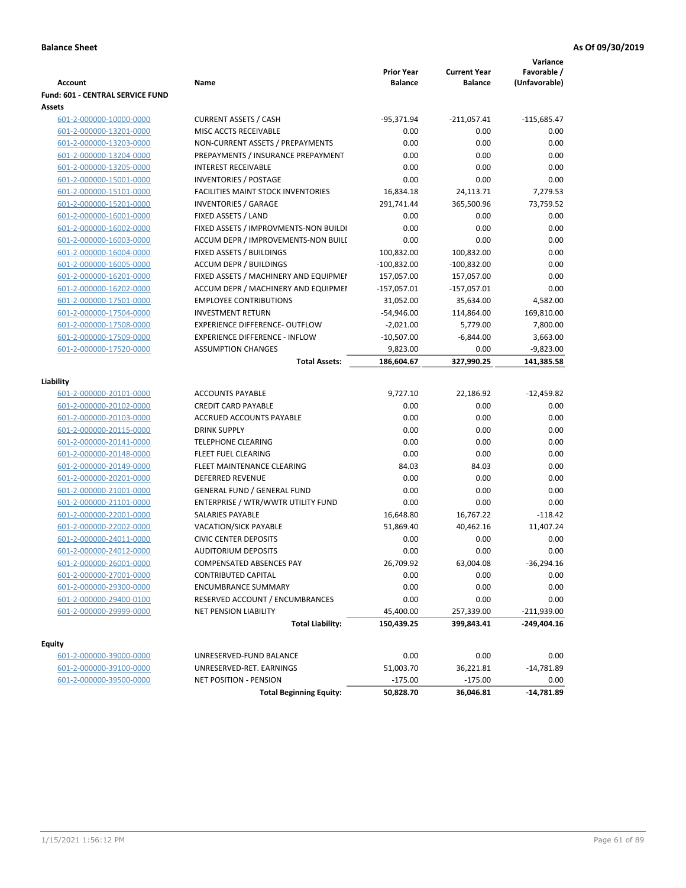| <b>Account</b>                          | Name                                      | <b>Prior Year</b><br><b>Balance</b> | <b>Current Year</b><br><b>Balance</b> | Variance<br>Favorable /<br>(Unfavorable) |
|-----------------------------------------|-------------------------------------------|-------------------------------------|---------------------------------------|------------------------------------------|
| <b>Fund: 601 - CENTRAL SERVICE FUND</b> |                                           |                                     |                                       |                                          |
| Assets                                  |                                           |                                     |                                       |                                          |
| 601-2-000000-10000-0000                 | <b>CURRENT ASSETS / CASH</b>              | $-95,371.94$                        | $-211,057.41$                         | $-115,685.47$                            |
| 601-2-000000-13201-0000                 | MISC ACCTS RECEIVABLE                     | 0.00                                | 0.00                                  | 0.00                                     |
| 601-2-000000-13203-0000                 | NON-CURRENT ASSETS / PREPAYMENTS          | 0.00                                | 0.00                                  | 0.00                                     |
| 601-2-000000-13204-0000                 | PREPAYMENTS / INSURANCE PREPAYMENT        | 0.00                                | 0.00                                  | 0.00                                     |
| 601-2-000000-13205-0000                 | <b>INTEREST RECEIVABLE</b>                | 0.00                                | 0.00                                  | 0.00                                     |
| 601-2-000000-15001-0000                 | INVENTORIES / POSTAGE                     | 0.00                                | 0.00                                  | 0.00                                     |
| 601-2-000000-15101-0000                 | <b>FACILITIES MAINT STOCK INVENTORIES</b> | 16,834.18                           | 24,113.71                             | 7,279.53                                 |
| 601-2-000000-15201-0000                 | <b>INVENTORIES / GARAGE</b>               | 291,741.44                          | 365,500.96                            | 73,759.52                                |
| 601-2-000000-16001-0000                 | FIXED ASSETS / LAND                       | 0.00                                | 0.00                                  | 0.00                                     |
| 601-2-000000-16002-0000                 | FIXED ASSETS / IMPROVMENTS-NON BUILDI     | 0.00                                | 0.00                                  | 0.00                                     |
| 601-2-000000-16003-0000                 | ACCUM DEPR / IMPROVEMENTS-NON BUILI       | 0.00                                | 0.00                                  | 0.00                                     |
| 601-2-000000-16004-0000                 | FIXED ASSETS / BUILDINGS                  | 100,832.00                          | 100,832.00                            | 0.00                                     |
| 601-2-000000-16005-0000                 | <b>ACCUM DEPR / BUILDINGS</b>             | $-100,832.00$                       | $-100,832.00$                         | 0.00                                     |
| 601-2-000000-16201-0000                 | FIXED ASSETS / MACHINERY AND EQUIPMEN     | 157,057.00                          | 157,057.00                            | 0.00                                     |
| 601-2-000000-16202-0000                 | ACCUM DEPR / MACHINERY AND EQUIPMEI       | $-157,057.01$                       | $-157,057.01$                         | 0.00                                     |
| 601-2-000000-17501-0000                 | <b>EMPLOYEE CONTRIBUTIONS</b>             | 31,052.00                           | 35,634.00                             | 4,582.00                                 |
| 601-2-000000-17504-0000                 | <b>INVESTMENT RETURN</b>                  | $-54,946.00$                        | 114,864.00                            | 169,810.00                               |
| 601-2-000000-17508-0000                 | <b>EXPERIENCE DIFFERENCE- OUTFLOW</b>     | $-2,021.00$                         | 5,779.00                              | 7,800.00                                 |
| 601-2-000000-17509-0000                 | <b>EXPERIENCE DIFFERENCE - INFLOW</b>     | $-10,507.00$                        | $-6,844.00$                           | 3,663.00                                 |
| 601-2-000000-17520-0000                 | <b>ASSUMPTION CHANGES</b>                 | 9,823.00                            | 0.00                                  | $-9,823.00$                              |
|                                         | <b>Total Assets:</b>                      | 186,604.67                          | 327,990.25                            | 141,385.58                               |
|                                         |                                           |                                     |                                       |                                          |
| Liability                               | <b>ACCOUNTS PAYABLE</b>                   |                                     |                                       |                                          |
| 601-2-000000-20101-0000                 |                                           | 9,727.10                            | 22,186.92                             | $-12,459.82$                             |
| 601-2-000000-20102-0000                 | <b>CREDIT CARD PAYABLE</b>                | 0.00                                | 0.00                                  | 0.00                                     |
| 601-2-000000-20103-0000                 | ACCRUED ACCOUNTS PAYABLE                  | 0.00                                | 0.00                                  | 0.00                                     |
| 601-2-000000-20115-0000                 | <b>DRINK SUPPLY</b>                       | 0.00                                | 0.00                                  | 0.00                                     |
| 601-2-000000-20141-0000                 | <b>TELEPHONE CLEARING</b>                 | 0.00                                | 0.00                                  | 0.00                                     |
| 601-2-000000-20148-0000                 | FLEET FUEL CLEARING                       | 0.00                                | 0.00                                  | 0.00                                     |
| 601-2-000000-20149-0000                 | FLEET MAINTENANCE CLEARING                | 84.03                               | 84.03                                 | 0.00                                     |
| 601-2-000000-20201-0000                 | <b>DEFERRED REVENUE</b>                   | 0.00                                | 0.00                                  | 0.00                                     |
| 601-2-000000-21001-0000                 | <b>GENERAL FUND / GENERAL FUND</b>        | 0.00                                | 0.00                                  | 0.00                                     |
| 601-2-000000-21101-0000                 | ENTERPRISE / WTR/WWTR UTILITY FUND        | 0.00                                | 0.00                                  | 0.00                                     |
| 601-2-000000-22001-0000                 | <b>SALARIES PAYABLE</b>                   | 16,648.80                           | 16,767.22                             | $-118.42$                                |
| 601-2-000000-22002-0000                 | <b>VACATION/SICK PAYABLE</b>              | 51,869.40                           | 40,462.16                             | 11,407.24                                |
| 601-2-000000-24011-0000                 | <b>CIVIC CENTER DEPOSITS</b>              | 0.00                                | 0.00                                  | 0.00                                     |
| 601-2-000000-24012-0000                 | <b>AUDITORIUM DEPOSITS</b>                | 0.00                                | 0.00                                  | 0.00                                     |
| 601-2-000000-26001-0000                 | <b>COMPENSATED ABSENCES PAY</b>           | 26,709.92                           | 63,004.08                             | $-36,294.16$                             |
| 601-2-000000-27001-0000                 | <b>CONTRIBUTED CAPITAL</b>                | 0.00                                | 0.00                                  | 0.00                                     |
| 601-2-000000-29300-0000                 | <b>ENCUMBRANCE SUMMARY</b>                | 0.00                                | 0.00                                  | 0.00                                     |
| 601-2-000000-29400-0100                 | RESERVED ACCOUNT / ENCUMBRANCES           | 0.00                                | 0.00                                  | 0.00                                     |
| 601-2-000000-29999-0000                 | NET PENSION LIABILITY                     | 45,400.00                           | 257,339.00                            | $-211,939.00$                            |
|                                         | <b>Total Liability:</b>                   | 150,439.25                          | 399,843.41                            | $-249,404.16$                            |
| <b>Equity</b>                           |                                           |                                     |                                       |                                          |
| 601-2-000000-39000-0000                 | UNRESERVED-FUND BALANCE                   | 0.00                                | 0.00                                  | 0.00                                     |
| 601-2-000000-39100-0000                 | UNRESERVED-RET. EARNINGS                  | 51,003.70                           | 36,221.81                             | -14,781.89                               |
| 601-2-000000-39500-0000                 | NET POSITION - PENSION                    | $-175.00$                           | $-175.00$                             | 0.00                                     |
|                                         | <b>Total Beginning Equity:</b>            | 50,828.70                           | 36,046.81                             | $-14,781.89$                             |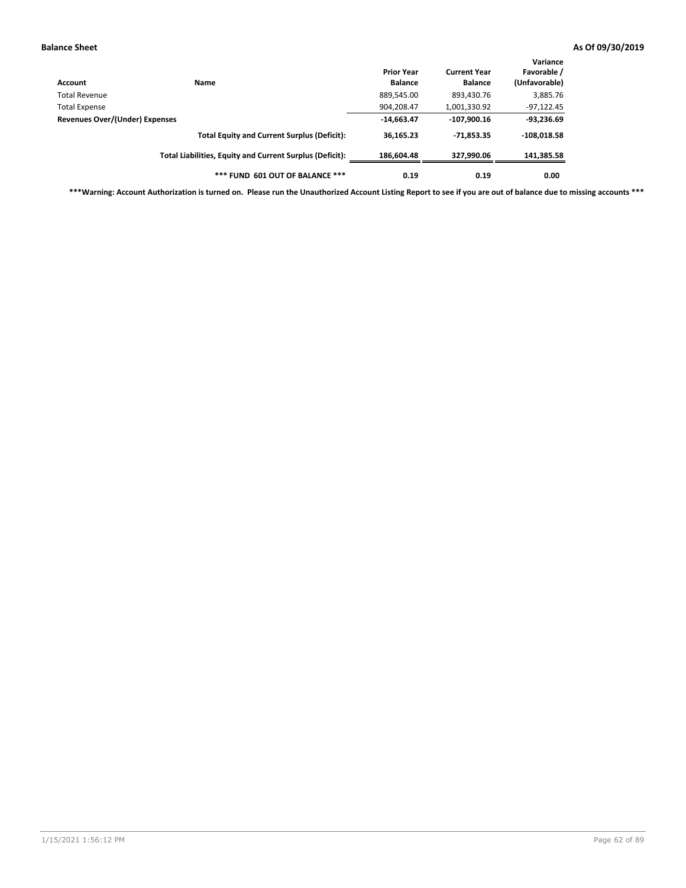| Account                        | <b>Name</b>                                              | <b>Prior Year</b><br><b>Balance</b> | <b>Current Year</b><br><b>Balance</b> | Variance<br>Favorable /<br>(Unfavorable) |
|--------------------------------|----------------------------------------------------------|-------------------------------------|---------------------------------------|------------------------------------------|
| Total Revenue                  |                                                          | 889,545.00                          | 893,430.76                            | 3,885.76                                 |
| <b>Total Expense</b>           |                                                          | 904,208.47                          | 1,001,330.92                          | $-97,122.45$                             |
| Revenues Over/(Under) Expenses | $-14,663.47$                                             | $-107,900.16$                       | $-93,236.69$                          |                                          |
|                                | <b>Total Equity and Current Surplus (Deficit):</b>       | 36,165.23                           | $-71,853.35$                          | $-108,018.58$                            |
|                                | Total Liabilities, Equity and Current Surplus (Deficit): | 186,604.48                          | 327,990.06                            | 141,385.58                               |
|                                | *** FUND 601 OUT OF BALANCE ***                          | 0.19                                | 0.19                                  | 0.00                                     |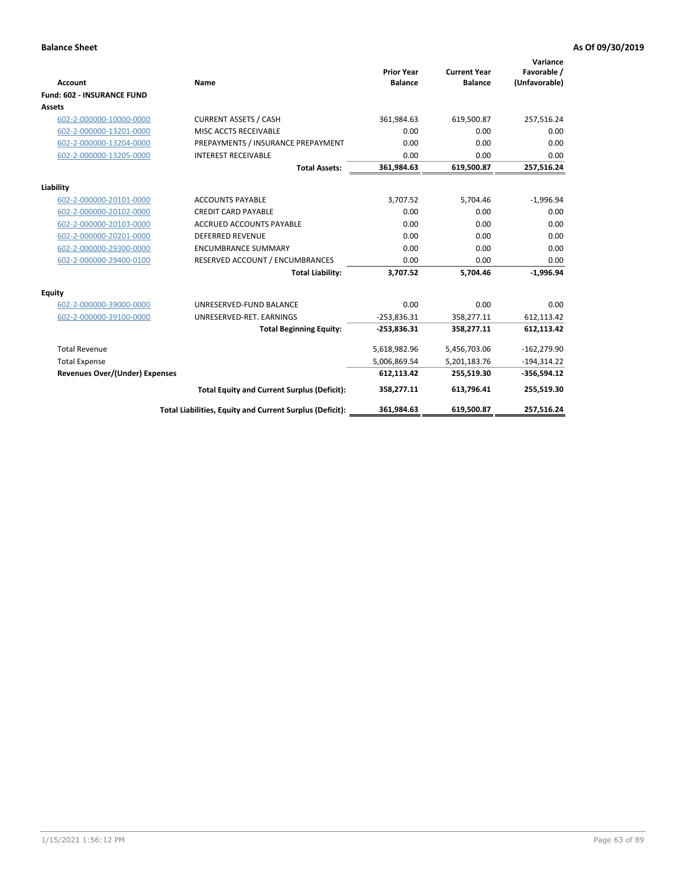| <b>Account</b>                        | Name                                                     | <b>Prior Year</b><br><b>Balance</b> | <b>Current Year</b><br><b>Balance</b> | Variance<br>Favorable /<br>(Unfavorable) |
|---------------------------------------|----------------------------------------------------------|-------------------------------------|---------------------------------------|------------------------------------------|
| <b>Fund: 602 - INSURANCE FUND</b>     |                                                          |                                     |                                       |                                          |
| <b>Assets</b>                         |                                                          |                                     |                                       |                                          |
| 602-2-000000-10000-0000               | <b>CURRENT ASSETS / CASH</b>                             | 361,984.63                          | 619,500.87                            | 257,516.24                               |
| 602-2-000000-13201-0000               | MISC ACCTS RECEIVABLE                                    | 0.00                                | 0.00                                  | 0.00                                     |
| 602-2-000000-13204-0000               | PREPAYMENTS / INSURANCE PREPAYMENT                       | 0.00                                | 0.00                                  | 0.00                                     |
| 602-2-000000-13205-0000               | <b>INTEREST RECEIVABLE</b>                               | 0.00                                | 0.00                                  | 0.00                                     |
|                                       | <b>Total Assets:</b>                                     | 361,984.63                          | 619,500.87                            | 257,516.24                               |
| Liability                             |                                                          |                                     |                                       |                                          |
| 602-2-000000-20101-0000               | <b>ACCOUNTS PAYABLE</b>                                  | 3,707.52                            | 5,704.46                              | $-1,996.94$                              |
| 602-2-000000-20102-0000               | <b>CREDIT CARD PAYABLE</b>                               | 0.00                                | 0.00                                  | 0.00                                     |
| 602-2-000000-20103-0000               | ACCRUED ACCOUNTS PAYABLE                                 | 0.00                                | 0.00                                  | 0.00                                     |
| 602-2-000000-20201-0000               | <b>DEFERRED REVENUE</b>                                  | 0.00                                | 0.00                                  | 0.00                                     |
| 602-2-000000-29300-0000               | <b>ENCUMBRANCE SUMMARY</b>                               | 0.00                                | 0.00                                  | 0.00                                     |
| 602-2-000000-29400-0100               | RESERVED ACCOUNT / ENCUMBRANCES                          | 0.00                                | 0.00                                  | 0.00                                     |
|                                       | <b>Total Liability:</b>                                  | 3,707.52                            | 5,704.46                              | $-1,996.94$                              |
| <b>Equity</b>                         |                                                          |                                     |                                       |                                          |
| 602-2-000000-39000-0000               | UNRESERVED-FUND BALANCE                                  | 0.00                                | 0.00                                  | 0.00                                     |
| 602-2-000000-39100-0000               | UNRESERVED-RET. EARNINGS                                 | $-253,836.31$                       | 358,277.11                            | 612,113.42                               |
|                                       | <b>Total Beginning Equity:</b>                           | $-253,836.31$                       | 358,277.11                            | 612,113.42                               |
| <b>Total Revenue</b>                  |                                                          | 5,618,982.96                        | 5,456,703.06                          | $-162,279.90$                            |
| <b>Total Expense</b>                  |                                                          | 5,006,869.54                        | 5,201,183.76                          | $-194,314.22$                            |
| <b>Revenues Over/(Under) Expenses</b> |                                                          | 612,113.42                          | 255,519.30                            | $-356,594.12$                            |
|                                       | <b>Total Equity and Current Surplus (Deficit):</b>       | 358,277.11                          | 613,796.41                            | 255,519.30                               |
|                                       | Total Liabilities, Equity and Current Surplus (Deficit): | 361,984.63                          | 619,500.87                            | 257,516.24                               |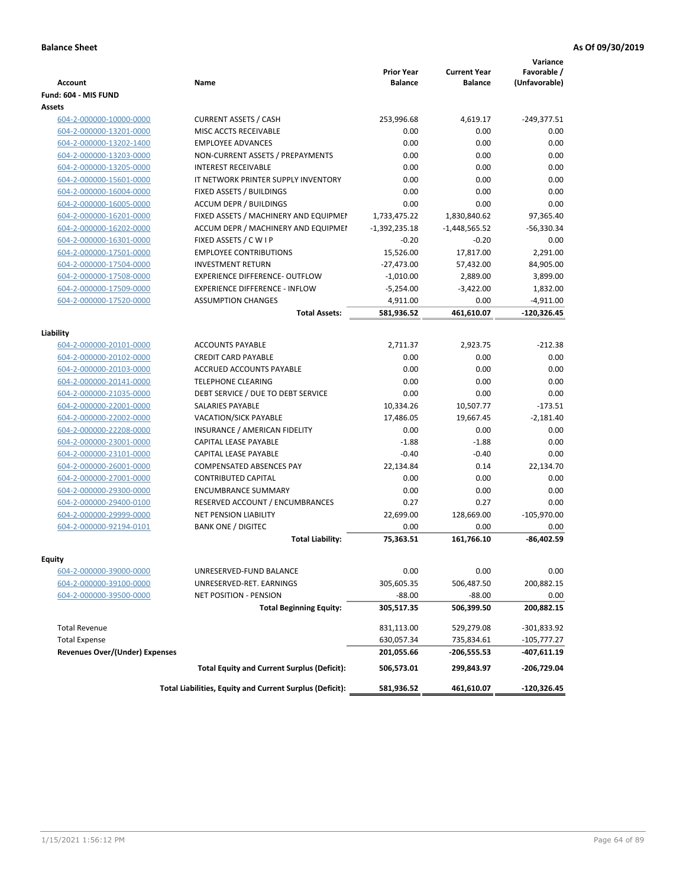| <b>Account</b>                        | Name                                                     | <b>Prior Year</b><br><b>Balance</b> | <b>Current Year</b><br><b>Balance</b> | Variance<br>Favorable /<br>(Unfavorable) |
|---------------------------------------|----------------------------------------------------------|-------------------------------------|---------------------------------------|------------------------------------------|
| Fund: 604 - MIS FUND                  |                                                          |                                     |                                       |                                          |
| Assets                                |                                                          |                                     |                                       |                                          |
| 604-2-000000-10000-0000               | <b>CURRENT ASSETS / CASH</b>                             | 253,996.68                          | 4,619.17                              | $-249,377.51$                            |
| 604-2-000000-13201-0000               | MISC ACCTS RECEIVABLE                                    | 0.00                                | 0.00                                  | 0.00                                     |
| 604-2-000000-13202-1400               | <b>EMPLOYEE ADVANCES</b>                                 | 0.00                                | 0.00                                  | 0.00                                     |
| 604-2-000000-13203-0000               | NON-CURRENT ASSETS / PREPAYMENTS                         | 0.00                                | 0.00                                  | 0.00                                     |
| 604-2-000000-13205-0000               | <b>INTEREST RECEIVABLE</b>                               | 0.00                                | 0.00                                  | 0.00                                     |
| 604-2-000000-15601-0000               | IT NETWORK PRINTER SUPPLY INVENTORY                      | 0.00                                | 0.00                                  | 0.00                                     |
| 604-2-000000-16004-0000               | FIXED ASSETS / BUILDINGS                                 | 0.00                                | 0.00                                  | 0.00                                     |
| 604-2-000000-16005-0000               | <b>ACCUM DEPR / BUILDINGS</b>                            | 0.00                                | 0.00                                  | 0.00                                     |
| 604-2-000000-16201-0000               | FIXED ASSETS / MACHINERY AND EQUIPMEN                    | 1,733,475.22                        | 1,830,840.62                          | 97,365.40                                |
| 604-2-000000-16202-0000               | ACCUM DEPR / MACHINERY AND EQUIPMEI                      | $-1,392,235.18$                     | $-1,448,565.52$                       | $-56,330.34$                             |
| 604-2-000000-16301-0000               | FIXED ASSETS / C W I P                                   | $-0.20$                             | $-0.20$                               | 0.00                                     |
| 604-2-000000-17501-0000               | <b>EMPLOYEE CONTRIBUTIONS</b>                            | 15,526.00                           | 17,817.00                             | 2,291.00                                 |
| 604-2-000000-17504-0000               | <b>INVESTMENT RETURN</b>                                 | $-27,473.00$                        | 57,432.00                             | 84,905.00                                |
| 604-2-000000-17508-0000               | <b>EXPERIENCE DIFFERENCE- OUTFLOW</b>                    | $-1,010.00$                         | 2,889.00                              | 3,899.00                                 |
| 604-2-000000-17509-0000               | <b>EXPERIENCE DIFFERENCE - INFLOW</b>                    | $-5,254.00$                         | $-3,422.00$                           | 1,832.00                                 |
| 604-2-000000-17520-0000               | <b>ASSUMPTION CHANGES</b>                                | 4,911.00                            | 0.00                                  | $-4,911.00$                              |
|                                       | <b>Total Assets:</b>                                     | 581,936.52                          | 461,610.07                            | $-120.326.45$                            |
|                                       |                                                          |                                     |                                       |                                          |
| Liability                             |                                                          |                                     |                                       |                                          |
| 604-2-000000-20101-0000               | <b>ACCOUNTS PAYABLE</b>                                  | 2,711.37                            | 2,923.75                              | $-212.38$                                |
| 604-2-000000-20102-0000               | <b>CREDIT CARD PAYABLE</b>                               | 0.00                                | 0.00                                  | 0.00                                     |
| 604-2-000000-20103-0000               | ACCRUED ACCOUNTS PAYABLE                                 | 0.00                                | 0.00                                  | 0.00                                     |
| 604-2-000000-20141-0000               | <b>TELEPHONE CLEARING</b>                                | 0.00                                | 0.00                                  | 0.00                                     |
| 604-2-000000-21035-0000               | DEBT SERVICE / DUE TO DEBT SERVICE                       | 0.00                                | 0.00                                  | 0.00                                     |
| 604-2-000000-22001-0000               | <b>SALARIES PAYABLE</b>                                  | 10,334.26                           | 10,507.77                             | $-173.51$                                |
| 604-2-000000-22002-0000               | <b>VACATION/SICK PAYABLE</b>                             | 17,486.05                           | 19,667.45                             | $-2,181.40$                              |
| 604-2-000000-22208-0000               | INSURANCE / AMERICAN FIDELITY                            | 0.00                                | 0.00                                  | 0.00                                     |
| 604-2-000000-23001-0000               | CAPITAL LEASE PAYABLE                                    | $-1.88$                             | $-1.88$                               | 0.00                                     |
| 604-2-000000-23101-0000               | CAPITAL LEASE PAYABLE                                    | $-0.40$                             | $-0.40$                               | 0.00                                     |
| 604-2-000000-26001-0000               | <b>COMPENSATED ABSENCES PAY</b>                          | 22,134.84                           | 0.14                                  | 22,134.70                                |
| 604-2-000000-27001-0000               | <b>CONTRIBUTED CAPITAL</b>                               | 0.00                                | 0.00                                  | 0.00                                     |
| 604-2-000000-29300-0000               | <b>ENCUMBRANCE SUMMARY</b>                               | 0.00                                | 0.00                                  | 0.00                                     |
| 604-2-000000-29400-0100               | <b>RESERVED ACCOUNT / ENCUMBRANCES</b>                   | 0.27                                | 0.27                                  | 0.00                                     |
| 604-2-000000-29999-0000               | <b>NET PENSION LIABILITY</b>                             | 22,699.00                           | 128,669.00                            | $-105,970.00$                            |
| 604-2-000000-92194-0101               | <b>BANK ONE / DIGITEC</b>                                | 0.00                                | 0.00                                  | 0.00                                     |
|                                       | <b>Total Liability:</b>                                  | 75,363.51                           | 161,766.10                            | $-86,402.59$                             |
| Equity                                |                                                          |                                     |                                       |                                          |
| 604-2-000000-39000-0000               | UNRESERVED-FUND BALANCE                                  | 0.00                                | 0.00                                  | 0.00                                     |
| 604-2-000000-39100-0000               | UNRESERVED-RET. EARNINGS                                 | 305,605.35                          | 506,487.50                            | 200,882.15                               |
| 604-2-000000-39500-0000               | <b>NET POSITION - PENSION</b>                            | $-88.00$                            | $-88.00$                              | 0.00                                     |
|                                       | <b>Total Beginning Equity:</b>                           | 305,517.35                          | 506,399.50                            | 200,882.15                               |
|                                       |                                                          |                                     |                                       |                                          |
| <b>Total Revenue</b>                  |                                                          | 831,113.00                          | 529,279.08                            | $-301,833.92$                            |
| <b>Total Expense</b>                  |                                                          | 630,057.34                          | 735,834.61                            | -105,777.27                              |
| <b>Revenues Over/(Under) Expenses</b> |                                                          | 201,055.66                          | -206,555.53                           | -407,611.19                              |
|                                       | <b>Total Equity and Current Surplus (Deficit):</b>       | 506,573.01                          | 299,843.97                            | $-206,729.04$                            |
|                                       | Total Liabilities, Equity and Current Surplus (Deficit): | 581,936.52                          | 461,610.07                            | -120,326.45                              |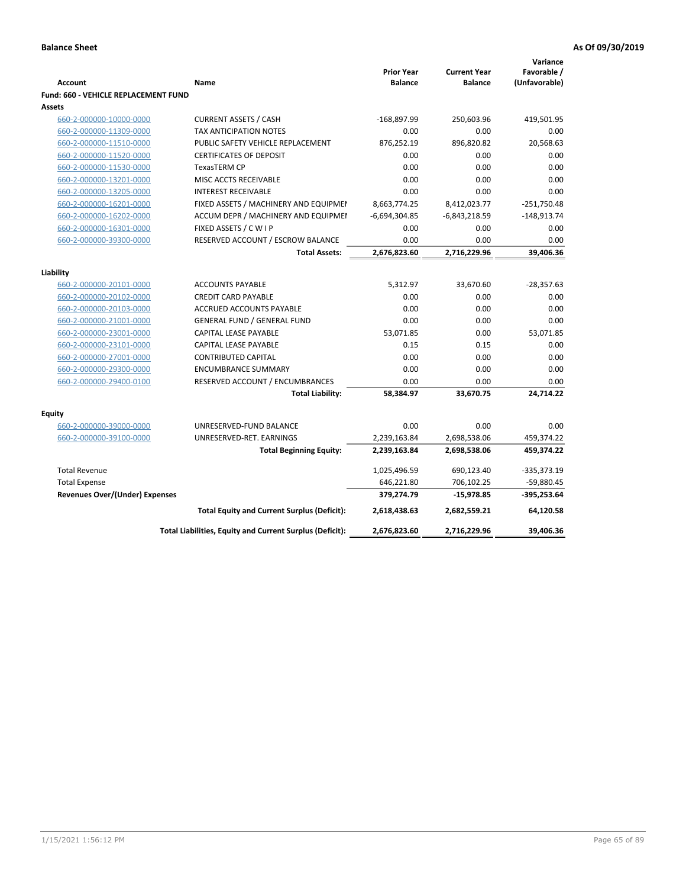|                                             |                                                          |                                     |                                       | Variance                     |
|---------------------------------------------|----------------------------------------------------------|-------------------------------------|---------------------------------------|------------------------------|
| <b>Account</b>                              | Name                                                     | <b>Prior Year</b><br><b>Balance</b> | <b>Current Year</b><br><b>Balance</b> | Favorable /<br>(Unfavorable) |
| <b>Fund: 660 - VEHICLE REPLACEMENT FUND</b> |                                                          |                                     |                                       |                              |
| Assets                                      |                                                          |                                     |                                       |                              |
| 660-2-000000-10000-0000                     | <b>CURRENT ASSETS / CASH</b>                             | $-168,897.99$                       | 250,603.96                            | 419,501.95                   |
| 660-2-000000-11309-0000                     | TAX ANTICIPATION NOTES                                   | 0.00                                | 0.00                                  | 0.00                         |
| 660-2-000000-11510-0000                     | PUBLIC SAFETY VEHICLE REPLACEMENT                        | 876,252.19                          | 896,820.82                            | 20,568.63                    |
| 660-2-000000-11520-0000                     | <b>CERTIFICATES OF DEPOSIT</b>                           | 0.00                                | 0.00                                  | 0.00                         |
| 660-2-000000-11530-0000                     | <b>TexasTERM CP</b>                                      | 0.00                                | 0.00                                  | 0.00                         |
| 660-2-000000-13201-0000                     | MISC ACCTS RECEIVABLE                                    | 0.00                                | 0.00                                  | 0.00                         |
| 660-2-000000-13205-0000                     | <b>INTEREST RECEIVABLE</b>                               | 0.00                                | 0.00                                  | 0.00                         |
| 660-2-000000-16201-0000                     | FIXED ASSETS / MACHINERY AND EQUIPMEN                    | 8,663,774.25                        | 8,412,023.77                          | $-251,750.48$                |
| 660-2-000000-16202-0000                     | ACCUM DEPR / MACHINERY AND EQUIPMEI                      | $-6,694,304.85$                     | $-6,843,218.59$                       | $-148,913.74$                |
| 660-2-000000-16301-0000                     | FIXED ASSETS / C W I P                                   | 0.00                                | 0.00                                  | 0.00                         |
| 660-2-000000-39300-0000                     | RESERVED ACCOUNT / ESCROW BALANCE                        | 0.00                                | 0.00                                  | 0.00                         |
|                                             | <b>Total Assets:</b>                                     | 2,676,823.60                        | 2,716,229.96                          | 39,406.36                    |
|                                             |                                                          |                                     |                                       |                              |
| Liability                                   |                                                          |                                     |                                       |                              |
| 660-2-000000-20101-0000                     | <b>ACCOUNTS PAYABLE</b>                                  | 5,312.97                            | 33,670.60                             | $-28,357.63$                 |
| 660-2-000000-20102-0000                     | <b>CREDIT CARD PAYABLE</b>                               | 0.00                                | 0.00                                  | 0.00                         |
| 660-2-000000-20103-0000                     | ACCRUED ACCOUNTS PAYABLE                                 | 0.00                                | 0.00                                  | 0.00                         |
| 660-2-000000-21001-0000                     | <b>GENERAL FUND / GENERAL FUND</b>                       | 0.00                                | 0.00                                  | 0.00                         |
| 660-2-000000-23001-0000                     | <b>CAPITAL LEASE PAYABLE</b>                             | 53,071.85                           | 0.00                                  | 53,071.85                    |
| 660-2-000000-23101-0000                     | <b>CAPITAL LEASE PAYABLE</b>                             | 0.15                                | 0.15                                  | 0.00                         |
| 660-2-000000-27001-0000                     | <b>CONTRIBUTED CAPITAL</b>                               | 0.00                                | 0.00                                  | 0.00                         |
| 660-2-000000-29300-0000                     | <b>ENCUMBRANCE SUMMARY</b>                               | 0.00                                | 0.00                                  | 0.00                         |
| 660-2-000000-29400-0100                     | RESERVED ACCOUNT / ENCUMBRANCES                          | 0.00                                | 0.00                                  | 0.00                         |
|                                             | <b>Total Liability:</b>                                  | 58,384.97                           | 33,670.75                             | 24,714.22                    |
| <b>Equity</b>                               |                                                          |                                     |                                       |                              |
| 660-2-000000-39000-0000                     | UNRESERVED-FUND BALANCE                                  | 0.00                                | 0.00                                  | 0.00                         |
| 660-2-000000-39100-0000                     | UNRESERVED-RET. EARNINGS                                 | 2,239,163.84                        | 2,698,538.06                          | 459,374.22                   |
|                                             | <b>Total Beginning Equity:</b>                           | 2,239,163.84                        | 2,698,538.06                          | 459,374.22                   |
|                                             |                                                          |                                     |                                       |                              |
| <b>Total Revenue</b>                        |                                                          | 1,025,496.59                        | 690,123.40                            | $-335,373.19$                |
| <b>Total Expense</b>                        |                                                          | 646,221.80                          | 706,102.25                            | -59,880.45                   |
| Revenues Over/(Under) Expenses              |                                                          | 379,274.79                          | $-15,978.85$                          | $-395,253.64$                |
|                                             | <b>Total Equity and Current Surplus (Deficit):</b>       | 2,618,438.63                        | 2,682,559.21                          | 64,120.58                    |
|                                             | Total Liabilities, Equity and Current Surplus (Deficit): | 2,676,823.60                        | 2,716,229.96                          | 39,406.36                    |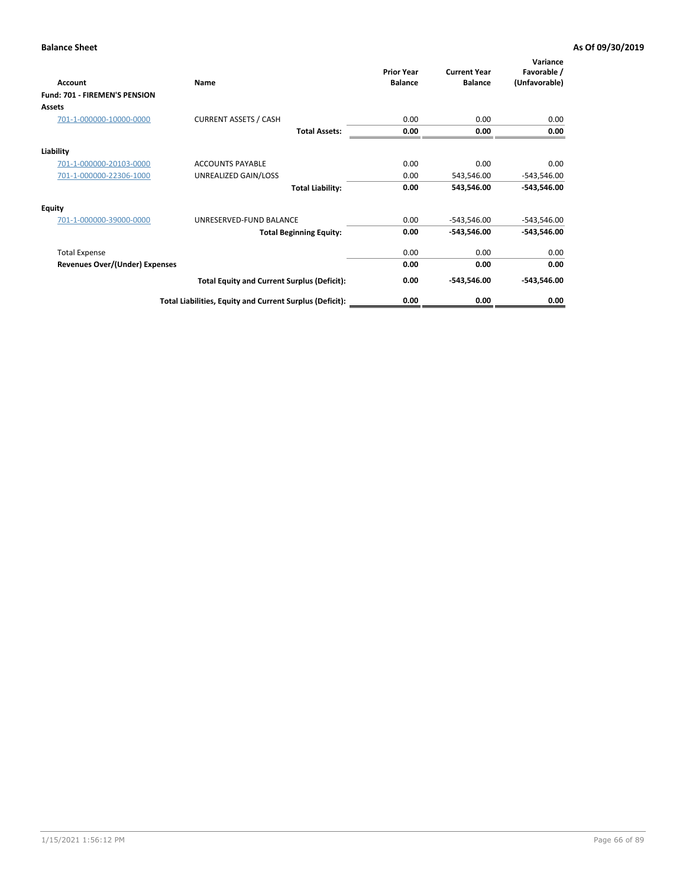| Account                               | <b>Name</b>                                              | <b>Prior Year</b><br><b>Balance</b> | <b>Current Year</b><br><b>Balance</b> | Variance<br>Favorable /<br>(Unfavorable) |
|---------------------------------------|----------------------------------------------------------|-------------------------------------|---------------------------------------|------------------------------------------|
| Fund: 701 - FIREMEN'S PENSION         |                                                          |                                     |                                       |                                          |
| <b>Assets</b>                         |                                                          |                                     |                                       |                                          |
| 701-1-000000-10000-0000               | <b>CURRENT ASSETS / CASH</b>                             | 0.00                                | 0.00                                  | 0.00                                     |
|                                       | <b>Total Assets:</b>                                     | 0.00                                | 0.00                                  | 0.00                                     |
| Liability                             |                                                          |                                     |                                       |                                          |
| 701-1-000000-20103-0000               | <b>ACCOUNTS PAYABLE</b>                                  | 0.00                                | 0.00                                  | 0.00                                     |
| 701-1-000000-22306-1000               | UNREALIZED GAIN/LOSS                                     | 0.00                                | 543,546.00                            | $-543,546.00$                            |
|                                       | <b>Total Liability:</b>                                  | 0.00                                | 543,546.00                            | $-543,546.00$                            |
| <b>Equity</b>                         |                                                          |                                     |                                       |                                          |
| 701-1-000000-39000-0000               | UNRESERVED-FUND BALANCE                                  | 0.00                                | $-543,546.00$                         | $-543,546.00$                            |
|                                       | <b>Total Beginning Equity:</b>                           | 0.00                                | $-543,546.00$                         | -543,546.00                              |
| <b>Total Expense</b>                  |                                                          | 0.00                                | 0.00                                  | 0.00                                     |
| <b>Revenues Over/(Under) Expenses</b> |                                                          | 0.00                                | 0.00                                  | 0.00                                     |
|                                       | <b>Total Equity and Current Surplus (Deficit):</b>       | 0.00                                | -543,546.00                           | $-543,546.00$                            |
|                                       | Total Liabilities, Equity and Current Surplus (Deficit): | 0.00                                | 0.00                                  | 0.00                                     |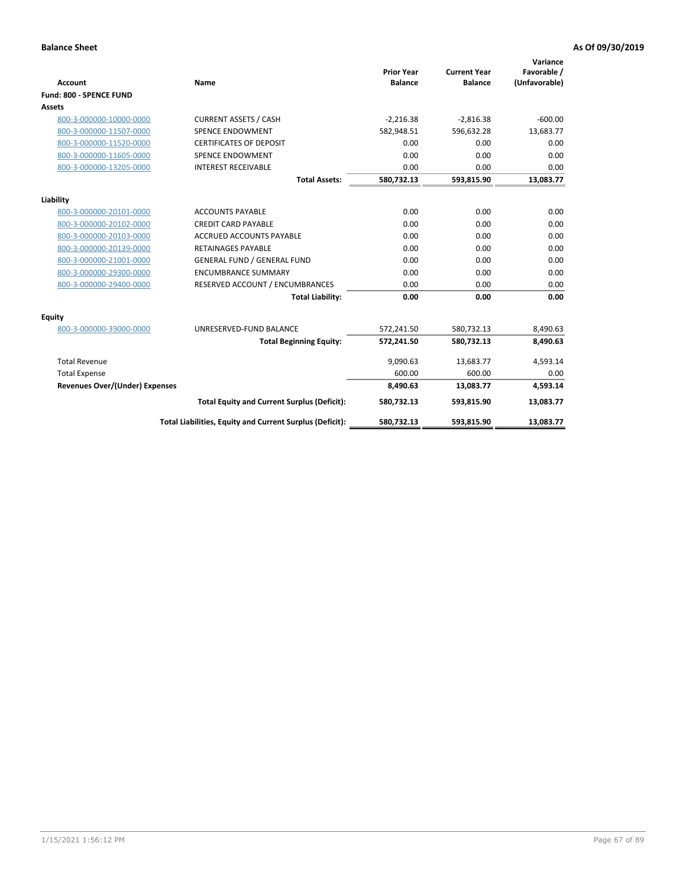|                                       |                                                          |                                     |                                       | Variance                     |
|---------------------------------------|----------------------------------------------------------|-------------------------------------|---------------------------------------|------------------------------|
| <b>Account</b>                        | Name                                                     | <b>Prior Year</b><br><b>Balance</b> | <b>Current Year</b><br><b>Balance</b> | Favorable /<br>(Unfavorable) |
| Fund: 800 - SPENCE FUND               |                                                          |                                     |                                       |                              |
| Assets                                |                                                          |                                     |                                       |                              |
| 800-3-000000-10000-0000               | <b>CURRENT ASSETS / CASH</b>                             | $-2,216.38$                         | $-2,816.38$                           | $-600.00$                    |
| 800-3-000000-11507-0000               | <b>SPENCE ENDOWMENT</b>                                  | 582,948.51                          | 596,632.28                            | 13,683.77                    |
| 800-3-000000-11520-0000               | <b>CERTIFICATES OF DEPOSIT</b>                           | 0.00                                | 0.00                                  | 0.00                         |
| 800-3-000000-11605-0000               | <b>SPENCE ENDOWMENT</b>                                  | 0.00                                | 0.00                                  | 0.00                         |
| 800-3-000000-13205-0000               | <b>INTEREST RECEIVABLE</b>                               | 0.00                                | 0.00                                  | 0.00                         |
|                                       | <b>Total Assets:</b>                                     | 580,732.13                          | 593.815.90                            | 13,083.77                    |
| Liability                             |                                                          |                                     |                                       |                              |
| 800-3-000000-20101-0000               | <b>ACCOUNTS PAYABLE</b>                                  | 0.00                                | 0.00                                  | 0.00                         |
| 800-3-000000-20102-0000               | <b>CREDIT CARD PAYABLE</b>                               | 0.00                                | 0.00                                  | 0.00                         |
| 800-3-000000-20103-0000               | <b>ACCRUED ACCOUNTS PAYABLE</b>                          | 0.00                                | 0.00                                  | 0.00                         |
| 800-3-000000-20139-0000               | <b>RETAINAGES PAYABLE</b>                                | 0.00                                | 0.00                                  | 0.00                         |
| 800-3-000000-21001-0000               | <b>GENERAL FUND / GENERAL FUND</b>                       | 0.00                                | 0.00                                  | 0.00                         |
| 800-3-000000-29300-0000               | <b>ENCUMBRANCE SUMMARY</b>                               | 0.00                                | 0.00                                  | 0.00                         |
| 800-3-000000-29400-0000               | RESERVED ACCOUNT / ENCUMBRANCES                          | 0.00                                | 0.00                                  | 0.00                         |
|                                       | <b>Total Liability:</b>                                  | 0.00                                | 0.00                                  | 0.00                         |
| <b>Equity</b>                         |                                                          |                                     |                                       |                              |
| 800-3-000000-39000-0000               | UNRESERVED-FUND BALANCE                                  | 572,241.50                          | 580,732.13                            | 8,490.63                     |
|                                       | <b>Total Beginning Equity:</b>                           | 572,241.50                          | 580,732.13                            | 8,490.63                     |
| <b>Total Revenue</b>                  |                                                          | 9,090.63                            | 13,683.77                             | 4,593.14                     |
| <b>Total Expense</b>                  |                                                          | 600.00                              | 600.00                                | 0.00                         |
| <b>Revenues Over/(Under) Expenses</b> |                                                          | 8,490.63                            | 13,083.77                             | 4,593.14                     |
|                                       | <b>Total Equity and Current Surplus (Deficit):</b>       | 580,732.13                          | 593,815.90                            | 13,083.77                    |
|                                       | Total Liabilities, Equity and Current Surplus (Deficit): | 580,732.13                          | 593,815.90                            | 13,083.77                    |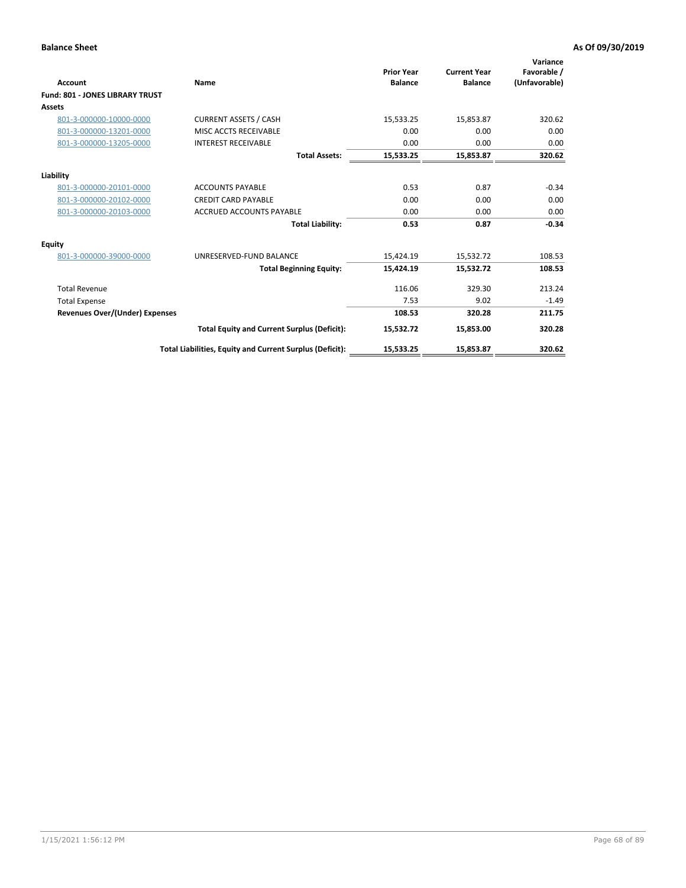| <b>Account</b>                         | Name                                                     | <b>Prior Year</b><br><b>Balance</b> | <b>Current Year</b><br><b>Balance</b> | Variance<br>Favorable /<br>(Unfavorable) |
|----------------------------------------|----------------------------------------------------------|-------------------------------------|---------------------------------------|------------------------------------------|
| <b>Fund: 801 - JONES LIBRARY TRUST</b> |                                                          |                                     |                                       |                                          |
| Assets                                 |                                                          |                                     |                                       |                                          |
| 801-3-000000-10000-0000                | <b>CURRENT ASSETS / CASH</b>                             | 15,533.25                           | 15,853.87                             | 320.62                                   |
| 801-3-000000-13201-0000                | MISC ACCTS RECEIVABLE                                    | 0.00                                | 0.00                                  | 0.00                                     |
| 801-3-000000-13205-0000                | <b>INTEREST RECEIVABLE</b>                               | 0.00                                | 0.00                                  | 0.00                                     |
|                                        | <b>Total Assets:</b>                                     | 15,533.25                           | 15,853.87                             | 320.62                                   |
| Liability                              |                                                          |                                     |                                       |                                          |
| 801-3-000000-20101-0000                | <b>ACCOUNTS PAYABLE</b>                                  | 0.53                                | 0.87                                  | $-0.34$                                  |
| 801-3-000000-20102-0000                | <b>CREDIT CARD PAYABLE</b>                               | 0.00                                | 0.00                                  | 0.00                                     |
| 801-3-000000-20103-0000                | <b>ACCRUED ACCOUNTS PAYABLE</b>                          | 0.00                                | 0.00                                  | 0.00                                     |
|                                        | <b>Total Liability:</b>                                  | 0.53                                | 0.87                                  | $-0.34$                                  |
| Equity                                 |                                                          |                                     |                                       |                                          |
| 801-3-000000-39000-0000                | UNRESERVED-FUND BALANCE                                  | 15,424.19                           | 15,532.72                             | 108.53                                   |
|                                        | <b>Total Beginning Equity:</b>                           | 15,424.19                           | 15,532.72                             | 108.53                                   |
| <b>Total Revenue</b>                   |                                                          | 116.06                              | 329.30                                | 213.24                                   |
| <b>Total Expense</b>                   |                                                          | 7.53                                | 9.02                                  | $-1.49$                                  |
| <b>Revenues Over/(Under) Expenses</b>  |                                                          | 108.53                              | 320.28                                | 211.75                                   |
|                                        | <b>Total Equity and Current Surplus (Deficit):</b>       | 15,532.72                           | 15,853.00                             | 320.28                                   |
|                                        | Total Liabilities, Equity and Current Surplus (Deficit): | 15,533.25                           | 15,853.87                             | 320.62                                   |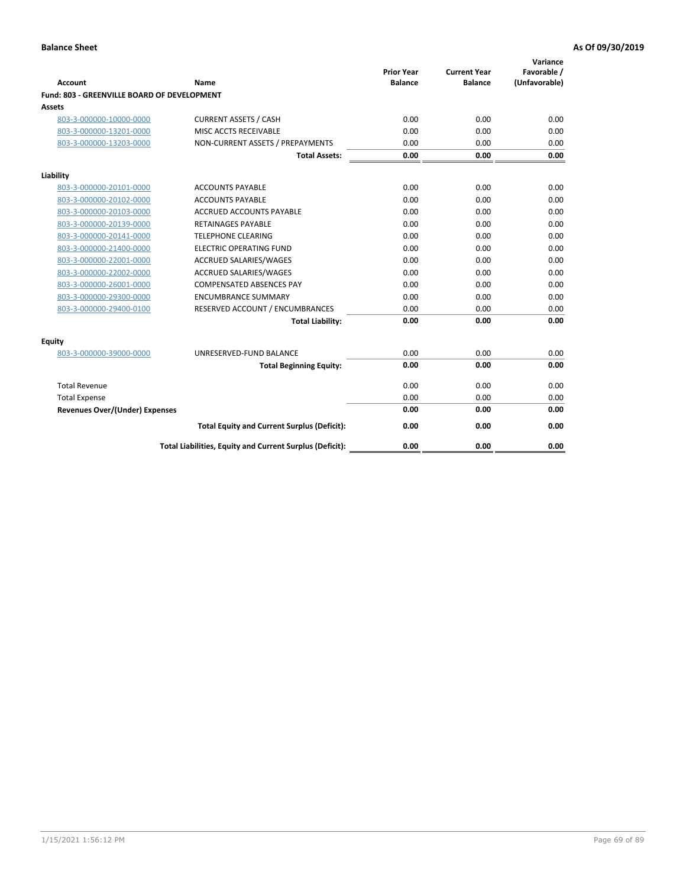| <b>Account</b>                              | <b>Name</b>                                              | <b>Prior Year</b><br><b>Balance</b> | <b>Current Year</b><br><b>Balance</b> | Variance<br>Favorable /<br>(Unfavorable) |
|---------------------------------------------|----------------------------------------------------------|-------------------------------------|---------------------------------------|------------------------------------------|
| Fund: 803 - GREENVILLE BOARD OF DEVELOPMENT |                                                          |                                     |                                       |                                          |
| Assets                                      |                                                          |                                     |                                       |                                          |
| 803-3-000000-10000-0000                     | <b>CURRENT ASSETS / CASH</b>                             | 0.00                                | 0.00                                  | 0.00                                     |
| 803-3-000000-13201-0000                     | MISC ACCTS RECEIVABLE                                    | 0.00                                | 0.00                                  | 0.00                                     |
| 803-3-000000-13203-0000                     | NON-CURRENT ASSETS / PREPAYMENTS                         | 0.00                                | 0.00                                  | 0.00                                     |
|                                             | <b>Total Assets:</b>                                     | 0.00                                | 0.00                                  | 0.00                                     |
| Liability                                   |                                                          |                                     |                                       |                                          |
| 803-3-000000-20101-0000                     | <b>ACCOUNTS PAYABLE</b>                                  | 0.00                                | 0.00                                  | 0.00                                     |
| 803-3-000000-20102-0000                     | <b>ACCOUNTS PAYABLE</b>                                  | 0.00                                | 0.00                                  | 0.00                                     |
| 803-3-000000-20103-0000                     | <b>ACCRUED ACCOUNTS PAYABLE</b>                          | 0.00                                | 0.00                                  | 0.00                                     |
| 803-3-000000-20139-0000                     | <b>RETAINAGES PAYABLE</b>                                | 0.00                                | 0.00                                  | 0.00                                     |
| 803-3-000000-20141-0000                     | <b>TELEPHONE CLEARING</b>                                | 0.00                                | 0.00                                  | 0.00                                     |
| 803-3-000000-21400-0000                     | <b>ELECTRIC OPERATING FUND</b>                           | 0.00                                | 0.00                                  | 0.00                                     |
| 803-3-000000-22001-0000                     | ACCRUED SALARIES/WAGES                                   | 0.00                                | 0.00                                  | 0.00                                     |
| 803-3-000000-22002-0000                     | ACCRUED SALARIES/WAGES                                   | 0.00                                | 0.00                                  | 0.00                                     |
| 803-3-000000-26001-0000                     | <b>COMPENSATED ABSENCES PAY</b>                          | 0.00                                | 0.00                                  | 0.00                                     |
| 803-3-000000-29300-0000                     | <b>ENCUMBRANCE SUMMARY</b>                               | 0.00                                | 0.00                                  | 0.00                                     |
| 803-3-000000-29400-0100                     | RESERVED ACCOUNT / ENCUMBRANCES                          | 0.00                                | 0.00                                  | 0.00                                     |
|                                             | <b>Total Liability:</b>                                  | 0.00                                | 0.00                                  | 0.00                                     |
| Equity                                      |                                                          |                                     |                                       |                                          |
| 803-3-000000-39000-0000                     | UNRESERVED-FUND BALANCE                                  | 0.00                                | 0.00                                  | 0.00                                     |
|                                             | <b>Total Beginning Equity:</b>                           | 0.00                                | 0.00                                  | 0.00                                     |
| <b>Total Revenue</b>                        |                                                          | 0.00                                | 0.00                                  | 0.00                                     |
| <b>Total Expense</b>                        |                                                          | 0.00                                | 0.00                                  | 0.00                                     |
| <b>Revenues Over/(Under) Expenses</b>       |                                                          | 0.00                                | 0.00                                  | 0.00                                     |
|                                             | <b>Total Equity and Current Surplus (Deficit):</b>       | 0.00                                | 0.00                                  | 0.00                                     |
|                                             | Total Liabilities, Equity and Current Surplus (Deficit): | 0.00                                | 0.00                                  | 0.00                                     |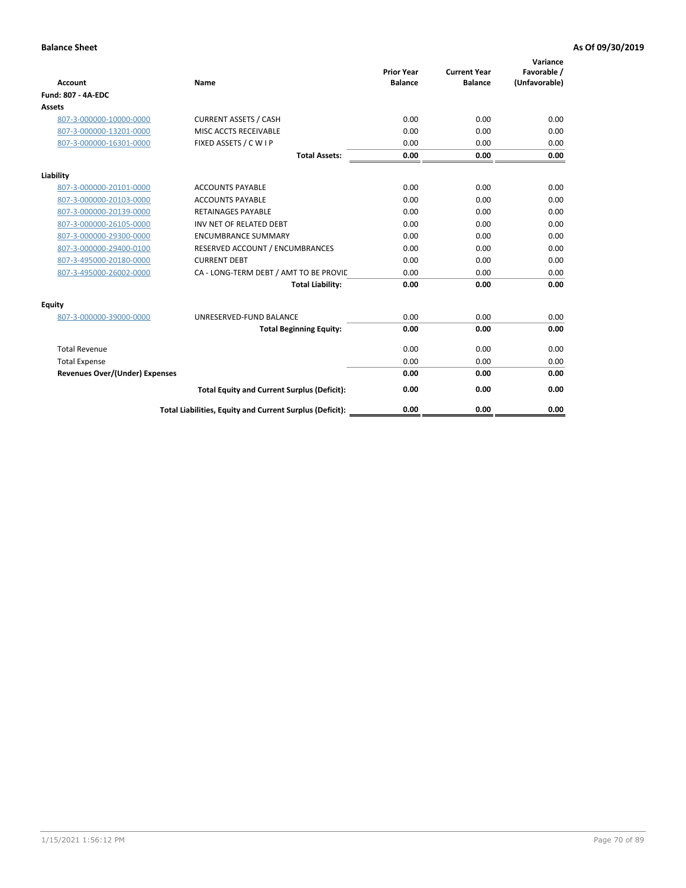| <b>Account</b>                        | Name                                                     | <b>Prior Year</b><br><b>Balance</b> | <b>Current Year</b><br><b>Balance</b> | Variance<br>Favorable /<br>(Unfavorable) |
|---------------------------------------|----------------------------------------------------------|-------------------------------------|---------------------------------------|------------------------------------------|
| Fund: 807 - 4A-EDC                    |                                                          |                                     |                                       |                                          |
| <b>Assets</b>                         |                                                          |                                     |                                       |                                          |
| 807-3-000000-10000-0000               | <b>CURRENT ASSETS / CASH</b>                             | 0.00                                | 0.00                                  | 0.00                                     |
| 807-3-000000-13201-0000               | MISC ACCTS RECEIVABLE                                    | 0.00                                | 0.00                                  | 0.00                                     |
| 807-3-000000-16301-0000               | FIXED ASSETS / C W I P                                   | 0.00                                | 0.00                                  | 0.00                                     |
|                                       | <b>Total Assets:</b>                                     | 0.00                                | 0.00                                  | 0.00                                     |
| Liability                             |                                                          |                                     |                                       |                                          |
| 807-3-000000-20101-0000               | <b>ACCOUNTS PAYABLE</b>                                  | 0.00                                | 0.00                                  | 0.00                                     |
| 807-3-000000-20103-0000               | <b>ACCOUNTS PAYABLE</b>                                  | 0.00                                | 0.00                                  | 0.00                                     |
| 807-3-000000-20139-0000               | <b>RETAINAGES PAYABLE</b>                                | 0.00                                | 0.00                                  | 0.00                                     |
| 807-3-000000-26105-0000               | INV NET OF RELATED DEBT                                  | 0.00                                | 0.00                                  | 0.00                                     |
| 807-3-000000-29300-0000               | <b>ENCUMBRANCE SUMMARY</b>                               | 0.00                                | 0.00                                  | 0.00                                     |
| 807-3-000000-29400-0100               | RESERVED ACCOUNT / ENCUMBRANCES                          | 0.00                                | 0.00                                  | 0.00                                     |
| 807-3-495000-20180-0000               | <b>CURRENT DEBT</b>                                      | 0.00                                | 0.00                                  | 0.00                                     |
| 807-3-495000-26002-0000               | CA - LONG-TERM DEBT / AMT TO BE PROVIL                   | 0.00                                | 0.00                                  | 0.00                                     |
|                                       | <b>Total Liability:</b>                                  | 0.00                                | 0.00                                  | 0.00                                     |
| Equity                                |                                                          |                                     |                                       |                                          |
| 807-3-000000-39000-0000               | UNRESERVED-FUND BALANCE                                  | 0.00                                | 0.00                                  | 0.00                                     |
|                                       | <b>Total Beginning Equity:</b>                           | 0.00                                | 0.00                                  | 0.00                                     |
| <b>Total Revenue</b>                  |                                                          | 0.00                                | 0.00                                  | 0.00                                     |
| <b>Total Expense</b>                  |                                                          | 0.00                                | 0.00                                  | 0.00                                     |
| <b>Revenues Over/(Under) Expenses</b> |                                                          | 0.00                                | 0.00                                  | 0.00                                     |
|                                       | <b>Total Equity and Current Surplus (Deficit):</b>       | 0.00                                | 0.00                                  | 0.00                                     |
|                                       | Total Liabilities, Equity and Current Surplus (Deficit): | 0.00                                | 0.00                                  | 0.00                                     |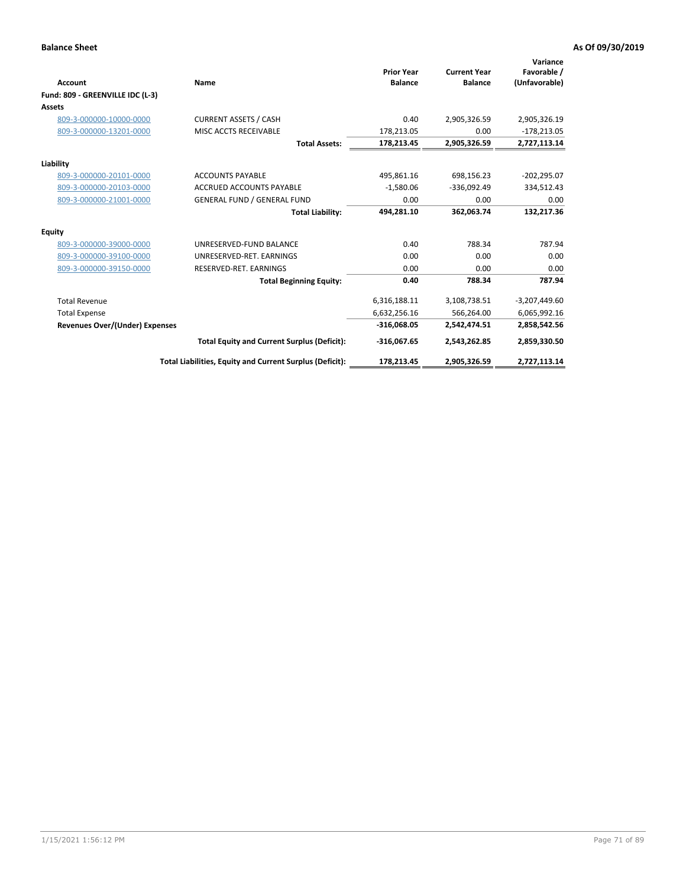| <b>Account</b><br>Fund: 809 - GREENVILLE IDC (L-3) | Name                                                     | <b>Prior Year</b><br><b>Balance</b> | <b>Current Year</b><br><b>Balance</b> | Variance<br>Favorable /<br>(Unfavorable) |
|----------------------------------------------------|----------------------------------------------------------|-------------------------------------|---------------------------------------|------------------------------------------|
| Assets                                             |                                                          |                                     |                                       |                                          |
| 809-3-000000-10000-0000                            | <b>CURRENT ASSETS / CASH</b>                             | 0.40                                | 2,905,326.59                          | 2,905,326.19                             |
| 809-3-000000-13201-0000                            | MISC ACCTS RECEIVABLE                                    | 178,213.05                          | 0.00                                  | $-178,213.05$                            |
|                                                    | <b>Total Assets:</b>                                     | 178,213.45                          | 2,905,326.59                          | 2,727,113.14                             |
| Liability                                          |                                                          |                                     |                                       |                                          |
| 809-3-000000-20101-0000                            | <b>ACCOUNTS PAYABLE</b>                                  | 495,861.16                          | 698,156.23                            | $-202,295.07$                            |
| 809-3-000000-20103-0000                            | <b>ACCRUED ACCOUNTS PAYABLE</b>                          | $-1,580.06$                         | $-336,092.49$                         | 334,512.43                               |
| 809-3-000000-21001-0000                            | <b>GENERAL FUND / GENERAL FUND</b>                       | 0.00                                | 0.00                                  | 0.00                                     |
|                                                    | <b>Total Liability:</b>                                  | 494,281.10                          | 362,063.74                            | 132,217.36                               |
| Equity                                             |                                                          |                                     |                                       |                                          |
| 809-3-000000-39000-0000                            | UNRESERVED-FUND BALANCE                                  | 0.40                                | 788.34                                | 787.94                                   |
| 809-3-000000-39100-0000                            | UNRESERVED-RET. EARNINGS                                 | 0.00                                | 0.00                                  | 0.00                                     |
| 809-3-000000-39150-0000                            | RESERVED-RET. EARNINGS                                   | 0.00                                | 0.00                                  | 0.00                                     |
|                                                    | <b>Total Beginning Equity:</b>                           | 0.40                                | 788.34                                | 787.94                                   |
| <b>Total Revenue</b>                               |                                                          | 6,316,188.11                        | 3,108,738.51                          | $-3,207,449.60$                          |
| <b>Total Expense</b>                               |                                                          | 6,632,256.16                        | 566,264.00                            | 6,065,992.16                             |
| <b>Revenues Over/(Under) Expenses</b>              |                                                          | $-316,068.05$                       | 2,542,474.51                          | 2,858,542.56                             |
|                                                    | <b>Total Equity and Current Surplus (Deficit):</b>       | $-316,067.65$                       | 2,543,262.85                          | 2,859,330.50                             |
|                                                    | Total Liabilities, Equity and Current Surplus (Deficit): | 178,213.45                          | 2,905,326.59                          | 2,727,113.14                             |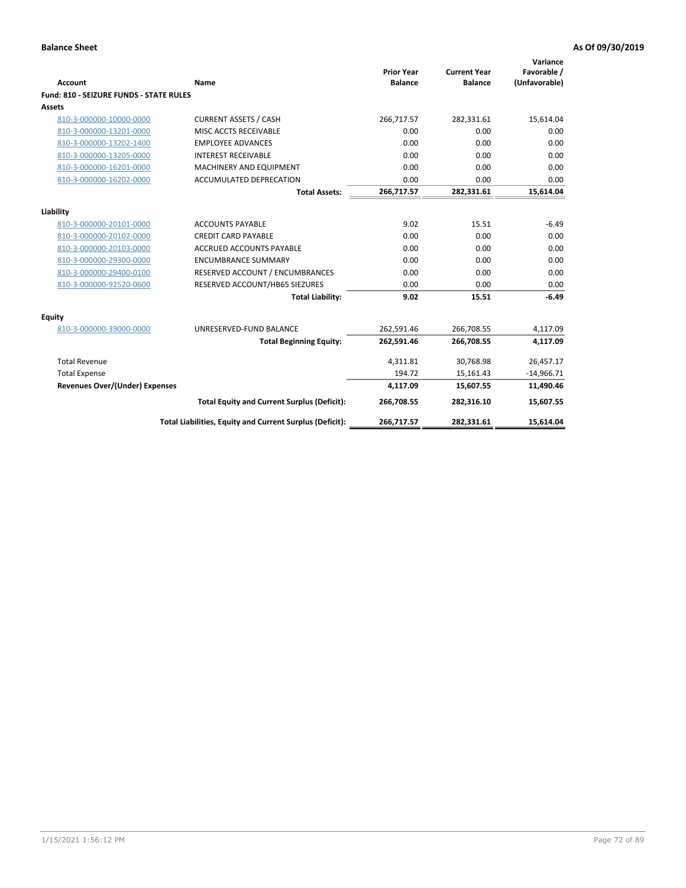| <b>Account</b>                                     | Name                                                     | <b>Prior Year</b><br><b>Balance</b> | <b>Current Year</b><br><b>Balance</b> | Variance<br>Favorable /<br>(Unfavorable) |
|----------------------------------------------------|----------------------------------------------------------|-------------------------------------|---------------------------------------|------------------------------------------|
| Fund: 810 - SEIZURE FUNDS - STATE RULES            |                                                          |                                     |                                       |                                          |
| Assets                                             |                                                          |                                     |                                       |                                          |
| 810-3-000000-10000-0000                            | <b>CURRENT ASSETS / CASH</b>                             | 266,717.57                          | 282,331.61                            | 15,614.04                                |
| 810-3-000000-13201-0000                            | MISC ACCTS RECEIVABLE                                    | 0.00                                | 0.00                                  | 0.00                                     |
| 810-3-000000-13202-1400                            | <b>EMPLOYEE ADVANCES</b>                                 | 0.00                                | 0.00                                  | 0.00                                     |
| 810-3-000000-13205-0000                            | <b>INTEREST RECEIVABLE</b>                               | 0.00                                | 0.00                                  | 0.00                                     |
| 810-3-000000-16201-0000                            | MACHINERY AND EQUIPMENT                                  | 0.00                                | 0.00                                  | 0.00                                     |
| 810-3-000000-16202-0000                            | ACCUMULATED DEPRECATION                                  | 0.00                                | 0.00                                  | 0.00                                     |
|                                                    | <b>Total Assets:</b>                                     | 266,717.57                          | 282,331.61                            | 15,614.04                                |
| Liability                                          |                                                          |                                     |                                       |                                          |
|                                                    | <b>ACCOUNTS PAYABLE</b>                                  | 9.02                                | 15.51                                 | $-6.49$                                  |
| 810-3-000000-20101-0000<br>810-3-000000-20102-0000 | <b>CREDIT CARD PAYABLE</b>                               | 0.00                                | 0.00                                  | 0.00                                     |
| 810-3-000000-20103-0000                            | <b>ACCRUED ACCOUNTS PAYABLE</b>                          | 0.00                                | 0.00                                  | 0.00                                     |
|                                                    | <b>ENCUMBRANCE SUMMARY</b>                               | 0.00                                | 0.00                                  | 0.00                                     |
| 810-3-000000-29300-0000                            |                                                          | 0.00                                | 0.00                                  | 0.00                                     |
| 810-3-000000-29400-0100                            | RESERVED ACCOUNT / ENCUMBRANCES                          |                                     | 0.00                                  |                                          |
| 810-3-000000-92520-0600                            | RESERVED ACCOUNT/HB65 SIEZURES                           | 0.00                                |                                       | 0.00                                     |
|                                                    | <b>Total Liability:</b>                                  | 9.02                                | 15.51                                 | $-6.49$                                  |
| <b>Equity</b>                                      |                                                          |                                     |                                       |                                          |
| 810-3-000000-39000-0000                            | UNRESERVED-FUND BALANCE                                  | 262,591.46                          | 266,708.55                            | 4,117.09                                 |
|                                                    | <b>Total Beginning Equity:</b>                           | 262,591.46                          | 266,708.55                            | 4,117.09                                 |
| <b>Total Revenue</b>                               |                                                          | 4,311.81                            | 30,768.98                             | 26,457.17                                |
| <b>Total Expense</b>                               |                                                          | 194.72                              | 15,161.43                             | $-14,966.71$                             |
| <b>Revenues Over/(Under) Expenses</b>              |                                                          | 4,117.09                            | 15,607.55                             | 11,490.46                                |
|                                                    | <b>Total Equity and Current Surplus (Deficit):</b>       | 266,708.55                          | 282,316.10                            | 15,607.55                                |
|                                                    | Total Liabilities, Equity and Current Surplus (Deficit): | 266,717.57                          | 282,331.61                            | 15,614.04                                |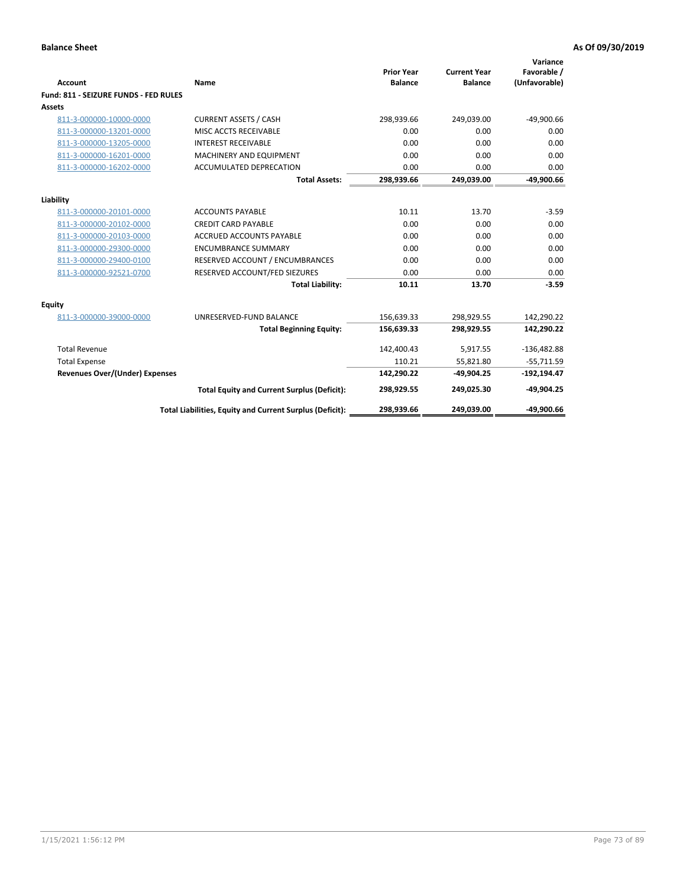| Account                               | Name                                                     | <b>Prior Year</b><br><b>Balance</b> | <b>Current Year</b><br><b>Balance</b> | Variance<br>Favorable /<br>(Unfavorable) |
|---------------------------------------|----------------------------------------------------------|-------------------------------------|---------------------------------------|------------------------------------------|
| Fund: 811 - SEIZURE FUNDS - FED RULES |                                                          |                                     |                                       |                                          |
| <b>Assets</b>                         |                                                          |                                     |                                       |                                          |
| 811-3-000000-10000-0000               | <b>CURRENT ASSETS / CASH</b>                             | 298,939.66                          | 249,039.00                            | $-49,900.66$                             |
| 811-3-000000-13201-0000               | MISC ACCTS RECEIVABLE                                    | 0.00                                | 0.00                                  | 0.00                                     |
| 811-3-000000-13205-0000               | <b>INTEREST RECEIVABLE</b>                               | 0.00                                | 0.00                                  | 0.00                                     |
| 811-3-000000-16201-0000               | <b>MACHINERY AND EQUIPMENT</b>                           | 0.00                                | 0.00                                  | 0.00                                     |
| 811-3-000000-16202-0000               | <b>ACCUMULATED DEPRECATION</b>                           | 0.00                                | 0.00                                  | 0.00                                     |
|                                       | <b>Total Assets:</b>                                     | 298,939.66                          | 249,039.00                            | $-49,900.66$                             |
| Liability                             |                                                          |                                     |                                       |                                          |
| 811-3-000000-20101-0000               | <b>ACCOUNTS PAYABLE</b>                                  | 10.11                               | 13.70                                 | $-3.59$                                  |
| 811-3-000000-20102-0000               | <b>CREDIT CARD PAYABLE</b>                               | 0.00                                | 0.00                                  | 0.00                                     |
| 811-3-000000-20103-0000               | <b>ACCRUED ACCOUNTS PAYABLE</b>                          | 0.00                                | 0.00                                  | 0.00                                     |
| 811-3-000000-29300-0000               | <b>ENCUMBRANCE SUMMARY</b>                               | 0.00                                | 0.00                                  | 0.00                                     |
| 811-3-000000-29400-0100               | RESERVED ACCOUNT / ENCUMBRANCES                          | 0.00                                | 0.00                                  | 0.00                                     |
| 811-3-000000-92521-0700               | RESERVED ACCOUNT/FED SIEZURES                            | 0.00                                | 0.00                                  | 0.00                                     |
|                                       | <b>Total Liability:</b>                                  | 10.11                               | 13.70                                 | $-3.59$                                  |
| <b>Equity</b>                         |                                                          |                                     |                                       |                                          |
| 811-3-000000-39000-0000               | UNRESERVED-FUND BALANCE                                  | 156,639.33                          | 298,929.55                            | 142,290.22                               |
|                                       | <b>Total Beginning Equity:</b>                           | 156,639.33                          | 298,929.55                            | 142,290.22                               |
| <b>Total Revenue</b>                  |                                                          | 142,400.43                          | 5,917.55                              | $-136,482.88$                            |
| <b>Total Expense</b>                  |                                                          | 110.21                              | 55,821.80                             | $-55,711.59$                             |
| Revenues Over/(Under) Expenses        |                                                          | 142,290.22                          | $-49,904.25$                          | $-192, 194.47$                           |
|                                       | <b>Total Equity and Current Surplus (Deficit):</b>       | 298,929.55                          | 249,025.30                            | $-49,904.25$                             |
|                                       | Total Liabilities, Equity and Current Surplus (Deficit): | 298,939.66                          | 249,039.00                            | -49,900.66                               |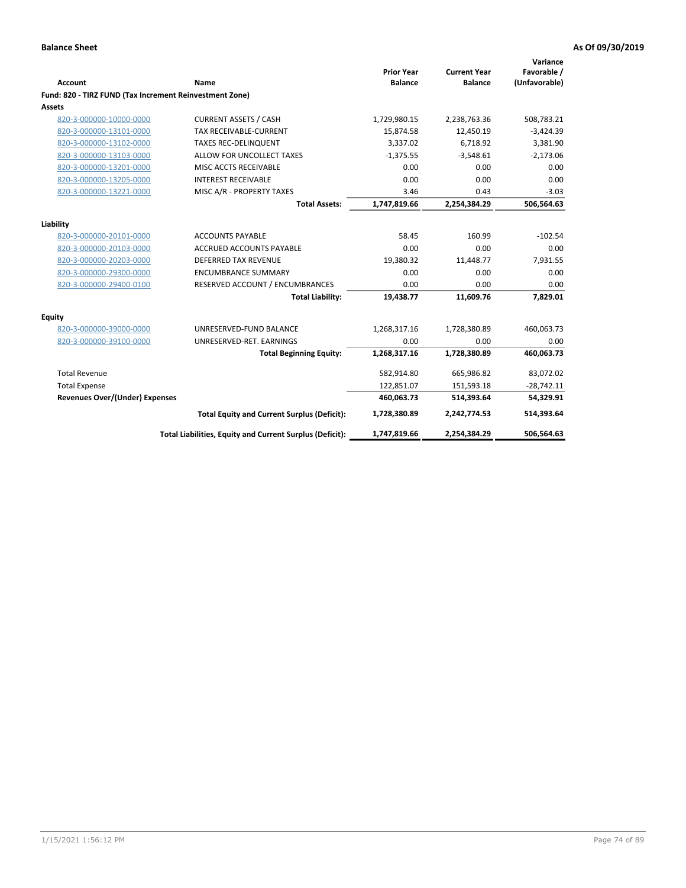| Account                                                 | Name                                                     | <b>Prior Year</b><br><b>Balance</b> | <b>Current Year</b><br><b>Balance</b> | Variance<br>Favorable /<br>(Unfavorable) |
|---------------------------------------------------------|----------------------------------------------------------|-------------------------------------|---------------------------------------|------------------------------------------|
| Fund: 820 - TIRZ FUND (Tax Increment Reinvestment Zone) |                                                          |                                     |                                       |                                          |
| <b>Assets</b>                                           |                                                          |                                     |                                       |                                          |
| 820-3-000000-10000-0000                                 | <b>CURRENT ASSETS / CASH</b>                             | 1,729,980.15                        | 2,238,763.36                          | 508,783.21                               |
| 820-3-000000-13101-0000                                 | <b>TAX RECEIVABLE-CURRENT</b>                            | 15,874.58                           | 12,450.19                             | $-3,424.39$                              |
| 820-3-000000-13102-0000                                 | <b>TAXES REC-DELINQUENT</b>                              | 3,337.02                            | 6,718.92                              | 3,381.90                                 |
| 820-3-000000-13103-0000                                 | ALLOW FOR UNCOLLECT TAXES                                | $-1,375.55$                         | $-3,548.61$                           | $-2,173.06$                              |
| 820-3-000000-13201-0000                                 | MISC ACCTS RECEIVABLE                                    | 0.00                                | 0.00                                  | 0.00                                     |
| 820-3-000000-13205-0000                                 | <b>INTEREST RECEIVABLE</b>                               | 0.00                                | 0.00                                  | 0.00                                     |
| 820-3-000000-13221-0000                                 | MISC A/R - PROPERTY TAXES                                | 3.46                                | 0.43                                  | $-3.03$                                  |
|                                                         | <b>Total Assets:</b>                                     | 1,747,819.66                        | 2,254,384.29                          | 506,564.63                               |
| Liability                                               |                                                          |                                     |                                       |                                          |
| 820-3-000000-20101-0000                                 | <b>ACCOUNTS PAYABLE</b>                                  | 58.45                               | 160.99                                | $-102.54$                                |
| 820-3-000000-20103-0000                                 | <b>ACCRUED ACCOUNTS PAYABLE</b>                          | 0.00                                | 0.00                                  | 0.00                                     |
| 820-3-000000-20203-0000                                 | <b>DEFERRED TAX REVENUE</b>                              | 19,380.32                           | 11,448.77                             | 7,931.55                                 |
| 820-3-000000-29300-0000                                 | <b>ENCUMBRANCE SUMMARY</b>                               | 0.00                                | 0.00                                  | 0.00                                     |
| 820-3-000000-29400-0100                                 | RESERVED ACCOUNT / ENCUMBRANCES                          | 0.00                                | 0.00                                  | 0.00                                     |
|                                                         | <b>Total Liability:</b>                                  | 19,438.77                           | 11.609.76                             | 7,829.01                                 |
| <b>Equity</b>                                           |                                                          |                                     |                                       |                                          |
| 820-3-000000-39000-0000                                 | UNRESERVED-FUND BALANCE                                  | 1,268,317.16                        | 1,728,380.89                          | 460,063.73                               |
| 820-3-000000-39100-0000                                 | UNRESERVED-RET. EARNINGS                                 | 0.00                                | 0.00                                  | 0.00                                     |
|                                                         | <b>Total Beginning Equity:</b>                           | 1,268,317.16                        | 1,728,380.89                          | 460,063.73                               |
| <b>Total Revenue</b>                                    |                                                          | 582,914.80                          | 665,986.82                            | 83,072.02                                |
| <b>Total Expense</b>                                    |                                                          | 122,851.07                          | 151,593.18                            | $-28,742.11$                             |
| <b>Revenues Over/(Under) Expenses</b>                   |                                                          | 460,063.73                          | 514,393.64                            | 54,329.91                                |
|                                                         | <b>Total Equity and Current Surplus (Deficit):</b>       | 1,728,380.89                        | 2,242,774.53                          | 514,393.64                               |
|                                                         | Total Liabilities, Equity and Current Surplus (Deficit): | 1,747,819.66                        | 2,254,384.29                          | 506,564.63                               |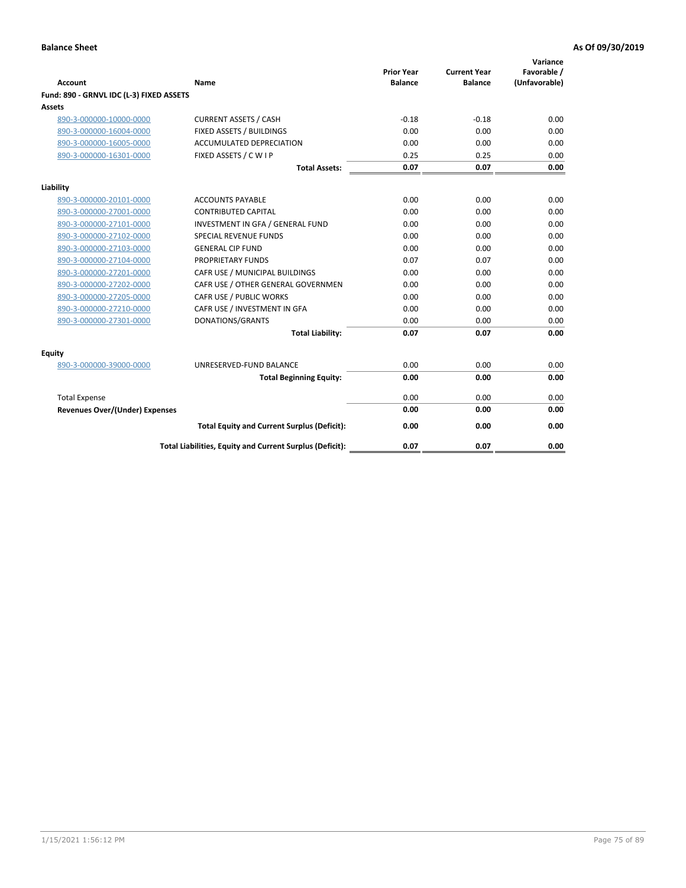| <b>Account</b>                           | Name                                                     | <b>Prior Year</b><br><b>Balance</b> | <b>Current Year</b><br><b>Balance</b> | Variance<br>Favorable /<br>(Unfavorable) |
|------------------------------------------|----------------------------------------------------------|-------------------------------------|---------------------------------------|------------------------------------------|
| Fund: 890 - GRNVL IDC (L-3) FIXED ASSETS |                                                          |                                     |                                       |                                          |
| <b>Assets</b>                            |                                                          |                                     |                                       |                                          |
| 890-3-000000-10000-0000                  | <b>CURRENT ASSETS / CASH</b>                             | $-0.18$                             | $-0.18$                               | 0.00                                     |
| 890-3-000000-16004-0000                  | FIXED ASSETS / BUILDINGS                                 | 0.00                                | 0.00                                  | 0.00                                     |
| 890-3-000000-16005-0000                  | <b>ACCUMULATED DEPRECIATION</b>                          | 0.00                                | 0.00                                  | 0.00                                     |
| 890-3-000000-16301-0000                  | FIXED ASSETS / C W I P                                   | 0.25                                | 0.25                                  | 0.00                                     |
|                                          | <b>Total Assets:</b>                                     | 0.07                                | 0.07                                  | 0.00                                     |
| Liability                                |                                                          |                                     |                                       |                                          |
| 890-3-000000-20101-0000                  | <b>ACCOUNTS PAYABLE</b>                                  | 0.00                                | 0.00                                  | 0.00                                     |
| 890-3-000000-27001-0000                  | <b>CONTRIBUTED CAPITAL</b>                               | 0.00                                | 0.00                                  | 0.00                                     |
| 890-3-000000-27101-0000                  | INVESTMENT IN GFA / GENERAL FUND                         | 0.00                                | 0.00                                  | 0.00                                     |
| 890-3-000000-27102-0000                  | <b>SPECIAL REVENUE FUNDS</b>                             | 0.00                                | 0.00                                  | 0.00                                     |
| 890-3-000000-27103-0000                  | <b>GENERAL CIP FUND</b>                                  | 0.00                                | 0.00                                  | 0.00                                     |
| 890-3-000000-27104-0000                  | PROPRIETARY FUNDS                                        | 0.07                                | 0.07                                  | 0.00                                     |
| 890-3-000000-27201-0000                  | CAFR USE / MUNICIPAL BUILDINGS                           | 0.00                                | 0.00                                  | 0.00                                     |
| 890-3-000000-27202-0000                  | CAFR USE / OTHER GENERAL GOVERNMEN                       | 0.00                                | 0.00                                  | 0.00                                     |
| 890-3-000000-27205-0000                  | CAFR USE / PUBLIC WORKS                                  | 0.00                                | 0.00                                  | 0.00                                     |
| 890-3-000000-27210-0000                  | CAFR USE / INVESTMENT IN GFA                             | 0.00                                | 0.00                                  | 0.00                                     |
| 890-3-000000-27301-0000                  | DONATIONS/GRANTS                                         | 0.00                                | 0.00                                  | 0.00                                     |
|                                          | <b>Total Liability:</b>                                  | 0.07                                | 0.07                                  | 0.00                                     |
| Equity                                   |                                                          |                                     |                                       |                                          |
| 890-3-000000-39000-0000                  | UNRESERVED-FUND BALANCE                                  | 0.00                                | 0.00                                  | 0.00                                     |
|                                          | <b>Total Beginning Equity:</b>                           | 0.00                                | 0.00                                  | 0.00                                     |
| <b>Total Expense</b>                     |                                                          | 0.00                                | 0.00                                  | 0.00                                     |
| Revenues Over/(Under) Expenses           |                                                          | 0.00                                | 0.00                                  | 0.00                                     |
|                                          |                                                          |                                     |                                       |                                          |
|                                          | <b>Total Equity and Current Surplus (Deficit):</b>       | 0.00                                | 0.00                                  | 0.00                                     |
|                                          | Total Liabilities, Equity and Current Surplus (Deficit): | 0.07                                | 0.07                                  | 0.00                                     |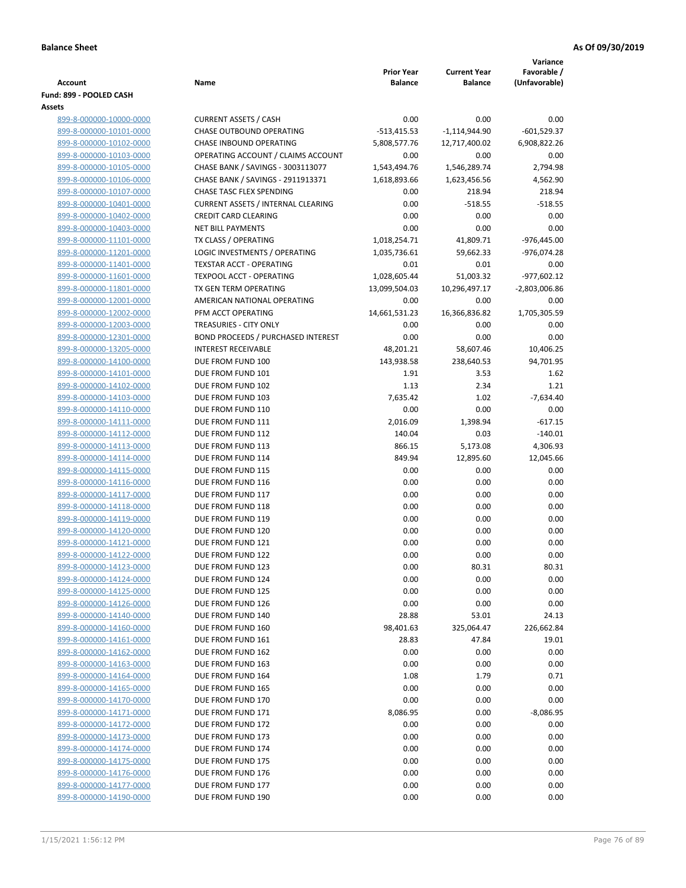|                                                    |                                           |                    |                     | Variance        |
|----------------------------------------------------|-------------------------------------------|--------------------|---------------------|-----------------|
|                                                    |                                           | <b>Prior Year</b>  | <b>Current Year</b> | Favorable /     |
| Account<br>Fund: 899 - POOLED CASH                 | Name                                      | <b>Balance</b>     | <b>Balance</b>      | (Unfavorable)   |
| Assets                                             |                                           |                    |                     |                 |
| 899-8-000000-10000-0000                            | <b>CURRENT ASSETS / CASH</b>              | 0.00               | 0.00                | 0.00            |
| 899-8-000000-10101-0000                            | CHASE OUTBOUND OPERATING                  | $-513,415.53$      | $-1,114,944.90$     | $-601,529.37$   |
| 899-8-000000-10102-0000                            | CHASE INBOUND OPERATING                   | 5,808,577.76       | 12,717,400.02       | 6,908,822.26    |
| 899-8-000000-10103-0000                            | OPERATING ACCOUNT / CLAIMS ACCOUNT        | 0.00               | 0.00                | 0.00            |
| 899-8-000000-10105-0000                            | CHASE BANK / SAVINGS - 3003113077         | 1,543,494.76       | 1,546,289.74        | 2,794.98        |
| 899-8-000000-10106-0000                            | CHASE BANK / SAVINGS - 2911913371         | 1,618,893.66       | 1,623,456.56        | 4,562.90        |
| 899-8-000000-10107-0000                            | CHASE TASC FLEX SPENDING                  | 0.00               | 218.94              | 218.94          |
| 899-8-000000-10401-0000                            | <b>CURRENT ASSETS / INTERNAL CLEARING</b> | 0.00               | $-518.55$           | $-518.55$       |
| 899-8-000000-10402-0000                            | <b>CREDIT CARD CLEARING</b>               | 0.00               | 0.00                | 0.00            |
| 899-8-000000-10403-0000                            | <b>NET BILL PAYMENTS</b>                  | 0.00               | 0.00                | 0.00            |
| 899-8-000000-11101-0000                            | TX CLASS / OPERATING                      | 1,018,254.71       | 41,809.71           | -976,445.00     |
| 899-8-000000-11201-0000                            | LOGIC INVESTMENTS / OPERATING             | 1,035,736.61       | 59,662.33           | -976,074.28     |
| 899-8-000000-11401-0000                            | TEXSTAR ACCT - OPERATING                  | 0.01               | 0.01                | 0.00            |
| 899-8-000000-11601-0000                            | TEXPOOL ACCT - OPERATING                  | 1,028,605.44       | 51,003.32           | $-977,602.12$   |
| 899-8-000000-11801-0000                            | TX GEN TERM OPERATING                     | 13,099,504.03      | 10,296,497.17       | $-2,803,006.86$ |
| 899-8-000000-12001-0000                            | AMERICAN NATIONAL OPERATING               | 0.00               | 0.00                | 0.00            |
| 899-8-000000-12002-0000                            | PFM ACCT OPERATING                        | 14,661,531.23      | 16,366,836.82       | 1,705,305.59    |
| 899-8-000000-12003-0000                            | <b>TREASURIES - CITY ONLY</b>             | 0.00               | 0.00                | 0.00            |
| 899-8-000000-12301-0000                            | BOND PROCEEDS / PURCHASED INTEREST        | 0.00               | 0.00                | 0.00            |
| 899-8-000000-13205-0000                            | <b>INTEREST RECEIVABLE</b>                | 48,201.21          | 58,607.46           | 10,406.25       |
| 899-8-000000-14100-0000                            | DUE FROM FUND 100                         | 143,938.58         | 238,640.53          | 94,701.95       |
| 899-8-000000-14101-0000                            | DUE FROM FUND 101                         | 1.91               | 3.53                | 1.62            |
| 899-8-000000-14102-0000                            | DUE FROM FUND 102                         | 1.13               | 2.34                | 1.21            |
| 899-8-000000-14103-0000                            | DUE FROM FUND 103                         | 7,635.42           | 1.02                | $-7,634.40$     |
| 899-8-000000-14110-0000                            | DUE FROM FUND 110                         | 0.00               | 0.00                | 0.00            |
| 899-8-000000-14111-0000                            | DUE FROM FUND 111                         | 2,016.09           | 1,398.94            | $-617.15$       |
| 899-8-000000-14112-0000                            | DUE FROM FUND 112                         | 140.04             | 0.03                | $-140.01$       |
| 899-8-000000-14113-0000                            | DUE FROM FUND 113                         | 866.15             | 5,173.08            | 4,306.93        |
| 899-8-000000-14114-0000                            | DUE FROM FUND 114                         | 849.94             | 12,895.60           | 12,045.66       |
| 899-8-000000-14115-0000                            | DUE FROM FUND 115                         | 0.00               | 0.00                | 0.00            |
| 899-8-000000-14116-0000                            | DUE FROM FUND 116                         | 0.00               | 0.00                | 0.00            |
| 899-8-000000-14117-0000                            | DUE FROM FUND 117                         | 0.00               | 0.00                | 0.00            |
| 899-8-000000-14118-0000                            | DUE FROM FUND 118                         | 0.00               | 0.00                | 0.00            |
| 899-8-000000-14119-0000                            | DUE FROM FUND 119                         | 0.00               | 0.00                | 0.00            |
| 899-8-000000-14120-0000                            | DUE FROM FUND 120                         | 0.00               | 0.00                | 0.00            |
| 899-8-000000-14121-0000                            | DUE FROM FUND 121                         | 0.00               | 0.00                | 0.00            |
| 899-8-000000-14122-0000                            | DUE FROM FUND 122                         | 0.00               | 0.00                | 0.00            |
| 899-8-000000-14123-0000                            | DUE FROM FUND 123                         | 0.00               | 80.31               | 80.31           |
| 899-8-000000-14124-0000                            | DUE FROM FUND 124                         | 0.00               | 0.00                | 0.00            |
| 899-8-000000-14125-0000                            | DUE FROM FUND 125                         | 0.00               | 0.00                | 0.00            |
| 899-8-000000-14126-0000                            | DUE FROM FUND 126                         | 0.00               | 0.00                | 0.00            |
| 899-8-000000-14140-0000                            | DUE FROM FUND 140<br>DUE FROM FUND 160    | 28.88<br>98,401.63 | 53.01               | 24.13           |
| 899-8-000000-14160-0000<br>899-8-000000-14161-0000 |                                           |                    | 325,064.47          | 226,662.84      |
| 899-8-000000-14162-0000                            | DUE FROM FUND 161<br>DUE FROM FUND 162    | 28.83<br>0.00      | 47.84<br>0.00       | 19.01<br>0.00   |
| 899-8-000000-14163-0000                            | DUE FROM FUND 163                         | 0.00               | 0.00                | 0.00            |
| 899-8-000000-14164-0000                            | DUE FROM FUND 164                         | 1.08               | 1.79                | 0.71            |
| 899-8-000000-14165-0000                            | DUE FROM FUND 165                         | 0.00               | 0.00                | 0.00            |
| 899-8-000000-14170-0000                            | DUE FROM FUND 170                         | 0.00               | 0.00                | 0.00            |
| 899-8-000000-14171-0000                            | DUE FROM FUND 171                         | 8,086.95           | 0.00                | $-8,086.95$     |
| 899-8-000000-14172-0000                            | DUE FROM FUND 172                         | 0.00               | 0.00                | 0.00            |
| 899-8-000000-14173-0000                            | DUE FROM FUND 173                         | 0.00               | 0.00                | 0.00            |
| 899-8-000000-14174-0000                            | DUE FROM FUND 174                         | 0.00               | 0.00                | 0.00            |
| 899-8-000000-14175-0000                            | DUE FROM FUND 175                         | 0.00               | 0.00                | 0.00            |
| 899-8-000000-14176-0000                            | DUE FROM FUND 176                         | 0.00               | 0.00                | 0.00            |
| 899-8-000000-14177-0000                            | DUE FROM FUND 177                         | 0.00               | 0.00                | 0.00            |
| 899-8-000000-14190-0000                            | DUE FROM FUND 190                         | 0.00               | 0.00                | 0.00            |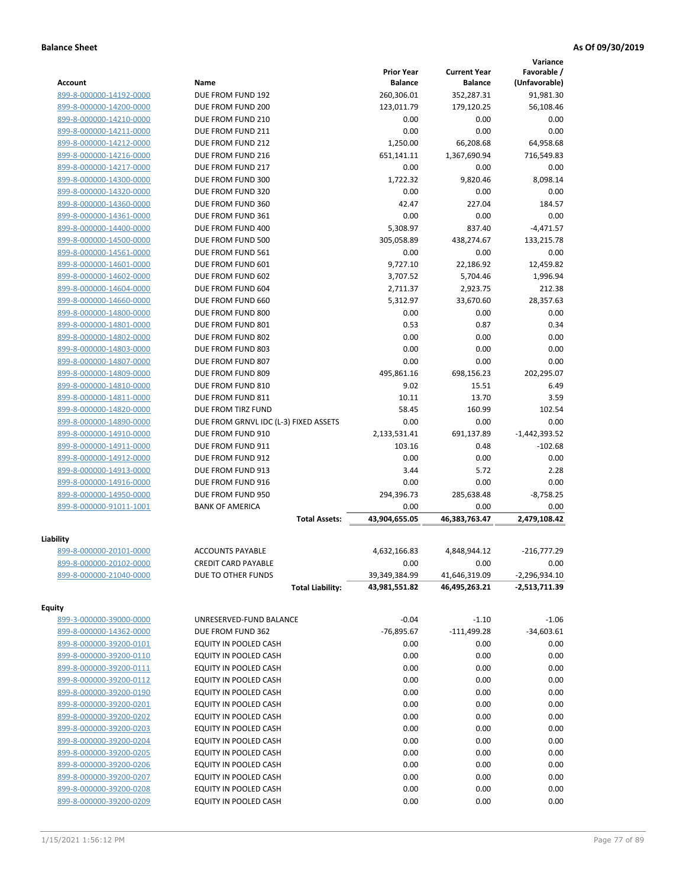|                         |                                                |                                |                                | Variance                         |
|-------------------------|------------------------------------------------|--------------------------------|--------------------------------|----------------------------------|
|                         |                                                | <b>Prior Year</b>              | <b>Current Year</b>            | Favorable /                      |
| Account                 | Name                                           | <b>Balance</b>                 | <b>Balance</b>                 | (Unfavorable)                    |
| 899-8-000000-14192-0000 | DUE FROM FUND 192                              | 260,306.01                     | 352,287.31                     | 91,981.30                        |
| 899-8-000000-14200-0000 | DUE FROM FUND 200                              | 123,011.79                     | 179,120.25                     | 56,108.46                        |
| 899-8-000000-14210-0000 | DUE FROM FUND 210                              | 0.00                           | 0.00                           | 0.00                             |
| 899-8-000000-14211-0000 | DUE FROM FUND 211                              | 0.00                           | 0.00                           | 0.00                             |
| 899-8-000000-14212-0000 | DUE FROM FUND 212                              | 1,250.00                       | 66,208.68                      | 64,958.68                        |
| 899-8-000000-14216-0000 | DUE FROM FUND 216                              | 651,141.11                     | 1,367,690.94                   | 716,549.83                       |
| 899-8-000000-14217-0000 | DUE FROM FUND 217                              | 0.00                           | 0.00                           | 0.00                             |
| 899-8-000000-14300-0000 | DUE FROM FUND 300                              | 1.722.32                       | 9,820.46                       | 8,098.14                         |
| 899-8-000000-14320-0000 | DUE FROM FUND 320                              | 0.00                           | 0.00                           | 0.00                             |
| 899-8-000000-14360-0000 | DUE FROM FUND 360                              | 42.47                          | 227.04                         | 184.57                           |
| 899-8-000000-14361-0000 | DUE FROM FUND 361                              | 0.00                           | 0.00                           | 0.00                             |
| 899-8-000000-14400-0000 | DUE FROM FUND 400                              | 5,308.97                       | 837.40                         | $-4,471.57$                      |
| 899-8-000000-14500-0000 | DUE FROM FUND 500                              | 305,058.89                     | 438,274.67                     | 133,215.78                       |
| 899-8-000000-14561-0000 | DUE FROM FUND 561                              | 0.00                           | 0.00                           | 0.00                             |
| 899-8-000000-14601-0000 | DUE FROM FUND 601                              | 9,727.10                       | 22,186.92                      | 12,459.82                        |
| 899-8-000000-14602-0000 | DUE FROM FUND 602                              | 3,707.52                       | 5,704.46                       | 1,996.94                         |
| 899-8-000000-14604-0000 | DUE FROM FUND 604                              | 2,711.37                       | 2,923.75                       | 212.38                           |
| 899-8-000000-14660-0000 | DUE FROM FUND 660                              | 5,312.97                       | 33,670.60                      | 28,357.63                        |
| 899-8-000000-14800-0000 | DUE FROM FUND 800                              | 0.00                           | 0.00                           | 0.00                             |
| 899-8-000000-14801-0000 | DUE FROM FUND 801                              | 0.53                           | 0.87                           | 0.34                             |
| 899-8-000000-14802-0000 | DUE FROM FUND 802                              | 0.00                           | 0.00                           | 0.00                             |
| 899-8-000000-14803-0000 | DUE FROM FUND 803                              | 0.00                           | 0.00                           | 0.00                             |
| 899-8-000000-14807-0000 | DUE FROM FUND 807                              | 0.00                           | 0.00                           | 0.00                             |
| 899-8-000000-14809-0000 | DUE FROM FUND 809                              | 495,861.16                     | 698,156.23                     | 202,295.07                       |
| 899-8-000000-14810-0000 | DUE FROM FUND 810                              | 9.02                           | 15.51                          | 6.49                             |
| 899-8-000000-14811-0000 | DUE FROM FUND 811                              | 10.11                          | 13.70                          | 3.59                             |
| 899-8-000000-14820-0000 | DUE FROM TIRZ FUND                             | 58.45                          | 160.99                         | 102.54                           |
| 899-8-000000-14890-0000 | DUE FROM GRNVL IDC (L-3) FIXED ASSETS          | 0.00                           | 0.00                           | 0.00                             |
| 899-8-000000-14910-0000 | DUE FROM FUND 910                              | 2,133,531.41                   | 691,137.89                     | $-1,442,393.52$                  |
| 899-8-000000-14911-0000 | DUE FROM FUND 911                              | 103.16                         | 0.48                           | $-102.68$                        |
| 899-8-000000-14912-0000 | DUE FROM FUND 912                              | 0.00                           | 0.00                           | 0.00                             |
| 899-8-000000-14913-0000 | DUE FROM FUND 913                              | 3.44                           | 5.72                           | 2.28                             |
|                         | DUE FROM FUND 916                              | 0.00                           | 0.00                           | 0.00                             |
| 899-8-000000-14916-0000 |                                                |                                |                                |                                  |
| 899-8-000000-14950-0000 | DUE FROM FUND 950                              | 294,396.73                     | 285,638.48                     | $-8,758.25$                      |
| 899-8-000000-91011-1001 | <b>BANK OF AMERICA</b><br><b>Total Assets:</b> | 0.00<br>43,904,655.05          | 0.00<br>46,383,763.47          | 0.00<br>2,479,108.42             |
|                         |                                                |                                |                                |                                  |
| Liability               |                                                |                                |                                |                                  |
| 899-8-000000-20101-0000 | <b>ACCOUNTS PAYABLE</b>                        | 4,632,166.83                   | 4,848,944.12                   | $-216,777.29$                    |
| 899-8-000000-20102-0000 | <b>CREDIT CARD PAYABLE</b>                     | 0.00                           | 0.00                           | 0.00                             |
| 899-8-000000-21040-0000 | DUE TO OTHER FUNDS<br><b>Total Liability:</b>  | 39,349,384.99<br>43,981,551.82 | 41,646,319.09<br>46,495,263.21 | -2,296,934.10<br>$-2,513,711.39$ |
|                         |                                                |                                |                                |                                  |
| <b>Equity</b>           |                                                |                                |                                |                                  |
| 899-3-000000-39000-0000 | UNRESERVED-FUND BALANCE                        | $-0.04$                        | $-1.10$                        | $-1.06$                          |
| 899-8-000000-14362-0000 | DUE FROM FUND 362                              | $-76,895.67$                   | $-111,499.28$                  | $-34,603.61$                     |
| 899-8-000000-39200-0101 | EQUITY IN POOLED CASH                          | 0.00                           | 0.00                           | 0.00                             |
| 899-8-000000-39200-0110 | EQUITY IN POOLED CASH                          | 0.00                           | 0.00                           | 0.00                             |
| 899-8-000000-39200-0111 | EQUITY IN POOLED CASH                          | 0.00                           | 0.00                           | 0.00                             |
| 899-8-000000-39200-0112 | EQUITY IN POOLED CASH                          | 0.00                           | 0.00                           | 0.00                             |
| 899-8-000000-39200-0190 | EQUITY IN POOLED CASH                          | 0.00                           | 0.00                           | 0.00                             |
| 899-8-000000-39200-0201 | EQUITY IN POOLED CASH                          | 0.00                           | 0.00                           | 0.00                             |
| 899-8-000000-39200-0202 | EQUITY IN POOLED CASH                          | 0.00                           | 0.00                           | 0.00                             |
| 899-8-000000-39200-0203 | EQUITY IN POOLED CASH                          | 0.00                           | 0.00                           | 0.00                             |
| 899-8-000000-39200-0204 | EQUITY IN POOLED CASH                          | 0.00                           | 0.00                           | 0.00                             |
| 899-8-000000-39200-0205 | EQUITY IN POOLED CASH                          | 0.00                           | 0.00                           | 0.00                             |
| 899-8-000000-39200-0206 | EQUITY IN POOLED CASH                          | 0.00                           | 0.00                           | 0.00                             |
| 899-8-000000-39200-0207 | EQUITY IN POOLED CASH                          | 0.00                           | 0.00                           | 0.00                             |
| 899-8-000000-39200-0208 | EQUITY IN POOLED CASH                          | 0.00                           | 0.00                           | 0.00                             |
| 899-8-000000-39200-0209 | EQUITY IN POOLED CASH                          | 0.00                           | 0.00                           | 0.00                             |
|                         |                                                |                                |                                |                                  |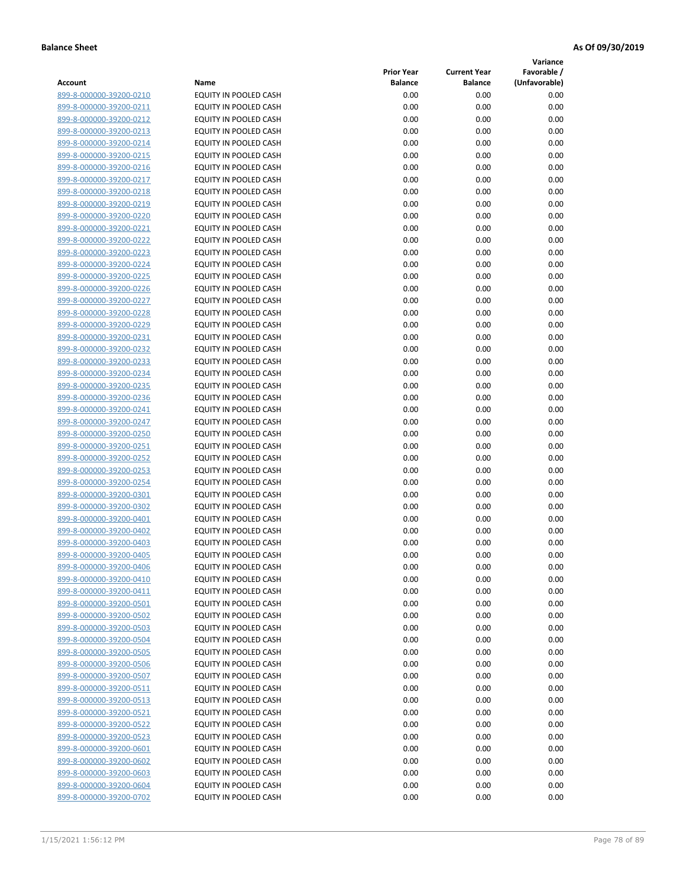**Variance**

|                         |                              | <b>Prior Year</b> | <b>Current Year</b> | Favorable /   |
|-------------------------|------------------------------|-------------------|---------------------|---------------|
| Account                 | Name                         | <b>Balance</b>    | <b>Balance</b>      | (Unfavorable) |
| 899-8-000000-39200-0210 | EQUITY IN POOLED CASH        | 0.00              | 0.00                | 0.00          |
| 899-8-000000-39200-0211 | EQUITY IN POOLED CASH        | 0.00              | 0.00                | 0.00          |
| 899-8-000000-39200-0212 | EQUITY IN POOLED CASH        | 0.00              | 0.00                | 0.00          |
| 899-8-000000-39200-0213 | EQUITY IN POOLED CASH        | 0.00              | 0.00                | 0.00          |
| 899-8-000000-39200-0214 | EQUITY IN POOLED CASH        | 0.00              | 0.00                | 0.00          |
| 899-8-000000-39200-0215 | EQUITY IN POOLED CASH        | 0.00              | 0.00                | 0.00          |
| 899-8-000000-39200-0216 | EQUITY IN POOLED CASH        | 0.00              | 0.00                | 0.00          |
| 899-8-000000-39200-0217 | EQUITY IN POOLED CASH        | 0.00              | 0.00                | 0.00          |
| 899-8-000000-39200-0218 | EQUITY IN POOLED CASH        | 0.00              | 0.00                | 0.00          |
| 899-8-000000-39200-0219 | EQUITY IN POOLED CASH        | 0.00              | 0.00                | 0.00          |
| 899-8-000000-39200-0220 | <b>EQUITY IN POOLED CASH</b> | 0.00              | 0.00                | 0.00          |
| 899-8-000000-39200-0221 | EQUITY IN POOLED CASH        | 0.00              | 0.00                | 0.00          |
| 899-8-000000-39200-0222 | EQUITY IN POOLED CASH        | 0.00              | 0.00                | 0.00          |
| 899-8-000000-39200-0223 | EQUITY IN POOLED CASH        | 0.00              | 0.00                | 0.00          |
| 899-8-000000-39200-0224 | EQUITY IN POOLED CASH        | 0.00              | 0.00                | 0.00          |
| 899-8-000000-39200-0225 | EQUITY IN POOLED CASH        | 0.00              | 0.00                | 0.00          |
| 899-8-000000-39200-0226 | EQUITY IN POOLED CASH        | 0.00              | 0.00                | 0.00          |
| 899-8-000000-39200-0227 | EQUITY IN POOLED CASH        | 0.00              | 0.00                | 0.00          |
| 899-8-000000-39200-0228 | EQUITY IN POOLED CASH        | 0.00              | 0.00                | 0.00          |
| 899-8-000000-39200-0229 | <b>EQUITY IN POOLED CASH</b> | 0.00              | 0.00                | 0.00          |
| 899-8-000000-39200-0231 | EQUITY IN POOLED CASH        | 0.00              | 0.00                | 0.00          |
| 899-8-000000-39200-0232 | EQUITY IN POOLED CASH        | 0.00              | 0.00                | 0.00          |
| 899-8-000000-39200-0233 | EQUITY IN POOLED CASH        | 0.00              | 0.00                | 0.00          |
| 899-8-000000-39200-0234 | EQUITY IN POOLED CASH        | 0.00              | 0.00                | 0.00          |
| 899-8-000000-39200-0235 | EQUITY IN POOLED CASH        | 0.00              | 0.00                | 0.00          |
| 899-8-000000-39200-0236 | EQUITY IN POOLED CASH        | 0.00              | 0.00                | 0.00          |
| 899-8-000000-39200-0241 | EQUITY IN POOLED CASH        | 0.00              | 0.00                | 0.00          |
| 899-8-000000-39200-0247 | EQUITY IN POOLED CASH        | 0.00              | 0.00                | 0.00          |
| 899-8-000000-39200-0250 | EQUITY IN POOLED CASH        | 0.00              | 0.00                | 0.00          |
| 899-8-000000-39200-0251 | EQUITY IN POOLED CASH        | 0.00              | 0.00                | 0.00          |
| 899-8-000000-39200-0252 | EQUITY IN POOLED CASH        | 0.00              | 0.00                | 0.00          |
| 899-8-000000-39200-0253 | EQUITY IN POOLED CASH        | 0.00              | 0.00                | 0.00          |
| 899-8-000000-39200-0254 | EQUITY IN POOLED CASH        | 0.00              | 0.00                | 0.00          |
| 899-8-000000-39200-0301 | EQUITY IN POOLED CASH        | 0.00              | 0.00                | 0.00          |
| 899-8-000000-39200-0302 | EQUITY IN POOLED CASH        | 0.00              | 0.00                | 0.00          |
| 899-8-000000-39200-0401 | EQUITY IN POOLED CASH        | 0.00              | 0.00                | 0.00          |
| 899-8-000000-39200-0402 | EQUITY IN POOLED CASH        | 0.00              | 0.00                | 0.00          |
| 899-8-000000-39200-0403 | EQUITY IN POOLED CASH        | 0.00              | 0.00                | 0.00          |
| 899-8-000000-39200-0405 | EQUITY IN POOLED CASH        | 0.00              | 0.00                | 0.00          |
| 899-8-000000-39200-0406 | EQUITY IN POOLED CASH        | 0.00              | 0.00                | 0.00          |
| 899-8-000000-39200-0410 | EQUITY IN POOLED CASH        | 0.00              | 0.00                | 0.00          |
| 899-8-000000-39200-0411 | EQUITY IN POOLED CASH        | 0.00              | 0.00                | 0.00          |
| 899-8-000000-39200-0501 | EQUITY IN POOLED CASH        | 0.00              | 0.00                | 0.00          |
| 899-8-000000-39200-0502 | EQUITY IN POOLED CASH        | 0.00              | 0.00                | 0.00          |
| 899-8-000000-39200-0503 | EQUITY IN POOLED CASH        | 0.00              | 0.00                | 0.00          |
| 899-8-000000-39200-0504 | EQUITY IN POOLED CASH        | 0.00              | 0.00                | 0.00          |
| 899-8-000000-39200-0505 | EQUITY IN POOLED CASH        | 0.00              | 0.00                | 0.00          |
| 899-8-000000-39200-0506 | EQUITY IN POOLED CASH        | 0.00              | 0.00                | 0.00          |
| 899-8-000000-39200-0507 | EQUITY IN POOLED CASH        | 0.00              | 0.00                | 0.00          |
| 899-8-000000-39200-0511 | <b>EQUITY IN POOLED CASH</b> | 0.00              | 0.00                | 0.00          |
| 899-8-000000-39200-0513 | EQUITY IN POOLED CASH        | 0.00              | 0.00                | 0.00          |
| 899-8-000000-39200-0521 | EQUITY IN POOLED CASH        | 0.00              | 0.00                | 0.00          |
| 899-8-000000-39200-0522 | EQUITY IN POOLED CASH        | 0.00              | 0.00                | 0.00          |
| 899-8-000000-39200-0523 | EQUITY IN POOLED CASH        | 0.00              | 0.00                | 0.00          |
| 899-8-000000-39200-0601 | EQUITY IN POOLED CASH        | 0.00              | 0.00                | 0.00          |
| 899-8-000000-39200-0602 | EQUITY IN POOLED CASH        | 0.00              | 0.00                | 0.00          |
| 899-8-000000-39200-0603 | EQUITY IN POOLED CASH        | 0.00              | 0.00                | 0.00          |
| 899-8-000000-39200-0604 | EQUITY IN POOLED CASH        | 0.00              | 0.00                | 0.00          |
| 899-8-000000-39200-0702 | EQUITY IN POOLED CASH        | 0.00              | 0.00                | 0.00          |
|                         |                              |                   |                     |               |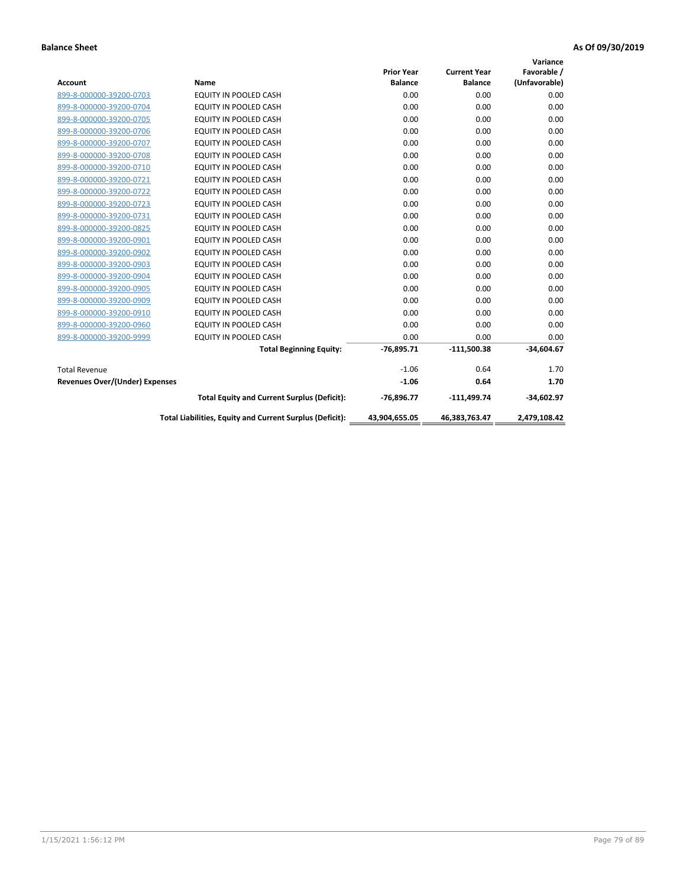|                                |                                                          |                   |                     | Variance      |
|--------------------------------|----------------------------------------------------------|-------------------|---------------------|---------------|
|                                |                                                          | <b>Prior Year</b> | <b>Current Year</b> | Favorable /   |
| <b>Account</b>                 | Name                                                     | <b>Balance</b>    | <b>Balance</b>      | (Unfavorable) |
| 899-8-000000-39200-0703        | EQUITY IN POOLED CASH                                    | 0.00              | 0.00                | 0.00          |
| 899-8-000000-39200-0704        | EQUITY IN POOLED CASH                                    | 0.00              | 0.00                | 0.00          |
| 899-8-000000-39200-0705        | EQUITY IN POOLED CASH                                    | 0.00              | 0.00                | 0.00          |
| 899-8-000000-39200-0706        | <b>EQUITY IN POOLED CASH</b>                             | 0.00              | 0.00                | 0.00          |
| 899-8-000000-39200-0707        | <b>EQUITY IN POOLED CASH</b>                             | 0.00              | 0.00                | 0.00          |
| 899-8-000000-39200-0708        | <b>EQUITY IN POOLED CASH</b>                             | 0.00              | 0.00                | 0.00          |
| 899-8-000000-39200-0710        | EQUITY IN POOLED CASH                                    | 0.00              | 0.00                | 0.00          |
| 899-8-000000-39200-0721        | <b>EQUITY IN POOLED CASH</b>                             | 0.00              | 0.00                | 0.00          |
| 899-8-000000-39200-0722        | EQUITY IN POOLED CASH                                    | 0.00              | 0.00                | 0.00          |
| 899-8-000000-39200-0723        | <b>EQUITY IN POOLED CASH</b>                             | 0.00              | 0.00                | 0.00          |
| 899-8-000000-39200-0731        | <b>EQUITY IN POOLED CASH</b>                             | 0.00              | 0.00                | 0.00          |
| 899-8-000000-39200-0825        | EQUITY IN POOLED CASH                                    | 0.00              | 0.00                | 0.00          |
| 899-8-000000-39200-0901        | <b>EQUITY IN POOLED CASH</b>                             | 0.00              | 0.00                | 0.00          |
| 899-8-000000-39200-0902        | <b>EQUITY IN POOLED CASH</b>                             | 0.00              | 0.00                | 0.00          |
| 899-8-000000-39200-0903        | <b>EQUITY IN POOLED CASH</b>                             | 0.00              | 0.00                | 0.00          |
| 899-8-000000-39200-0904        | <b>EQUITY IN POOLED CASH</b>                             | 0.00              | 0.00                | 0.00          |
| 899-8-000000-39200-0905        | EQUITY IN POOLED CASH                                    | 0.00              | 0.00                | 0.00          |
| 899-8-000000-39200-0909        | EQUITY IN POOLED CASH                                    | 0.00              | 0.00                | 0.00          |
| 899-8-000000-39200-0910        | <b>EQUITY IN POOLED CASH</b>                             | 0.00              | 0.00                | 0.00          |
| 899-8-000000-39200-0960        | <b>EQUITY IN POOLED CASH</b>                             | 0.00              | 0.00                | 0.00          |
| 899-8-000000-39200-9999        | EQUITY IN POOLED CASH                                    | 0.00              | 0.00                | 0.00          |
|                                | <b>Total Beginning Equity:</b>                           | $-76,895.71$      | $-111,500.38$       | $-34,604.67$  |
| <b>Total Revenue</b>           |                                                          | $-1.06$           | 0.64                | 1.70          |
| Revenues Over/(Under) Expenses |                                                          | $-1.06$           | 0.64                | 1.70          |
|                                | <b>Total Equity and Current Surplus (Deficit):</b>       | $-76,896.77$      | $-111,499.74$       | $-34,602.97$  |
|                                | Total Liabilities, Equity and Current Surplus (Deficit): | 43,904,655.05     | 46,383,763.47       | 2,479,108.42  |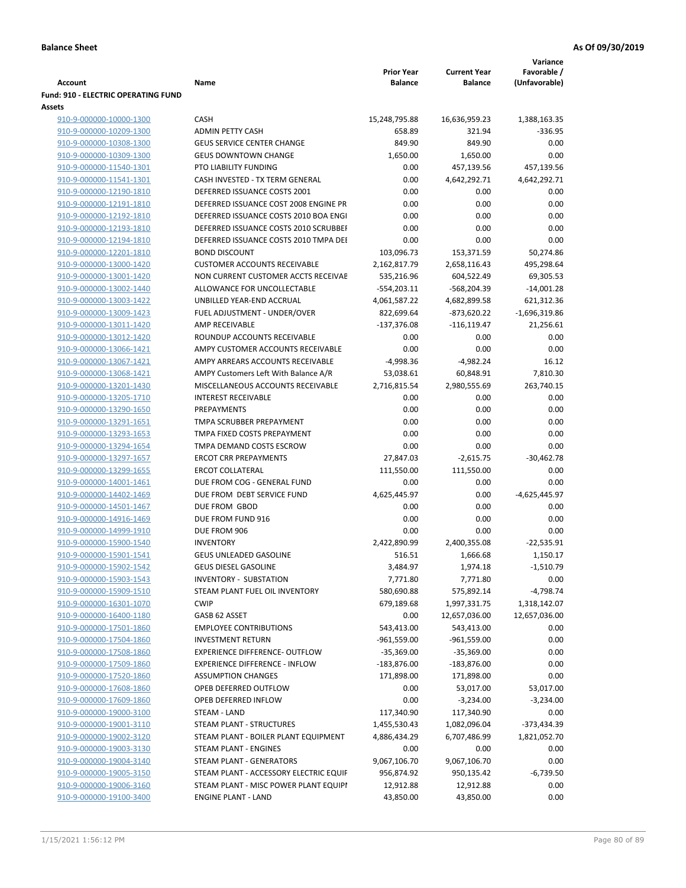|                                                    |                                                                   |                                     |                                       | Variance                     |
|----------------------------------------------------|-------------------------------------------------------------------|-------------------------------------|---------------------------------------|------------------------------|
| Account                                            | Name                                                              | <b>Prior Year</b><br><b>Balance</b> | <b>Current Year</b><br><b>Balance</b> | Favorable /<br>(Unfavorable) |
| <b>Fund: 910 - ELECTRIC OPERATING FUND</b>         |                                                                   |                                     |                                       |                              |
| Assets                                             |                                                                   |                                     |                                       |                              |
| 910-9-000000-10000-1300                            | <b>CASH</b>                                                       | 15,248,795.88                       | 16,636,959.23                         | 1,388,163.35                 |
| 910-9-000000-10209-1300                            | <b>ADMIN PETTY CASH</b>                                           | 658.89                              | 321.94                                | $-336.95$                    |
| 910-9-000000-10308-1300                            | <b>GEUS SERVICE CENTER CHANGE</b>                                 | 849.90                              | 849.90                                | 0.00                         |
| 910-9-000000-10309-1300                            | <b>GEUS DOWNTOWN CHANGE</b>                                       | 1,650.00                            | 1,650.00                              | 0.00                         |
| 910-9-000000-11540-1301                            | PTO LIABILITY FUNDING                                             | 0.00                                | 457,139.56                            | 457,139.56                   |
| 910-9-000000-11541-1301                            | CASH INVESTED - TX TERM GENERAL                                   | 0.00                                | 4,642,292.71                          | 4,642,292.71                 |
| 910-9-000000-12190-1810                            | DEFERRED ISSUANCE COSTS 2001                                      | 0.00                                | 0.00                                  | 0.00                         |
| 910-9-000000-12191-1810                            | DEFERRED ISSUANCE COST 2008 ENGINE PR                             | 0.00                                | 0.00                                  | 0.00                         |
| 910-9-000000-12192-1810                            | DEFERRED ISSUANCE COSTS 2010 BOA ENGI                             | 0.00                                | 0.00                                  | 0.00                         |
| 910-9-000000-12193-1810                            | DEFERRED ISSUANCE COSTS 2010 SCRUBBEI                             | 0.00                                | 0.00                                  | 0.00                         |
| 910-9-000000-12194-1810                            | DEFERRED ISSUANCE COSTS 2010 TMPA DEI                             | 0.00                                | 0.00                                  | 0.00                         |
| 910-9-000000-12201-1810                            | <b>BOND DISCOUNT</b>                                              | 103,096.73                          | 153,371.59                            | 50,274.86                    |
| 910-9-000000-13000-1420                            | <b>CUSTOMER ACCOUNTS RECEIVABLE</b>                               | 2,162,817.79                        | 2,658,116.43                          | 495,298.64                   |
| 910-9-000000-13001-1420                            | NON CURRENT CUSTOMER ACCTS RECEIVAE                               | 535,216.96                          | 604,522.49                            | 69,305.53                    |
| 910-9-000000-13002-1440                            | ALLOWANCE FOR UNCOLLECTABLE                                       | $-554,203.11$                       | -568,204.39                           | $-14,001.28$                 |
| 910-9-000000-13003-1422                            | UNBILLED YEAR-END ACCRUAL                                         | 4,061,587.22                        | 4,682,899.58                          | 621,312.36                   |
| 910-9-000000-13009-1423                            | FUEL ADJUSTMENT - UNDER/OVER                                      | 822,699.64                          | -873,620.22                           | $-1,696,319.86$              |
| 910-9-000000-13011-1420                            | AMP RECEIVABLE                                                    | $-137,376.08$                       | $-116, 119.47$                        | 21,256.61                    |
| 910-9-000000-13012-1420                            | ROUNDUP ACCOUNTS RECEIVABLE                                       | 0.00                                | 0.00                                  | 0.00                         |
| 910-9-000000-13066-1421                            | AMPY CUSTOMER ACCOUNTS RECEIVABLE                                 | 0.00                                | 0.00                                  | 0.00                         |
| 910-9-000000-13067-1421                            | AMPY ARREARS ACCOUNTS RECEIVABLE                                  | $-4,998.36$                         | $-4,982.24$                           | 16.12                        |
| 910-9-000000-13068-1421                            | AMPY Customers Left With Balance A/R                              | 53,038.61                           | 60,848.91                             | 7,810.30                     |
| 910-9-000000-13201-1430                            | MISCELLANEOUS ACCOUNTS RECEIVABLE                                 | 2,716,815.54                        | 2,980,555.69                          | 263,740.15                   |
| 910-9-000000-13205-1710                            | <b>INTEREST RECEIVABLE</b>                                        | 0.00                                | 0.00                                  | 0.00                         |
| 910-9-000000-13290-1650                            | PREPAYMENTS                                                       | 0.00                                | 0.00                                  | 0.00                         |
| 910-9-000000-13291-1651                            | TMPA SCRUBBER PREPAYMENT                                          | 0.00                                | 0.00                                  | 0.00                         |
| 910-9-000000-13293-1653                            | TMPA FIXED COSTS PREPAYMENT                                       | 0.00                                | 0.00                                  | 0.00                         |
| 910-9-000000-13294-1654                            | TMPA DEMAND COSTS ESCROW                                          | 0.00                                | 0.00                                  | 0.00                         |
| 910-9-000000-13297-1657                            | <b>ERCOT CRR PREPAYMENTS</b>                                      | 27,847.03                           | $-2,615.75$                           | $-30,462.78$                 |
| 910-9-000000-13299-1655                            | <b>ERCOT COLLATERAL</b>                                           | 111,550.00                          | 111,550.00                            | 0.00                         |
| 910-9-000000-14001-1461                            | DUE FROM COG - GENERAL FUND                                       | 0.00                                | 0.00                                  | 0.00                         |
| 910-9-000000-14402-1469                            | DUE FROM DEBT SERVICE FUND                                        | 4,625,445.97                        | 0.00                                  | $-4,625,445.97$              |
| 910-9-000000-14501-1467                            | DUE FROM GBOD                                                     | 0.00                                | 0.00                                  | 0.00                         |
| 910-9-000000-14916-1469                            | DUE FROM FUND 916                                                 | 0.00                                | 0.00                                  | 0.00                         |
| 910-9-000000-14999-1910                            | DUE FROM 906                                                      | 0.00                                | 0.00                                  | 0.00                         |
| 910-9-000000-15900-1540                            | <b>INVENTORY</b>                                                  | 2,422,890.99                        | 2,400,355.08                          | $-22,535.91$                 |
| 910-9-000000-15901-1541                            | <b>GEUS UNLEADED GASOLINE</b>                                     | 516.51                              | 1,666.68                              | 1,150.17                     |
| 910-9-000000-15902-1542                            | <b>GEUS DIESEL GASOLINE</b>                                       | 3,484.97                            | 1,974.18                              | $-1,510.79$                  |
| 910-9-000000-15903-1543                            | <b>INVENTORY - SUBSTATION</b>                                     | 7,771.80                            | 7,771.80                              | 0.00                         |
| 910-9-000000-15909-1510                            | STEAM PLANT FUEL OIL INVENTORY                                    | 580,690.88                          | 575,892.14                            | $-4,798.74$                  |
| 910-9-000000-16301-1070                            | <b>CWIP</b>                                                       | 679,189.68                          | 1,997,331.75                          | 1,318,142.07                 |
| 910-9-000000-16400-1180                            | GASB 62 ASSET                                                     | 0.00                                | 12,657,036.00<br>543,413.00           | 12,657,036.00                |
| 910-9-000000-17501-1860<br>910-9-000000-17504-1860 | <b>EMPLOYEE CONTRIBUTIONS</b>                                     | 543,413.00<br>$-961,559.00$         |                                       | 0.00                         |
| 910-9-000000-17508-1860                            | <b>INVESTMENT RETURN</b><br><b>EXPERIENCE DIFFERENCE- OUTFLOW</b> | $-35,369.00$                        | $-961,559.00$<br>$-35,369.00$         | 0.00<br>0.00                 |
| 910-9-000000-17509-1860                            | <b>EXPERIENCE DIFFERENCE - INFLOW</b>                             | -183,876.00                         | $-183,876.00$                         | 0.00                         |
| 910-9-000000-17520-1860                            | <b>ASSUMPTION CHANGES</b>                                         | 171,898.00                          | 171,898.00                            | 0.00                         |
| 910-9-000000-17608-1860                            | OPEB DEFERRED OUTFLOW                                             | 0.00                                | 53,017.00                             | 53,017.00                    |
| 910-9-000000-17609-1860                            | OPEB DEFERRED INFLOW                                              | 0.00                                | $-3,234.00$                           | $-3,234.00$                  |
| 910-9-000000-19000-3100                            | STEAM - LAND                                                      | 117,340.90                          | 117,340.90                            | 0.00                         |
| 910-9-000000-19001-3110                            | STEAM PLANT - STRUCTURES                                          | 1,455,530.43                        | 1,082,096.04                          | -373,434.39                  |
| 910-9-000000-19002-3120                            | STEAM PLANT - BOILER PLANT EQUIPMENT                              | 4,886,434.29                        | 6,707,486.99                          | 1,821,052.70                 |
| 910-9-000000-19003-3130                            | STEAM PLANT - ENGINES                                             | 0.00                                | 0.00                                  | 0.00                         |
| 910-9-000000-19004-3140                            | STEAM PLANT - GENERATORS                                          | 9,067,106.70                        | 9,067,106.70                          | 0.00                         |
| 910-9-000000-19005-3150                            | STEAM PLANT - ACCESSORY ELECTRIC EQUIF                            | 956,874.92                          | 950,135.42                            | -6,739.50                    |
| 910-9-000000-19006-3160                            | STEAM PLANT - MISC POWER PLANT EQUIPI                             | 12,912.88                           | 12,912.88                             | 0.00                         |
| 910-9-000000-19100-3400                            | <b>ENGINE PLANT - LAND</b>                                        | 43,850.00                           | 43,850.00                             | 0.00                         |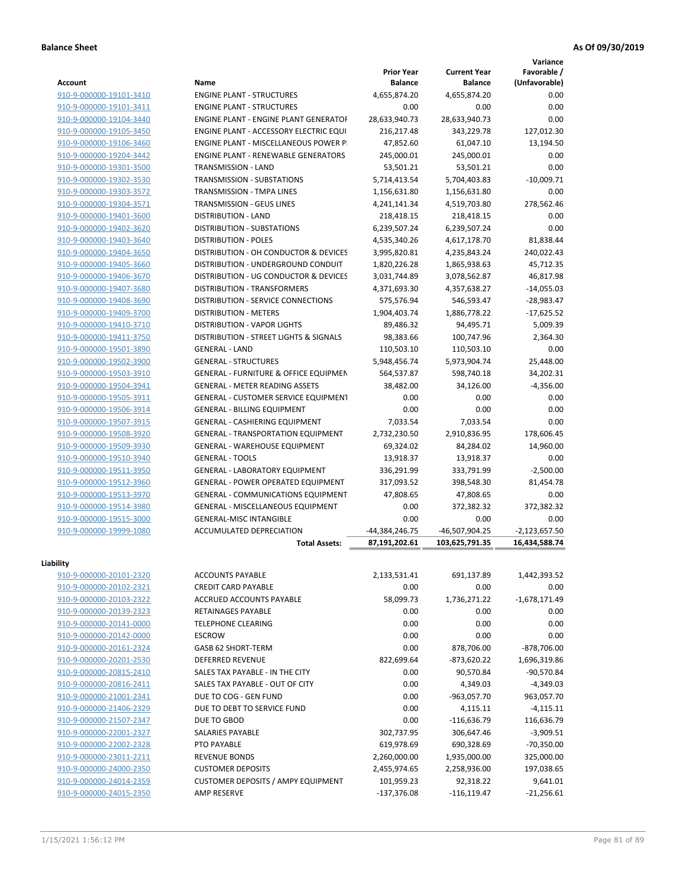**Variance**

| Account                 | Name                                             | <b>Prior Year</b><br><b>Balance</b> | <b>Current Year</b><br><b>Balance</b> | Favorable /<br>(Unfavorable) |
|-------------------------|--------------------------------------------------|-------------------------------------|---------------------------------------|------------------------------|
| 910-9-000000-19101-3410 | <b>ENGINE PLANT - STRUCTURES</b>                 | 4,655,874.20                        | 4,655,874.20                          | 0.00                         |
| 910-9-000000-19101-3411 | <b>ENGINE PLANT - STRUCTURES</b>                 | 0.00                                | 0.00                                  | 0.00                         |
| 910-9-000000-19104-3440 | ENGINE PLANT - ENGINE PLANT GENERATOF            | 28,633,940.73                       | 28,633,940.73                         | 0.00                         |
| 910-9-000000-19105-3450 | <b>ENGINE PLANT - ACCESSORY ELECTRIC EQUI</b>    | 216,217.48                          | 343,229.78                            | 127,012.30                   |
| 910-9-000000-19106-3460 | <b>ENGINE PLANT - MISCELLANEOUS POWER P</b>      | 47,852.60                           | 61,047.10                             | 13,194.50                    |
| 910-9-000000-19204-3442 | <b>ENGINE PLANT - RENEWABLE GENERATORS</b>       | 245,000.01                          | 245,000.01                            | 0.00                         |
| 910-9-000000-19301-3500 | TRANSMISSION - LAND                              | 53,501.21                           | 53,501.21                             | 0.00                         |
| 910-9-000000-19302-3530 | TRANSMISSION - SUBSTATIONS                       | 5,714,413.54                        | 5,704,403.83                          | $-10,009.71$                 |
| 910-9-000000-19303-3572 | TRANSMISSION - TMPA LINES                        | 1,156,631.80                        | 1,156,631.80                          | 0.00                         |
| 910-9-000000-19304-3571 | <b>TRANSMISSION - GEUS LINES</b>                 | 4,241,141.34                        | 4,519,703.80                          | 278,562.46                   |
| 910-9-000000-19401-3600 | <b>DISTRIBUTION - LAND</b>                       | 218,418.15                          | 218,418.15                            | 0.00                         |
| 910-9-000000-19402-3620 | <b>DISTRIBUTION - SUBSTATIONS</b>                | 6,239,507.24                        | 6,239,507.24                          | 0.00                         |
| 910-9-000000-19403-3640 | <b>DISTRIBUTION - POLES</b>                      | 4,535,340.26                        | 4,617,178.70                          | 81,838.44                    |
| 910-9-000000-19404-3650 | DISTRIBUTION - OH CONDUCTOR & DEVICES            | 3,995,820.81                        | 4,235,843.24                          | 240,022.43                   |
| 910-9-000000-19405-3660 | DISTRIBUTION - UNDERGROUND CONDUIT               | 1,820,226.28                        | 1,865,938.63                          | 45,712.35                    |
| 910-9-000000-19406-3670 | DISTRIBUTION - UG CONDUCTOR & DEVICES            | 3,031,744.89                        | 3,078,562.87                          | 46,817.98                    |
| 910-9-000000-19407-3680 | <b>DISTRIBUTION - TRANSFORMERS</b>               | 4,371,693.30                        | 4,357,638.27                          | $-14,055.03$                 |
| 910-9-000000-19408-3690 | DISTRIBUTION - SERVICE CONNECTIONS               | 575,576.94                          | 546,593.47                            | $-28,983.47$                 |
| 910-9-000000-19409-3700 | <b>DISTRIBUTION - METERS</b>                     | 1,904,403.74                        | 1,886,778.22                          | $-17,625.52$                 |
| 910-9-000000-19410-3710 | <b>DISTRIBUTION - VAPOR LIGHTS</b>               | 89,486.32                           | 94,495.71                             | 5,009.39                     |
| 910-9-000000-19411-3750 | DISTRIBUTION - STREET LIGHTS & SIGNALS           | 98,383.66                           | 100,747.96                            | 2,364.30                     |
| 910-9-000000-19501-3890 | <b>GENERAL - LAND</b>                            | 110,503.10                          | 110,503.10                            | 0.00                         |
| 910-9-000000-19502-3900 | <b>GENERAL - STRUCTURES</b>                      | 5,948,456.74                        | 5,973,904.74                          | 25,448.00                    |
| 910-9-000000-19503-3910 | <b>GENERAL - FURNITURE &amp; OFFICE EQUIPMEN</b> | 564,537.87                          | 598,740.18                            | 34,202.31                    |
| 910-9-000000-19504-3941 | <b>GENERAL - METER READING ASSETS</b>            | 38,482.00                           | 34,126.00                             | $-4,356.00$                  |
| 910-9-000000-19505-3911 | GENERAL - CUSTOMER SERVICE EQUIPMENT             | 0.00                                | 0.00                                  | 0.00                         |
| 910-9-000000-19506-3914 | <b>GENERAL - BILLING EQUIPMENT</b>               | 0.00                                | 0.00                                  | 0.00                         |
| 910-9-000000-19507-3915 | GENERAL - CASHIERING EQUIPMENT                   | 7,033.54                            | 7,033.54                              | 0.00                         |
| 910-9-000000-19508-3920 | <b>GENERAL - TRANSPORTATION EQUIPMENT</b>        | 2,732,230.50                        | 2,910,836.95                          | 178,606.45                   |
| 910-9-000000-19509-3930 | GENERAL - WAREHOUSE EQUIPMENT                    | 69,324.02                           | 84,284.02                             | 14,960.00                    |
| 910-9-000000-19510-3940 | <b>GENERAL - TOOLS</b>                           | 13,918.37                           | 13,918.37                             | 0.00                         |
| 910-9-000000-19511-3950 | <b>GENERAL - LABORATORY EQUIPMENT</b>            | 336,291.99                          | 333,791.99                            | $-2,500.00$                  |
| 910-9-000000-19512-3960 | <b>GENERAL - POWER OPERATED EQUIPMENT</b>        | 317,093.52                          | 398,548.30                            | 81,454.78                    |
| 910-9-000000-19513-3970 | GENERAL - COMMUNICATIONS EQUIPMENT               | 47,808.65                           | 47,808.65                             | 0.00                         |
| 910-9-000000-19514-3980 | <b>GENERAL - MISCELLANEOUS EQUIPMENT</b>         | 0.00                                | 372,382.32                            | 372,382.32                   |
| 910-9-000000-19515-3000 | <b>GENERAL-MISC INTANGIBLE</b>                   | 0.00                                | 0.00                                  | 0.00                         |
| 910-9-000000-19999-1080 | <b>ACCUMULATED DEPRECIATION</b>                  | -44,384,246.75                      | -46,507,904.25                        | $-2,123,657.50$              |
|                         | <b>Total Assets:</b>                             | 87,191,202.61                       | 103,625,791.35                        | 16,434,588.74                |
|                         |                                                  |                                     |                                       |                              |
| Liability               |                                                  |                                     |                                       |                              |
| 910-9-000000-20101-2320 | <b>ACCOUNTS PAYABLE</b>                          | 2,133,531.41                        | 691,137.89                            | 1,442,393.52                 |
| 910-9-000000-20102-2321 | <b>CREDIT CARD PAYABLE</b>                       | 0.00                                | 0.00                                  | 0.00                         |
| 910-9-000000-20103-2322 | ACCRUED ACCOUNTS PAYABLE                         | 58,099.73                           | 1,736,271.22                          | $-1,678,171.49$              |
| 910-9-000000-20139-2323 | RETAINAGES PAYABLE                               | 0.00                                | 0.00                                  | 0.00                         |
| 910-9-000000-20141-0000 | <b>TELEPHONE CLEARING</b>                        | 0.00                                | 0.00                                  | 0.00                         |
| 910-9-000000-20142-0000 | <b>ESCROW</b>                                    | 0.00                                | 0.00                                  | 0.00                         |
| 910-9-000000-20161-2324 | GASB 62 SHORT-TERM                               | 0.00                                | 878,706.00                            | $-878,706.00$                |
| 910-9-000000-20201-2530 | <b>DEFERRED REVENUE</b>                          | 822,699.64                          | $-873,620.22$                         | 1,696,319.86                 |
| 910-9-000000-20815-2410 | SALES TAX PAYABLE - IN THE CITY                  | 0.00                                | 90,570.84                             | $-90,570.84$                 |
| 910-9-000000-20816-2411 | SALES TAX PAYABLE - OUT OF CITY                  | 0.00                                | 4,349.03                              | $-4,349.03$                  |
| 910-9-000000-21001-2341 | DUE TO COG - GEN FUND                            | 0.00                                | $-963,057.70$                         | 963,057.70                   |
| 910-9-000000-21406-2329 | DUE TO DEBT TO SERVICE FUND                      | 0.00                                | 4,115.11                              | $-4,115.11$                  |
| 910-9-000000-21507-2347 | DUE TO GBOD                                      | 0.00                                | $-116,636.79$                         | 116,636.79                   |
| 910-9-000000-22001-2327 | SALARIES PAYABLE                                 | 302,737.95                          | 306,647.46                            | $-3,909.51$                  |
| 910-9-000000-22002-2328 | PTO PAYABLE                                      | 619,978.69                          | 690,328.69                            | $-70,350.00$                 |
| 910-9-000000-23011-2211 | <b>REVENUE BONDS</b>                             | 2,260,000.00                        | 1,935,000.00                          | 325,000.00                   |
| 910-9-000000-24000-2350 | <b>CUSTOMER DEPOSITS</b>                         | 2,455,974.65                        | 2,258,936.00                          | 197,038.65                   |
| 910-9-000000-24014-2359 | <b>CUSTOMER DEPOSITS / AMPY EQUIPMENT</b>        | 101,959.23                          | 92,318.22                             | 9,641.01                     |
| 910-9-000000-24015-2350 | AMP RESERVE                                      | $-137,376.08$                       | $-116, 119.47$                        | $-21,256.61$                 |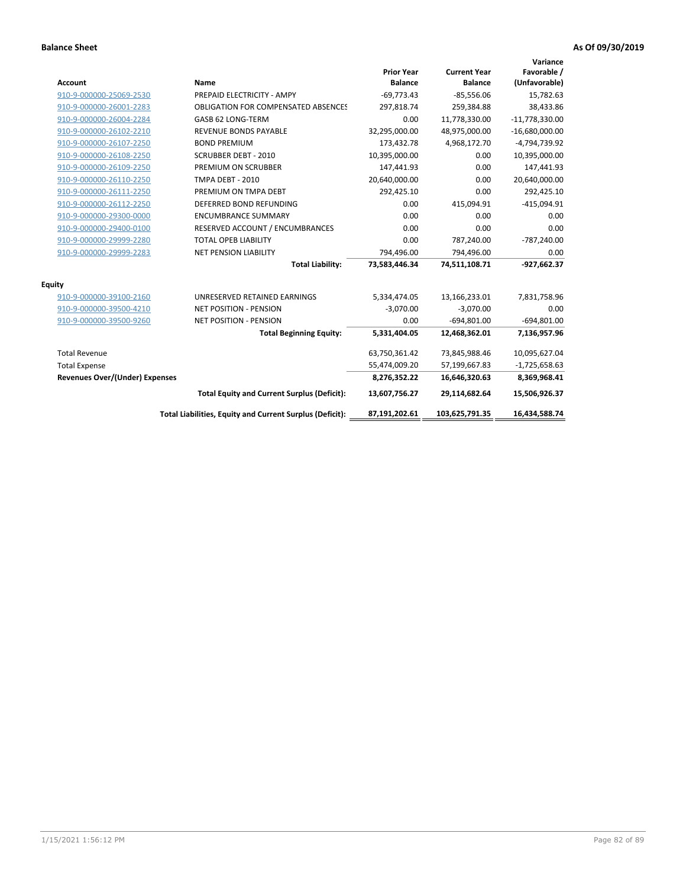| Account                               | Name                                                     | <b>Prior Year</b><br><b>Balance</b> | <b>Current Year</b><br><b>Balance</b> | Variance<br>Favorable /<br>(Unfavorable) |
|---------------------------------------|----------------------------------------------------------|-------------------------------------|---------------------------------------|------------------------------------------|
| 910-9-000000-25069-2530               | PREPAID ELECTRICITY - AMPY                               | $-69,773.43$                        | $-85,556.06$                          | 15,782.63                                |
| 910-9-000000-26001-2283               | <b>OBLIGATION FOR COMPENSATED ABSENCES</b>               | 297,818.74                          | 259,384.88                            | 38,433.86                                |
| 910-9-000000-26004-2284               | GASB 62 LONG-TERM                                        | 0.00                                | 11,778,330.00                         | $-11,778,330.00$                         |
| 910-9-000000-26102-2210               | <b>REVENUE BONDS PAYABLE</b>                             | 32,295,000.00                       | 48,975,000.00                         | $-16,680,000.00$                         |
| 910-9-000000-26107-2250               | <b>BOND PREMIUM</b>                                      | 173,432.78                          | 4,968,172.70                          | -4,794,739.92                            |
| 910-9-000000-26108-2250               | <b>SCRUBBER DEBT - 2010</b>                              | 10,395,000.00                       | 0.00                                  | 10,395,000.00                            |
| 910-9-000000-26109-2250               | PREMIUM ON SCRUBBER                                      | 147,441.93                          | 0.00                                  | 147,441.93                               |
| 910-9-000000-26110-2250               | <b>TMPA DEBT - 2010</b>                                  | 20,640,000.00                       | 0.00                                  | 20,640,000.00                            |
| 910-9-000000-26111-2250               | PREMIUM ON TMPA DEBT                                     | 292,425.10                          | 0.00                                  | 292,425.10                               |
| 910-9-000000-26112-2250               | DEFERRED BOND REFUNDING                                  | 0.00                                | 415,094.91                            | $-415,094.91$                            |
| 910-9-000000-29300-0000               | <b>ENCUMBRANCE SUMMARY</b>                               | 0.00                                | 0.00                                  | 0.00                                     |
| 910-9-000000-29400-0100               | RESERVED ACCOUNT / ENCUMBRANCES                          | 0.00                                | 0.00                                  | 0.00                                     |
| 910-9-000000-29999-2280               | <b>TOTAL OPEB LIABILITY</b>                              | 0.00                                | 787,240.00                            | $-787,240.00$                            |
| 910-9-000000-29999-2283               | <b>NET PENSION LIABILITY</b>                             | 794,496.00                          | 794,496.00                            | 0.00                                     |
|                                       | <b>Total Liability:</b>                                  | 73,583,446.34                       | 74,511,108.71                         | $-927,662.37$                            |
| <b>Equity</b>                         |                                                          |                                     |                                       |                                          |
| 910-9-000000-39100-2160               | UNRESERVED RETAINED EARNINGS                             | 5,334,474.05                        | 13,166,233.01                         | 7,831,758.96                             |
| 910-9-000000-39500-4210               | <b>NET POSITION - PENSION</b>                            | $-3,070.00$                         | $-3,070.00$                           | 0.00                                     |
| 910-9-000000-39500-9260               | <b>NET POSITION - PENSION</b>                            | 0.00                                | $-694,801.00$                         | $-694,801.00$                            |
|                                       | <b>Total Beginning Equity:</b>                           | 5,331,404.05                        | 12,468,362.01                         | 7,136,957.96                             |
| <b>Total Revenue</b>                  |                                                          | 63,750,361.42                       | 73,845,988.46                         | 10,095,627.04                            |
| <b>Total Expense</b>                  |                                                          | 55,474,009.20                       | 57,199,667.83                         | $-1,725,658.63$                          |
| <b>Revenues Over/(Under) Expenses</b> |                                                          | 8,276,352.22                        | 16,646,320.63                         | 8,369,968.41                             |
|                                       | <b>Total Equity and Current Surplus (Deficit):</b>       | 13,607,756.27                       | 29,114,682.64                         | 15,506,926.37                            |
|                                       | Total Liabilities, Equity and Current Surplus (Deficit): | 87,191,202.61                       | 103,625,791.35                        | 16,434,588.74                            |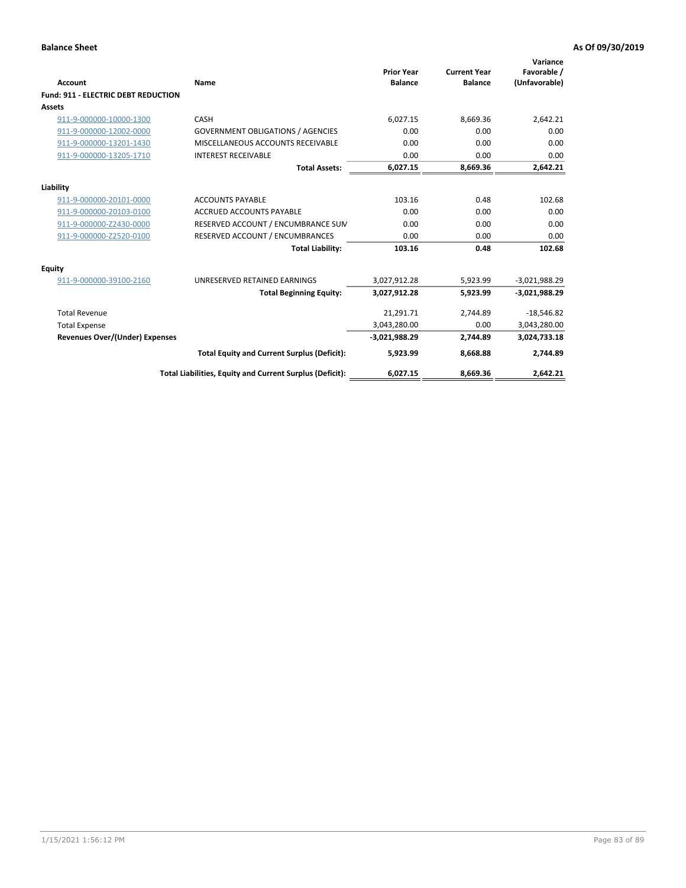| <b>Account</b>                             | Name                                                     | <b>Prior Year</b><br><b>Balance</b> | <b>Current Year</b><br><b>Balance</b> | Variance<br>Favorable /<br>(Unfavorable) |
|--------------------------------------------|----------------------------------------------------------|-------------------------------------|---------------------------------------|------------------------------------------|
| <b>Fund: 911 - ELECTRIC DEBT REDUCTION</b> |                                                          |                                     |                                       |                                          |
| Assets                                     |                                                          |                                     |                                       |                                          |
| 911-9-000000-10000-1300                    | CASH                                                     | 6,027.15                            | 8,669.36                              | 2,642.21                                 |
| 911-9-000000-12002-0000                    | <b>GOVERNMENT OBLIGATIONS / AGENCIES</b>                 | 0.00                                | 0.00                                  | 0.00                                     |
| 911-9-000000-13201-1430                    | MISCELLANEOUS ACCOUNTS RECEIVABLE                        | 0.00                                | 0.00                                  | 0.00                                     |
| 911-9-000000-13205-1710                    | <b>INTEREST RECEIVABLE</b>                               | 0.00                                | 0.00                                  | 0.00                                     |
|                                            | <b>Total Assets:</b>                                     | 6,027.15                            | 8,669.36                              | 2,642.21                                 |
| Liability                                  |                                                          |                                     |                                       |                                          |
| 911-9-000000-20101-0000                    | <b>ACCOUNTS PAYABLE</b>                                  | 103.16                              | 0.48                                  | 102.68                                   |
| 911-9-000000-20103-0100                    | <b>ACCRUED ACCOUNTS PAYABLE</b>                          | 0.00                                | 0.00                                  | 0.00                                     |
| 911-9-000000-Z2430-0000                    | RESERVED ACCOUNT / ENCUMBRANCE SUM                       | 0.00                                | 0.00                                  | 0.00                                     |
| 911-9-000000-Z2520-0100                    | RESERVED ACCOUNT / ENCUMBRANCES                          | 0.00                                | 0.00                                  | 0.00                                     |
|                                            | <b>Total Liability:</b>                                  | 103.16                              | 0.48                                  | 102.68                                   |
| Equity                                     |                                                          |                                     |                                       |                                          |
| 911-9-000000-39100-2160                    | UNRESERVED RETAINED EARNINGS                             | 3,027,912.28                        | 5,923.99                              | $-3,021,988.29$                          |
|                                            | <b>Total Beginning Equity:</b>                           | 3,027,912.28                        | 5,923.99                              | $-3,021,988.29$                          |
| <b>Total Revenue</b>                       |                                                          | 21,291.71                           | 2,744.89                              | $-18,546.82$                             |
| <b>Total Expense</b>                       |                                                          | 3,043,280.00                        | 0.00                                  | 3,043,280.00                             |
| <b>Revenues Over/(Under) Expenses</b>      |                                                          | $-3,021,988.29$                     | 2,744.89                              | 3,024,733.18                             |
|                                            | <b>Total Equity and Current Surplus (Deficit):</b>       | 5,923.99                            | 8,668.88                              | 2,744.89                                 |
|                                            | Total Liabilities, Equity and Current Surplus (Deficit): | 6,027.15                            | 8,669.36                              | 2,642.21                                 |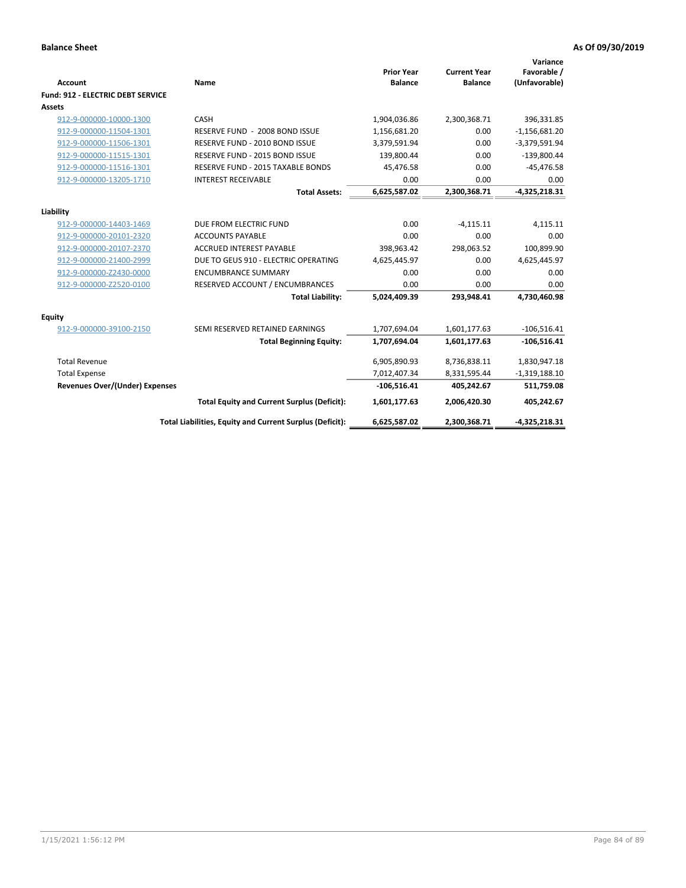| <b>Account</b>                           | <b>Name</b>                                              | <b>Prior Year</b><br><b>Balance</b> | <b>Current Year</b><br><b>Balance</b> | Variance<br>Favorable /<br>(Unfavorable) |
|------------------------------------------|----------------------------------------------------------|-------------------------------------|---------------------------------------|------------------------------------------|
| <b>Fund: 912 - ELECTRIC DEBT SERVICE</b> |                                                          |                                     |                                       |                                          |
| <b>Assets</b>                            |                                                          |                                     |                                       |                                          |
| 912-9-000000-10000-1300                  | CASH                                                     | 1,904,036.86                        | 2,300,368.71                          | 396,331.85                               |
| 912-9-000000-11504-1301                  | RESERVE FUND - 2008 BOND ISSUE                           | 1,156,681.20                        | 0.00                                  | $-1,156,681.20$                          |
| 912-9-000000-11506-1301                  | RESERVE FUND - 2010 BOND ISSUE                           | 3,379,591.94                        | 0.00                                  | $-3,379,591.94$                          |
| 912-9-000000-11515-1301                  | RESERVE FUND - 2015 BOND ISSUE                           | 139,800.44                          | 0.00                                  | $-139,800.44$                            |
| 912-9-000000-11516-1301                  | RESERVE FUND - 2015 TAXABLE BONDS                        | 45,476.58                           | 0.00                                  | $-45,476.58$                             |
| 912-9-000000-13205-1710                  | <b>INTEREST RECEIVABLE</b>                               | 0.00                                | 0.00                                  | 0.00                                     |
|                                          | <b>Total Assets:</b>                                     | 6,625,587.02                        | 2,300,368.71                          | $-4,325,218.31$                          |
|                                          |                                                          |                                     |                                       |                                          |
| Liability                                |                                                          |                                     |                                       |                                          |
| 912-9-000000-14403-1469                  | DUE FROM ELECTRIC FUND                                   | 0.00                                | $-4,115.11$                           | 4,115.11                                 |
| 912-9-000000-20101-2320                  | <b>ACCOUNTS PAYABLE</b>                                  | 0.00                                | 0.00                                  | 0.00                                     |
| 912-9-000000-20107-2370                  | <b>ACCRUED INTEREST PAYABLE</b>                          | 398,963.42                          | 298,063.52                            | 100,899.90                               |
| 912-9-000000-21400-2999                  | DUE TO GEUS 910 - ELECTRIC OPERATING                     | 4,625,445.97                        | 0.00                                  | 4,625,445.97                             |
| 912-9-000000-Z2430-0000                  | <b>ENCUMBRANCE SUMMARY</b>                               | 0.00                                | 0.00                                  | 0.00                                     |
| 912-9-000000-Z2520-0100                  | RESERVED ACCOUNT / ENCUMBRANCES                          | 0.00                                | 0.00                                  | 0.00                                     |
|                                          | <b>Total Liability:</b>                                  | 5,024,409.39                        | 293,948.41                            | 4,730,460.98                             |
| <b>Equity</b>                            |                                                          |                                     |                                       |                                          |
| 912-9-000000-39100-2150                  | SEMI RESERVED RETAINED EARNINGS                          | 1,707,694.04                        | 1,601,177.63                          | $-106,516.41$                            |
|                                          | <b>Total Beginning Equity:</b>                           | 1,707,694.04                        | 1,601,177.63                          | $-106,516.41$                            |
| <b>Total Revenue</b>                     |                                                          | 6,905,890.93                        | 8,736,838.11                          | 1,830,947.18                             |
| <b>Total Expense</b>                     |                                                          | 7,012,407.34                        | 8,331,595.44                          | $-1,319,188.10$                          |
| <b>Revenues Over/(Under) Expenses</b>    |                                                          | $-106,516.41$                       | 405,242.67                            | 511,759.08                               |
|                                          | <b>Total Equity and Current Surplus (Deficit):</b>       | 1,601,177.63                        | 2,006,420.30                          | 405,242.67                               |
|                                          | Total Liabilities, Equity and Current Surplus (Deficit): | 6,625,587.02                        | 2,300,368.71                          | $-4.325.218.31$                          |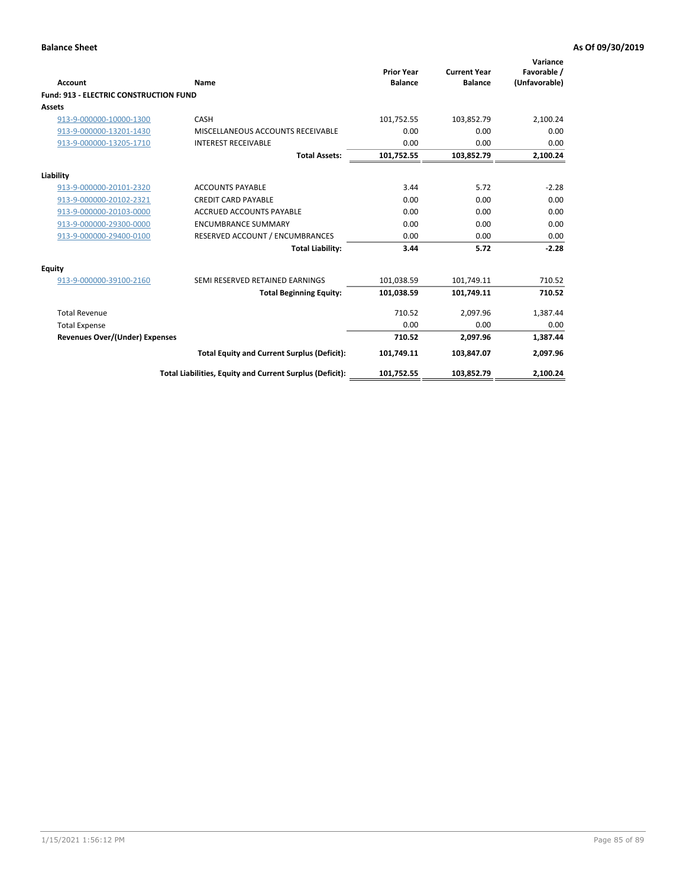| Account                                       | Name                                                     | <b>Prior Year</b><br><b>Balance</b> | <b>Current Year</b><br><b>Balance</b> | Variance<br>Favorable /<br>(Unfavorable) |
|-----------------------------------------------|----------------------------------------------------------|-------------------------------------|---------------------------------------|------------------------------------------|
| <b>Fund: 913 - ELECTRIC CONSTRUCTION FUND</b> |                                                          |                                     |                                       |                                          |
| <b>Assets</b>                                 |                                                          |                                     |                                       |                                          |
| 913-9-000000-10000-1300                       | CASH                                                     | 101,752.55                          | 103,852.79                            | 2,100.24                                 |
| 913-9-000000-13201-1430                       | MISCELLANEOUS ACCOUNTS RECEIVABLE                        | 0.00                                | 0.00                                  | 0.00                                     |
| 913-9-000000-13205-1710                       | <b>INTEREST RECEIVABLE</b>                               | 0.00                                | 0.00                                  | 0.00                                     |
|                                               | <b>Total Assets:</b>                                     | 101,752.55                          | 103,852.79                            | 2,100.24                                 |
| Liability                                     |                                                          |                                     |                                       |                                          |
| 913-9-000000-20101-2320                       | <b>ACCOUNTS PAYABLE</b>                                  | 3.44                                | 5.72                                  | $-2.28$                                  |
| 913-9-000000-20102-2321                       | <b>CREDIT CARD PAYABLE</b>                               | 0.00                                | 0.00                                  | 0.00                                     |
| 913-9-000000-20103-0000                       | <b>ACCRUED ACCOUNTS PAYABLE</b>                          | 0.00                                | 0.00                                  | 0.00                                     |
| 913-9-000000-29300-0000                       | <b>ENCUMBRANCE SUMMARY</b>                               | 0.00                                | 0.00                                  | 0.00                                     |
| 913-9-000000-29400-0100                       | RESERVED ACCOUNT / ENCUMBRANCES                          | 0.00                                | 0.00                                  | 0.00                                     |
|                                               | <b>Total Liability:</b>                                  | 3.44                                | 5.72                                  | $-2.28$                                  |
| <b>Equity</b>                                 |                                                          |                                     |                                       |                                          |
| 913-9-000000-39100-2160                       | SEMI RESERVED RETAINED EARNINGS                          | 101,038.59                          | 101,749.11                            | 710.52                                   |
|                                               | <b>Total Beginning Equity:</b>                           | 101,038.59                          | 101,749.11                            | 710.52                                   |
| <b>Total Revenue</b>                          |                                                          | 710.52                              | 2,097.96                              | 1,387.44                                 |
| <b>Total Expense</b>                          |                                                          | 0.00                                | 0.00                                  | 0.00                                     |
| Revenues Over/(Under) Expenses                |                                                          | 710.52                              | 2,097.96                              | 1,387.44                                 |
|                                               | <b>Total Equity and Current Surplus (Deficit):</b>       | 101,749.11                          | 103,847.07                            | 2,097.96                                 |
|                                               | Total Liabilities, Equity and Current Surplus (Deficit): | 101,752.55                          | 103,852.79                            | 2,100.24                                 |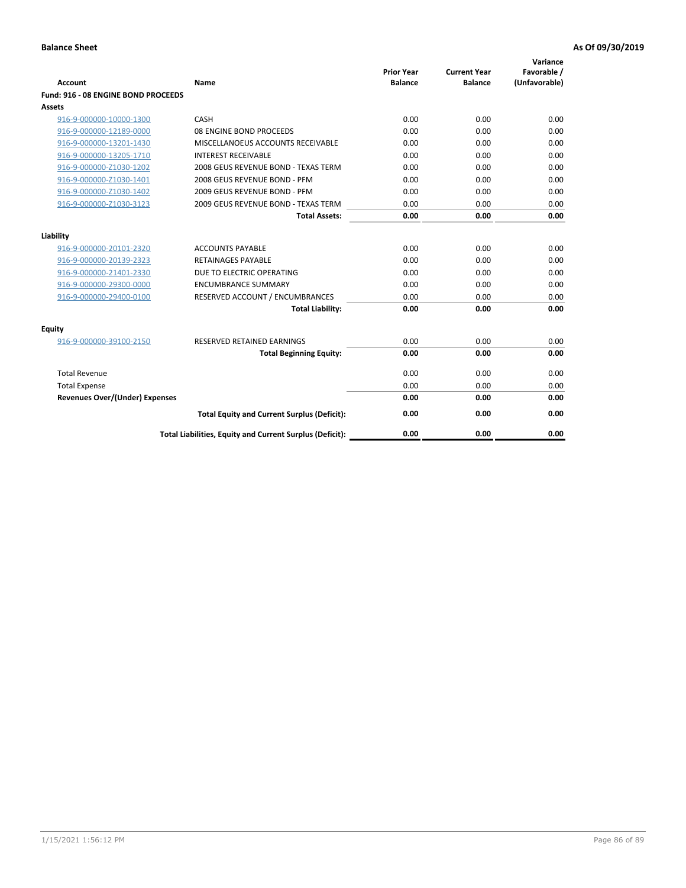| <b>Account</b>                        | Name                                                     | <b>Prior Year</b><br><b>Balance</b> | <b>Current Year</b><br><b>Balance</b> | Variance<br>Favorable /<br>(Unfavorable) |
|---------------------------------------|----------------------------------------------------------|-------------------------------------|---------------------------------------|------------------------------------------|
| Fund: 916 - 08 ENGINE BOND PROCEEDS   |                                                          |                                     |                                       |                                          |
| Assets                                |                                                          |                                     |                                       |                                          |
| 916-9-000000-10000-1300               | CASH                                                     | 0.00                                | 0.00                                  | 0.00                                     |
| 916-9-000000-12189-0000               | 08 ENGINE BOND PROCEEDS                                  | 0.00                                | 0.00                                  | 0.00                                     |
| 916-9-000000-13201-1430               | MISCELLANOEUS ACCOUNTS RECEIVABLE                        | 0.00                                | 0.00                                  | 0.00                                     |
| 916-9-000000-13205-1710               | <b>INTEREST RECEIVABLE</b>                               | 0.00                                | 0.00                                  | 0.00                                     |
| 916-9-000000-Z1030-1202               | 2008 GEUS REVENUE BOND - TEXAS TERM                      | 0.00                                | 0.00                                  | 0.00                                     |
| 916-9-000000-Z1030-1401               | 2008 GEUS REVENUE BOND - PFM                             | 0.00                                | 0.00                                  | 0.00                                     |
| 916-9-000000-Z1030-1402               | 2009 GEUS REVENUE BOND - PFM                             | 0.00                                | 0.00                                  | 0.00                                     |
| 916-9-000000-Z1030-3123               | 2009 GEUS REVENUE BOND - TEXAS TERM                      | 0.00                                | 0.00                                  | 0.00                                     |
|                                       | <b>Total Assets:</b>                                     | 0.00                                | 0.00                                  | 0.00                                     |
| Liability                             |                                                          |                                     |                                       |                                          |
| 916-9-000000-20101-2320               | <b>ACCOUNTS PAYABLE</b>                                  | 0.00                                | 0.00                                  | 0.00                                     |
| 916-9-000000-20139-2323               | <b>RETAINAGES PAYABLE</b>                                | 0.00                                | 0.00                                  | 0.00                                     |
| 916-9-000000-21401-2330               | DUE TO ELECTRIC OPERATING                                | 0.00                                | 0.00                                  | 0.00                                     |
| 916-9-000000-29300-0000               | <b>ENCUMBRANCE SUMMARY</b>                               | 0.00                                | 0.00                                  | 0.00                                     |
| 916-9-000000-29400-0100               | RESERVED ACCOUNT / ENCUMBRANCES                          | 0.00                                | 0.00                                  | 0.00                                     |
|                                       | <b>Total Liability:</b>                                  | 0.00                                | 0.00                                  | 0.00                                     |
|                                       |                                                          |                                     |                                       |                                          |
| Equity                                |                                                          |                                     |                                       |                                          |
| 916-9-000000-39100-2150               | <b>RESERVED RETAINED EARNINGS</b>                        | 0.00                                | 0.00                                  | 0.00                                     |
|                                       | <b>Total Beginning Equity:</b>                           | 0.00                                | 0.00                                  | 0.00                                     |
| <b>Total Revenue</b>                  |                                                          | 0.00                                | 0.00                                  | 0.00                                     |
| <b>Total Expense</b>                  |                                                          | 0.00                                | 0.00                                  | 0.00                                     |
| <b>Revenues Over/(Under) Expenses</b> |                                                          | 0.00                                | 0.00                                  | 0.00                                     |
|                                       | <b>Total Equity and Current Surplus (Deficit):</b>       | 0.00                                | 0.00                                  | 0.00                                     |
|                                       | Total Liabilities, Equity and Current Surplus (Deficit): | 0.00                                | 0.00                                  | 0.00                                     |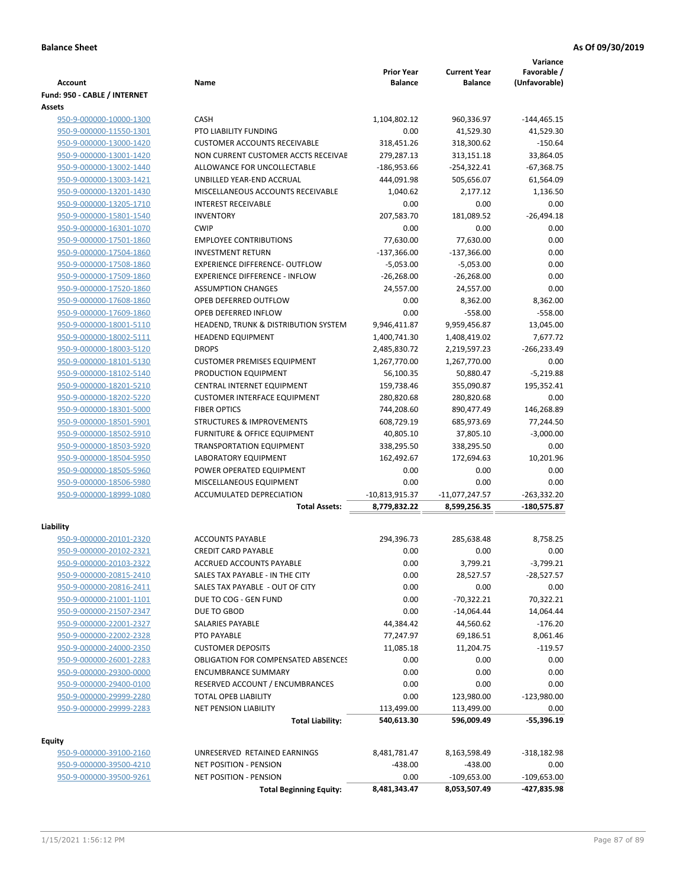|                                        |                                            | <b>Prior Year</b> | <b>Current Year</b> | Variance<br>Favorable / |
|----------------------------------------|--------------------------------------------|-------------------|---------------------|-------------------------|
| <b>Account</b>                         | Name                                       | <b>Balance</b>    | <b>Balance</b>      | (Unfavorable)           |
| Fund: 950 - CABLE / INTERNET<br>Assets |                                            |                   |                     |                         |
| 950-9-000000-10000-1300                | <b>CASH</b>                                | 1,104,802.12      | 960,336.97          | $-144,465.15$           |
| 950-9-000000-11550-1301                | PTO LIABILITY FUNDING                      | 0.00              | 41,529.30           | 41,529.30               |
| 950-9-000000-13000-1420                | <b>CUSTOMER ACCOUNTS RECEIVABLE</b>        | 318,451.26        | 318,300.62          | $-150.64$               |
| 950-9-000000-13001-1420                | NON CURRENT CUSTOMER ACCTS RECEIVAE        | 279,287.13        | 313,151.18          | 33,864.05               |
| 950-9-000000-13002-1440                | ALLOWANCE FOR UNCOLLECTABLE                | $-186,953.66$     | $-254,322.41$       | $-67,368.75$            |
| 950-9-000000-13003-1421                | UNBILLED YEAR-END ACCRUAL                  | 444,091.98        | 505,656.07          | 61,564.09               |
| 950-9-000000-13201-1430                | MISCELLANEOUS ACCOUNTS RECEIVABLE          | 1,040.62          | 2,177.12            | 1,136.50                |
| 950-9-000000-13205-1710                | <b>INTEREST RECEIVABLE</b>                 | 0.00              | 0.00                | 0.00                    |
| 950-9-000000-15801-1540                | <b>INVENTORY</b>                           | 207,583.70        | 181,089.52          | $-26,494.18$            |
| 950-9-000000-16301-1070                | <b>CWIP</b>                                | 0.00              | 0.00                | 0.00                    |
| 950-9-000000-17501-1860                | <b>EMPLOYEE CONTRIBUTIONS</b>              | 77,630.00         | 77,630.00           | 0.00                    |
| 950-9-000000-17504-1860                | <b>INVESTMENT RETURN</b>                   | $-137,366.00$     | $-137,366.00$       | 0.00                    |
| 950-9-000000-17508-1860                | <b>EXPERIENCE DIFFERENCE- OUTFLOW</b>      | $-5,053.00$       | $-5,053.00$         | 0.00                    |
| 950-9-000000-17509-1860                | <b>EXPERIENCE DIFFERENCE - INFLOW</b>      | $-26,268.00$      | $-26,268.00$        | 0.00                    |
| 950-9-000000-17520-1860                | <b>ASSUMPTION CHANGES</b>                  | 24,557.00         | 24,557.00           | 0.00                    |
| 950-9-000000-17608-1860                | OPEB DEFERRED OUTFLOW                      | 0.00              | 8,362.00            | 8,362.00                |
| 950-9-000000-17609-1860                | <b>OPEB DEFERRED INFLOW</b>                | 0.00              | $-558.00$           | $-558.00$               |
| 950-9-000000-18001-5110                | HEADEND, TRUNK & DISTRIBUTION SYSTEM       | 9,946,411.87      | 9,959,456.87        | 13,045.00               |
| 950-9-000000-18002-5111                | <b>HEADEND EQUIPMENT</b>                   | 1,400,741.30      | 1,408,419.02        | 7,677.72                |
| 950-9-000000-18003-5120                | <b>DROPS</b>                               | 2,485,830.72      | 2,219,597.23        | $-266,233.49$           |
| 950-9-000000-18101-5130                | <b>CUSTOMER PREMISES EQUIPMENT</b>         | 1,267,770.00      | 1,267,770.00        | 0.00                    |
| 950-9-000000-18102-5140                | PRODUCTION EQUIPMENT                       | 56,100.35         | 50,880.47           | $-5,219.88$             |
| 950-9-000000-18201-5210                | CENTRAL INTERNET EQUIPMENT                 | 159,738.46        | 355,090.87          | 195,352.41              |
| 950-9-000000-18202-5220                | <b>CUSTOMER INTERFACE EQUIPMENT</b>        | 280,820.68        | 280,820.68          | 0.00                    |
| 950-9-000000-18301-5000                | <b>FIBER OPTICS</b>                        | 744,208.60        | 890,477.49          | 146,268.89              |
| 950-9-000000-18501-5901                | <b>STRUCTURES &amp; IMPROVEMENTS</b>       | 608,729.19        | 685,973.69          | 77,244.50               |
| 950-9-000000-18502-5910                | <b>FURNITURE &amp; OFFICE EQUIPMENT</b>    | 40,805.10         | 37,805.10           | $-3,000.00$             |
| 950-9-000000-18503-5920                | <b>TRANSPORTATION EQUIPMENT</b>            | 338,295.50        | 338,295.50          | 0.00                    |
| 950-9-000000-18504-5950                | LABORATORY EQUIPMENT                       | 162,492.67        | 172,694.63          | 10,201.96               |
| 950-9-000000-18505-5960                | POWER OPERATED EQUIPMENT                   | 0.00              | 0.00                | 0.00                    |
| 950-9-000000-18506-5980                | MISCELLANEOUS EQUIPMENT                    | 0.00              | 0.00                | 0.00                    |
| 950-9-000000-18999-1080                | ACCUMULATED DEPRECIATION                   | $-10,813,915.37$  | $-11,077,247.57$    | $-263,332.20$           |
|                                        | <b>Total Assets:</b>                       | 8,779,832.22      | 8,599,256.35        | $-180,575.87$           |
| Liability                              |                                            |                   |                     |                         |
| 950-9-000000-20101-2320                | <b>ACCOUNTS PAYABLE</b>                    | 294,396.73        | 285,638.48          | 8.758.25                |
| 950-9-000000-20102-2321                | <b>CREDIT CARD PAYABLE</b>                 | 0.00              | 0.00                | 0.00                    |
| 950-9-000000-20103-2322                | ACCRUED ACCOUNTS PAYABLE                   | 0.00              | 3,799.21            | $-3,799.21$             |
| 950-9-000000-20815-2410                | SALES TAX PAYABLE - IN THE CITY            | 0.00              | 28,527.57           | $-28,527.57$            |
| 950-9-000000-20816-2411                | SALES TAX PAYABLE - OUT OF CITY            | 0.00              | 0.00                | 0.00                    |
| 950-9-000000-21001-1101                | DUE TO COG - GEN FUND                      | 0.00              | $-70,322.21$        | 70,322.21               |
| 950-9-000000-21507-2347                | DUE TO GBOD                                | 0.00              | $-14,064.44$        | 14,064.44               |
| 950-9-000000-22001-2327                | SALARIES PAYABLE                           | 44,384.42         | 44,560.62           | $-176.20$               |
| 950-9-000000-22002-2328                | PTO PAYABLE                                | 77,247.97         | 69,186.51           | 8,061.46                |
| 950-9-000000-24000-2350                | <b>CUSTOMER DEPOSITS</b>                   | 11,085.18         | 11,204.75           | $-119.57$               |
| 950-9-000000-26001-2283                | <b>OBLIGATION FOR COMPENSATED ABSENCES</b> | 0.00              | 0.00                | 0.00                    |
| 950-9-000000-29300-0000                | <b>ENCUMBRANCE SUMMARY</b>                 | 0.00              | 0.00                | 0.00                    |
| 950-9-000000-29400-0100                | RESERVED ACCOUNT / ENCUMBRANCES            | 0.00              | 0.00                | 0.00                    |
| 950-9-000000-29999-2280                | TOTAL OPEB LIABILITY                       | 0.00              | 123,980.00          | $-123,980.00$           |
| 950-9-000000-29999-2283                | <b>NET PENSION LIABILITY</b>               | 113,499.00        | 113,499.00          | 0.00                    |
|                                        | <b>Total Liability:</b>                    | 540,613.30        | 596,009.49          | -55,396.19              |
| <b>Equity</b>                          |                                            |                   |                     |                         |
| 950-9-000000-39100-2160                | UNRESERVED RETAINED EARNINGS               | 8,481,781.47      | 8,163,598.49        | $-318,182.98$           |
| 950-9-000000-39500-4210                | NET POSITION - PENSION                     | $-438.00$         | $-438.00$           | 0.00                    |
| 950-9-000000-39500-9261                | NET POSITION - PENSION                     | 0.00              | $-109,653.00$       | $-109,653.00$           |
|                                        | <b>Total Beginning Equity:</b>             | 8,481,343.47      | 8,053,507.49        | -427,835.98             |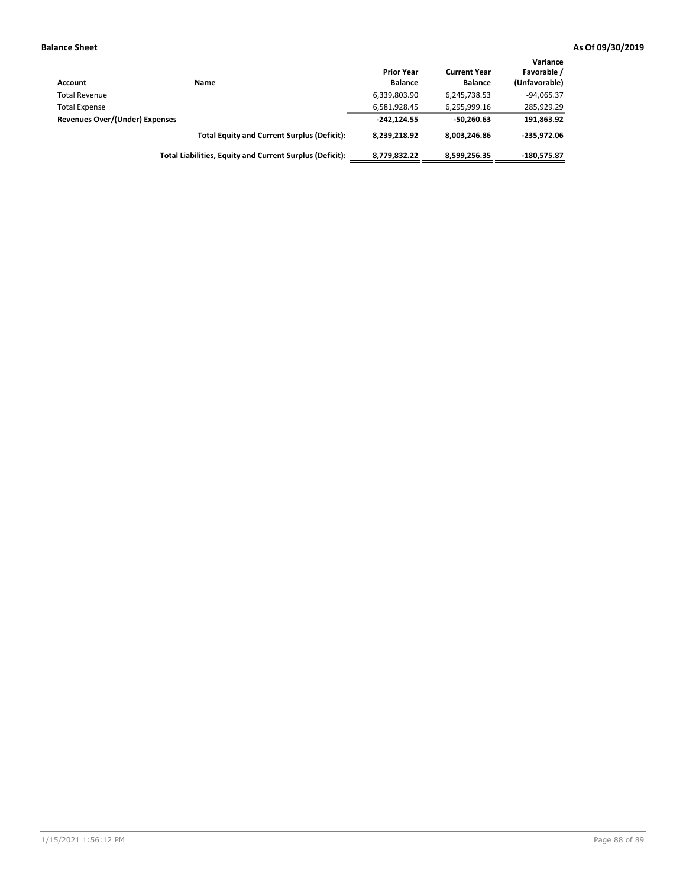| Account                        | <b>Name</b>                                              | <b>Prior Year</b><br><b>Balance</b> | <b>Current Year</b><br><b>Balance</b> | Variance<br>Favorable /<br>(Unfavorable) |
|--------------------------------|----------------------------------------------------------|-------------------------------------|---------------------------------------|------------------------------------------|
| <b>Total Revenue</b>           |                                                          | 6,339,803.90                        | 6,245,738.53                          | $-94,065.37$                             |
| <b>Total Expense</b>           |                                                          | 6,581,928.45                        | 6,295,999.16                          | 285,929.29                               |
| Revenues Over/(Under) Expenses |                                                          | $-242.124.55$                       | -50.260.63                            | 191,863.92                               |
|                                | <b>Total Equity and Current Surplus (Deficit):</b>       | 8.239.218.92                        | 8,003,246.86                          | $-235.972.06$                            |
|                                | Total Liabilities, Equity and Current Surplus (Deficit): | 8,779,832.22                        | 8,599,256.35                          | $-180.575.87$                            |